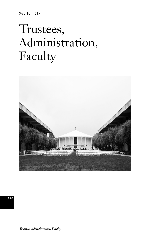# Trustees, Administration, Faculty

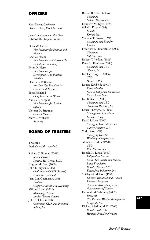#### **OFFICERS**

Kent Kresa, *Chairman* David L. Lee, *Vice Chairman*

Jean-Lou Chameau, *President* Edward M. Stolper, *Provost*

Dean W. Currie *Vice President for Business and Finance* Charles Elachi *Vice President and Director, Jet Propulsion Laboratory* Peter D. Hero *Vice President for Development and Institute Relations* Sharon E. Patterson *Associate Vice President for Finance and Treasurer* Scott Richland *Chief Investment Officer* Anneila I. Sargent *Vice President for Student Affairs* Victoria D. Stratman *General Counsel* Mary L. Webster *Secretary*

# **BOARD OF TRUSTEES**

**Trustees**

*(with date of first election)*

Robert C. Bonner (2008) *Senior Partner Sentinel HS Group, L.L.C.* Brigitte M. Bren (2009) John E. Bryson (2005) *Chairman and CEO (Retired) Edison International* Jean-Lou Chameau (2006) *President California Institute of Technology* Milton Chang (2005) *Managing Director Incubic Venture Capital* John S. Chen (2008) *Chairman, CEO, and President Sybase, Inc.*

Robert B. Chess (2006) *Chairman Nektar Therapeutics* Lounette M. Dyer (1998) Gilad I. Elbaz (2008) *Founder Factual Inc.* William T. Gross (1994) *Chairman and Founder Idealab* Frederick J. Hameetman (2006) *Chairman Cal American* Robert T. Jenkins (2005) Peter D. Kaufman (2008) *Chairman and CEO Glenair, Inc.* Jon Faiz Kayyem (2006) *CEO Osmetech PLC* Louise Kirkbride (1995) *Board Member State of California Contractors State License Board* Jon B. Kutler (2005) *Chairman and CEO Admiralty Partners, Inc.* Louis J. Lavigne Jr. (2009) *Management Consultant Lavigne Group* David Li Lee (2000) *Managing General Partner Clarity Partners, L.P.* York Liao (1997) *Managing Director Winbridge Company Ltd.* Alexander Lidow (1998) *CEO EPC Corporation* Ronald K. Linde (1989) *Independent Investor Chair, The Ronald and Maxine Linde Foundation Founder/Former CEO Envirodyne Industries, Inc.* Shirley M. Malcom (1999) *Director, Education and Human Resources Programs American Association for the Advancement of Science* Deborah McWhinney (2007) *President Citi Personal Wealth Management Citigroup, Inc.* Richard Merkin, M.D. (2009) *Founder and CEO Heritage Provider Network*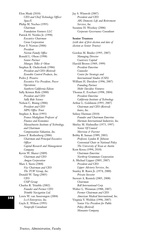Elon Musk (2010) *CEO and Chief Technology Officer SpaceX* Philip M. Neches (1995) *Chairman Foundation Ventures LLC* Patrick H. Nettles Jr. (1998) *Executive Chairman Ciena Corporation* Peter F. Norton (2006) *President Norton Family Office* Ronald L. Olson (1998) *Senior Partner Munger, Tolles & Olson* Stephen R. Onderdonk (1986) *President and CEO (Retired) Econolite Control Products, Inc.* Pedro J. Pizarro *Executive Vice President, Power Operations Southern California Edison* Sally Kristen Ride (2000) *President and CEO Sally Ride Science* Nelson C. Rising (2006) *President and CEO MPG Office Trust* Stephen A. Ross (1993) *Franco Modigliani Professor of Finance and Economics Massachusetts Institute of Technology, and Chairman Compensation Valuation, Inc.* James F. Rothenberg (2006) *Chairman and Principal Executive Officer Capital Research and Management Company* Kevin W. Sharer (2009) *Chairman and CEO Amgen Corporation* Marc I. Stern (2004) *Vice Chairman and CEO The TCW Group, Inc.* Donald W. Tang (2005) *CEO CSIP Group* Charles R. Trimble (2002) *Founder and Former CEO Trimble Navigation Ltd.* Lewis W. van Amerongen (2004) *LvA Enterprises, Inc.* Gayle E. Wilson (1995) *Nonprofit Consultant*

Jay S. Wintrob (2007) *President and CEO AIG Domestic Life and Retirement Services, Inc.* Suzanne H. Woolsey (2006) *Corporate Governance Consultant* **Senior Trustees** *(with date of first election and date of election as Senior Trustee)* Gordon M. Binder (1995, 2007) *Managing Director Coastview Capital* Harold Brown (1969, 1999) *President Emeritus Counselor Center for Strategic and International Studies (CSIS)* William H. Davidow (1996, 2007) *Founding Partner Mohr Davidow Ventures* Thomas E. Everhart (1998, 2004)

*President Emeritus California Institute of Technology* Arthur L. Goldstein (1995, 2007) *Chairman and CEO (Retired) Ionics, Inc.* Sidney Harman (2010) *Founder and Chairman Emeritus Harman International Industries, Inc.* Shirley M. Hufstedler (1975, 1997) *Senior Of Counsel Morrison & Foerster* Bobby R. Inman (1989, 2003)

*Professor, Lyndon B. Johnson Centennial Chair in National Policy The University of Texas at Austin* Kent Kresa (1994, 2010) *Chairman Emeritus*

*Northrop Grumman Corporation* A. Michael Lipper (2005, 2007)

*President and CEO Lipper Advisory Services, Inc.* Stanley R. Rawn Jr. (1974, 2000) *Private Investor* Stewart A. Resnick (2005, 2008) *Chairman Roll International Corp.* Walter L. Weisman (1988, 2007) *Former Chairman and CEO American Medical International, Inc.* Virginia V. Weldon (1996, 2007) *Senior Vice President for Public Policy (Retired)*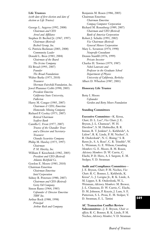#### **Life Trustees**

*(with date of first election and date of election as Life Trustee)*

George L. Argyros (1992, 2008) *Chairman and CEO Arnel and Affiliates* Stephen D. Bechtel Jr. (1967, 1997) *Chairman (Retired) Bechtel Group, Inc.* G. Patricia Beckman (2003, 2008) *Community Leader* Donald L. Bren (1983, 2004) *Chairman of the Board The Irvine Company* Eli Broad (1993, 2007) *Founder The Broad Foundations* Walter Burke (1975, 2010) *Treasurer Sherman Fairchild Foundation, Inc.* Jewel Plummer Cobb (1990, 2005) *President Emerita California State University, Fullerton* Harry M. Conger (1985, 2007) *Chairman & CEO, Emeritus Homestake Mining Company* Richard P. Cooley (1973, 2007) *Retired Chairman Seafirst Bank* Camilla C. Frost (1977, 2007) *Trustee of the Chandler Trust and a Director and Secretary-Treasurer Chandis Securities Company* Philip M. Hawley (1975, 1997) *Chairman P. M. Hawley, Inc.* William F. Kieschnick (1982, 2005) *President and CEO (Retired) Atlantic Richfield Co.* Gordon E. Moore (1983, 2010) Chairman Emeritus *Chairman Emeritus Intel Corporation* Sidney R. Petersen (1980, 2007) *Chairman and CEO (Retired) Getty Oil Company* Simon Ramo (1964, 1985) *Cofounder & Director Emeritus TRW Inc.* Arthur Rock (1988, 1998) *Principal Arthur Rock and Company*

Benjamin M. Rosen (1986, 2005) Chairman Emeritus *Chairman Emeritus Compaq Computer Corporation* Richard M. Rosenberg (1989, 2007) *Chairman and CEO (Retired) Bank of America Corporation* Robert J. Schultz (1991, 2002) *Vice Chairman (Retired) General Motors Corporation* Mary L. Scranton (1974, 1990) *Nonprofit Consultant* Dennis Stanfill (1976, 1999) *Private Investor* Charles H. Townes (1979, 1987) *Nobel Laureate and Professor in the Graduate School Department of Physics University of California, Berkeley* Albert D. Wheelon (1987, 2001)

#### **Honorary Life Trustee**

Betty I. Moore *Cofounder Gordon and Betty Moore Foundation*

#### **Standing Committees**

**Executive Committee**—K. Kresa, *Chair;* D. L. Lee\*, *Vice Chair;* J. E. Bryson, J.-L. Chameau\*, W. H. Davidow\*, S. M. Hufstedler, B. R. Inman, R. T. Jenkins\*, L. Kirkbride\*, A. Lidow\*, R. K. Linde, P. M. Neches\*, S. R. Onderdonk\*, N. C. Rising,\* S. R. Rawn Jr., S. A. Ross\*, C. R. Trimble\*, W. L. Weisman, G. E. Wilson; *Consulting Members:* G. E. Moore, B. M. Rosen; *Advisory Members:* D. W. Currie, C. Elachi, P. D. Hero, A. I. Sargent, E. M. Stolper, V. D. Stratman

#### **Audit and Compliance Committee**—

J. E. Bryson, *Chair;* P. M. Neches, *Vice Chair;* R. C. Bonner, L. Kirkbride, K. Kresa\*, L. J. Lavigne Jr., R. K. Linde, A. M. Lipper, S. R. Onderdonk, W. L. Weisman; *Advisory Members:* M. Brewer, J.-L. Chameau, D. W. Currie, C. Elachi, D. M. Johnson, P. Koyzis, J. Lum, S. E. Patterson, S. L. Proia, E. M. Stolper, V. D. Stratman, E. L. Tattini

**AC Transaction Conflict Review**

**Subcommittee**—J. E. Bryson, *Chair ex officio;* R. C. Bonner, R. K. Linde, P. M. Neches; *Advisory Member;* V. D. Stratman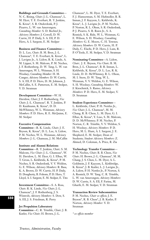#### **Buildings and Grounds Committee**—

N. C. Rising, *Chair;* J.-L. Chameau\*, L. M. Dyer, T. E. Everhart, R. T. Jenkins, K. Kresa\*, S. R. Onderdonk, P. J. Pizarro, L. W. van Amerongen; *Consulting Member:* S. D. Bechtel Jr.; *Advisory Members:* J. Cowell, D. W. Currie, H. P. Daily, S. A. Ell, P. D. Hero, A. I. Sargent, E. M. Stolper

#### **Business and Finance Committee**—

D. L. Lee, *Chair;* B. M. Bren, J.-L. Chameau\*, T. E. Everhart, K. Kresa\*, L. J. Lavigne Jr., A. Lidow, R. K. Linde, A. M. Lipper, S. M. Malcom, P. M. Neches, J. F. Rothenberg, D. W. Tang, L. W. van Amerongen, W. L. Weisman, S. H. Woolsey; *Consulting Member:* H. M. Conger; *Advisory Members:* D. W. Currie, S. A. Ell, P. D. Hero, D. M. Johnson, J. McCallin, S. E. Patterson, E. M. Stolper, V. D. Stratman

#### **Development Committee**—W. H.

Davidow, *Chair;* J. F. Rothenberg, *Vice Chair;* J.-L. Chameau\**,* R. T. Jenkins, P. D. Kaufmann, K. Kresa\*, D. D. McWhinney, W. L. Weisman; *Advisory Members:* P. D. Hero, R. E. McQuinn, E. M. Stolper

#### **Executive Compensation**

**Committee**—R. K. Linde, *Chair;* J. E. Bryson, K. Kresa\*, D. L. Lee, A. Lidow, P. M. Neches, W. L. Weisman; *Advisory Members:* J.-L. Chameau, J. M. McCallin

#### **Institute and Alumni Relations**

**Committee**—R. T. Jenkins, *Chair;* S. M. Malcom, *Vice Chair;* J.-L. Chameau\*, W. H. Davidow, L. M. Dyer, G. I. Elbaz, W. T. Gross, L. Kirkbride, K. Kresa\*, P. M. Neches, S. R. Onderdonk, V. V. Weldon, G. E. Wilson; *Advisory Members:* R. Basa, K. A. Brown, D. W. Currie, H. P. Daily, D. Dougherty, B. Folsom, P. D. Hero, T. Lloyd, A. I. Sargent, E. M. Stolper, E. Tito

**Investment Committee**—S. A. Ross, *Chair;* R. K. Linde, *Vice Chair;* J.-L. Chameau\*, J. F. Rothenberg, J. S. Wintrob; *Advisory Members:* S. Dow, S. A. Ell, J. S. Friedman, R. Perry

#### **Jet Propulsion Laboratory**

**Committee**—C. R. Trimble, *Chair;* J. B. Kutler, *Vice Chair;* H. Brown, J.-L.

Chameau\*, L. M. Dyer, T. E. Everhart, F. J. Hameetman, S. M. Hufstedler, B. R. Inman, J. F. Kayyem, L. Kirkbride, K. Kresa\*, L. J. Lavigne Jr., P. M. Neches, P. Norton, R. L. Olson, S. R. Onderdonk, P. J. Pizarro, S. R. Rawn Jr., S. A. Resnick, S. K. Ride, W. L. Weisman, G. E. Wilson, S. H. Woolsey; *Consulting Members:* G. E. Moore, C. H. Townes; *Advisory Members:* D. W. Currie, H. P. Daily, C. Elachi, P. D. Hero, J. Lum, R. P. O'Toole, E. M. Stolper, V. D. Stratman

**Nominating Committee**—A. Lidow, *Chair;* J. E. Bryson, *Vice Chair;* B. M. Bren, J.-L. Chameau\*, B. R. Inman, L. Kirkbride, K. Kresa\*, D. L. Lee, R. K. Linde, D. D. McWhinney, R. L. Olson, M. I. Stern, D. W. Tang, W. L. Weisman, V. V. Weldon, G. E. Wilson, S. H. Woolsey; *Consulting Members:* W. F. Kieschnick, S. Ramo; *Advisory Members:* P. D. Hero, E. M. Stolper, V. D. Stratman

#### **Student Experience Committee**—

L. Kirkbride, *Chair;* P. H. Nettles Jr., *Vice Chair;* J.-L. Chameau\*, M. M. Chang, R. B. Chess, L. M. Dyer, G. I. Elbaz, K. Kresa\*, Y. Liao, S. M. Malcom, D. D. McWhinney; P. M. Neches, P. Norton, C. R. Trimble, V. V. Weldon, S. H. Woolsey; *Advisory Members:* P. D. Hero, M. L. Hunt, A. I. Sargent, J. E. Shepherd, E. M. Stolper, Dean of Students; *Student Advisory Members:* Z. Ahmed, D. Coleman, A. Price, R. Zia

#### **Technology Transfer Committee**—

P. M. Neches, *Chair;* R. B. Chess, *Vice Chair;* H. Brown, J.-L. Chameau\*, M. M. Chang, J. S. Chen, L. M. Dyer, A. L. Goldstein, J. F. Kayyem, L. Kirkbridge, K. Kresa\*, J. B. Kutler, L. J. Lavigne Jr., A. Lidow, P. H. Nettles Jr., P. Norton, S. A. Resnick, D. W. Tang, C. R. Trimble, L. W. van Amerongen; *Advisory Members:* D. W. Currie, S. A. Ell, F. Farina, M. Gharib, E. M. Stolper, V. D. Stratman

#### **Transaction Review Subcommittee**

P. M. Neches, *Chair ex officio;* J. E. Bryson\*, R. B. Chess\*, J. B. Kutler, P. Norton; *Advisory Member:* V. D. Stratman

*\* ex officio member*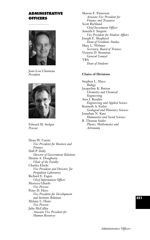# **ADMINISTRATIVE OFFICERS**



Jean-Lou Chameau *President*



Edward M. Stolper *Provost*

Dean W. Currie *Vice President for Business and Finance* Hall P. Daily *Director of Government Relations* Dennis A. Dougherty *Chair of the Faculty* Charles Elachi *Vice President and Director, Jet Propulsion Laboratory* Richard E. Fagen *Chief Information Officer* Morteza Gharib *Vice Provost* Peter D. Hero *Vice President for Development and Institute Relations* Melany L. Hunt *Vice Provost* Julia McCallin *Associate Vice President for Human Resources*

Sharon E. Patterson *Associate Vice President for Finance and Treasurer* Scott Richland *Chief Investment Officer* Anneila I. Sargent *Vice President for Student Affairs* Joseph E. Shepherd *Dean of Graduate Studies* Mary L. Webster *Secretary, Board of Trustees* Victoria D. Stratman *General Counsel* TBA *Dean of Students*

#### **Chairs of Divisions**

Stephen L. Mayo *Biology*  Jacqueline K. Barton *Chemistry and Chemical Engineering* Ares J. Rosakis *Engineering and Applied Science* Kenneth A. Farley *Geological and Planetary Sciences* Jonathan N. Katz *Humanities and Social Sciences* B. Thomas Soifer *Physics, Mathematics and Astronomy*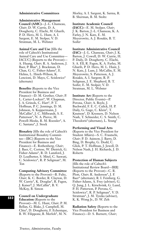#### **Administrative Committees**

**Administrative Management Council (AMC)**—J.-L. Chameau, *Chair*; D. W. Currie, D. A. Dougherty, C. Elachi, M. Gharib, P. D. Hero, M. L. Hunt, A. I. Sargent, E. M. Stolper, V. D. Stratman, M. L. Webster

**Animal Care and Use** [fills the role of Caltech's Institutional Animal Care and Use Committee— IACUC] (Reports to the Provost)— A. Huang, *Chair*; R. A. Anderson, J. Baer, P. Blue\*, J. Brackman, D. Chan, G. C. Fisher-Adams\*, E. Helms, L. Hsieh-Wilson, K. Lencioni, D. Mayo, C. Scislowicz\* (alternate)

**Benefits** (Reports to the Vice President for Business and Finance)—D. M. Grether, *Chair*; P. L. Carter-Lockert\*, W. Chapman, J. A. Grinols, C. Hart\*, P. T. Hoffman, P. C. Jennings, D. M. Johnson, A. Kuppermann, J. McCallin\*, J. C. Milbrandt, S. E. Patterson\*, N. A. Pierce, M. Powell-Meeks, R. M. Roessler\*, A. C. Santana\*, J. Stock

**Biosafety** [fills the role of Caltech's Institutional Biosafety Committee—IBC] (Reports to the Vice President for Business and Finance)—E. Rothenberg, *Chair*; J. Baer, C. Cortese, W. Dietrick, G. Fisher-Adams\*, R. D. Lansford, J. D. Leadbetter, S. Mitel, C. Saswati, C. Scislowicz\*, R. P. Seligman\*, M. Ton

**Computing Advisory Committee** (Reports to the Provost)—B. Fultz, *Chair;* K. C. Border, R. Clayton, D. W. Currie\*, K. Douglas\*, R. Fagen, J. Kaiser§, J. McCallin\*, B. V. McKoy, B. Simon

**Council on Undergraduate Education** (Reports to the Provost)—M. L. Hunt, *Chair;* P. M. Bellan, G. Blake, J. Campbell, M. Chiu‡, D. Dougherty, F. Echenique, B. W. Filippone, B. Merlob‡, M. N.

Morley, A. I. Sargent, K. Sarma, R. B. Sherman, B. M. Stoltz

#### **Institute Academic Council**

**(IACC)**—E. M. Stolper, *Chair*; J. K. Barton, J.-L. Chameau, K. A. Farley, J. N. Katz, E. M. Meyerowitz, A. J. Rosakis, B. T. Soifer

**Institute Administrative Council (IAC)**—J.-L. Chameau, *Chair*; J. K. Barton, J. Cowell, D. W. Currie, H. P. Daily, D. Dougherty, C. Elachi, S. A. Ell, R. Fagen, K. A. Farley, M. Gharib, P. D. Hero, M. L. Hunt, J. N. Katz, J. Lum, J. McCallin, E. M. Meyerowitz, S. Patterson, A. J. Rosakis, A. I. Sargent, R. P. Seligman, J. E. Shepherd, B. T. Soifer, E. M. Stolper, V. D. Stratman, M. L. Webster

**Institute Art** (Reports to the Director, Public Events)—P. Perona, *Chair*; A. Boyle, J. Buchwald, F. E. C. Culick, H. P. Daily, G. Gage, C. Klein<sup>‡</sup>, T. Knutson†, D. Kremers, D. Nelson Nash, T. Schneider, C. S. Smith, C. Theodoris‡ (alternate), L. Yeung†

#### **Performing and Visual Arts**

(Reports to the Vice President for Student Affairs)—S. C. Frautschi, *Chair;* P. D. Asimow, J. Barry, D. Bing, D. Brophy, G. Dodd, C. Glick, P. T. Hoffman, J. Jewell, D. Nelson Nash, J. H. Richards, J. D. Roberts

**Protection of Human Subjects** [fills the role of Caltech's

Institutional Review Board—IRB] (Reports to the Provost)—C. R. Plott, *Chair*; R. Anderson\*, J. F. Baer\* (alternate), R. I. Feinberg, G. Fisher-Adams, A. Frey (adviser), G. Q. Jung, J. L. Kirschvink, G. Lund, P. H. Patterson, P. Perona, C. Scislowicz\*, R. P. Seligman\*, V. D. Stratman\*, J. M. Tyszka (adviser), K. K. Wong Jr., D. W. Zeh

**Radiation Safety** (Reports to the Vice President for Business and Finance)—D. S. Burnett, *Chair*;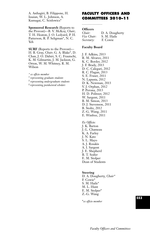A. Asthagiri, B. Filippone, H. Issaian, W. L. Johnson, A. Kumagai, C. Scislowicz\*

**Sponsored Research** (Reports to the Provost)—B. V. McKoy, *Chair*; T. H. Heaton, J. O. Ledyard, P. H. Patterson, R. P. Seligman\*, N. C. Yeh

**SURF** (Reports to the Provost)— H. B. Gray, *Chair*; G. A. Blake\*, D. Chan, J. O. Dabiri, S. C. Frautschi, K. M. Gilmartin, J. M. Jackson, G. Orton, W. M. Whitney, R. M. Wilson

*\* ex officio member*

† *representing graduate students*

‡ *representing undergraduate students*

*§ representing postdoctoral scholars*

# **FACULTY OFFICERS AND COMMITTEES 2010–11**

# **Officers**

| Chair:      | D. A. Dougherty |
|-------------|-----------------|
| Vice Chair: | S. M. Haile     |
| Secretary:  | F. Cowie        |

#### **Faculty Board**

J. F. Adkins, 2013 R. M. Alvarez, 2011 K. C. Border, 2012 J. F. Brady, 2013 D. C. Calegari, 2012 R. C. Flagan, 2013 S. E. Fraser, 2011 N. Lapusta, 2012 D. K. Newman, 2013 V. J. Orphan, 2012 P. Perona, 2013 H. D. Politzer, 2012 W. Sargent, 2011 B. M. Simon, 2013 D. J. Stevenson, 2011 B. Stoltz, 2012 Z.-G. Wang, 2011 E. Winfree, 2011

*Ex Officio:* J. K. Barton J.-L. Chameau K. A. Farley J. N. Katz S. L. Mayo A. J. Rosakis A. I. Sargent J. E. Shepherd B. T. Soifer E. M. Stolper Dean of Students

#### **Steering**

D. A. Dougherty, *Chair\** F. Cowie\* S. M. Haile\* M. L. Hunt E. M. Stolper\* Z.-G. Wang

\**ex officio member*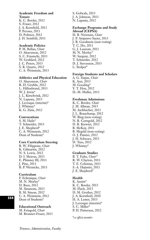#### **Academic Freedom and Tenure**

K. C. Border, 2012 S. Fraser, 2012 J. A. Kornfield, 2011 P. Perona, 2011 D. Politzer, 2012 J. H. Seinfeld, 2011

#### **Academic Policies**

P. M. Bellan, *Chair* O. Aharonson, 2012 S. C. Frautschi, 2013 W. Goddard, 2012 J. C. Peters, 2013 S. R. Quartz, 2012 C. A. Weinstein, 2013

#### **Athletics and Physical Education**

O. Aharonson, *Chair* R. H. Grubbs, 2012 L. Hillenbrand, 2013 W. J. Irwin\* J. L. Kirschvink, 2012 N. Lapusta, 2013 J. Levesque (interim)\* J. Whitney\* K. G. Zinn, 2012

#### **Convocations**

S. M. Haile\* T. Schneider, 2013 J. E. Shepherd\* C. A. Weinstein, 2012 Dean of Students\*

#### **Core Curriculum Steering**

B. W. Filippone, *Chair* K. Gilmartin, 2012 N. S. Lewis, 2012 D. I. Meiron, 2013 E. Phinney III, 2011 J. Pine, 2011 B. P. Wernicke, 2013

#### **Curriculum**

F. Echenique, *Chair* M. N. Morley\* D. Rees, 2011 M. Simmons, 2013 B. M. Simon, 2012 C. A. Weinstein, 2012 Dean of Students\*

#### **Educational Outreach**

M. Feingold, *Chair* M. Bronner-Fraser, 2013

S. Golwala, 2013 J. A. Johnson, 2013 N. Lapusta, 2012

#### **Exchange Programs and Study Abroad (CEPSA)**

H. B. Newman, *Chair* J. P. Ampuero Saenz, 2013 J. R. Goodstein (non-voting) T. C. Ho, 2011 G. J. Laurent, 2011 M. N. Morley\* W. Sargent, 2012 T. Schneider, 2012 D. J. Stevenson, 2013 L. Stolper\*

#### **Foreign Students and Scholars**

A. G. Siapas, *Chair* K. Arai, 2013 M. Gooding\* Y. T. Hou, 2012 H.-M. Muller, 2013

#### **Freshman Admissions**

K. C. Border, *Chair* J. M. Allman, 2013 M. Aschbacher, 2013 J. L. Beauchamp, 2012 W. Bing (non-voting) N. R. Corngold, 2012 D. R. Kiewiet, 2012 B. McKoy, 2011 B. Megdal (non-voting) O. J. Painter, 2012 J. H. Schwarz, 2013 D. Tsao, 2012 J. Whitney\*

#### **Graduate Studies**

B. T. Fultz, *Chair\** R. W. Clayton, 2011 T. E. Colonius, 2011 S.-A. Hajimiri, 2011 J. E. Shepherd\*

#### **Health**

K. Austin\* K. C. Border, 2013 M. Flach, 2013 D. M. Grether, 2012 J. A. Kornfield, 2010 H. A. Lester, 2013 J. Levesque (interim)\* S. C. Miller\* P. H. Patterson, 2012

\**ex officio member*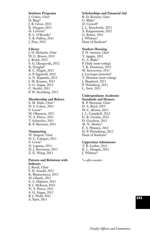#### **Institute Programs**

J. Cohen, *Chair* D. Bing\* J. R. Greer, 2012 K. Haugen, 2013 D. LaVertu\* R. L. O'Rourke\* T. R. Palfrey, 2012 J. Pine, 2013

#### **Library**

J. H. Richards, *Chair* W. C. Brown, 2013 J. Bruck, 2012 S. G. Djorgovski, 2012 K. Douglas\* R. C. Flagan, 2011 A. P. Ingersoll, 2012 A. N. Kapustin, 2013 J. M. Kousser, 2013 A. G. Siapas, 2012 C. Steidel, 2011 P. W. Sternberg, 2012

#### **Membership and Bylaws**

S. M. Haile, *Chair\** D. S. Cohen, 2011 F. Cowie\* M. Okumura, 2011 N. A. Pierce, 2011 T. Schneider, 2011 R. P. Sherman, 2011

#### **Nominating**

W. Sargent, *Chair* D. C. Calegari, 2011 F. Cowie\* N. Lapusta, 2011 D. J. Stevenson, 2011 Z. G. Wang, 2011

#### **Patents and Relations with Industry**

J. Bruck, *Chair* F. H. Arnold, 2012 K. Bhattacharya, 2013 M. Gharib, 2011 S.-A. Hajimiri, 2011 B. J. McKeon, 2013 N. A. Pierce, 2011 A. G. Siapas, 2012 B. J. Wold, 2012 A. Yariv, 2011

#### **Scholarships and Financial Aid**

R. D. Kiewiet, *Chair* G. Blake\* D. Crewell\* J. L. Kirschvink, 2013 A. Kuppermann, 2012 G. Refael, 2012 J. Whitney\* Dean of Students\*

#### **Student Housing**

P. D. Asimow, *Chair* T. Agapie, 2012 G. A. Blake\* P. Daily (non-voting) T. K. Dennison, 2013 M. Iaryczower, 2011 J. Levesque (interim)\* T. Mannion (non-voting) J. Shepherd, 2011 P. Wennberg, 2011 L. Yariv, 2011

#### **Undergraduate Academic Standards and Honors**

R. P. Sherman, *Chair* D. A. Boyd, 2013 W. C. Brown, 2013 J. L. Campbell, 2012 G. R. Gavalas, 2012 D. Goodwin, 2011 M. N. Morley\* E. S. Phinney, 2012 D. P. Weitekamp, 2012 Dean of Students\*

#### **Upperclass Admissions**

T. B. Graber, 2013 K. L. Haugen, 2012 J. Whitney\*

\**ex officio member*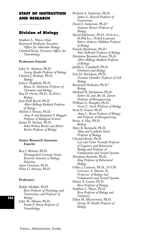# **STAFF OF INSTRUCTION AND RESEARCH**

# **Division of Biology**

Stephen L. Mayo, *Chair* Raymond Deshaies, *Executive Officer for Molecular Biology* Christof Koch, *Executive Officer for Neurobiology*

#### **Professors Emeriti**

John N. Abelson, Ph.D. *George Beadle Professor of Biology* Charles J. Brokaw, Ph.D. *Biology* John J. Hopfield, Ph.D. *Roscoe G. Dickinson Professor of Chemistry and Biology* Ray D. Owen, Ph.D., Sc.D.h.c. *Biology* Jean-Paul Revel, Ph.D. *Albert Billings Ruddock Professor of Biology* Melvin I. Simon, Ph.D. *Anne P. and Benjamin F. Biaggini Professor of Biological Sciences* James H. Strauss, Ph.D. *Ethel Wilson Bowles and Robert Bowles Professor of Biology*

#### **Senior Research Associate Emeriti**

Roy J. Britten, Ph.D. *Distinguished Carnegie Senior Research Associate in Biology, Emeritus* Anne Chomyn, Ph.D. Ellen G. Strauss, Ph.D.

#### **Professors**

Ralph Adolphs, Ph.D. *Bren Professor of Psychology and Neuroscience and Professor of Biology* John M. Allman, Ph.D. *Frank P. Hixon Professor of Neurobiology*

Richard A. Andersen, Ph.D. *James G. Boswell Professor of Neuroscience* David J. Anderson, Ph.D.<sup>1</sup> *Seymour Benzer Professor of Biology* David Baltimore, Ph.D., D.Sc.h.c., D.Phil.h.c., Nobel Laureate *Robert Andrews Millikan Professor of Biology* Pamela Bjorkman, Ph.D.1 *Max Delbrück Professor of Biology* Marianne Bronner-Fraser, Ph.D. *Albert Billings Ruddock Professor of Biology* Judith L. Campbell, Ph.D. *Chemistry and Biology* Eric H. Davidson, Ph.D. *Norman Chandler Professor of Cell Biology* Raymond Deshaies, Ph.D.1 *Biology* Michael H. Dickinson, Ph.D. *Esther M. and Abe M. Zarem Professor of Bioengineering* William G. Dunphy, Ph.D. *Grace C. Steele Professor of Biology* Scott E. Fraser, Ph.D. *Anna L. Rosen Professor of Biology and Professor of Bioengineering* Bruce A. Hay, Ph.D. *Biology* Mary B. Kennedy, Ph.D. *Allen and Lenabelle Davis Professor of Biology* Christof Koch, Ph.D. *Lois and Victor Troendle Professor of Cognitive and Behavioral Biology and Professor of Computation and Neural Systems* Masakazu Konishi, Ph.D. *Bing Professor of Behavioral Biology* Gilles J. Laurent, Ph.D., D.V.M. *Lawrence A. Hanson, Jr., Professor of Biology and Computation and Neural Systems* Henry A. Lester, Ph.D. *Bren Professor of Biology* Stephen L. Mayo, Ph.D. *Bren Professor of Biology and Chemistry* Elliot M. Meyerowitz, Ph.D. *George W. Beadle Professor of Biology*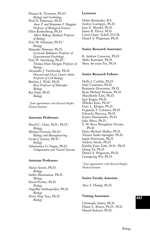Dianne K. Newman, Ph.D.1 *Biology and Geobiology* Paul H. Patterson, Ph.D. *Anne P. and Benjamin F. Biaggini Professor of Biological Sciences* Ellen Rothenberg, Ph.D. *Albert Billings Ruddock Professor of Biology* Erin M. Schuman, Ph.D.1 *Biology* Shinsuke Shimojo, Ph.D. *Gertrude Baltimore Professor of Experimental Psychology* Paul W. Sternberg, Ph.D.<sup>1</sup> *Thomas Hunt Morgan Professor of Biology* Alexander J. Varshavsky, Ph.D. *Howard and Gwen Laurie Smits Professor of Cell Biology* Barbara J. Wold, Ph.D. *Bren Professor of Molecular Biology* Kai Zinn, Ph.D. *Biology*

<sup>1</sup> *Joint appointment with Howard Hughes Medical Institute*

#### **Associate Professors**

David C. Chan, M.D., Ph.D.<sup>1</sup> *Biology*  Michael Elowitz, Ph.D.1 *Biology and Bioengineering* Grant J. Jensen, Ph.D.1 *Biology*  Athanassios G. Siapas, Ph.D. *Computation and Neural Systems*

#### **Assistant Professors**

Alexei Aravin, Ph.D. *Biology* Sarkis Mazmanian, Ph.D. *Biology* David Prober, Ph.D. *Biology* Angelike Stathopoulos, Ph.D. *Biology* Doris Ying Tsao, Ph.D. *Biology*

#### **Lecturers**

Helen Bermudez, B.S. Andrea Loettgers, Ph.D. Jane E. Mendel, Ph.D. James R. Pierce, M.D. Carol Chace Tydell, D.V.M. Daniel A. Wagenaar, Ph.D.

#### **Senior Research Associates**

R. Andrew Cameron, Ph.D. Akiko Kumagai, Ph.D. Mary An-yuan Yui, Ph.D.

#### **Senior Research Fellows**

Holly J. Carlisle, Ph.D. Stijn Cassenaer, Ph.D. Benjamin Deverman, Ph.D. Ryan Michael Drenan, Ph.D. Maxellende Ezin, Ph.D. Igor Kagan, Ph.D. Mihoko Kato, Ph.D.1 Gary L. Kleiger, Ph.D. Evgueniy V. Lubenov, Ph.D. Edoardo Marcora, Ph.D. Sotiris Masmanidis, Ph.D. Julie Miwa, Ph.D. S. M. Reza Motaghian Nezam, Ph.D. Hans-Michael Muller, Ph.D. Tatjana Sauka-Spengler, Ph.D. Jagan Srinivasan, Ph.D. Andrew Steele, Ph.D. Katalin Fejes Toth, M.D., Ph.D. Qiang Tu, Ph.D. Daniel A. Wagenaar, Ph.D. Guangying Wu, Ph.D.

<sup>1</sup> *Joint appointment with Howard Hughes Medical Institute*

#### **Senior Faculty Associate**

Alice S. Huang, Ph.D.

#### **Visiting Associates**

Christoph Adami, Ph.D. Elaine L. Bearer, Ph.D., M.D. Hamid Bolouri, Ph.D.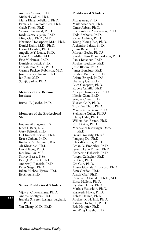Andres Collazo, Ph.D. Michael Collins, Ph.D. Maria Elena deBellard, Ph.D. Pamela L. Eversole-Cire, Ph.D. Caleb Finch, Ph.D. Winrich Freiwald, Ph.D. Jordi García-Ojalvo, Ph.D. Ming Guo, Ph.D., M.D. Narimon Honarpour, M.D., Ph.D. Daniel Kahn, M.D., Ph.D. Carmel Levitan, Ph.D. Angelique Y. Louie, Ph.D. Carol Ann Miller, M.D. Eric Mjolsness, Ph.D. Daniele Procissi, Ph.D. Dinesh Rao, M.D., Ph.D. Carmie Puckett Robinson, M.D. José Luis Riechmann, Ph.D. Ian Ross, M.D. Surajit Sarkar, Ph.D.

#### **Member of the Beckman Institute**

Russell E. Jacobs, Ph.D.

#### **Members of the Professional Staff**

Eugene Akutagawa, B.S. Janet F. Baer, D.V. Gary Belford, Ph.D. L. Elizabeth Bertani, Ph.D. Bruce Cohen, Ph.D. Rochelle A. Diamond, B.A. Ali Khoshnan, Ph.D. David Koos, Ph.D. Ker-hwa Ou, M.S. Shirley Pease, B.Sc. Piotr J. Polaczek, Ph.D. Andrew J. Ransick, Ph.D. Peter Siegel, Ph.D. Julian Michael Tyszka, Ph.D. Jie Zhou, Ph.D.

#### **Senior Postdoctoral Scholars**

Vijay S. Chickarmane, Ph.D. Andrea Loettgers, Ph.D. Isabelle S. Peter Lashgari Faghani, Ph.D. Yan Zhang, M.D., Ph.D.

#### **Postdoctoral Scholars**

Murat Acar, Ph.D. Mark Aizenberg, Ph.D. Omar Akbari, Ph.D. Constantinos Anastassiou, Ph.D. Todd Anthony, Ph.D. Kenta Asahina, Ph.D. Young-Kyung Bae, Ph.D. Alejandro Balazs, Ph.D. Julius Barsi, Ph.D. Morgan Beeby, Ph.D.<sup>1</sup> Smadar Ben-Tabou de-Leon, Ph.D. Paola Betancur, Ph.D. Michael Bethune, Ph.D. Jesse Bloom, Ph.D. James Bonaiuto, Ph.D. Lindsay Bremner, Ph.D. Ariane Briegel, Ph.D.1 Haijiang Cai, Ph.D. Luca Caneparo, Ph.D. Robert Carrillo, Ph.D. Ameya Champhekar, Ph.D. Nickie Chan, Ph.D.1 Songye Chen, Ph.D. Vikram Chib, Ph.D. Tsui-Fen Chou, Ph.D. Maureen Coleman, Ph.D. Stehpanie Culler, Ph.D.1 Chiraj Dalal, Ph.D. Willem den Besten, Ph.D. Ron Diskin, Ph.D. Meenakshi Kshirsagar Doma,  $Ph.D.<sup>1</sup>$ David Doughty, Ph.D.<sup>1</sup> Jiangang Du, Ph.D. Chee-Kwee Ea, Ph.D. Ethan D. Emberley, Ph.D. Jeremy Lane Emken, Ph.D. Katherine Fishwick, Ph.D. Joseph Gallagher, Ph.D. Lu Gan, Ph.D. Cai Guo, Ph.D. Xoana Gonzalez Troncoso, Ph.D. Sean Gordon, Ph.D. Arnulf Graf, Ph.D. Piercesare Grimaldi, Ph.D., M.D. Elissa Hallem, Ph.D. Cynthia Harley, Ph.D. Markus Hauschild, Ph.D. Rasheeda Hawk, Ph.D. Tobias Heinen, Ph.D. Michael R. H. Hill, Ph.D. Tatiana Hochgreb, Ph.D. Eric Hoopfer, Ph.D. Yen-Ping Hsueh, Ph.D.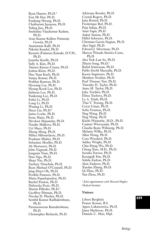Ryan Hunter, Ph.D.1 Eun Mi Hur, Ph.D. EunJung Hwang, Ph.D. Chathurani Jayasena, Ph.D. Yuling Jiao, Ph.D. Snehalata Vijaykumar Kadam, Ph.D. Arun Kumar Kallare Puttaraje Gowda, Ph.D. Anatastasia Kalli, Ph.D. Nikolai Kandul, Ph.D. Kazumi (Fukatsu) Katsuki, D.V.M., Ph.D. Jennifer Keeffe, Ph.D. Sally A. Kim, Ph.D. Tamara Kinzer-Ursem, Ph.D. Joshua Klein, Ph.D. Hao Yuan Kueh, Ph.D. Sanjay Kumar, Ph.D. Prabhat Kunwar, Ph.D. Hyosang Lee, Ph.D. Hyung-Kook Lee, Ph.D. Jinhwan Lee, Ph.D. Yunkyung Lee, Ph.D. Enhu Li, Ph.D. Long Li, Ph.D. Wuxing Li, Ph.D. Dayu Lin, Ph.D.1 James Locke, Ph.D. Irene Maier, Ph.D. Devdoot Majumdar, Ph.D. Natalie Malkova, Ph.D. Uri Maoz, Ph.D. Zheng Meng, Ph.D. Milica Milosavljevic, Ph.D. Prashant Mishra, Ph.D. Sebastian Moeller, Ph.D. Ali Mortazavi, Ph.D. John Nagarah, Ph.D. Jongmin Nam, Ph.D. Huu Ngo, Ph.D. Shuyi Nie, Ph.D. Zachary Nimchuk, Ph.D. Ryan Michael O'Connell, Ph.D. Jang-Huyn Oh, Ph.D. Periklis Pantazis, Ph.D. Maria Papadopoulou, Ph.D. Rachel Penton, Ph.D. Dubravka Pezic, Ph.D. Martin Pilhofer, Ph.D.1 Geoffrey Pittman, Ph.D. Nicolas D. Plachta, Ph.D. Senthil Kumar Radhakrishnan, Ph.D. Parameswaran Ramakrishnan, Ph.D. Christopher Richards, Ph.D.

Adrienne Roeder, Ph.D. Crystal Rogers, Ph.D. June Round, Ph.D. Frederique Ruf, Ph.D. Puja Saluja, Ph.D. Amir Sapir, Ph.D. Ankur Saxena, Ph.D. Hillel Schwartz, Ph.D. Christian García Siagian, Ph.D. Alex Sigal, Ph.D. Edward J. Silverman, Ph.D. Marcos Wasada Simões-Costa, Ph.D. Alex Yick-Lun So, Ph.D. Zhiyin Song, Ph.D.1 Rahul Srinivasan, Ph.D. Pablo Strobl Mazzulla, Ph.D. Kaoru Sugimoto, Ph.D. Matthew Swulius, Ph.D. Paul Thomas Tarr, Ph.D. Timothy D. Tayler, Ph.D. Anne M. Taylor, Ph.D. Julia Tischler, Ph.D. Elitza Tocheva, Ph.D. Le A. Trinh, Ph.D. Thai V. Truong, Ph.D. Cevat Ustun, Ph.D. Sofia Vrontou, Ph.D. Ying Wang, Ph.D. Ying Wang, Ph.D. Kiichi Watanabe, M.D., Ph.D. Casimir Wierzynski, Ph.D. Claudia Beate Wilimzig, Ph.D. Melanie Wilke, Ph.D. Allan Wong, Ph.D. Cora Woodard, Ph.D. Ashley Wright, Ph.D. Chia-Hung Wu, Ph.D. Cheng Xiao, M.D., Ph.D. Suzuko Yorozu, Ph.D. Kyongsik Yun, Ph.D. Sohila Zadran, Ph.D. Alon Zaslaver, Ph.D. Xiaolan Zhang, Ph.D. Qi Zhao, Ph.D. Yun Zhou, Ph.D.

<sup>1</sup> *Joint appointment with Howard Hughes Medical Institute*

#### **Visitors**

Libera Berghela Pranav Kosuri, B.S. Agnes Lukaszewica, Ph.D. Jasna Markovac, Ph.D. Daniela U. Mier, Dipl.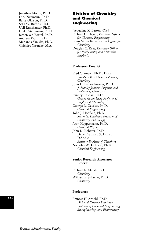Jonathan Moore, Ph.D. Dirk Neumann, Ph.D. Barry Olafson, Ph.D. Seth W. Ruffins, Ph.D. Ueli Rutishauser, Ph.D. Heiko Stemmann, Ph.D. Jeroen van Boxtel, Ph.D. Andreas Walz, Ph.D. Marianna Yanikke, Ph.D. Chichiro Yasutake, M.A.

# **Division of Chemistry and Chemical Engineering**

Jacqueline K. Barton, *Chair*

- Richard C. Flagan, *Executive Officer for Chemical Engineering*
- Brian M. Stoltz, *Executive Officer for Chemistry*
- Douglas C. Rees, *Executive Officer for Biochemistry and Molecular Biophysics*

#### **Professors Emeriti**

Fred C. Anson, Ph.D., D.h.c. *Elizabeth W. Gilloon Professor of Chemistry* John D. Baldeschwieler, Ph.D. *J. Stanley Johnson Professor and Professor of Chemistry* Sunney I. Chan, Ph.D. *George Grant Hoag Professor of Biophysical Chemistry* George R. Gavalas, Ph.D. *Chemical Engineering* John J. Hopfield, Ph.D. *Roscoe G. Dickinson Professor of Chemistry and Biology* Aron Kuppermann, Ph.D. *Chemical Physics* John D. Roberts, Ph.D., Dr.rer.Nat.h.c., Sc.D.h.c., D.Sc.h.c. *Institute Professor of Chemistry* Nicholas W. Tschoegl, Ph.D. *Chemical Engineering*

#### **Senior Research Associates Emeriti**

Richard E. Marsh, Ph.D. *Chemistry* William P. Schaefer, Ph.D. *Chemistry*

#### **Professors**

Frances H. Arnold, Ph.D. *Dick and Barbara Dickinson Professor of Chemical Engineering, Bioengineering, and Biochemistry*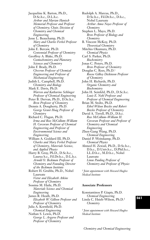Jacqueline K. Barton, Ph.D., D.Sc.h.c., D.L.h.c. *Arthur and Marian Hanisch Memorial Professor and Professor of Chemistry; Chair, Division of Chemistry and Chemical Engineering* Jesse L. Beauchamp, Ph.D. *Mary and Charles Ferkel Professor of Chemistry* John E. Bercaw, Ph.D. *Centennial Professor of Chemistry* Geoffrey A. Blake, Ph.D. *Cosmochemistry and Planetary Sciences and Chemistry* John F. Brady, Ph.D. *Chevron Professor of Chemical Engineering and Professor of Mechanical Engineering* Judith L. Campbell, Ph.D. *Chemistry and Biology* Mark E. Davis, Ph.D. *Warren and Katharine Schlinger Professor of Chemical Engineering* Peter B. Dervan, Ph.D., D.Sc.h.c. *Bren Professor of Chemistry* Dennis A. Dougherty, Ph.D. *George Grant Hoag Professor of Chemistry* Richard C. Flagan, Ph.D. *Irma and Ross McCollum–William H. Corcoran Professor of Chemical Engineering and Professor of Environmental Science and Engineering* William A. Goddard III, Ph.D. *Charles and Mary Ferkel Professor of Chemistry, Materials Science, and Applied Physics* Harry B. Gray, Ph.D., D.Sc.h.c., Laurea h.c., Fil.Dr.h.c., D.L.h.c. *Arnold O. Beckman Professor of Chemistry and Founding Director of the Beckman Institute* Robert H. Grubbs, Ph.D., Nobel Laureate *Victor and Elizabeth Atkins Professor of Chemistry* Sossina M. Haile, Ph.D. *Materials Science and Chemical Engineering* James R. Heath, Ph.D. *Elizabeth W. Gilloon Professor and Professor of Chemistry* Julia A. Kornfield, Ph.D. *Chemical Engineering* Nathan S. Lewis, Ph.D. *George L. Argyros Professor and Professor of Chemistry*

Rudolph A. Marcus, Ph.D., D.Sc.h.c., Fil.Dr.h.c., D.h.c., Nobel Laureate *Arthur Amos Noyes Professor of Chemistry* Stephen L. Mayo, Ph.D. *Bren Professor of Biology and Chemistry* B. Vincent McKoy, Ph.D. *Theoretical Chemistry* Mitchio Okumura, Ph.D. *Chemical Physics* Carl S. Parker, Ph.D. *Biochemistry* Jonas C. Peters, Ph.D. *Bren Professor of Chemistry* Douglas C. Rees, Ph.D.1 *Roscoe Gilkey Dickinson Professor of Chemistry* John H. Richards, Ph.D. *Organic Chemistry and Biochemistry* John H. Seinfeld, Ph.D., D.Sc.h.c. *Louis E. Nohl Professor and Professor of Chemical Engineering* Brian M. Stoltz, Ph.D. *Ethel Wilson Bowles and Robert Bowles Professor of Chemistry* David A. Tirrell, Ph.D., D.h.c. *Ross McCollum–William H. Corcoran Professor and Professor of Chemistry and Chemical Engineering* Zhen-Gang Wang, Ph.D. *Chemical Engineering* Daniel P. Weitekamp, Ph.D. *Chemical Physics* Ahmed H. Zewail, Ph.D., D.Sc.h.c., D.h.c., D.Univ.h.c., D.Phil.h.c., LL.D.h.c., M.D.h.c., Nobel Laureate *Linus Pauling Professor of Chemistry and Professor of Physics*

<sup>1</sup> *Joint appointment with Howard Hughes Medical Institute*

#### **Associate Professors**

Konstantinos P. Giapis, Ph.D. *Chemical Engineering* Linda C. Hsieh-Wilson, Ph.D.1 *Chemistry*

<sup>1</sup> *Joint appointment with Howard Hughes Medical Institute*

**561**

*Chemistry and Chemical Engineering*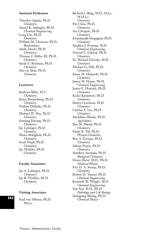#### **Assistant Professors**

Theodor Agapie, Ph.D. *Chemistry*  Anand R. Asthagiri, Ph.D. *Chemical Engineering* Long Cai, Ph.D. *Chemistry* William M. Clemons, Ph.D. *Biochemistry* Andre Hoelz, Ph.D. *Chemistry*  Thomas F. Miller III, Ph.D. *Chemistry*  Sarah E. Reisman, Ph.D. *Chemistry* Shu-ou Shan, Ph.D. *Chemistry*

#### **Lecturers**

Kathryn Bikle, M.A. *Chemistry* Bruce Brunschwig, Ph.D. *Chemistry* Nathan Dalleska, Ph.D. *Chemistry* Michael W. Day, Ph.D. *Chemistry* Sonjong Hwang, Ph.D. *Chemistry* Jay Labinger, Ph.D. *Chemistry* Mona Shahgholi, Ph.D. *Chemistry* Scott Virgil, Ph.D. *Chemistry* Jay Winkler, Ph.D. *Chemistry*

#### **Faculty Associates**

Jay A. Labinger, Ph.D. *Chemistry* Jay R. Winkler, Ph.D. *Chemistry*

#### **Visiting Associates**

Paul von Allmen, Ph.D. *Chemical Physics* **<sup>562</sup>** *Physics*

Richard J. Bing, M.D., D.h.c, M.D.h.c. *Chemistry* Pin Chen, Ph.D. *Chemistry* Ara Chutjian, Ph.D. *Chemistry* Emmanuelle Despagnet, Ph.D. *Chemistry* Stephen J. Forman, M.D. *Chemical Engineering* Vernon C. Gibson, Ph.D. *Chemistry* M. Michael Glovsky, M.D. *Chemistry* Michael G. Hill, Ph.D. *Chemistry* Susan M. Hojnacki, Ph.D. *Chemistry* James M. House, Ph.D. *Chemical Engineering* James E. Howard, Ph.D. *Chemistry* Keiko Kanamori, Ph.D. *Chemistry* Henry Levenson, M.D. *Chemistry* Charles Y. Liu, Ph.D. *Chemistry* Michihisa Maeda, Ph.D. *Agriculture* Ilan M. Marek, Ph.D. *Chemistry* Samir K. Pal, Ph.D. *Physical Chemistry* Roy A. Periana, Ph.D. *Chemistry* Adrian Ponce, Ph.D. *Chemistry* Matthew Sazinsky, Ph.D. *Biological Chemistry* Drora Shevy, M.D., Ph.D. *Medicine/Physics* Eric D. A. Stemp, Ph.D. *Chemistry* Robert D. Tanner, Ph.D. *Chemical Engineering* Kenneth W. Wright, M.D. *Chemical Engineering* Yun Yen, M.D., Ph.D. *Pathology and Cell Biology* Dongping Zhong, Ph.D.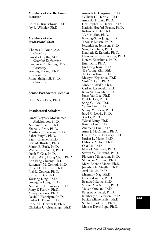#### **Members of the Beckman Institute**

Bruce S. Brunschwig, Ph.D. Jay R. Winkler, Ph.D.

#### **Members of the Professional Staff**

Thomas R. Dunn, A.A. *Chemistry* Suresha Guptha, M.S. *Chemical Engineering* Lawrence R. Henling, M.S. *Chemistry* Sonjong Hwang, Ph.D. *Chemistry* Mona Shahgholi, Ph.D. *Chemistry*

#### **Senior Postdoctoral Scholar**

Hyun Soon Park, Ph.D.

#### **Postdoctoral Scholars**

Omar Farghaly Mohammed Abdelsaboor, Ph.D. Nandini Ananth, Ph.D. Shane A. Ardo, Ph.D. Matthew J. Bierman, Ph.D. Bahar Bingol, Ph.D. Paul J. Bracher, Ph.D. Eric M. Brustad, Ph.D. Maren E. Buck, Ph.D. William R. Carroll, Ph.D. Jacob Y. Cha, Ph.D. Arthur Wing Hong Chan, Ph.D. Ann Feng Chueng, Ph.D. Rosemary M. Conrad, Ph.D. Robert H. Coridan, Ph.D. Joel R. Courter, Ph.D. Joshua J. Day, Ph.D. Yousong Ding, Ph.D. Guangbin Dong, Ph.D. Nathan C. Eddingsaas, Ph.D. Mary F. Farrow, Ph.D. Alexey Fedorov, Ph.D. David J. Flannigan, Ph.D. Ladan L. Foose, Ph.D. Ronald L. Grimm II, Ph.D. Christian U. Gruenanger, Ph.D.

Amanda E. Hargrove, Ph.D. William H. Harman, Ph.D. Amaruka Hazari, Ph.D. Christopher E. Henry, Ph.D. Kathrin Hoeferl-Prantz, Ph.D. Rohan A. Hule, Ph.D. Vlad M. Iluc, Ph.D. Kyoung-Soon Jang, Ph.D. Thomas Jensen, Ph.D. Jeremiah A. Johnson, Ph.D. Sang Taek Jung, Ph.D. Kenneth K. Karanja, Ph.D. Hemamala I. Karunadasa, Ph.D. Kotaro Kikushima, Ph.D. Jimin Kim, Ph.D. Jin-Hong Kim, Ph.D. Tae-Young Kim, PhD. Taek-Soo Kim, Ph.D. Maksym Kryvohuz, Ph.D. Vinh Q. Lam, Ph.D. Vincent Lavallo, Ph.D. Carl A. Laskowski, Ph.D. Ryan M. Lauchli, Ph.D. Jonas Yun Lee, Ph.D. Paul E. Lee, Ph.D. Song-Gil Lee, Ph.D. Yunho Lee, Ph.D. Sergiy M. Levin, Ph.D. Jared C. Lewis, Ph.D. Xin Li, Ph.D. Wenxi Liang, Ph.D. Runhui Liu, Ph.D. Zhenfeng Liu, Ph.D. Anna J. McConnell, Ph.D. Charles C. L. McCrory, Ph.D. Jordan L. Meier, Ph.D. Gabriele Meloni, Ph.D. Qixi Mi, Ph.D. Niki M. Millward, Ph.D. Steven W. Millward, Ph.D. Florence Mingardon, Ph.D. Slobodan Mitrovic, Ph.D. Marc-Etienne Moret, Ph.D. Jonathan E. Mueller, Ph.D. Axel Muller, Ph.D. Mrinmoy Nag, Ph.D. Issei Nakamura, Ph.D. Eranda Nikolla, Ph.D. Valerie Ann Norton, Ph.D. Volkan Ortalan, Ph.D. Paresma R. Patel, Ph.D. Kimberly S. Petersen, Ph.D. Fabian Michel Piller, Ph.D. Subhash Pokharel, Ph.D. Melissa Davis Pope, Ph.D.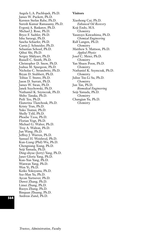Angela L.A. Puchlopek, Ph.D. James W. Puckett, Ph.D. Kersten Stefan Rabe, Ph.D. Suresh Kumar Ramasamy, Ph.D. Evgenij A. Raskatov, Ph.D. Michael J. Rose, Ph.D. Bryce F. Sadtler, Ph.D. Ishu Saraogi, Ph.D. Sascha Schaefer, Ph.D. Curtis J. Schneider, Ph.D. Sebastian Schoof, Ph.D. Qihui Shi, Ph.D. Sergey Shklyaev, Ph.D. Russell C. Smith, Ph.D. Christopher D. Snow, Ph.D. Joshua M. Spurgeon, Ph.D. Nicholas C. Strandwitz, Ph.D. Bryan D. Stubbert, Ph.D. Tobias T. Stuwe, Ph.D. Jason D. Surratt, Ph.D. James W. Swan, Ph.D. Janek Szychowski, Ph.D. Nathaniel K. Szymczak, Ph.D. Shiho Tanaka, Ph.D. Peili Teo, Ph.D. Ekaterina Tkatchouk, Ph.D. Kristy Tran, Ph.D. Yuko Tsutsui, Ph.D. Shelly Tzlil, Ph.D. Phoebe Tzou, Ph.D. Florian Vogt, Ph.D. Michael G. Walter, Ph.D. Troy A. Walton, Ph.D. Jun Wang, Ph.D. Jeffrey J. Warren, Ph.D. Samuel H. Weisbrod, Ph.D. Kun-Liang (Phil) Wu, Ph.D. Chengxiang Xiang, Ph.D. Seiji Yamada, Ph.D. Ding-shyue (Jerry) Yang, Ph.D. Janet Gloria Yang, Ph.D. Kun-Yun Yang, Ph.D. Wanwan Yang, Ph.D. Wen Yi, Ph.D. Keiko Yokoyama, Ph.D. Sze-Man Yu, Ph.D. Aycan Yurtsever, Ph.D. Dawei Zhang, Ph.D. Limei Zhang, Ph.D. Ruoyu Zhang, Ph.D. Binquan Zhuang, Ph.D. Andreas Zund, Ph.D.

#### **Visitors**

Xiaohong Cui, Ph.D. *Enhanced Oil Recovery* Koji Endo, M.S. *Chemistry* Yasutoyo Kawashima, Ph.D. *Chemical Engineering* Ralf Langen, Ph.D. *Chemistry* Matthew S. Mattson, Ph.D. *Applied Physics* Josef C. Meier, Ph.D. *Chemistry* Yan Shuen Poon, Ph.D. *Chemistry* Nathaniel K. Szymczak, Ph.D. *Chemistry* Julius Tsu-Li Su, Ph.D. *Chemistry* Jun Tan, Ph.D. *Biomedical Engineering* Seiji Yamada, Ph.D. *Chemistry* Changjun Yu, Ph.D. *Chemistry*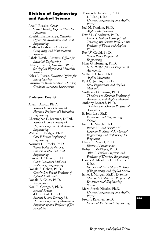# **Division of Engineering and Applied Science**

Ares J. Rosakis, *Chair* K. Mani Chandy, *Deputy Chair for Education* Kaushik Bhattacharya, *Executive Officer for Mechanical and Civil Engineering* Mathieu Desbrun, *Director of Computing and Mathematical*

*Sciences* Babak Hassibi, *Executive Officer for*

*Electrical Engineering* Oskar J. Painter, *Executive Officer for Applied Physics and Materials Science*

Niles A. Pierce, *Executive Officer for Bioengineering*

Guruswami Ravichandran, *Director, Graduate Aerospace Laboratories*

#### **Professors Emeriti**

Allan J. Acosta, Ph.D. *Richard L. and Dorothy M. Hayman Professor of Mechanical Engineering* Christopher E. Brennen, D.Phil. *Richard L. and Dorothy M. Hayman Professor of Mechanical Engineering* William B. Bridges, Ph.D. *Carl F Braun Professor of Engineering* Norman H. Brooks, Ph.D. *James Irvine Professor of Environmental and Civil Engineering* Francis H. Clauser, Ph.D. *Clark Blanchard Millikan Professor of Engineering* Donald S. Cohen, Ph.D. *Charles Lee Powell Professor of Applied Mathematics* Donald E. Coles, Ph.D. *Aeronautics* Noel R. Corngold, Ph.D. *Applied Physics* Fred E. C. Culick, Ph.D. *Richard L. and Dorothy M. Hayman Professor of Mechanical Engineering and Professor of Jet Propulsion*

Thomas E. Everhart, Ph.D., D.L.h.c., D.h.c. *Electrical Engineering and Applied Physics* Joel N. Franklin, Ph.D. *Applied Mathematics* David L. Goodstein, Ph.D. *Frank J. Gilloon Distinguished Teaching and Service Professor and Professor of Physics and Applied Physics* Roy W. Gould, Ph.D. *Simon Ramo Professor of Engineering* Hans G. Hornung, Ph.D. *C. L. "Kelly" Johnson Professor of Aeronautics* Wilfred D. Iwan, Ph.D. *Applied Mechanics* Paul C. Jennings, Ph.D. *Civil Engineering and Applied Mechanics* Wolfgang G. Knauss, Ph.D. *Theodore von Kármán Professor of Aeronautics and Applied Mechanics* Anthony Leonard, Ph.D. *Theodore von Kármán Professor of Aeronautics* E. John List, Ph.D. *Environmental Engineering Science* Frank E. Marble, Ph.D. *Richard L. and Dorothy M. Hayman Professor of Mechanical Engineering and Professor of Jet Propulsion* Hardy C. Martel, Ph.D. *Electrical Engineering* Robert J. McEliece, Ph.D. *Allen E. Puckett Professor and Professor of Electrical Engineering* Carver A. Mead, Ph.D., D.Sc.h.c., D.h.c. *Gordon and Betty Moore Professor of Engineering and Applied Science* James J. Morgan, Ph.D., D.Sc.h.c. *Marvin L. Goldberger Professor of Environmental Engineering Science* Marc-Aurele Nicolet, Ph.D. *Electrical Engineering and Applied Physics* Fredric Raichlen, Sc.D. *Civil and Mechanical Engineering*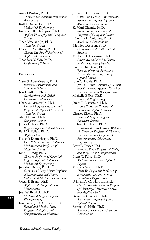Anatol Roshko, Ph.D. *Theodore von Kármán Professor of Aeronautics* Rolf H. Sabersky, Ph.D. *Mechanical Engineering* Frederick B. Thompson, Ph.D. *Applied Philosophy and Computer Science* Thad Vreeland Jr., Ph.D. *Materials Science* Gerald B. Whitham, Ph.D. *Charles Lee Powell Professor of Applied Mathematics* Theodore Y. Wu, Ph.D. *Engineering Science*

## **Professors**

Yaser S. Abu-Mostafa, Ph.D. *Electrical Engineering and Computer Science* Jess F. Adkins, Ph.D. *Geochemistry and Global Environmental Science* Harry A. Atwater Jr., Ph.D. *Howard Hughes Professor and Professor of Applied Physics and Materials Science* Alan H. Barr, Ph.D. *Computer Science* James L. Beck, Ph.D. *Engineering and Applied Science* Paul M. Bellan, Ph.D. *Applied Physics* Kaushik Bhattacharya, Ph.D. *Howell N. Tyson, Sr., Professor of Mechanics and Professor of Materials Science* John F. Brady, Ph.D. *Chevron Professor of Chemical Engineering and Professor of Mechanical Engineering* Jehoshua Bruck, Ph.D. *Gordon and Betty Moore Professor of Computation and Neural Systems and Electrical Engineering* Oscar P. Bruno, Ph.D. *Applied and Computational Mathematics* Joel W. Burdick, Ph.D. *Mechanical Engineering and Bioengineering* Emmanuel J. D. Candes, Ph.D. *Ronald and Maxine Linde Professor of Applied and Computational Mathematics*

Jean-Lou Chameau, Ph.D. *Civil Engineering, Environmental Science and Engineering, and Mechanical Engineering* K. Mani Chandy, Ph.D. *Simon Ramo Professor and Professor of Computer Science* Timothy E. Colonius, Ph.D. *Mechanical Engineering* Mathieu Desbrun, Ph.D. *Computing and Mathematical Sciences* Michael H. Dickinson, Ph.D. *Esther M. and Abe M. Zarem Professor of Bioengineering* Paul E. Dimotakis, Ph.D. *John K. Northrop Professor of Aeronautics and Professor of Applied Physics* John C. Doyle, Ph.D. *John G Braun Professor of Control and Dynamical Systems, Electrical Engineering, and Bioengineering* Michelle Effros, Ph.D. *Electrical Engineering* James P. Eisenstein, Ph.D. *Frank J. Roshek Professor of Physics and Applied Physics* Charles Elachi, Ph.D. *Electrical Engineering and Planetary Science* Richard C. Flagan, Ph.D. *Irma and Ross McCollum–William H. Corcoran Professor of Chemical Engineering and Professor of Environmental Science and Engineering* Scott E. Fraser, Ph.D. *Anna L. Rosen Professor of Biology and Professor of Bioengineering* Brent T. Fultz, Ph.D. *Materials Science and Applied Physics* Morteza Gharib, Ph.D. *Hans W. Liepmann Professor of Aeronautics and Professor of Bioinspired Engineering* William A. Goddard III, Ph.D. *Charles and Mary Ferkel Professor of Chemistry, Materials Science, and Applied Physics* David G. Goodwin, Ph.D. *Mechanical Engineering and Applied Physics* Sossina M. Haile, Ph.D. *Materials Science and Chemical Engineering*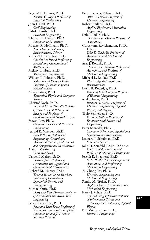Seyed-Ali Hajimiri, Ph.D. *Thomas G. Myers Professor of Electrical Engineering* John F. Hall, Ph.D. *Civil Engineering* Babak Hassibi, Ph.D. *Electrical Engineering* Thomas H. Heaton, Ph.D. *Engineering Seismology* Michael R. Hoffmann, Ph.D. *James Irvine Professor of Environmental Science* Yizhao Thomas Hou, Ph.D. *Charles Lee Powell Professor of Applied and Computational Mathematics* Melany L. Hunt, Ph.D. *Mechanical Engineering* William L. Johnson, Ph.D. *Ruben F. and Donna Mettler Professor of Engineering and Applied Science* Alexei Kitaev, Ph.D. *Theoretical Physics and Computer Science* Christof Koch, Ph.D. *Lois and Victor Troendle Professor of Cognitive and Behavioral Biology and Professor of Computation and Neural Systems* Steven Low, Ph.D. *Computer Science and Electrical Engineering* Jerrold E. Marsden, Ph.D. *Carl F Braun Professor of Engineering, Control and Dynamical Systems, and Applied and Computational Mathematics* Alain J. Martin, Ing. *Computer Science* Daniel I. Meiron, Sc.D. *Fletcher Jones Professor of Aeronautics and Applied and Computational Mathematics* Richard M. Murray, Ph.D. *Thomas E. and Doris Everhart Professor of Control and Dynamical Systems and Bioengineering* Michael Ortiz, Ph.D. *Dotty and Dick Hayman Professor of Aeronautics and Mechanical Engineering* Sergio Pellegrino, Ph.D. *Joyce and Kent Kresa Professor of Aeronautics and Professor of Civil Engineering, and JPL Senior Research Scientist*

Pietro Perona, D.Eng., Ph.D. *Allen E. Puckett Professor of Electrical Engineering* Robert Phillips, Ph.D. *Applied Physics and Mechanical Engineering* Dale I. Pullin, Ph.D. *Theodore von Kármán Professor of Aeronautics* Guruswami Ravichandran, Ph.D., D.h.c. *John E. Goode Jr. Professor of Aeronautics and Mechanical Engineering* Ares J. Rosakis, Ph.D. *Theodore von Kármán Professor of Aeronautics and Professor of Mechanical Engineering* Michael L. Roukes, Ph.D. *Physics, Applied Physics, and Bioengineering* David B. Rutledge, Ph.D. *Kiyo and Eiko Tomiyasu Professor of Electrical Engineering* Axel Scherer, Ph.D. *Bernard A. Neches Professor of Electrical Engineering, Applied Physics, and Physics* Tapio Schneider, Ph.D. *Frank J. Gilloon Professor of Environmental Science and Engineering* Peter Schröder, Ph.D. *Computer Science and Applied and Computational Mathematics* Leonard J. Schulman, Ph.D. *Computer Science* John H. Seinfeld, Ph.D., D.Sc.h.c. *Louis E. Nohl Professor and Professor of Chemical Engineering* Joseph E. Shepherd, Ph.D. *C. L. "Kelly" Johnson Professor of Aeronautics and Professor of Mechanical Engineering* Yu-Chong Tai, Ph.D. *Electrical Engineering and Mechanical Engineering* Sandra M. Troian, Ph.D. *Applied Physics, Aeronautics, and Mechanical Engineering* Kerry J. Vahala, Ph.D. *Ted and Ginger Jenkins Professor of Information Science and Technology and Professor of Applied Physics* P. P. Vaidyanathan, Ph.D. *Electrical Engineering*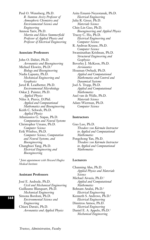Paul O. Wennberg, Ph.D. *R. Stanton Avery Professor of Atmospheric Chemistry and Environmental Science and Engineering* Amnon Yariv, Ph.D. *Martin and Eileen Summerfield Professor of Applied Physics and Professor of Electrical Engineering*

#### **Associate Professors**

John O. Dabiri, Ph.D. *Aeronautics and Bioengineering* Michael Elowitz, Ph.D.1 *Biology and Bioengineering* Nadia Lapusta, Ph.D. *Mechanical Engineering and Geophysics* Jared R. Leadbetter, Ph.D. *Environmental Microbiology* Oskar J. Painter, Ph.D. *Applied Physics* Niles A. Pierce, D.Phil. *Applied and Computational Mathematics and Bioengineering* Keith C. Schwab, Ph.D. *Applied Physics* Athanassios G. Siapas, Ph.D. *Computation and Neural Systems* Christopher Umans, Ph.D. *Computer Science* Erik Winfree, Ph.D. *Computer Science, Computation and Neural Systems, and Bioengineering* Changhuei Yang, Ph.D. *Electrical Engineering and Bioengineering*

<sup>1</sup> *Joint appointment with Howard Hughes Medical Institute*

#### **Assistant Professors**

José E. Andrade, Ph.D. *Civil and Mechanical Engineering* Guillaume Blanquart, Ph.D. *Mechanical Engineering* Simona Bordoni, Ph.D. *Environmental Science and Engineering* Chiara Daraio, Ph.D. *Aeronautics and Applied Physics*

Azita Emami-Neyestanak, Ph.D. *Electrical Engineering* Julia R. Greer, Ph.D. *Materials Science* Chin-Lin Guo, Ph.D. *Bioengineering and Applied Physics* Tracey C. Ho, Ph.D. *Electrical Engineering and Computer Science* R. Andreas Krause, Ph.D. *Computer Science* Swaminathan Krishnan, Ph.D. *Structural Engineering and Geophysics* Beverley J. McKeon, Ph.D. *Aeronautics* Houman Owhadi, Ph.D. *Applied and Computational Mathematics and Control and Dynamical Systems* Joel A. Tropp, Ph.D. *Applied and Computational Mathematics* Axel van de Walle, Ph.D. *Materials Science* Adam Wierman, Ph.D. *Computer Science*

#### **Instructors**

Guo Luo, Ph.D. *Theodore von Kármán Instructor in Applied and Computational Mathematics* Pengchong Yan, Ph.D. *Theodore von Kármán Instructor in Applied and Computational Mathematics*

#### **Lecturers**

Channing Ahn, Ph.D. *Applied Physics and Materials Science* Michael Aivazis, Ph.D.1 *Applied and Computational Mathematics* Behnam Analui, Ph.D.1 *Electrical Engineering* Kenneth S. Andrews, Ph.D.1 *Electrical Engineering* Dimitros Antsos, Ph.D. *Electrical Engineering* Daniel E. A. Appelo, Ph.D.1 *Mechanical Engineering*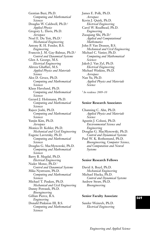Gentian Buzi, Ph.D. *Computing and Mathematical Sciences* Douglas W. Caldwell, Ph.D.1 *Applied Physics* Gregory L. Davis, Ph.D. *Aerospace* Noel E. Du Toit, Ph.D.1 *Mechanical Engineering* Antony R. H. Fender, B.S. *Engineering* Francois J. M. Gay-Balmaz, Ph.D.1 *Control and Dynamical Systems* Glen A. George, M.S. *Electrical Engineering* Alireza Ghaffari, M.S. *Applied Physics and Materials Science* Alex D. Groce, Ph.D. *Computing and Mathematical Sciences* Klaus Havelund, Ph.D. *Computing and Mathematical Sciences* Gerard J. Holzmann, Ph.D. *Computing and Mathematical Sciences* Rajeev Joshi, Ph.D. *Computing and Mathematical Sciences* Yunjin Kim, Ph.D. *Aerospace* Monica D. Kohler, Ph.D. *Mechanical and Civil Engineering* Eugene Lavretsky, Ph.D. *Computing and Mathematical Sciences* Douglas G. MacMynowski, Ph.D. *Computing and Mathematical Sciences* Barry B. Megdal, Ph.D. *Electrical Engineering* Nader Motee, Ph.D.1 *Control and Dynamical Systems* Mika Nystroem, Ph.D. *Computing and Mathematical Sciences* Michael T. Pauken, Ph.D. *Mechanical and Civil Engineering* Danny Petrasek, Ph.D. *Bioengineering* Gillian Pierce, B.A. *Engineering* Donald Pinkston III, B.S. *Computing and Mathematical Sciences*

James E. Polk, Ph.D. *Aerospace* Kevin J. Quirk, Ph.D. *Electrical Engineering* Carol W. Readhead, Ph.D. *Engineering* Zuoqiang Shi, Ph.D.1 *Applied and Computational Mathematics* John P. Van Deusen, B.S. *Mechanical and Civil Engineering* Michael C. Vanier, Ph.D. *Computing and Mathematical Sciences* Jakob J. Van Zyl, Ph.D. *Electrical Engineering* Michael Watkins, Ph.D. *Aerospace* Nan Yu, Ph.D. *Applied Physics and Materials Science*

<sup>1</sup> *In residence 2009–10*

#### **Senior Research Associates**

Channing C. Ahn, Ph.D. *Applied Physics and Materials Science* Agustin J. Colussi, Ph.D. *Environmental Science and Engineering* Douglas G. MacMynowski, Ph.D. *Control and Dynamical Systems* Paul W. K. Rothemund, Ph.D. *Bioengineering, Computer Science, and Computation and Neural Systems* 

#### **Senior Research Fellows**

David A. Boyd, Ph.D. *Mechanical Engineering* Michael Hucka, Ph.D. *Control and Dynamical Systems* Andrew Straw, Ph.D. *Bioengineering*

#### **Senior Faculty Associate**

Sander Weinreb, Ph.D. *Electrical Engineering*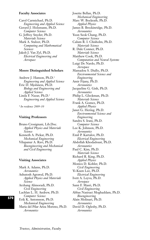#### **Faculty Associates**

Carol Carmichael, Ph.D. *Engineering and Applied Science* Gerard J. Holzmann, Ph.D. *Computer Science* G. Jeffrey Snyder, Ph.D. *Materials Science* Mark A. Stalzer, Ph.D. *Computing and Mathematical Sciences* Jakob J. Van Zyl, Ph.D. *Electrical Engineering and Aerospace*

#### **Moore Distinguished Scholars**

Andrew J. Hanson, Ph.D.1 *Engineering and Applied Science* Eric D. Mjolsness, Ph.D. *Biology and Engineering and Applied Science* Linda F. Nazar, Ph.D.1 *Engineering and Applied Science*

<sup>1</sup> *In residence 2009–10*

#### **Visiting Professors**

Bruno Crosignani, Lib.Doc. *Applied Physics and Materials Science* Kenneth A. Pickar, Ph.D. *Mechanical Engineering* Vilupanur A. Ravi, Ph.D. *Bioengineering and Mechanical and Civil Engineering*

#### **Visiting Associates**

Mark A. Adams, Ph.D. *Aeronautics* Ashutosh Agrawal, Ph.D. *Applied Physics and Materials Science* Arzhang Alimoradi, Ph.D. *Civil Engineering* Lachlan L. H. Andrew, Ph.D. *Computer Science* Erik K. Antonsson, Ph.D. *Mechanical Engineering* Maria del Pilar Ariza Moreno, Ph.D. *Aeronautics*

Josette Bellan, Ph.D. *Mechanical Engineering* Marc W. Bockrath, Ph.D. *Applied Physics* James B. Breckinridge, Ph.D. *Aeronautics* Yoon Seok Chang, Ph.D. *Computer Science* Calum R. I. Chisholm, Ph.D. *Materials Science* R. Dale Conner, Ph.D. *Materials Science* Matthew Cook, Ph.D. *Computation and Neural Systems* Luigi De Nardo, Ph.D. *Aerospace* Mamadou S. Diallo, Ph.D. *Environmental Science and Engineering* Amir Fijany, Ph.D. *Aeronautics* Jacqueline G. Gish, Ph.D. *Aeronautics* Philip L. Gleckman, Ph.D. *Materials Science* Frank A. Gomez, Ph.D. *Applied Physics* Janet G. Hering, Ph.D. *Environmental Science and Engineering* Sandra S. Irani, Ph.D. *Computer Science* Lee K. Johnson, Ph.D. *Aeronautics* Emil P. Kartalov, Ph.D. *Electrical Engineering* Abdollah Khodadoust, Ph.D. *Aeronautics* Paul C. Kim, Ph.D. *Materials Science* Richard R. King, Ph.D. *Applied Physics* Monica D. Kohler, Ph.D. *Civil Engineering* Yi-Kuen Lee, Ph.D. *Electrical Engineering* Ivett A. Leyva, Ph.D. *Aerospace* Sami F. Masri, Ph.D. *Civil Engineering* Abbas Nasiraei Moghaddam, Ph.D. *Bioengineering* Alain Molinari, Ph.D. *Aeronautics* David D. Oglesby, Ph.D. *Aeronautics*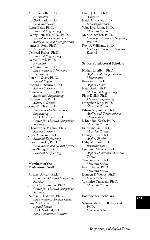Anna Pandolfi, Ph.D. *Aeronautics* Jun Seok Park, Ph.D. *Computer Science* Leora Peltz, Ph.D. *Electrical Engineering* Danny Petrasek, M.D., Ph.D. *Applied and Computational Mathematics and Bioengineering* James E. Polk, Ph.D. *Aeronautics* Demetri Psaltis, Ph.D. *Electrical Engineering* Daniel Rittel, Ph.D. *Aeronautics* Su Young Ryu, Ph.D. *Environmental Science and Engineering* Peter N. Saeta, Ph.D. *Applied Physics* Konrad H. Samwer, Ph.D. *Materials Science* Andrew A. Shapiro, Ph.D. *Mechanical Engineering* Qiaoyan Sun, Ph.D. *Materials Science* Yung-Pin Tsai, Ph.D. *Environmental Science and Engineering* Edwin T. Upchurch, Ph.D. *Center for Advanced Computing Research* Theodore A. Waniuk, Ph.D. *Materials Science* Joyce Y. Wong, Ph.D. *Electrical Engineering* Bernard Yurke, Ph.D. *Computation and Neural Systems* John Zhong, Ph.D. *Electrical Engineering*

#### **Members of the Professional Staff**

Michael Aivazis, Ph.D. *Center for Advanced Computing Research* Julian C. Cummings, Ph.D. *Center for Advanced Computing Research* Nathan F. Dalleska, Ph.D. *Environmental Analysis Center* Guy A. DeRose, Ph.D. *Applied Physics* Carol M. Garland, B.A. *Kavli Nanoscience Institute*

David J. Hill, Ph.D. *Aerospace* Keith A. Porter, Ph.D. *Civil Engineering* Won-Kyu Rhim, Ph.D. *Materials Science* Mark A. Stalzer, Ph.D. *Center for Advanced Computing Research* Roy D. Williams, Ph.D. *Center for Advanced Computing Research*

#### **Senior Postdoctoral Scholars**

Nathan L. Albin, Ph.D. *Applied and Computational Mathematics* Roee Amit, Ph.D. *Applied Physics* Keita Ando, Ph.D. *Mechanical Engineering* Piotr Dollar, Ph.D. *Electrical Engineering* Dongchan Jang, Ph.D. *Materials Science* Edwin N. Jiminez, Ph.D. *Applied and Computational Mathematics* J. Brandon Keith, Ph.D. *Materials Science* Ju-Young Kim, Ph.D. *Materials Science* Heun Jin Lee, Ph.D. *Applied Physics* Gaby Maimon, Ph.D. *Bioengineering* Ljubomir Miljacic, Ph.D. *Applied Physics and Materials Science* Yanzhong Pei, Ph.D. *Materials Science* Eric Toberer, Ph.D. *Materials Science* Damien P. Woods, Ph.D. *Computer Science* Yoshihiro Yamazaki, Ph.D. *Materials Science*

#### **Postdoctoral Scholars**

Salman Abolfathe Beikidezfuli, Ph.D. *Computer Science*

*Engineering and Applied Science*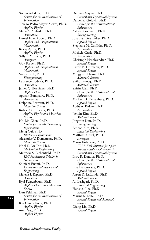Sachin Adlakha, Ph.D. *Center for the Mathematics of Information* Thiago Pedro Mayer Alegre, Ph.D. *Applied Physics* Maen A. Alkhader, Ph.D. *Aeronautics* Daniel E. A. Appelo, Ph.D. *Applied and Computational Mathematics* Koray Aydin, Ph.D. *Applied Physics* Sally P. M. Bane, Ph.D. *Aerospace* Guy Baruch, Ph.D. *Applied and Computational Mathematics* Victor Beck, Ph.D. *Bioengineering* Laurence Bodelot, Ph.D. *Aeronautics* James Q. Boedicker, Ph.D. *Applied Physics* Agustin Bompadre, Ph.D. *Aeronautics* Delphine Borivent, Ph.D. *Materials Science* Robert C. Brewster, Ph.D. *Applied Physics and Materials Science* Ho-Lin Chen, Ph.D. *Center for the Mathematics of Information* Meng Cui, Ph.D. *Electrical Engineering* Alexander V. Dementsov, Ph.D. *Materials Science* Noel E. Du Toit, Ph.D. *Mechanical Engineering* Matthew S. Eichenfield, Ph.D. *KNI Postdoctoral Scholar in Nanoscience* Shinichi Enami, Ph.D. *Environmental Science and Engineering* Malena I. Espanol, Ph.D. *Aeronautics* Eyal Feigenbaum, Ph.D. *Applied Physics and Materials Science* Dan Feldman, Ph.D. *Center for the Mathematics of Information* Kin Chung Fong, Ph.D. *Applied Physics* Amir Gat, Ph.D. *Applied Physics*

Dennice Gayme, Ph.D. *Control and Dynamical Systems* Daniel R. Golovin, Ph.D. *Center for the Mathematics of Information* Ashwin Gopinath, Ph.D. *Bioengineering* Jonathan Grandidier, Ph.D. *Applied Physics* Stephane M. Griffiths, Ph.D. *Aeronautics* Michele Guala, Ph.D. *Aeronautics* Christoph Haselwandter, Ph.D. *Applied Physics* Carrie E. Hofmann, Ph.D. *Applied Physics* Mingyuan Huang, Ph.D. *Materials Science* Shiho Iwanaga, Ph.D. *Materials Science* Shirin Jalali, Ph.D. *Center for the Mathematics of Information* Michael D. Kelzenberg, Ph.D. *Applied Physics* Addis A. Kidane, Ph.D. *Aeronautics* Jaemin Kim, Ph.D. *Materials Science* Jongmin Kim, Ph.D. *Bioengineering* Seheon Kim, Ph.D. *Electrical Engineering* Matthias Kinzel, Ph.D. *Aerospace* Marin Kobilarov, Ph.D. *W. M. Keck Institute for Space Studies Postdoctoral Scholar in Control and Dynamical Systems* Imre R. Kondor, Ph.D. *Center for the Mathematics of Information* Lise Lahourcade, Ph.D. *Applied Physics* Aaron D. LaLonde, Ph.D. *Materials Science* Ali Lashgari, Ph.D. *Electrical Engineering* Hansuek Lee, Ph.D. *Applied Physics* Marina S. Leite, Ph.D. *Applied Physics and Materials Science* Qiang Lin, Ph.D. *Applied Physics*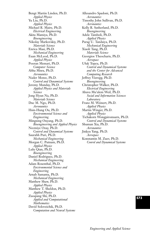Bengt Martin Linden, Ph.D. *Applied Physics* Yu Liu, Ph.D. *Applied Physics* Michael R. Maire, Ph.D. *Electrical Engineering* Akita Mamiya, Ph.D. *Bioengineering* Nikolay Markovskiy, Ph.D. *Materials Science* Enrica Masi, Ph.D. *Mechanical Engineering* Euan McLeod, Ph.D. *Applied Physics* Pooran Memari, Ph.D. *Computer Science* Abha Misra, Ph.D. *Aeronautics* Nader Motee, Ph.D. *Control and Dynamical Systems* Jeremy Munday, Ph.D. *Applied Physics and Materials Science* Jong Hyun Na, Ph.D. *Materials Science* Duc M. Ngo, Ph.D. *Aeronautics* Hsin-Hung Ou, Ph.D. *Environmental Science and Engineering* Mingxing Ouyang, Ph.D. *Bioengineering and Applied Physics* Necmiye Ozay, Ph.D. *Control and Dynamical Systems* Saurabh Puri, Ph.D. *Mechanical Engineering* Morgan C. Putnam, Ph.D. *Applied Physics* Lulu Qian, Ph.D. *Bioengineering* Daniel Rodriguez, Ph.D. *Mechanical Engineering* Adam Rosenthal, Ph.D. *Environmental Science and Engineering* Arnab Samanta, Ph.D. *Mechanical Engineering* Matthew Shaw, Ph.D. *Applied Physics* Matthew T. Sheldon, Ph.D. *Applied Physics* Zuoqiang Shi, Ph.D. *Applied and Computational Mathematics* David Soloveichik, Ph.D. *Computation and Neural Systems*

Allesandro Spadoni, Ph.D. *Aeronautics* Timothy John Sullivan, Ph.D. *Aeronautics* Kelly R. Sutherland, Ph.D. *Bioengineering* Adele Tamboli, Ph.D. *Applied Physics* Parag U. Tandaiya, Ph.D. *Mechanical Engineering* Xiaoli Tang, Ph.D. *Materials Science* Georgios Theocharis, Ph.D. *Aerospace* Ufuk Topcu, Ph.D. *Control and Dynamical Systems and the Center for Advanced Computing Research* Jeffrey Vieregg, Ph.D. *Bioengineering* Christopher Walker, Ph.D. *Electrical Engineering* Ahuva Mu'alem Weil, Ph.D. *Social and Information Sciences Laboratory* Franz M. Weinert, Ph.D. *Applied Physics* Martin Winger, Ph.D. *Applied Physics* Tichakorn Wongpiromsarn, Ph.D. *Control and Dynamical Systems* Shuman Xia, Ph.D. *Aeronautics* Jinkyu Yang, Ph.D. *Aerospace* Konstantin M. Zuev, Ph.D. *Conrol and Dynamical Systems*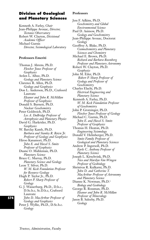# **Division of Geological and Planetary Sciences**

Kenneth A. Farley, *Chair* Jean-Philippe Avouac, *Director, Tectonics Observatory* Robert W. Clayton, *Divisional Academic Officer*  Michael Gurnis *Director, Seismological Laboratory*

#### **Professors Emeriti**

Thomas J. Ahrens, Ph.D. *Fletcher Jones Professor of Geophysics* Arden L. Albee, Ph.D. *Geology and Planetary Science* Clarence R. Allen, Ph.D. *Geology and Geophysics* Don L. Anderson, Ph.D., Crafoord Laureate *Eleanor and John R. McMillan Professor of Geophysics* Donald S. Burnett, Ph.D. *Nuclear Geochemistry* Peter Goldreich, Ph.D. *Lee A. DuBridge Professor of Astrophysics and Planetary Physics* David G. Harkrider, Ph.D. *Geophysics* W. Barclay Kamb, Ph.D. *Barbara and Stanley R. Rawn Jr. Professor of Geology and Geophysics* Hiroo Kanamori, Ph.D. *John E. and Hazel S. Smits Professor of Geophysics* Duane O. Muhleman, Ph.D. *Planetary Science* Bruce C. Murray, Ph.D. *Planetary Science and Geology* Leon T. Silver, Ph.D. *W. M. Keck Foundation Professor for Resource Geology* Hugh P. Taylor Jr., Ph.D. *Robert P. Sharp Professor of Geology* G. J. Wasserburg, Ph.D., D.h.c., D.Sc.h.c, Sc.D.h.c, Crafoord Laureate *John D. MacArthur Professor of Geology and Geophysics*

Peter J. Wyllie, Ph.D., D.Sc.h.c. *Geology*

#### **Professors**

Jess F. Adkins, Ph.D. *Geochemistry and Global Environmental Science* Paul D. Asimow, Ph.D. *Geology and Geochemistry* Jean-Philippe Avouac, Doctorat *Geology* Geoffrey A. Blake, Ph.D. *Cosmochemistry and Planetary Sciences and Chemistry* Michael E. Brown, Ph.D. *Richard and Barbara Rosenberg Professor and Planetary Astronomy* Robert W. Clayton, Ph.D. *Geophysics* John M. Eiler, Ph.D. *Robert P. Sharp Professor of Geology and Professor of Geochemistry* Charles Elachi, Ph.D. *Electrical Engineering and Planetary Science* Kenneth A. Farley, Ph.D. *W. M. Keck Foundation Professor of Geochemistry* John P. Grotzinger, Ph.D. *Fletcher Jones Professor of Geology* Michael C. Gurnis, Ph.D. *John E. and Hazel S. Smits Professor of Geophysics* Thomas H. Heaton, Ph.D. *Engineering Seismology* Donald V. Helmberger, Ph.D. *Smits Family Professor of Geological and Planetary Sciences* Andrew P. Ingersoll, Ph.D. *Earle C. Anthony Professor of Planetary Science* Joseph L. Kirschvink, Ph.D. *Nico and Marilyn Van Wingen Professor of Geobiology* Shrinivas R. Kulkarni, Ph.D. *John D. and Catherine T. MacArthur Professor of Astronomy and Planetary Science* Dianne K. Newman, Ph.D.1 *Biology and Geobiology* George R. Rossman, Ph.D. *Eleanor and John R. McMillan Professor of Mineralogy* Jason B. Saleeby, Ph.D. *Geology*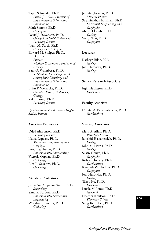Tapio Schneider, Ph.D. *Frank J. Gilloon Professor of Environmental Science and Engineering* Mark Simons, Ph.D. *Geophysics* David J. Stevenson, Ph.D. *George Van Osdol Professor of Planetary Science* Joann M. Stock, Ph.D. *Geology and Geophysics* Edward M. Stolper, Ph.D., D.Sc.h.c. *Provost William E. Leonhard Professor of Geology* Paul O. Wennberg, Ph.D. *R. Stanton Avery Professor of Atmospheric Chemistry and Environmental Science and Engineering* Brian P. Wernicke, Ph.D. *Chandler Family Professor of Geology* Yuk L. Yung, Ph.D. *Planetary Science*

<sup>1</sup> *Joint appointment with Howard Hughes Medical Institute*

#### **Associate Professors**

Oded Aharonson, Ph.D. *Planetary Science* Nadia Lapusta, Ph.D. *Mechanical Engineering and Geophysics* Jared Leadbetter, Ph.D. *Environmental Microbiology* Victoria Orphan, Ph.D. *Geobiology* Alex L. Sessions, Ph.D. *Geobiology*

#### **Assistant Professors**

Jean-Paul Ampuero Saenz, Ph.D. *Seismology* Simona Bordoni, Ph.D. *Environmental Science and Engineering* Woodward Fischer, Ph.D. *Geobiology*

Jennifer Jackson, Ph.D. *Mineral Physics* Swaminathan Krishnan, Ph.D. *Structural Engineering and Geophysics* Michael Lamb, Ph.D. *Geology* Victor Tsai, Ph.D. *Geophysics*

#### **Lecturer**

Kathryn Bikle, M.A. *Geology* Joel Hurowitz, Ph.D. *Geology*

#### **Senior Research Associate**

Egill Hauksson, Ph.D. *Geophysics*

#### **Faculty Associate**

Dimitri A. Papanastassiou, Ph.D. *Geochemistry*

#### **Visiting Associates**

Mark A. Allen, Ph.D. *Planetary Science* Jamshid Hassanzadeh, Ph.D. *Geology* John M. Harris, Ph.D. *Geology* Susan Hough, Ph.D. *Geophysics* Robert Housley, Ph.D. *Geochemistry* Kenneth W. Hudnut, Ph.D. *Geophysics* Joel Hurowitz, Ph.D. *Geology* Takeo Ito, Ph.D. *Geophysics* Lucile M. Jones, Ph.D. *Geophysics* Heather Knutson, Ph.D. *Planetary Science* Sung Keun Lee, Ph.D. *Geochemistry*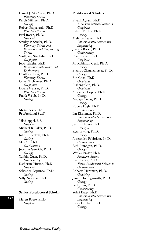Daniel J. McCleese, Ph.D. *Planetary Science* Ralph Milliken, Ph.D. *Geology* Robert Pappalardo, Ph.D. *Planetary Science* Paul Rosen, Ph.D. *Geophysics* Stanley P. Sander, Ph.D. *Planetary Science and Environmental Engineering Science* Wolfgang Sturhahn, Ph.D. *Geophysics* Joao Teixeira, Ph.D. *Environmental Science and Engineering* Geoffrey Toon, Ph.D. *Planetary Science* Oliver Tschauner, Ph.D. *Geophysics* Duane Waliser, Ph.D. *Planetary Science* Frank Webb, Ph.D. *Geology*

#### **Members of the Professional Staff**

Vikki Appel, B.S. *Geophysics* Michael B. Baker, Ph.D. *Geology* John R. Beckett, Ph.D. *Geology* Ma Chi, Ph.D. *Geochemistry* Joachim Genrich, Ph.D. *Geology* Yunbin Guan, Ph.D. *Geochemistry* Katherine Hutton, Ph.D. *Geophysics* Sebastien Leprince, Ph.D. *Geology* Sally Newman, Ph.D. *Geology*

#### **Senior Postdoctoral Scholar**

Maren Boese, Ph.D. *Geophysics*

#### **Postdoctoral Scholars**

Piyush Agram, Ph.D. *KISS Postdoctoral Scholar in Geophysics* Sylvain Barbot, Ph.D. *Geology* Melinda Beaver, Ph.D. *Environmental Science and Engineering* Jeremy Boyce, Ph.D. *Geochemistry* Erin Burkett, Ph.D. *Geophysics* M. Robinson Cecil, Ph.D. *Geology* Phairot Chatanantavet, Ph.D. *Geology* Bin Chen, Ph.D. *Geophysics* Risheng Chu, Ph.D. *Geophysics* Alexander Copley, Ph.D. *Geology* Nadaya Cubas, Ph.D. *Geology* Robert Eagle, Ph.D. *Geochemistry* Ian Eisenman, Ph.D. *Environmental Science and Engineering* Jean Elkhoury, Ph.D. *Geophysics* Ryan Ewing, Ph.D. *Geology* Alessandro Fabbrizio, Ph.D. *Geochemistry* Seth Finnegan, Ph.D. *Geology* Wesley Fraser, Ph.D. *Planetary Science* Itay Halevy, Ph.D. *Texaco Postdoctoral Scholar in Geochemistry* Roberta Hansman, Ph.D. *Geobiology* James Hollingsworth, Ph.D. *Geology* Seth John, Ph.D. *Geochemistry* Yohai Kaspi, Ph.D. *Environmental Science and Engineering* Sarah Lambart, Ph.D. *Geology*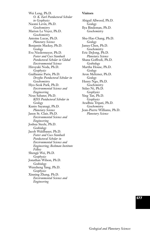Wei Leng, Ph.D. *O. K. Earl Postdoctoral Scholar in Geophysics* Naomi Levin, Ph.D. *Geochemistry* Marion Le Voyer, Ph.D. *Geochemistry* Antoine Lucas, Ph.D. *Planetary Science* Benjamin Mackey, Ph.D. *Geology* Eva Niedermeyer, Ph.D. *Foster and Coco Stanback Postdoctoral Scholar in Global Environmental Science* Hiroyuki Noda, Ph.D. *Geophysics* Guillaume Paris, Ph.D. *Dreyfus Postdoctoral Scholar in Geochemistry* Hyo-Seok Park, Ph.D. *Environmental Science and Engineering* Neus Sabater, Ph.D. *KISS Postdoctoral Scholar in Geology* Kunio Sayanagi, Ph.D. *Planetary Science* Jason St. Clair, Ph.D. *Environmental Science and Engineering* Joshua Steele, Ph.D. *Geobiology* Jacob Waldbauer, Ph.D. *Foster and Coco Stanback Postdoctoral Scholar in Environmental Science and Engineering; Beckman Institute Fellow* Shengji Wei, Ph.D. *Geophysics* Jonathan Wilson, Ph.D. *Geobiology* Wenzheng Yang, Ph.D. *Geophysics* Xinning Zhang, Ph.D. *Environmental Science and Engineering*

#### **Visitors**

Abigail Allwood, Ph.D. *Geology* Ilya Bindeman, Ph.D. *Geochemistry* Shu-Hao Chang, Ph.D. *Geology* James Chen, Ph.D. *Geochemistry* Eric DeJong, Ph.D. *Planetary Science* Shana Goffredi, Ph.D. *Geobiology* Martha House, Ph.D. *Geology* Aron Meltzner, Ph.D. *Geology* Henry Ngo, Ph.D. *Geochemistry* Sidao Ni, Ph.D. *Geophysics* Ying Tan, Ph.D. *Geophysics* Aradhna Tripati, Ph.D. *Geochemistry* Jean-Pierre Williams, Ph.D. *Planetary Science*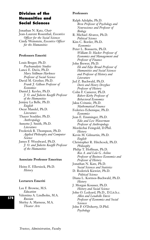# **Division of the Humanities and Social Sciences**

Jonathan N. Katz, *Chair* Jean-Laurent Rosenthal, *Executive Officer for the Social Sciences* Cindy Weinstein, *Executive Officer for the Humanities*

#### **Professors Emeriti**

Louis Breger, Ph.D. *Psychoanalytic Studies* Lance E. Davis, Ph.D. *Mary Stillman Harkness Professor of Social Science* David M. Grether, Ph.D. *Frank J. Gilloon Professor of Economics*  Daniel J. Kevles, Ph.D. *J. O. and Juliette Koepfli Professor of the Humanities* Jenijoy La Belle, Ph.D. *English* Oscar Mandel, Ph.D. *Literature* Thayer Scudder, Ph.D. *Anthropology* Annette J. Smith, Ph.D. *Literature* Frederick B. Thompson, Ph.D. *Applied Philosophy and Computer Science* James F. Woodward, Ph.D. *J. O. and Juliette Koepfli Professor of the Humanities*

#### **Associate Professor Emeritus**

Heinz E. Ellersieck, Ph.D. *History*

#### **Lecturers Emeriti**

Lee F. Browne, M.S. *Education* Valentina A. Lindholm, M.A. *Russian* Shirley A. Marneus, M.A. *Theater Arts*

#### **Professors**

Ralph Adolphs, Ph.D. *Bren Professor of Psychology and Neuroscience and Professor of Biology* R. Michael Alvarez, Ph.D. *Political Science* Kim C. Border, Ph.D**.** *Economics* Peter L. Bossaerts, Ph.D. *William D. Hacker Professor of Economics and Management and Professor of Finance* John Brewer, Ph.D. *Eli and Edye Broad Professor of Humanities and Social Sciences and Professor of History and Literature* Jed Z. Buchwald, Ph.D. *Doris and Henry Dreyfuss Professor of History* Colin F. Camerer, Ph.D. *Robert Kirby Professor of Behavioral Economics* Jaksa Cvitanic, Ph.D. *Mathematical Finance* Federico Echenique, Ph.D. *Economics* Jean E. Ensminger, Ph.D. *Edie and Lew Wasserman Professor of Anthropology* Mordechai Feingold, D.Phil. *History* Kevin M. Gilmartin, Ph.D. *English* Christopher R. Hitchcock, Ph.D. *Philosophy* Philip T. Hoffman, Ph.D. *Rea A. and Lela G. Axline Professor of Business Economics and Professor of History* Jonathan N. Katz, Ph.D. *Social Sciences and Statistics* D. Roderick Kiewiet, Ph.D. *Political Science* Diana L. Kormos-Buchwald, Ph.D. *History* J. Morgan Kousser, Ph.D. *History and Social Science* John O. Ledyard, Ph.D., D.Lit.h.c. *Allen and Lenabelle Davis Professor of Economics and Social Sciences* John P. O'Doherty, D.Phil. *Psychology*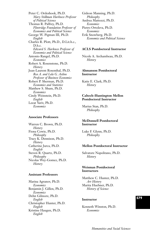Peter C. Ordeshook, Ph.D. *Mary Stillman Harkness Professor of Political Science* Thomas R. Palfrey, Ph.D. *Flintridge Foundation Professor of Economics and Political Science* George W. Pigman III, Ph.D. *English* Charles R. Plott, Ph.D., D.Lit.h.c., D.h.c. *Edward S. Harkness Professor of Economics and Political Science* Antonio Rangel, Ph.D. *Economics* Robert A. Rosenstone, Ph.D. *History* Jean-Laurent Rosenthal, Ph.D. *Rea A. and Lela G. Axline Professor of Business Economics* Robert P. Sherman, Ph.D. *Economics and Statistics* Matthew S. Shum, Ph.D. *Economics*  Cindy Weinstein, Ph.D. *English* Leeat Yariv, Ph.D. *Economics*

#### **Associate Professors**

Warren C. Brown, Ph.D. *History* Fiona Cowie, Ph.D. *Philosophy* Tracy K. Dennison, Ph.D. *History* Catherine Jurca, Ph.D. *English* Steven R. Quartz, Ph.D. *Philosophy* Nicolas Wey-Gomez, Ph.D. *History*

#### **Assistant Professors**

Marina Agranov, Ph.D. *Economics* Benjamin J. Gillen, Ph.D. *Economics* Dehn Gilmore, Ph.D. *English* Christopher Hunter, Ph.D. *English* Kristine Haugen, Ph.D. *English*

Gideon Manning, Ph.D. *Philosophy* Andrea Mattozzi, Ph.D. *Economics* Pietro Ortoleva, Ph.D. *Economics* Erik Snowberg, Ph.D. *Economics and Political Science*

#### **ACLS Postdoctoral Instructor**

Nicole A. Archambeau, Ph.D. *History*

#### **Ahmanson Postdoctoral Instructor**

Katie E. Clark, Ph.D. *History*

#### **Caltech-Huntington Mellon Postdoctoral Instructor**

Marius Stan, Ph.D. *Philosophy*

#### **McDonnell Postdoctoral Instructor**

Luke F. Glynn, Ph.D. *Philosophy*

#### **Mellon Postdoctoral Instructor**

Salvatore Napolitano, Ph.D. *History*

#### **Weisman Postdoctoral Instructors**

Matthew C. Hunter, Ph.D. *Art History* Marita Huebner, Ph.D. *History of Science*

#### **Instructor**

Kenneth Winston, Ph.D. *Economics*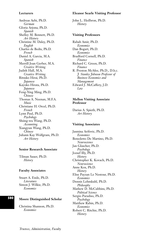#### **Lecturers**

Andreas Aebi, Ph.D. *German* Gloria Arjona, Ph.D. *Spanish* Shelley M. Bennett, Ph.D. *Art History* Christine M. Daley, Ph.D. *English* Charles de Bedts, Ph.D. *French* Daniel A. Garcia, M.A. *Spanish* Merrill Joan Gerber, M.A. *Creative Writing* Judith Hall, M.A. *Creative Writing* Ritsuko Hirai, Ph.D. *Japanese* Kayoko Hirata, Ph.D. *Japanese* Feng-Ying Ming, Ph.D. *Chinese* Thomas A. Neenan, M.F.A. *Music* Christiane H. Orcel, Ph.D. *French* Lynn Paul, Ph.D. *Psychology* Shiing-wu Wang, Ph.D. *Accounting* Xiangyun Wang, Ph.D. *Chinese* Juliann Kay Wolfgram, Ph.D. *Art History*

#### **Senior Research Associate**

Tilman Sauer, Ph.D. *History*

#### **Faculty Associates**

Stuart A. Ende, Ph.D. *Literature* Simon J. Wilkie, Ph.D. *Economics*

#### **Moore Distinguished Scholar**

Christina Shannon, Ph.D. *Economics*

#### **Eleanor Searle Visiting Professor**

John L. Heilbron, Ph.D. *History*

#### **Visiting Professors**

Rabah Amir, Ph.D. *Economics* Dan Bogart, Ph.D. *Economics* Bradford Cornell, Ph.D. *Finance* Richard C. Green, Ph.D. *Finance* R. Preston McAfee, Ph.D., D.h.c. *J. Stanley Johnson Professor of Business Economics and Management* Edward J. McCaffery, J.D. *Law*

#### **Mellon Visiting Associate Professor**

Darius A. Spieth, Ph.D. *Art History*

#### **Visiting Associates**

Jasmina Arifovic, Ph.D. *Economics* Benedetto De Martino, Ph.D. *Neuroscience* Jan Glascher, Ph.D. *Psychology* Jozsef Illy, Ph.D. *History* Christopher K. Kovach, Ph.D. *Neuroscience* Anne Kox, Ph.D. *History* Elise Payzan Le Nestour, Ph.D. *Economics* Dennis Lehmkuhl, Ph.D. *Philosophy* Mathew D. McCubbins, Ph.D. *Political Science* Sergio Paradiso, Ph.D. *Psychology* Matthew Rabin, Ph.D. *Economics* Robert C. Ritchie, Ph.D. *History*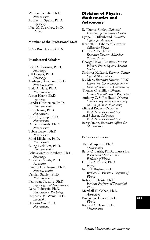Wolfram Schultz, Ph.D. *Neuroscience* Michael L. Spezio, Ph.D. *Psychology* Noel M. Swerdlow, Ph.D*. History*

#### **Member of the Professional Staff**

Ze'ev Rosenkranz, M.L.S.

#### **Postdoctoral Scholars**

Erie D. Boorman, Ph.D. *Psychology* Jeff Cooper, Ph.D. *Psychology* Mathieu d'Acremont, Ph.D. *Neuroeconomics* Todd A. Hare, Ph.D. *Neuroeconomics* Alison Harris, Ph.D. *Psychology* Cendri Hutcherson, Ph.D. *Neuroeconomics* Keise Izuma, Ph.D. *Neuroscience* Ryan K. Jessup, Ph.D. *Neuroscience* Daniel Kennedy, Ph.D. *Neuroscience* Tobias Larsen, Ph.D. *Neuroscience* Mimi Liljeholm, Ph.D. *Neuroscience* Seung-Lark Lim, Ph.D. *Neuroeconomics* Lelia Montaser-Kouhsari, Ph.D. *Psychology* Alexander Smith, Ph.D. *Economics* Peter Sokol-Hessner, Ph.D. *Neuroeconomics* Damian Stanley, Ph.D. *Neuroeconomics* Naotsugu Tsuchiya, Ph.D. *Psychology and Neuroscience* Oana Tuduscuic, Ph.D. *Neuroscience, Psychology* Stephanie W. Wang, Ph.D. *Economics* Daw-An Wu, Ph.D. *Neuroscience*

# **Division of Physics, Mathematics and Astronomy**

B. Thomas Soifer*, Chair and Director, Spitzer Science Center* Lynne A. Hillenbrand, *Executive Officer for Astronomy* Kenneth G. Libbrecht, *Executive Officer for Physics* Charles A. Beichman *Executive Director, Michelson Science Center* George Helou, *Executive Director, Infrared Processing and Analysis Center* Shrinivas Kulkarni, *Director, Caltech Optical Observatories* Jay Marx, *Executive Director, LIGO Laboratory (Laser Interferometer Gravitational-Wave Observatory)* Thomas G. Phillips, *Director, Caltech Submillimeter Observatory* Anthony C. S. Readhead, *Director, Owens Valley Radio Observatory and Chajnantor Observatory* Michael Roukes, *Codirector, Kavli Nanoscience Institute* Axel Scherer, *Codirector, Kavli Nanoscience Institute* Barry Simon, *Executive Officer for Mathematics*

#### **Professors Emeriti**

Tom M. Apostol, Ph.D. *Mathematics* Barry C. Barish, Ph.D., Laurea h.c. *Ronald and Maxine Linde Professor of Physics* Charles A. Barnes, Ph.D. *Physics* Felix H. Boehm, Ph.D. *William L. Valentine Professor of Physics* Robert F. Christy, Ph.D. *Institute Professor of Theoretical Physics* Marshall H. Cohen, Ph.D. *Astronomy* Eugene W. Cowan, Ph.D. *Physics* Richard A. Dean, Ph.D. *Mathematics*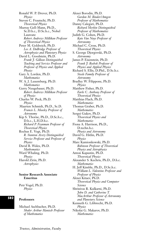Ronald W. P. Drever, Ph.D. *Physics* Steven C. Frautschi, Ph.D. *Theoretical Physics* Murray Gell-Mann, Ph.D., Sc.D.h.c., D.Sc.h.c., Nobel Laureate *Robert Andrews Millikan Professor of Theoretical Physics* Peter M. Goldreich, Ph.D. *Lee A. DuBridge Professor of Astrophysics and Planetary Physics* David L. Goodstein, Ph.D. *Frank J. Gilloon Distinguished Teaching and Service Professor and Professor of Physics and Applied Physics* Gary A. Lorden, Ph.D. *Mathematics* W. A. J. Luxemburg, Ph.D. *Mathematics* Gerry Neugebauer, Ph.D. *Robert Andrews Millikan Professor of Physics*  Charles W. Peck, Ph.D. *Physics* Maarten Schmidt, Ph.D., Sc.D. *Francis L. Moseley Professor of Astronomy* Kip S. Thorne, Ph.D., D.Sc.h.c., D.h.c., L.H.D.h.c. *Richard P. Feynman Professor of Theoretical Physics* Rochus E. Vogt, Ph.D. *R. Stanton Avery Distinguished Service Professor and Professor of Physics* David B. Wales, Ph.D. *Mathematics* Ward Whaling, Ph.D. *Physics* Harold Zirin, Ph.D. *Astrophysics*

## **Senior Research Associate Emeritus**

Petr Vogel, Ph.D. *Physics*

## **Professors**

**582**

Michael Aschbacher, Ph.D. *Shaler Arthur Hanisch Professor of Mathematics*

Alexei Borodin, Ph.D. *Gordon M. Binder/Amgen Professor of Mathematics* Danny Calegari, Ph.D. *Richard Merkin Distinguished Professor of Mathematics* Judith G. Cohen, Ph.D. *Kate Van Nuys Professor of Astronomy* Michael C. Cross, Ph.D. *Theoretical Physics* S. George Djorgovski, Ph.D. *Astronomy* James P. Eisenstein, Ph.D. *Frank J. Roshek Professor of Physics and Applied Physics* Richard S. Ellis, D.Phil., D.Sc.h.c. *Steele Family Professor of Astronomy* Bradley W. Filippone, Ph.D. *Physics* Matthew Fisher, Ph.D. *Earle C. Anthony Professor of Theoretical Physics* Matthias Flach, Ph.D. *Mathematics* Thomas Graber, Ph.D. *Mathematics* Sergei Gukov, Ph.D. *Theoretical Physics and Mathematics* Fiona A. Harrison, Ph.D., D.techn.h.c. *Physics and Astronomy* David G. Hitlin, Ph.D. *Physics* Marc Kamionkowski, Ph.D. *Robinson Professor of Theoretical Physics and Astrophysics* Anton Kapustin, Ph.D. *Theoretical Physics* Alexander S. Kechris, Ph.D., D.h.c. *Mathematics* H. Jeff Kimble, Ph.D., D.Sc.h.c. *William L. Valentine Professor and Professor of Physics* Alexei Kitaev, Ph.D. *Theoretical Physics and Computer Science* Shrinivas R. Kulkarni, Ph.D. *John D. and Catherine T. MacArthur Professor of Astronomy and Planetary Science* Kenneth G. Libbrecht, Ph.D. *Physics* Nikolai G. Makarov, Ph.D. *Mathematics*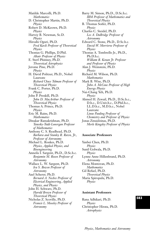Matilde Marcolli, Ph.D. *Mathematics* D. Christopher Martin, Ph.D. *Physics* Robert D. McKeown, Ph.D. *Physics* Harvey B. Newman, Sc.D. *Physics* Hiroshi Oguri, Ph.D. *Fred Kavli Professor of Theoretical Physics* Thomas G. Phillips, D.Phil. *Altair Professor of Physics* E. Sterl Phinney, Ph.D. *Theoretical Astrophysics* Jerome Pine, Ph.D. *Physics* H. David Politzer, Ph.D., Nobel Laureate *Richard Chace Tolman Professor of Theoretical Physics* Frank C. Porter, Ph.D. *Physics* John P. Preskill, Ph.D. *John D. MacArthur Professor of Theoretical Physics* Thomas A. Prince, Ph.D. *Physics* Eric M. Rains, Ph.D. *Mathematics* Dinakar Ramakrishnan, Ph.D. *Taussky-Todd-Lonergan Professor of Mathematics* Anthony C. S. Readhead, Ph.D. *Barbara and Stanley R. Rawn, Jr., Professor of Astronomy* Michael L. Roukes, Ph.D. *Physics, Applied Physics, and Bioengineering* Anneila I. Sargent, Ph.D., D.Sc.h.c. *Benjamin M. Rosen Professor of Astronomy* Wallace L. W. Sargent, Ph.D. *Ira S. Bowen Professor of Astronomy* Axel Scherer, Ph.D. *Bernard A. Neches Professor of Electrical Engineering, Applied Physics, and Physics* John H. Schwarz, Ph.D. *Harold Brown Professor of Theoretical Physics* Nicholas Z. Scoville, Ph.D. *Francis L. Moseley Professor of Astronomy*

Barry M. Simon, Ph.D., D.Sc.h.c. *IBM Professor of Mathematics and Theoretical Physics* B. Thomas Soifer, Ph.D. *Physics* Charles C. Steidel, Ph.D. *Lee A. DuBridge Professor of Astronomy* Edward C. Stone, Ph.D., D.Sc.h.c. *David W. Morrisroe Professor of Physics* Thomas A. Tombrello Jr., Ph.D., Ph.D.h.c. *William R. Kenan Jr. Professor and Professor of Physics* Alan J. Weinstein, Ph.D. *Physics* Richard M. Wilson, Ph.D. *Mathematics* Mark B. Wise, Ph.D. *John A. McCone Professor of High Energy Physics* Nai-Chang Yeh, Ph.D. *Physics* Ahmed H. Zewail, Ph.D., D.Sc.h.c., D.h.c., D.Univ.h.c., D.Phil.h.c., LL.D.h.c., M.D.h.c., Nobel Laureate *Linus Pauling Professor of Chemistry and Professor of Physics* Jonas Zmuidzinas, Ph.D. *Merle Kingsley Professor of Physics*

## **Associate Professors**

Yanbei Chen, Ph.D. *Physics* Sunil Golwala, Ph.D. *Physics* Lynne Anne Hillenbrand, Ph.D. *Astronomy* Elena Montovan, Ph.D. *Mathematics* Gil Refael, Ph.D. *Theoretical Physics* Maria Spiropulu, Ph.D. *Physics*

## **Assistant Professors**

Rana Adhikari, Ph.D. *Physics* Christopher Hirata, Ph.D. *Astrophysics*

**583**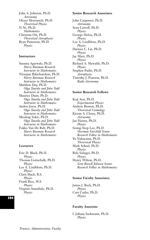John A. Johnson, Ph.D. *Astronomy* Olexei Motrunich, Ph.D. *Theoretical Physics* Yi Ni, Ph.D. *Mathematics* Christian Ott, Ph.D. *Theoretical Astrophysics* Ryan Patterson, Ph.D. *Physics*

## **Instructors**

Susama Agarwala, Ph.D. *Harry Bateman Research Instructor in Mathematics* Niranjan Balachandran, Ph.D. *Harry Bateman Research Instructor in Mathematics* Matthew Day, Ph.D. *Olga Taussky and John Todd Instructor in Mathematics* Maurice Duits, Ph.D. *Olga Taussky and John Todd Instructor in Mathematics* Andrei Jorza, Ph.D. *Olga Taussky and John Todd Instructor in Mathematics* Miodrag Sokic, Ph.D. *Olga Taussky and John Todd Instructor in Mathematics* Fokko Van De Bult, Ph.D. *Harry Bateman Research Instructor in Mathematics*

## **Lecturers**

Eric D. Black, Ph.D. *Physics* Thomas Gottschalk, Ph.D. *Physics* Lee A. Lindblom, Ph.D. *Physics* Chris Mach, B.S. *Physics* Frank Rice, M.S. *Physics* Virginio Sannibale, Ph.D. *Physics*

## **584**

## **Senior Research Associates**

John Carpenter, Ph.D. *Astronomy* Sean Carroll, Ph.D. *Physics* George Helou, Ph.D. *Physics* Lee A. Lindblom, Ph.D. *Physics* Dariusz C. Lis, Ph.D. *Physics* Jay Marx, Ph.D. *Physics* Richard A. Mewaldt, Ph.D. *Physics* Stephen Padin, Ph.D. *Astrophysics* Timothy J. Pearson, Ph.D. *Radio Astronomy*

## **Senior Research Fellows**

Koji Arai, Ph.D. *Experimental Physics* Andrew Benson, Ph.D. *Theoretical Cosmology* Kieran A. Cleary, Ph.D. *Astronomy* Jan Harms, Ph.D. *Physics* Seung-Yeop Lee, Ph.D. *Sherman Fairchild Senior Research Fellow in Mathematics* Yu Nakayama, Ph.D. *Theoretical Physics* Mark Scheel, Ph.D. *Physics* Bela Szilagyi, Ph.D. *Physics* Henry Wilton, Ph.D. *Scott Russell Johnson Senior Research Fellow in Mathematics*

## **Senior Faculty Associates**

James J. Bock, Ph.D. *Physics* Curt Cutler, Ph.D. *Physics*

## **Faculty Associate**

I. Juliana Sackmann, Ph.D. *Physics*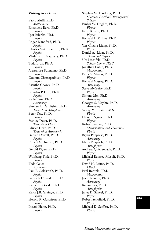## **Visiting Associates**

Paolo Aluffi, Ph.D. *Mathematics* Emanuele Berti, Ph.D. *Physics* Igor Bilenko, Ph.D. *Physics* Roger Blandford, Ph.D. *Physics* Charles Matt Bradford, Ph.D. *Physics* Vladimir B. Braginsky, Ph.D. *Physics* Todd Brun, Ph.D. *Physics* Alessandra Buonanno, Ph.D. *Physics* Goutam Chattopadhyay, Ph.D. *Physics* Asantha Cooray, Ph.D. *Physics* Brendan P. Crill, Ph.D. *Physics* Kelle Cruz, Ph.D. *Astronomy* Shtefan L. Danilishin, Ph.D. *Theoretical Astrophysics* Peter Day, Ph.D. *Physics* Stanley Deser, Ph.D. *Theoretical Physics* Olivier Dore, Ph.D. *Theoretical Astrophysics* Darren Dowell, Ph.D. *Physics* Robert V. Duncan, Ph.D. *Physics* Gerald Eigen, Ph.D. *Physics* Wolfgang Fink, Ph.D. *Physics* Todd Gaier *Astronomy* Paul F. Goldsmith, Ph.D. *Physics* Gabriela Gonzalez, Ph.D. *Physics* Krzysztof Gorski, Ph.D. *Physics* Keith J.B. Grainge, Ph.D. *Physics* Herold R. Gustafson, Ph.D. *Physics* Inseob Hahn, Ph.D. *Physics*

Stephen W. Hawking, Ph.D. *Sherman Fairchild Distinguished Scholar* Emlyn W. Hughes, Ph.D. *Physics* Farid Khalili, Ph.D. *Physics* Richard A. M. Lee, Ph.D. *Physics* Yan-Chiang Liang, Ph.D. *Physics* Daniel A. Lidar, Ph.D. *Theoretical Physics* Ute Lisenfeld, Ph.D. *Spitzer Center, IPAC* Jonathan Lubin, Ph.D. *Mathematics* Peter V. Mason, Ph.D. *Physics* Richard Massey, Ph.D. *Astronomy* Steve McGuire, Ph.D. *Physics* Simona Mei, Ph.D. *Astronomy* Georges S. Meylan, Ph.D. *Astronomy* Valery Mitrofanov, M.Sc. *Physics* Hien T. Nguyen, Ph.D. *Physics* Robert Penner, Ph.D. *Mathematical and Theoretical Physics* Bryan Penprase, Ph.D. *Astronomy* Elena Pierpaoli, Ph.D. *Astrophysics* Andreas Quirrenbach, Ph.D. *Physics* Michael Ramsey-Musolf, Ph.D. *Physics* David H. Reitze, Ph.D. *LIGO* Paul Renteln, Ph.D. *Mathematics* Jason Rhodes, Ph.D. *Astronomy* Re'em Sari, Ph.D. *Astrophysics* Janet D. Scheel, Ph.D. *Physics* Robert Schofield, Ph.D. *Physics* Michael D. Seiffert, Ph.D. *Physics*

# **585**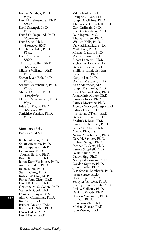Eugene Serabyn, Ph.D. *Physics* David H. Shoemaker, Ph.D. *LIGO* Kirill Shtengel, Ph.D. *Physics* David O. Siegmund, Ph.D. *Mathematics* David Silva, Ph.D. *Astronomy, IPAC* Ulrich Sperhake, Ph.D. *Physics* Lisa E. Szechter, Ph.D. *LIGO* Tony Travouillon, Ph.D. *Astronomy* Michele Vallisneri, Ph.D. *Physics* Steven J. van Enk, Ph.D. *Physics* Serguei Viattchanine, Ph.D. *Physics* Michael Werner, Ph.D. *Astrophysics* Mark E. Wiedenbeck, Ph.D. *Physics* Edward Wright, Ph.D. *Astronomy, IPAC* Sanichiro Yoshida, Ph.D. *Physics*

## **Members of the Professional Staff**

Rachel Akeson, Ph.D. Stuart Anderson, Ph.D. Philip Appleton, Ph.D Lee Armus, Ph.D. Thomas Barlow, Ph.D. Bruce Berriman, Ph.D. James Kent Blackburn, Ph.D. Andrew Boden, Ph.D. Julian Bunn, Ph.D. Sean J. Carey, Ph.D Robert W. Carr, M. Phil. Ranga Ram Chary, Ph.D. David R. Ciardi, Ph.D Christina M. S. Cohen, Ph.D. Walter R. Cook, Ph.D. Dennis C. Coyne, M.S. Alan C. Cummings, Ph.D. Roc Cutri, Ph.D. Richard Dekany, Ph.D. Riccardo DeSalvo, Ph.D. Dario Fadda, Ph.D. David Frayer, Ph.D.

Valery Frolov, Ph.D Philippe Galvez, Eng. Joseph A. Giaime, Ph.D. Thomas D. Gottschalk, Ph.D. Carl Grillmair, Ph.D. Eric K. Gustafson, Ph.D Dale Ingram, M.S. Thomas Jarrett, Ph.D. William Kells, Ph.D. Davy Kirkpatrick, Ph.D. Mark Lacy, Ph.D. Michael Landry, Ph.D. William Latter, Ph.D. Albert Lazzarini, Ph.D. Richard A. Leske, Ph.D. Deborah Levine, Ph.D. Phillip E. Lindquist, Eng. Steven Lord, Ph.D. Nanyao Lu, Ph.D. William Mahoney, Ph.D. Keith Matthews, M.S. Joseph Mazzarella, Ph.D. Rafael Millan-Gabet, Ph.D. Anna Marie Moore, Ph.D. Patrick Morris, Ph.D. Patrick Morrissey, Ph.D. Alberto Noriega-Crespo, Ph.D. Patrick Ogle, Ph.D. J. E. Brian O'Reilly, Ph.D. Deborah Padgett, Ph.D. Fredrick J. Raab, Ph.D. Simon J.E. Radford, Ph.D. Luisa M. Rebull, Ph.D. Alan P. Rice, B.S. Norna A. Robertson, Ph.D. Gary H. Sanders, Ph.D. Richard Savage, Ph.D. Stephen L. Scott, Ph.D. Patrick Shopbell, Ph.D. David Shupe, Ph.D. Daniel Sigg, Ph.D. Nancy Silbermann, Ph.D. Gordon Squires, Ph.D. John Stauffer, Ph.D. Lisa Storrie-Lombardi, Ph.D. Jason Surace, Ph.D. Harry Teplitz, Ph.D. Schuyler Van Dyk, Ph.D. Stanley E. Whitcomb, Ph.D. Phil A. Willems, Ph.D. David P. Woody, Ph.D. Hiroaki Yamamoto, Ph.D. Lin Yan, Ph.D. Ren-Yuan Zhu, Ph.D. Michael Zucker, Ph.D. John Zweizig, Ph.D.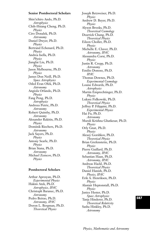## **Senior Postdoctoral Scholars**

Shin'ichiro Ando, Ph.D. *Astrophysics* Chih-Hsiang Cheng, Ph.D. *Physics* Ciro Donalek, Ph.D. *Astronomy* Daniel Dwyer, Ph.D. *Physics* Bertrand Echenard, Ph.D. *Physics* Andrea Isella, Ph.D. *Physics* Jianglai Liu, Ph.D. *Physics* Jason Melbourne, Ph.D. *Physics* James Don Neill, Ph.D. *Space Astrophysics* Oded Eran Ofek, Ph.D. *Astronomy* Angiola Orlando, Ph.D. *Physics* Fang Peng, Ph.D. *Astrophysics* Andreea Petric, Ph.D. *Astronomy* Robert Quimby, Ph.D. *Astronomy* Alexander Rakitin, Ph.D. *Physics* Dominik Riechers, Ph.D. *Astronomy* Jack Sayers, Ph.D. *Physics* Antony Searle, Ph.D. *Physics* Brian Siana, Ph.D. *Astronomy* Michael Zemcov, Ph.D. *Physics*

## **Postdoctoral Scholars**

Arthur Apresyan, Ph.D. *Experimental Physics* Hakim Atek, Ph.D. *Astrophysics, IPAC* Christoph Baranec, Ph.D. *Astronomy* Pedro Beirao, Ph.D. *Astronomy, IPAC* Doron L. Bergman, Ph.D. *Theoretical Physics*

Joseph Betzweiser, Ph.D. *Physics* Andrew D. Beyer, Ph.D. *Physics* Alyson Brooks, Ph.D. *Theoretical Cosmology* Dearrick Chang, Ph.D. *Theoretical Physics* Eileen Chollet, Ph.D. *Physics* Michelle E. Cluver, Ph.D. *Astronomy, IPAC* Alessandra Corsi, Ph.D. *Physics* Justin R. Crepp, Ph.D. *Astronomy* Emilio Donoso, Ph.D. *IPAC* Thomas Downes, Ph.D. *Experimental Cosmology* Louise Edwards, Ph.D. *Astrophysics* Martin Emprechtinger, Ph.D. *Physics* Lukasz Fidkowski, Ph.D. *Theoretical Physics* Jeffrey P. Filippini, Ph.D. *Experimental Physics* Hai Fu, Ph.D. *Astronomy* Murali Krishna Ghatkesar, Ph.D. *Physics* Orly Gnat, Ph.D. *Physics* Alexey Gorshkov, Ph.D. *Theoretical Physics* Brian Grefenstette, Ph.D. *Physics* Pierre Guillard, Ph.D. *Astronomy, IPAC* Sebastian Haan, Ph.D. *Astronomy, IPAC* Andreas Hackl, Ph.D. *Theoretical Physics* Daniel Hanish, Ph.D. *Physics, IPAC* Erik A. Henriksen, Ph.D. *Physics* Alastair Heptonstall, Ph.D. *Physics* Janice Hester, Ph.D. *Space Astrophysics* Tanja Hinderer, Ph.D. *Theoretical Relativity* Sasha Hinkley, Ph.D. *Astronomy*

# **587**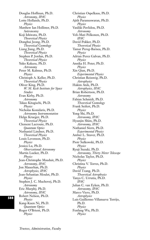Douglas Hoffman, Ph.D. *Astronomy, IPAC* Lotte Hollands, Ph.D. *Physics* Matthew Ian Hollister, Ph.D. Astronomy Koji Ishiwata, Ph.D. *Theoretical Physics* Donghui Jeong, Ph.D. *Theoretical Cosmology* Liang Jiang, Ph.D. *Theoretical Physics* Stephen P. Jordan, Ph.D. *Theoretical Physics* Yuko Kakazu, Ph.D. *Astronomy* Peter M. Kalmus, Ph.D. *Physics* Christoph A. Keller, Ph.D. *Theoretical Physics* Oliver King, Ph.D. *W. M. Keck Institute for Space Studies* Evan Kirby, Ph.D. *Astronomy* Takao Kitaguchi, Ph.D. *Physics* Nicholas Konidaris, Ph.D. *Astronomy Instrumentation* Helge Krueger, Ph.D. *Theoretical Physics* Clement Lacroute, Ph.D. *Quantum Optics* Nethaniel Lindner, Ph.D. *Theoretical Physics* Louis Levenson, Ph.D. *Physics* Jessica Lu, Ph.D. *Observational Astronomy* Martin Lueker, Ph.D. *Physics* Jean-Christophe Mauduit, Ph.D. *Astronomy, IPAC* Jon Mauerhan, Ph.D. *Astrophysics, IPAC* Jean-Sebastian Moulet, Ph.D. *Physics* Stephen J. C. Muchovej, Ph.D. *Astronomy* Eric Murphy, Ph.D. *Astronomy, IPAC* Robert Nelson, Ph.D. *Physics* Kang-Kuen Ni, Ph.D. *Quantum Optics* Roger O'Brient, Ph.D. *Physics*

Christian Ospelkaus, Ph.D. *Physics* Ajith Parameswaran, Ph.D. *Physics* Vasiliki Pavlidou, Ph.D. *Astronomy* Veli-Mati Pelkonen, Ph.D. *IPAC* David Pekker, Ph.D. *Theoretical Physics* Tamar Pereg-Barnea, Ph.D. *Physics* Adrian Perez Galvan, Ph.D. *Physics* Annika H. Peter, Ph.D. *Physics* Xin Qian, Ph.D. *Experimental Physics* Christian Reisswig, Ph.D. *Astrophysics* Hakim Atek, Ph.D. *Astrophysics, IPAC* Brian Robertson, Ph.D. *Astronomy* Fabian Schmidt, Ph.D. *Theoretical Cosmology* Frank Seifert, Ph.D. *Physics* Yong Shi, Ph.D. *Astronomy, IPAC* Hyunjin Shim, Ph.D. *Astronomy, IPAC* Nathaniel Stern, Ph.D. *Experimental Physics* Amber L. Stuver, Ph.D. *Physics* Piotr Sulkowski, Ph.D. *Physics* Ryuji Suzuki, Ph.D. *Astronomy, Thirty Meter Telescope* Nicholas Taylor, Ph.D. *Physics* Christina V. Torres, Ph.D. *Physics* David Tzang, Ph.D. *Theoretical Astrophysics* Tanya C. Urrutia, Ph.D. *IPAC* Julian C. van Eyken, Ph.D. *Astronomy, IPAC* Marco Viero, Ph.D. *Astrophysics* Luis Guillermo Villanueva Torrijo, Ph.D. *Physics* Fenfang Wu, Ph.D. *Physics*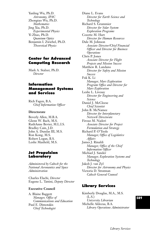Yanling Wu, Ph.D. *Astronomy, IPAC* Zhongtao Wu, Ph.D. *Mathematics* Jing Xia, Ph.D. *Experimental Physics* Yi Zhao, Ph.D. *Quantum Optics* Benjamin I. Zwiebel, Ph.D. *Theoretical Physics*

# **Center for Advanced Computing Research**

Mark A. Stalzer, Ph.D. *Director*

# **Information Management Systems and Services**

Rich Fagen, B.A. *Chief Information Officer*

## **Directorate**

Beverly Allen, M.B.A. Glenn W. Bach, M.S. RuthAnne Bevier, M.L.I.S. Bradley Cain, J.D. John A. Dundas III, M.S. Ron Kong, M.S. Robert Logan, B.S. Leslie Maxfield, M.S.

## **Jet Propulsion Laboratory**

*Administered by Caltech for the National Aeronautics and Space Administration*

Charles Elachi, *Director* Eugene L. Tattini, *Deputy Director*

## **Executive Council**

A. Blaine Baggett *Manager, Office of Communications and Education* Paul E. Dimotakis *Chief Technologist*

Diane L. Evans *Director for Earth Science and Technology* Richard S. Grammier *Director for Solar System Exploration Programs*  Cozette M. Hart *Director for Human Resources* Dale M. Johnson *Associate Director/Chief Financial Officer and Director for Business Operations* Chris P. Jones *Associate Director for Flight Projects and Mission Success* Matthew R. Landano *Director for Safety and Mission Success* Fuk K. Li *Manager, Mars Exploration Program Office and Director for Mars Exploration* Leslie L. Livesay *Director for Engineering and Science* Daniel J. McCleese *Chief Scientist* John B. McNamee *Director for Interplanetary Network Directorate* Firouz M. Naderi *Associate Director for Project Formulation and Strategy* Richard P. O'Toole *Manager, Office of Legislative Affairs* James J. Rinaldi *Manager, Office of the Chief Information Officer* Michael J. Sander *Manager, Exploration Systems and Technology* Jakob J. van Zyl *Director for Astronomy and Physics* Victoria D. Stratman *Caltech General Counsel*

## **Library Services**

Kimberly Douglas, M.A., M.S. (L.S.) *University Librarian* Michelle Aldecua, B.A. *Library Operations Administrator*

# **589**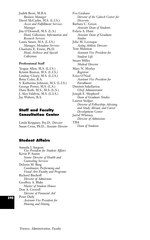Judith Brott, M.B.A. *Business Manager* David McCaslin, M.S. (L.I.S.) *Access and Fulfillment Services Manager* Jim O'Donnell, M.S. (L.S.) *Head, Collections, Information and Research Services*

Laura Smart, M.S. (L.I.S.) *Manager, Metadata Services* Charlotte E. Erwin, Ph.D. *Head, Archives and Special Collections*

## **Professional Staff**

Teague Allen, M.S. (L.I.S.) Kristin Buxton, M.S. (L.I.S.) Lindsay Cleary, M.S. (L.I.S.) Betsy Coles, B.A. S. Katherine Johnson, M.S. (L.I.S.) George Porter, M.S. (L.S.) Dana Roth, M.S., M.S. (L.S.) J. Alex Valdivia, M.S. (L.I.S.) Jay Walters, B.A.

# **Staff and Faculty Consultation Center**

Linda Krippner, Psy.D., *Director* Susan Cross, Ph.D., *Associate Director*

## **Student Affairs**

Anneila I. Sargent *Vice President for Student Affairs* Kevin P. Austin *Senior Director of Health and Counseling Services* Delores M. Bing *Coordinator, Performing and Visual Arts Faculty and Programs* Richard Bischoff *Director of Admissions* Geoffrey A. Blake *Master of Student Houses* Don A. Crewell *Director of Financial Aid* Peter Daily *Assistant Vice President for Housing and Dining*

Eva Graham *Director of the Caltech Center for Diversity* Barbara C. Green *Associate Dean of Students* Felicia A. Hunt *Associate Dean of Graduate Studies* Julie M. Levesque *Acting Athletic Director* Tom Mannion *Assistant Vice President for Student Life* Stuart Miller *Medical Director* Mary N. Morley *Registrar* Erica O'Neal *Assistant Vice President for Enrollment* Dimitris Sakellariou *Chief Administrator* Joseph E. Shepherd *Dean of Graduate Studies* Lauren Stolper *Director of Fellowships Advising and Study Abroad, and Career Development Center* Jarrid Whitney *Director of Admissions* TBA

*Dean of Students*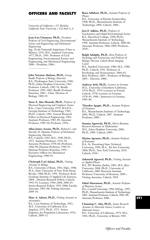## **OFFICERS AND FACULTY**

*University of California = UC Berkeley California State University = Cal State L.A.*

**Jean-Lou Chameau, Ph.D.,** *President; Professor of Civil Engineering, Environmental Science and Engineering, and Mechanical Engineering* Ing., École Nationale Supérieure d'Arts et Métiers, 1976; M.S., Stanford University,

1977; Ph.D., 1981. Professor of Civil Engineering, Environmental Science and Engineering, and Mechanical Engineering 2006–. President, 2006–.

**John Norman Abelson, Ph.D.,** *George Beadle Professor of Biology, Emeritus* B.S., Washington State University, 1960; Ph.D., Johns Hopkins University, 1965. Professor, Caltech, 1982–91; Beadle Professor, 1991–2002; Beadle Professor Emeritus, 2002–. Chair, Division of Biology, 1989–95.

**Yaser S. Abu-Mostafa, Ph.D.,** *Professor of Electrical Engineering and Computer Science* B.Sc., Cairo University, 1979; M.S.E.E., Georgia Institute of Technology, 1981; Ph.D., Caltech, 1983. Garrett Research Fellow in Electrical Engineering, 1983; Assistant Professor, 1983–89; Associate Professor, 1989–94; Professor, 1994–.

**Allan James Acosta, Ph.D.,** *Richard L. and Dorothy M. Hayman Professor of Mechanical Engineering, Emeritus* B.S., Caltech, 1945; M.S., 1949; Ph.D.,

1952. Assistant Professor, 1954–58; Associate Professor, 1958–66; Professor, 1966–90; Hayman Professor, 1990–93. Hayman Professor Emeritus, 1993–. Executive Officer for Mechanical Engineering, 1988–93.

## **Christoph Carl Adami, Ph.D.,** *Visiting Associate in Biology*

B.S., University of Bonn, 1982; Dipl., 1988; M.A., State University of New York (Stony Brook), 1988; Ph.D., 1991. Professor, Keck Graduate Institute of Applied Life Sciences, 2004–. Division Research Fellow, Caltech, 1992–95; Lecturer, 1996–2004; 2006–07; Senior Research Fellow, 1995–2000; Faculty Associate, 2001–08; Visiting Associate, 2009–10.

## **Marc A. Adams, Ph.D.,** *Visiting Associate in Aeronautics*

B.S., Case Institute of Technology, 1967; M.S., University of California (Los Angeles), 1972; Ph.D., 1975. Senior Engineer, Jet Propulsion Laboratory, 1976–. Caltech, 2009–11.

## **Rana Adhikari, Ph.D.,** *Assistant Professor of Physics*

B.S., University of Florida (Gainesville), 1998; Ph.D., Massachusetts Institute of Technology, 2004. Caltech, 2006–.

**Jess F. Adkins, Ph.D.,** *Professor of Geochemistry and Global Environmental Science* B.S., Haverford College, 1990; Ph.D., Massachusetts Institute of Technology, 1998. Assistant Professor, Caltech, 2000–06; Associate Professor, 2006–2009; Professor, 2010–.

**Ralph Adolphs, Ph.D.,** *Bren Professor of Psychology and Neuroscience and Professor of Biology; Director, Caltech Brain Imaging Center*

B.S., Stanford University, 1986; M.S., 1986; Ph.D., Caltech, 1992. Professor of Psychology and Neuroscience, 2004–05; Bren Professor, 2005–; Professor of Biology, 2005–. Director, 2008–.

**Andreas Aebi, Ph.D.,** *Lecturer in German* M.A., University of Southern California, 1970; Ph.D., 1974. Lecturer in French, Caltech, 1978; Lecturer in German, 1978–83; 1986–; Instructor in German, 1983–86.

**Theodor Agapie, Ph.D.,** *Assistant Professor of Chemistry* B.S., Massachusetts Institute of Technology, 2001; Ph.D., Caltech, 2007. Assistant Professor, 2009–.

**Susama Agarwala, Ph.D.,** *Harry Bateman Research Instructor in Mathematics* M.S., Johns Hopkins University, 2006; Ph.D., 2009. Caltech, 2009–.

## **Marina Agranov, Ph.D.,** *Assistant Professor of Economics*

B.A., St. Petersburg State Technical University, 1999; M.A., Tel Aviv University, 2004; Ph.D., New York University, 2010. Caltech, 2010–.

## **Ashutosh Agrawal, Ph.D.,** *Visiting Associate in Applied Physics*

B.S., IIT Bombay (India), 2001; M.S., Rice University, 2004; Ph.D., University of California, 2009. Research Assistant Professor, University of Houston, 2009–; Visiting Associate, Caltech, 2010.

#### **Oded Aharonson, Ph.D.,** *Associate Professor of Planetary Science*

B.S., Cornell University, 1994; M.Eng., 1995; Ph.D., Massachusetts Institute of Technology, 2002. Assistant Professor, Caltech, 2002–08; Associate Professor, 2008–.

**Channing C. Ahn, Ph.D.,** *Senior Research Associate in Materials Science; Lecturer in Materials Science* B.S., University of California, 1979; M.S., 1981; Ph.D., University of Bristol, 1985.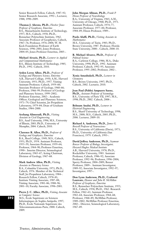Senior Research Fellow, Caltech, 1987–92; Senior Research Associate, 1992–; Lecturer, 1988; 1990–2009.

**Thomas J. Ahrens, Ph.D.,** *Fletcher Jones Professor of Geophysics, Emeritus* B.S., Massachusetts Institute of Technology, 1957; M.S., Caltech, 1958; Ph.D., Rensselaer Polytechnic Institute, 1962. Associate Professor of Geophysics, Caltech, 1967–76; Professor, 1976–2004; W. M. Keck Foundation Professor of Earth Sciences, 1996–2001; Jones Professor, 2004–05; Jones Professor Emeritus, 2005–.

**Michael Aivazis, Ph.D.,** *Lecturer in Applied and Computational Mathematics* B.S., Illinois Institute of Technology, 1985; Ph.D., 1992. Caltech, 2010.

**Arden Leroy Albee, Ph.D.,** *Professor of Geology and Planetary Science, Emeritus* A.B., Harvard College, 1950; A.M., Harvard University, 1951; Ph.D., 1957. Visiting Assistant Professor, Caltech, 1959–60; Associate Professor of Geology, 1960–66; Professor, 1966–99; Professor of Geology and Planetary Science, 1999–2002; Professor Emeritus, 2002–. Academic Officer, Geological and Planetary Sciences, 1971–79; Chief Scientist, Jet Propulsion Laboratory, 1979–84; Dean of Graduate Studies, 1984–2000.

**Arzhang Alimoradi, Ph.D.,** *Visiting Associate in Civil Engineering* B.S., Azad University, 1996; M.S., University of Illinois, 2003; Ph.D., University of Memphis, 2004. Caltech, 2010.

**Clarence R. Allen, Ph.D.,** *Professor of Geology and Geophysics, Emeritus* B.A., Reed College, 1949; M.S., Caltech, 1951; Ph.D., 1954. Assistant Professor, 1955–59; Associate Professor, 1959–64; Professor, 1964–90; Professor Emeritus, 1990–. Interim Director, Seismological Laboratory, 1965–67; Acting Chairman, Division of Geology, 1967–68.

**Mark Andrew Allen, Ph.D.,** *Visiting Associate in Planetary Science* B.A., Columbia University, 1971; Ph.D., Caltech, 1976. Member of the Technical Staff, Jet Propulsion Laboratory, 1984–. Research Fellow, Caltech, 1978–81; Institute Visiting Associate, 1987–88; Visiting Associate, 1981–86; 1988–96; 2001–10; Faculty Associate, 1996–2001.

**Pierre J. C. Alliez, Ph.D.,** *Visiting Associate in Computer Science*

M.S., École Supérieure en Sciences Informatiques de Sophis-Antipolis, 1997; Ph.D., École Nationale Supérieure des Telecommunications Paris, 2000. Caltech, 2009.

**John Morgan Allman, Ph.D.,** *Frank P. Hixon Professor of Neurobiology* B.A., University of Virginia, 1965; A.M., University of Chicago, 1968; Ph.D., 1971. Assistant Professor, Caltech, 1974–77; Associate Professor, 1977–84; Professor, 1984–89; Hixon Professor, 1989–.

## **Paolo Aluffi, Ph.D.,** *Visiting Associate in Mathematics*

M.S., University of Turin, 1983; Ph.D., Brown University, 1987. Professor, Florida State University, 2000–. Caltech, 2008–10.

#### **R. Michael Alvarez, Ph.D.,** *Professor of Political Science*

B.A., Carleton College, 1986; M.A., Duke University, 1990; Ph.D., 1992. Assistant Professor, Caltech, 1992–95; Associate Professor, 1995–2002; Professor, 2002–.

#### **Xenia Amashukeli, Ph.D.,** *Lecturer in Chemistry*

B.S., Brown University, 1997; Ph.D., Caltech, 2002. Lecturer, 2010.

## **Jean Paul (Pablo) Ampuero Saenz,**

**Ph.D.,** *Assistant Professor of Seismology* B.S., University of Paris VII, 1997; M.S., 1998; Ph.D., 2002. Caltech, 2008–.

## **Behnam Analui, Ph.D.,** *Lecturer in*

*Electrical Engineering* B.S., Sharif University of Technology, 1998; M.S., 2000; M.S., Caltech, 2005; Ph.D., 2006. Lecturer, 2009–10.

## **Richard A. Andersen, Ph.D.,** *James G.*

*Boswell Professor of Neuroscience* B.S., University of California (Davis), 1973; Ph.D., University of California (San Francisco), 1979. Caltech, 1993–.

**David Jeffrey Anderson, Ph.D.,** *Seymour Benzer Professor of Biology; Investigator, Howard Hughes Medical Institute* A.B., Harvard University, 1978; Ph.D., Rockefeller University, 1983. Assistant Professor, Caltech, 1986–92; Associate Professor, 1992–96; Professor, 1996–2004; Sperry Professor, 2004–2009; Benzer Professor, 2009–. Assistant Investigator, 1989–92; Associate Investigator, 1992–97; Investigator, 1997–.

## **Don Lynn Anderson, Ph.D., Crafoord Laureate,** *Eleanor and John R. McMillan Professor of Geophysics, Emeritus*

B.S., Rensselaer Polytechnic Institute, 1955; M.S., Caltech, 1958; Ph.D., 1962. Research Fellow, 1962–63; Assistant Professor, 1963–64; Associate Professor, 1964–68; Professor, 1968–89; McMillan Professor, 1989–2002; McMillan Professor Emeritus, 2002–. Director, Seismological Laboratory, 1967–89.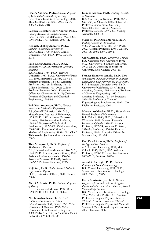**José E. Andrade, Ph.D.,** *Assistant Professor of Civil and Mechanical Engineering* B.S., Florida Institute of Technology, 2001; M.S., Stanford University, 2003; Ph.D., 2006. Caltech, 2010.

## **Lachlan Leicester Henry Andrew, Ph.D.,**

*Visiting Associate in Computer Science* B.S., University of Melbourne, 1992; B.Sc., 1993; Ph.D., 1997. Caltech, 2009–11.

## **Kenneth Skilling Andrews, Ph.D.,**

*Lecturer in Electrical Engineering* B.S., Caltech, 1990; M.Eng., Cornell University, 1995; Ph.D., 1999. Caltech, 2010.

## **Fred Colvig Anson, Ph.D., D.h.c.,**

*Elizabeth W. Gilloon Professor of Chemistry, Emeritus*

B.S., Caltech, 1954; Ph.D., Harvard University, 1957; D.h.c., University of Paris VII, 1993. Instructor, Caltech, 1957–58; Assistant Professor, 1958–62; Associate Professor, 1962–68; Professor, 1968–95; Gilloon Professor, 1995–2001; Gilloon Professor Emeritus, 2001–. Executive Officer for Chemistry, 1973–77; Chairman, Division of Chemistry and Chemical Engineering, 1984–94.

## **Erik Karl Antonsson, Ph.D.,** *Visiting*

*Associate in Mechanical Engineering* B.S., Cornell University, 1976; M.S., Massachusetts Institute of Technology, 1978; Ph.D., 1982. Assistant Professor, Caltech, 1984–90; Associate Professor, 1990–97; Professor of Mechanical Engineering, 1997–2009; Visiting Associate, 2009–2011. Executive Officer for Mechanical Engineering, 1998–2002; Chief Technologist, Jet Propulsion Laboratory,  $2002 -$ 

## **Tom M. Apostol, Ph.D.,** *Professor of Mathematics, Emeritus*

B.S., University of Washington, 1944; M.S., 1946; Ph.D., University of California, 1948. Assistant Professor, Caltech, 1950–56; Associate Professor, 1956–62; Professor, 1962–92; Professor Emeritus, 1992–.

**Koji Arai, Ph.D.,** *Senior Research Fellow in Experimental Physics* Ph.D., University of Tokyo, 2002. Caltech, 2009–.

#### **Alexei A. Aravin, Ph.D.,** *Assistant Professor of Biology* B.S., University of Moscow, 1997; M.Sc.,

1998; Ph.D., 2002. Caltech, 2009–.

## **Nicole Archambeau, Ph.D.,** *ACLS*

*Postdoctoral Instructor in History* B.A., University of Wyoming, 1994; M.A., University of Montana, 1996; M.A., University of California (Los Angeles), 2002; Ph.D., University of California (Santa Barbara), 2009. Caltech, 2010–.

#### **Jasmina Arifovic, Ph.D.,** *Visiting Associate in Economics*

B.A., University of Sarajevo, 1981; M.A., University of Chicago, 1988; Ph.D., 1991. Professor, Simon Fraser University (Canada), 2002–. Visiting Associate Professor, Caltech, 1999–2001; Visiting Associate, 2002–12.

## **Maria del Pilar Ariza Moreno, Ph.D.,**

*Visiting Associate in Aeronautics* M.S., University of Seville, 1997; Ph.D., 2002. Assistant Professor, 2003–. Caltech, 2003–06; 2007; 2009; 2010–11.

**Gloria Arjona, Ph.D.,** *Lecturer in Spanish* B.A., California State University, 1993; M.A., University of Southern California, 1997; Ph.D., University of Southern California, 2002. Caltech, 2000–10.

#### **Frances Hamilton Arnold, Ph.D.,** *Dick and Barbara Dickinson Professor of Chemical*

*Engineering, Bioengineering and Biochemistry* B.S., Princeton University, 1979; Ph.D., University of California, 1985. Visiting Associate, Caltech, 1986; Assistant Professor of Chemical Engineering, 1987–92; Associate Professor, 1992–96; Professor, 1996–99; Professor of Chemical Engineering and Biochemistry, 1999–2000; Dickinson Professor, 2000–.

**Michael Aschbacher, Ph.D.,** *Shaler Arthur Hanisch Professor of Mathematics* B.S., Caltech, 1966; Ph.D., University of Wisconsin, 1969. Bateman Research Instructor, Caltech, 1970–72; Assistant Professor, 1972–74; Associate Professor, 1974–76; Professor, 1976–96; Hanisch Professor, 1996–. Executive Officer for Mathematics, 1991–94.

#### **Paul David Asimow, Ph.D.,** *Professor of Geology and Geochemistry* A.B., Harvard University, 1991; M.S., Caltech, 1993; Ph.D., 1997. Assistant Professor, 1999–2005; Associate Professor, 2005–2010; Professor, 2010–.

**Anand R. Asthagiri, Ph.D.,** *Assistant Professor of Chemical Engineering* B.S., Cornell University, 1995; Ph.D., Massachusetts Institute of Technology, 2000. Caltech, 2002–.

#### **Harry A. Atwater Jr., Ph.D.,** *Howard Hughes Professor and Professor of Applied Physics and Materials Science; Director, Resnick Sustainability Institute* B.S., Massachusetts Institute of Technology, 1982; M.S., 1983; Ph.D., 1987. Assistant

Professor of Applied Physics, Caltech, 1988–94; Associate Professor, 1994–99; Professor of Applied Physics and Materials Science, 1999–; Howard Hughes Professor, 2002–; Director, 2009–.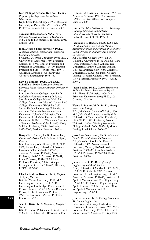## **Jean-Philippe Avouac, Doctorat, Habil.,**

*Professor of Geology; Director, Tectonics Observatory* Dipl., École Polytechnique, 1987; Doctorat, University of Paris VII, 1991; Habil., 1992. Professor, Caltech, 2003–. Director, 2004–.

## **Niranjan Balachandran, M.S.,** *Harry*

*Bateman Research Instructor in Mathematics* M.S., The Indian Statistical Institute, 2001. Caltech, 2008–.

#### **John Dickson Baldeschwieler, Ph.D.,**

*J. Stanley Johnson Professor and Professor of Chemistry, Emeritus*

B.Chem.E., Cornell University, 1956; Ph.D., University of California, 1959. Professor, Caltech, 1973–96; Johnson Professor and Professor of Chemistry, 1996–99; Johnson Professor and Professor Emeritus, 1999–. Chairman, Division of Chemistry and Chemical Engineering, 1973–78.

## **David Baltimore, Ph.D., D.Sc.h.c.,**

**D.Phil.h.c., Nobel Laureate,** *President Emeritus; Robert Andrews Millikan Professor of Biology*

B.A., Swarthmore College, 1960; Ph.D., Rockefeller University, 1964; D.Sc.h.c, Swarthmore College; Mount Holyoke College; Mount Sinai Medical Center; Bard College; University of Helsinki; Cold Spring Harbor Laboratory; University of Alabama; California Polytechnic State University; Columbia University; Yale University; Rockefeller University; Harvard University; D.Phil.h.c., Weizmann Institute of Science. Professor, Caltech, 1997–2006; Millikan Professor, 2006–. President, 1997–2006; President Emeritus, 2006–.

#### **Barry Clark Barish, Ph.D., Laurea h.c.,**

*Ronald and Maxine Linde Professor of Physics, Emeritus*  B.A., University of California, 1957; Ph.D., 1962; Laurea h.c., University of Bologna. Research Fellow, Caltech, 1963–66; Assistant Professor, 1966–69; Associate Professor, 1969–72; Professor, 1972–91; Linde Professor, 1991–2005; Linde Professor Emeritus, 2005–. Principal Investigator of LIGO, 1994–97; Director,

#### **Charles Andrew Barnes, Ph.D.,** *Professor of Physics, Emeritus*

LIGO*,* 1997–2006.

B.A., McMaster University, 1943; M.A., University of Toronto, 1944; Ph.D., University of Cambridge, 1950. Research Fellow, Caltech, 1953–54; Senior Research Fellow, 1954–58; Associate Professor, 1958–62; Professor, 1962–92; Professor Emeritus, 1992–.

#### **Alan H. Barr, Ph.D.,** *Professor of Computer Science*

B.S., Rensselaer Polytechnic Institute, 1973; M.S., 1976; Ph.D., 1983. Research Fellow,

Caltech, 1984; Assistant Professor, 1984–90; Associate Professor, 1990–98; Professor, 1998–. Executive Officer for Computer Science, 2000–01.

**Jim Barry, B.A.,** *Lecturer in Art—Drawing, Painting, Silkscreen, and Airbrush* B.A., University of California (Santa Barbara), 1972. Caltech, 1999–2011.

## **Jacqueline K. Barton, Ph.D., D.Sc.h.c.,**

**D.L.h.c.,** *Arthur and Marian Hanisch Memorial Professor and Professor of Chemistry; Chair, Division of Chemistry and Chemical Engineering*

A.B., Barnard College, 1974; Ph.D., Columbia University, 1978; D.Sc.h.c., New Jersey Institute; Kenyon College; Yale University; Hamilton College; Williams College; Lawrence University; Columbia University; D.L.h.c., Skidmore College. Visiting Associate, Caltech, 1989; Professor, 1989–; Hanisch Professor, 1997–; Chair, 2009–.

**Jason Baskin, Ph.D.,** *Caltech-Huntington Mellon Postdoctoral Instructor in English* A.B., Harvard University, 2000; M.A., Princeton University, 2006; Ph.D., 2008. Caltech, 2008–10.

**Elaine L. Bearer, M.D., Ph.D.,** *Visiting Associate in Biology*

B.M., Manhattan School of Music, 1970; M.A., New York University, 1973; M.D., University of California (San Francisco), 1983; Ph.D., 1983. Professor, Brown University, 2004–. Visiting Associate in Biology, Caltech, 2004; 2005–11; Moore Distinguished Scholar, 2004–05.

**Jesse Lee Beauchamp, Ph.D.,** *Mary and Charles Ferkel Professor of Chemistry* B.S., Caltech, 1964; Ph.D., Harvard University, 1967. Noyes Research Instructor, Caltech, 1967–69; Assistant Professor, 1969–71; Associate Professor, 1971–74; Professor, 1974–2000, Ferkel Professor, 2000–.

**James L. Beck, Ph.D.,** *Professor of Engineering and Applied Science* B.Sc., University of Auckland, 1969; M.Sc., 1970; Ph.D., Caltech, 1979. Assistant Professor of Civil Engineering, 1981–87; Associate Professor, 1987–96; Professor of Applied Mechanics and Civil Engineering, 1996–2005; Professor of Engineering and Applied Science, 2005–. Executive Officer for Applied Mechanics and Civil Engineering, 1993–98.

**Josette Bellan, Ph.D.,** *Visiting Associate in Mechanical Engineering* B.S., Lycee Jules Ferry, 1964; M.S., University of Sciences (Paris), 1969; M.S., Princeton University, 1972; Ph.D., 1974. Senior Research Scientist, Jet Propulsion

**594**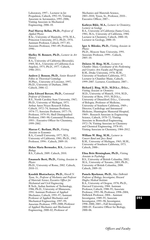Laboratory, 1997–. Lecturer in Jet Propulsion, Caltech, 1992–93; Visiting Associate in Aeronautics, 1995–2006; Visiting Associate in Mechanical Engineering, 2006–10.

## **Paul Murray Bellan, Ph.D.,** *Professor of Applied Physics*

B.Sc., University of Manitoba, 1970; M.A., Princeton University, 1972; Ph.D., 1976. Assistant Professor, Caltech, 1977–83; Associate Professor, 1983–89; Professor, 1990–.

### **Shelley M. Bennett, Ph.D.,** *Lecturer in Art History*

B.A., University of California (Riverside), 1969; M.A., University of California (Los Angeles), 1975; Ph.D., 1977. Caltech, 1986–2011.

## **Andrew J. Benson, Ph.D.,** *Senior Research*

*Fellow in Theoretical Cosmology* M.Phys., University of Leicester, 1997; Ph.D., University of Durham, 2000. Caltech, 2006–12.

#### **John Edward Bercaw, Ph.D.,** *Centennial Professor of Chemistry*

B.S., North Carolina State University, 1967; Ph.D., University of Michigan, 1971. Arthur Amos Noyes Research Fellow, Caltech, 1972–74; Assistant Professor, 1974–77; Associate Professor, 1977–79; Professor, 1979–93; Shell Distinguished Professor, 1985–90; Centennial Professor, 1993–. Executive Officer for Chemistry, 1999–2002.

## **Marcus C. Berliant, Ph.D.,** *Visiting Associate in Economics*

B.A., Cornell University, 1977; M.S., University of California, 1981; Ph.D., 1982. Professor, 1994–. Caltech, 2009–10.

## **Helen Maria Bermudez, B.S.,** *Lecturer in Biology*

B.S., Caltech, 2009. Caltech, 2010.

## **Emanuele Berti, Ph.D.,** *Visiting Associate in Physics*

Ph.D., University of Rome, 2002. Caltech, 2010–11.

## **Kaushik Bhattacharya, Ph.D.,** *Howell N.*

*Tyson, Sr., Professor of Mechanics and Professor of Materials Science; Executive Officer for Mechanical and Civil Engineering* B.Tech., Indian Institute of Technology, 1986; Ph.D., University of Minnesota, 1991. Assistant Professor of Applied Mechanics, Caltech, 1993–97; Assistant Professor of Applied Mechanics and Mechanical Engineering, 1997–99; Associate Professor, 1999–2000; Professor of Applied Mechanics and Mechanical Engineering, 2000–02; Professor of

Mechanics and Materials Science, 2003–2010; Tyson, Sr., Professor, 2010–. Executive Officer, 2007–.

## **Kathryn Bikle, M.A.,** *Lecturer in Chemistry; Lecturer in Geology* B.A., University of California (Santa Cruz), 1981; M.A., University of California, 1984. Lecturer in Chemistry, Caltech, 2000–10;

Lecturer in Geology, 2000–10. **Igor A. Bilenko, Ph.D.,** *Visiting Associate in*

*Physics* Ph.D., Moscow State University, 1991. Associate Professor, 1999–. Caltech, 2005–10.

**Delores M. Bing, M.M.,** *Lecturer in Chamber Music; Coordinator of the Performing and Creative Arts Faculty and Program* B.M., Drake University, 1970; M.M., University of Southern California, 1972. Lecturer in Chamber Music, Caltech, 1999–2007. Lecturer, Coordinator, 2007–.

## **Richard J. Bing, M.D., M.D.h.c., D.h.c.,**

*Visiting Associate in Chemistry* M.D., University of Munich, 1934; M.D., University of Bern, 1935; M.D.h.c., University of Düsseldorf; D.h.c., University of Bologna. Professor of Medicine, University of Southern California, 1969–; Director, Cardiology and Intramural Medicine, Huntington Memorial Hospital, 1969–. Research Associate in Engineering Science, Caltech, 1970–72; Visiting Associate in Biomedical Engineering, 1972–78; Visiting Associate in Chemistry and Chemical Engineering, 1978–83; Visiting Associate in Chemistry, 1984–2012.

**William W. Bing, M.M.,** *Lecturer in Concert Band and Jazz Band* B.M., University of Michigan, 1965; M.M., University of Southern California, 1971. Caltech, 2000–.

**Elina Britt Birmingham, Ph.D.,** *Visiting Associate in Psychology* B.S., University of British Columbia, 2002; M.A., University of Toronto, 2003; Ph.D., University of British Columbia, 2008. Caltech, 2009–10.

### **Pamela Bjorkman, Ph.D.,** *Max Delbrück Professor of Biology; Investigator, Howard Hughes Medical Institute* B.A., University of Oregon, 1978; Ph.D., Harvard University, 1984. Assistant Professor, Caltech, 1988–95; Associate Professor, 1995–98; Professor, 1998–2004; Delbrück Professor, 2004–. Assistant Investigator, 1989–95; Associate Investigator, 1995–98; Investigator, 1998–2000; 2005–; Full Investigator, 2000–05. Executive Officer for Biology, 2000–06.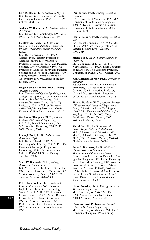**Eric D. Black, Ph.D.,** *Lecturer in Physics* B.S., University of Tennessee, 1991; M.S., University of Colorado, 1994; Ph.D., 1996. Caltech, 2001–10.

**Andrew W. Blain, Ph.D.,** *Assistant Professor of Astronomy* B.S., University of Cambridge, 1990; M.S., 1991; Ph.D., 1995. Caltech, 2001–10.

**Geoffrey A. Blake, Ph.D.,** *Professor of Cosmochemistry and Planetary Sciences and Professor of Chemistry; Master of Student Houses*

B.S., Duke University, 1981; Ph.D., Caltech, 1986. Assistant Professor of Cosmochemistry, 1987–93; Associate Professor of Cosmochemistry and Planetary Sciences, 1993–97; Professor, 1997–99; Professor of Cosmochemistry and Planetary Sciences and Professor of Chemistry, 1999–. Deputy Director, Owens Valley Radio Observatory, 2000–06. Master of Student Houses, 2009–.

#### **Roger David Blandford, Ph.D.,** *Visiting Associate in Physics*

B.A., University of Cambridge (Magdalene College), 1970; Ph.D., 1974. Director, Kavli Institute, Stanford University, 2004–. Assistant Professor, Caltech, 1976–79; Professor, 1979–89; Tolman Professor, 1989–2004; Visiting Associate, 2004–10. Executive Officer for Astronomy, 1992–95.

**Guillaume Blanquart, Ph.D.,** *Assistant Professor of Mechanical Engineering* B.S., M.S., École Polytechnique, 2002; M.S., Stanford University, 2004; Ph.D., 2008. Caltech, 2009–.

## **James J. Bock, Ph.D.,** *Senior Faculty*

*Associate in Physics* B.S., Duke University, 1987; M.A., University of California, 1990; Ph.D., 1990. Research Scientist, Jet Propulsion Laboratory, 1994–. Visiting Associate, Caltech, 1994–2008; Senior Faculty Associate, 2008–.

**Marc W. Bockrath, Ph.D.,** *Visiting Associate in Applied Physics* B.S., Massachusetts Institute of Technology, 1993; Ph.D., University of California, 1999. Visiting Associate, Caltech, 2002; 2009; Assistant Professor, 2002–2009.

**Felix Hans Boehm, Ph.D.,** *William L. Valentine Professor of Physics, Emeritus* Dipl., Federal Institute of Technology (Zurich), 1948; Ph.D., 1951. Research Fellow, Caltech, 1953–55; Senior Research Fellow, 1955–58; Assistant Professor, 1958–59; Associate Professor, 1959–61; Professor, 1961–85; Valentine Professor, 1985–95; Valentine Professor Emeritus, 1995–.

#### **Dan Bogart, Ph.D.,** *Visiting Associate in Economics*

B.A., University of Minnesota, 1998; M.A., University of California (Los Angeles), 2000; Ph.D., 2003. Associate Professor, University of California (Irvine), 2010. Caltech, 2010.

## **Hamid Bolouri, Ph.D.,** *Visiting Associate in Biology*

B.S., Brunel University, 1984; M.S., 1985; Ph.D., 1990. Guest Faculty, Institute for Systems Biology, 2006–. Caltech, 1996–2010.

#### **Mieke Boon, Ph.D.,** *Visiting Associate in Philosophy*

M.A., University of Technology (The Netherlands), 1997; Ph.D., Delft University of Technology, 1996. Associate Professor, University of Twente, 2001–. Caltech, 2009.

## **Kim Christian Border, Ph.D.,** *Professor of Economics*

B.S., Caltech, 1974; Ph.D., University of Minnesota, 1979. Assistant Professor, Caltech, 1979–83; Associate Professor, 1983–95; Professor, 1995–. Executive Officer for the Social Sciences, 1995–99.

**Simona Bordoni, Ph.D.,** *Assistant Professor of Environmental Science and Engineering* Dipl., University of Rome Tor Vergata, 1996; M.Sc., University of California (Los Angeles), 2003; Ph.D., 2007. Moore Postdoctoral Fellow, Caltech, 2007; Assistant Professor, 2009–.

**Alexei Borodin, Ph.D.,** *Gordon M. Binder/Amgen Professor of Mathematics* M.Sc., Moscow State University, 1997; M.S.E., University of Pennsylvania, 2001; Ph.D., 2001. Professor, Caltech, 2003–09. Binder/Amgen Professor, 2009–.

**Peter L. Bossaerts, Ph.D.,** *William D. Hacker Professor of Economics and Management and Professor of Finance* Doctorandus, Universitaire Faculteiten Sint Ignatius (Belgium), 1982; Ph.D., University of California (Los Angeles), 1986. Assistant Professor of Finance, Caltech, 1990–94; Associate Professor, 1994–98; Professor, 1998–; Hacker Professor, 2003–. Executive Officer for the Social Sciences, 2002–05; Chair, Division of the Humanities and Social Sciences, 2006–07.

**Blaise Bourdin, Ph.D.,** *Visiting Associate in Mechanical Engineering* M.S., University of Paris, 1995; Ph.D., 1998. Postdoctoral Scholar, Caltech, 2000–02; Visiting Associate, 2010.

**David A. Boyd, Ph.D.,** *Senior Research Fellow in Mechanical Engineering* M.S., University of Alabama, 1990; Ph.D., University of Virginia, 1997. Visiting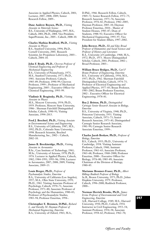Associate in Applied Physics, Caltech, 2001; Lecturer, 2007; 2008; 2009; Senior Research Fellow, 2009–.

## **Dane Andrew Boysen, Ph.D.,** *Visiting*

*Associate in Materials Science* B.S., University of Washington, 1997; M.S., Caltech, 2001; Ph.D., 2004. Vice President, SuperProtonic, Inc., 2005–. Caltech, 2008–10.

## **Charles Mathias Bradford, Ph.D.,** *Visiting Associate in Physics*

B.S., Stanford University, 1994; Ph.D., Cornell University, 2001. Research Scientist, Jet Propulsion Laboratory, 2003–. Caltech, 2004–10.

**John F. Brady, Ph.D.,** *Chevron Professor of Chemical Engineering and Professor of Mechanical Engineering* B.S., University of Pennsylvania, 1975; M.S., Stanford University, 1977; Ph.D., 1981. Associate Professor, Caltech, 1985–89; Professor, 1990–99; Chevron Professor, 1999–; Professor of Mechanical Engineering, 2005–. Executive Officer for Chemical Engineering, 1993–99.

#### **Vladimir B. Braginsky, Ph.D.,** *Visiting Associate in Physics*

M.S., Moscow University, 1954; Ph.D., 1959. Professor, Moscow State University, 1986–. Sherman Fairchild Distinguished Scholar, Caltech, 1990–91; Visiting Associate, 1994–2013.

**Fred J. Brechtel, Ph.D.,** *Visiting Associate in Environmental Science and Engineering* B.S., University of California, 1987; M.S., 1992; Ph.D., Colorado State University, 1998. Research Scientist, Brechtel Manufacturing, Inc., 2002–. Caltech, 2002–10.

## **James B. Breckinridge, Ph.D.,** *Visiting Associate in Aeronautics*

B.Sc., Case Institute of Technology, 1961; M.Sc., University of Arizona, 1970; Ph.D., 1976. Lecturer in Applied Physics, Caltech, 1982; 1984–1991; 1993–96; 1998; Lecturer in Aeronautics, 2007; 2008; 2009; Visiting Associate, 2009–13.

## **Louis Breger, Ph.D.,** *Professor of*

*Psychoanalytic Studies, Emeritus* B.A., University of California (Los Angeles), 1957; M.A., Ohio State University, 1959; Ph.D., 1961. Visiting Associate Professor of Psychology, Caltech, 1970–71; Associate Professor, 1971–80; Associate Professor of Psychology and the Humanities, 1980–83; Professor of Psychoanalytic Studies, 1983–94; Professor Emeritus, 1994–.

## **Christopher E. Brennen, D.Phil.,** *Richard*

*L. and Dorothy M. Hayman Professor of Mechanical Engineering, Emeritus* B.A., University of Oxford, 1963; M.A., D.Phil., 1966. Research Fellow, Caltech, 1969–72; Senior Research Fellow, 1972–75; Research Associate, 1975–76; Associate Professor, 1976–82; Professor, 1982–2005; Hayman Professor, 2005–10; Hayman Professor Emeritus, 2010–. Master of Student Houses, 1983–87; Dean of Students, 1988–92; Executive Officer for Mechanical Engineering, 1993–97; Vice President for Student Affairs, 1997–2002.

**John Brewer, Ph.D.,** *Eli and Edye Broad Professor of Humanities and Social Sciences and Professor of History and Literature* B.A., University of Cambridge, 1968; M.A., 1972; Ph.D., 1973. Moore Distinguished Scholar, Caltech, 2001; Professor, 2002–; Broad Professor, 2003–.

**William Bruce Bridges, Ph.D.,** *Carl F Braun Professor of Engineering, Emeritus* B.S., University of California, 1956; M.S., 1957; Ph.D., 1962. Sherman Fairchild Distinguished Scholar, Caltech, 1974–75; Professor of Electrical Engineering and Applied Physics, 1977–83; Braun Professor, 1983–2002; Braun Professor Emeritus, 2002–. Executive Officer for Electrical Engineering, 1978–81.

## **Roy J. Britten, Ph.D.,** *Distinguished Carnegie Senior Research Associate in Biology, Emeritus*

B.S., University of Virginia, 1940; Ph.D., Princeton University, 1951. Visiting Associate, Caltech, 1971–73; Senior Research Associate, 1973–81; Distinguished Carnegie Senior Research Associate, 1981–99; Carnegie Senior Research Associate Emeritus, 1999–.

#### **Charles Jacob Brokaw, Ph.D.,** *Professor of Biology, Emeritus*

B.S., Caltech, 1955; Ph.D., University of Cambridge, 1958. Visiting Assistant Professor, Caltech, 1960; Assistant Professor, 1961–63; Associate Professor, 1963–68; Professor, 1968–2000; Professor Emeritus, 2000–. Executive Officer for Biology, 1976–80; 1985–89; Associate Chairman of the Division of Biology, 1980–85.

## **Marianne Bronner-Fraser, Ph.D.,** *Albert*

*Billings Ruddock Professor of Biology* Sc.B., Brown University, 1975; Ph.D., Johns Hopkins University, 1979. Professor, Caltech, 1996–2000; Ruddock Professor, 2000–.

## **Norman Herrick Brooks, Ph.D.,** *James*

*Irvine Professor of Environmental and Civil Engineering, Emeritus* A.B., Harvard College, 1949; M.S., Harvard University, 1950; Ph.D., Caltech, 1954. Instructor in Civil Engineering, 1953–54; Assistant Professor, 1954–58; Associate Professor, 1958–62; Professor, 1962–70;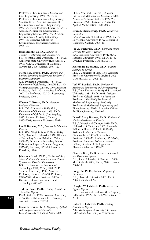Professor of Environmental Science and Civil Engineering, 1970–76; Irvine Professor of Environmental Engineering Science, 1976–77; Irvine Professor of Environmental and Civil Engineering, 1977–95; Irvine Professor Emeritus, 1995–. Academic Officer for Environmental Engineering Science, 1972–74; Director, Environmental Quality Laboratory, 1974–93; Executive Officer for Environmental Engineering Science, 1985–93.

**Brian Brophy, M.F.A.,** *Lecturer in Theater—Performing and Creative Arts* B.S., Montana State University, 1981; M.A., California State University (Los Angeles), 1999; M.F.A., University of California (Riverside), 2006. Caltech, 2009–12.

**Michael E. Brown, Ph.D.,** *Richard and Barbara Rosenberg Professor and Professor of Planetary Astronomy* A.B., Princeton University, 1987; M.A., University of California, 1990; Ph.D., 1994.

Visiting Associate, Caltech, 1995; Assistant Professor, 1997–2002; Associate Professor, 2002–04; Professor, 2005–08; Rosenberg Professor, 2008–.

## **Warren C. Brown, Ph.D.,** *Associate*

*Professor of History* B.S., Tufts University, 1985; M.A., University of Cincinnati, 1993; Ph.D., University of California (Los Angeles), 1997. Assistant Professor, Caltech, 1997–2003; Associate Professor, 2003–.

## **Lee F. Browne, M.S.,** *Lecturer in Education, Emeritus*

B.S., West Virginia State College, 1944; M.S., New York University, 1950. Director of Secondary School Relations, Caltech, 1969–77; Director of Secondary School Relations and Special Student Programs, 1977–90; Lecturer, 1971–90; Lecturer Emeritus, 1990–.

**Jehoshua Bruck, Ph.D.,** *Gordon and Betty Moore Professor of Computation and Neural Systems and Electrical Engineering*  B.Sc., Technion–Israel Institute of Technology, 1982; M.Sc., 1985; Ph.D., Stanford University, 1989. Associate Professor, Caltech, 1994–98; Professor, 1998–2001; Moore Professor, 2001–. Director, Information Science and Technology, 2003–05.

**Todd A. Brun, Ph.D.,** *Visiting Associate in Theoretical Physics*

Ph.D., Caltech, 1994. Professor, University of Southern California, 2003–. Visiting Associate, Caltech, 2007–11.

**Oscar P. Bruno, Ph.D.,** *Professor of Applied and Computational Mathematics* Lic., University of Buenos Aires, 1982;

Ph.D., New York University (Courant Institute of Mathematical Sciences), 1989. Associate Professor, Caltech, 1995–98; Professor, 1998–. Executive Officer for Applied Mathematics, 1998–2000.

#### **Bruce S. Brunschwig, Ph.D.,** *Lecturer in Chemistry*

B.A., University of Rochester, 1966; Ph.D., Polytechnic University, 1972. Lecturer in Chemistry, Caltech, 2009–10.

**Jed Z. Buchwald, Ph.D.,** *Doris and Henry Dreyfuss Professor of History* B.A., Princeton University, 1971; M.A., Harvard University, 1973; Ph.D., 1974. Dreyfuss Professor, Caltech, 2001–.

**Alessandra Buonanno, Ph.D.,** *Visiting Associate in Physics* Ph.D., University of Pisa, 1996. Associate Professor, University of Maryland, 2005–. Caltech, 2002–03; 2005–11.

**Joel W. Burdick, Ph.D.,** *Professor of Mechanical Engineering and Bioengineering* B.S., Duke University, 1981; M.S., Stanford University, 1982; Ph.D., 1988. Assistant Professor, Caltech, 1988–94; Associate Professor, 1994–2000; Professor of Mechanical Engineering, 2000–02; Professor of Mechanical Engineering and Bioengineering, 2002–. Executive Officer for Bioengineering, 2006–07.

**Donald Stacy Burnett, Ph.D.,** *Professor of Nuclear Geochemistry, Emeritus* B.S., University of Chicago, 1959; Ph.D., University of California, 1963. Research Fellow in Physics, Caltech, 1963–65; Assistant Professor of Nuclear Geochemistry, 1965–68; Associate Professor, 1968–75; Professor, 1975–2006; Professor Emeritus, 2006–. Academic Officer, Division of Geological and Planetary Sciences, 1979–87.

**Gentian Buzi, Ph.D.,** *Lecturer in Control and Dynamical Systems* B.S., State University of New York, 2000; M.S., Caltech, 2004; Ph.D., 2009. Caltech, 2009–10.

**Long Cai, Ph.D.,** *Assistant Professor of Chemistry* B.A., Harvard University, 2001; Ph.D., 2006. Caltech, 2009–.

**Douglas W. Caldwell, Ph.D.,** *Lecturer in Applied Physics* B.S., University of California (Los Angeles), 1986; M.S., 1986; Ph.D., 1998. Caltech, 2010.

**Robert R. Caldwell, Ph.D.,** *Visiting Associate in Physics* A.B., Washington University (St. Louis), 1987; M.Sc., University of Wisconsin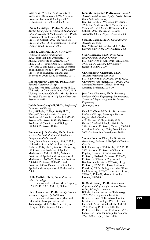(Madison), 1989; Ph.D., University of Wisconsin (Milwaukee), 1992. Associate Professor, Dartmouth College, 2005–. Caltech, 2003–04; 2007; 2008; 2010.

**Danny C. Calegari, Ph.D.,** *The Richard Merkin Distinguished Professor of Mathematics* B.A., University of Melbourne, 1994; Ph.D., University of California, 2000. Assistant Professor, Caltech, 2002–03; Associate

Professor, 2003–06; Professor, 2007; Merkin Distinguished Professor, 2007–. **Colin F. Camerer, Ph.D.,** *Robert Kirby*

*Professor of Behavioral Economics* B.A., Johns Hopkins University, 1976; M.B.A., University of Chicago, 1979; Ph.D., 1981. Visiting Associate, Caltech, 1993; Rea A. and Lela G. Axline Professor of Business Economics, 1994–2008; Kirby Professor of Behavioral Finance and Economics, 2008; Kirby Professor, 2008–.

**Robert Andrew Cameron, Ph.D.,** *Senior Research Associate in Biology* B.A., San José State College, 1968; Ph.D., University of California (Santa Cruz), 1975. Visiting Associate, Caltech, 1984–85; Senior Research Fellow, 1985–89; Senior Research Associate, 1989–.

**Judith Lynn Campbell, Ph.D.,** *Professor of Chemistry and Biology* B.A., Wellesley College, 1965; Ph.D., Harvard University, 1974. Assistant Professor of Chemistry, Caltech, 1977–83; Associate Professor, 1983–85; Associate Professor of Chemistry and Biology, 1985–89; Professor, 1989–.

**Emmanuel J. D. Candes, Ph.D.,** *Ronald and Maxine Linde Professor of Applied and Computational Mathematics* Dipl., École Polytechnique, 1993; D.E.A., University of Paris IV and University of Paris IX, 1994; Ph.D., Stanford University, 1998. Assistant Professor of Applied Mathematics, Caltech, 2000; Assistant Professor of Applied and Computational Mathematics, 2000–03; Associate Professor, 2003–05; Professor, 2005–06; Linde Professor, 2006–. Executive Officer for Applied and Computational Mathematics, 2009.

**Holly Carlisle, Ph.D.,** *Senior Research Fellow in Biology* B.S., University of California (Los Angeles), 1996; Ph.D., 2002. Caltech, 2009–10.

**Carol Carmichael, Ph.D.,** *Faculty Associate in Engineering and Applied Science* B.S., University of Wisconsin (Madison), 1985; M.S., Georgia Institute of Technology, 1988; Ph.D., University of Georgia, 2004. Caltech, 2006–.

**John M. Carpenter, Ph.D.,** *Senior Research Associate in Astronomy; Deputy Director, Owens Valley Radio Observatory* B.S., University of Wisconsin (Madison), 1988; Ph.D., University of Massachusetts (Amherst), 1994. Senior Research Fellow, Caltech, 2002–05; Senior Research Associate, 2005–. Deputy Director, 2006–.

**Sean M. Carroll, Ph.D.,** *Senior Research Associate in Physics* B.S., Villanova University, 1988; Ph.D., Harvard University, 1993. Caltech, 2006–.

**Stijn Cassenaer, Ph.D.,** *Broad Senior Research Fellow in Brain Circuitry* B.S., University of California (San Diego), 1999; Ph.D., Caltech, 2007. Senior Research Fellow, 2009–.

**Christopher P. Chambers, Ph.D.,**

*Associate Professor of Economics* B.S., University of Maryland, 1998; M.A., University of Rochester, 2001; Ph.D., 2003. Assistant Professor, Caltech, 2003–06; Associate Professor, 2006–10.

**Jean-Lou Chameau, Ph.D.,** *President; Professor of Civil Engineering, Environmental Science and Engineering, and Mechanical Engineering* (See page 591.)

**David C. Chan, M.D., Ph.D.,** *Associate Professor of Biology; Investiagor, Howard Hughes Medical Institute* A.B., Harvard College, 1988; M.D., Harvard Medical School, 1996; Ph.D., 1996. Assistant Professor, Caltech, 2000–06; Associate Professor, 2006–; Bren Scholar, 2000–06; Associate Investigator, 2008–.

**Sunney Ignatius Chan, Ph.D.,** *George Grant Hoag Professor of Biophysical Chemistry, Emeritus*

B.S., University of California, 1957; Ph.D., 1961. Assistant Professor of Chemical Physics, Caltech, 1963–64; Associate Professor, 1964–68; Professor, 1968–76; Professor of Chemical Physics and Biophysical Chemistry, 1976–92; Hoag Professor, 1992–2001; Hoag Professor Emeritus, 2002–. Acting Executive Officer for Chemistry, 1977–78; Executive Officer, 1978–80; 1989–94; Master of Student Houses, 1980–83.

**K. Mani Chandy, Ph.D.,** *Simon Ramo Professor and Professor of Computer Science; Deputy Chair for Education* B.Tech., Indian Institute of Technology, 1965; M.S., Polytechnic Institute of Brooklyn, 1966; Ph.D., Massachusetts Institute of Technology, 1969. Sherman Fairchild Distinguished Scholar, Caltech, 1988; Visiting Professor, 1988–89; Professor, 1989–; Ramo Professor, 1997–. Executive Officer for Computer Science, 1997–2000; Deputy Chair, 2009–.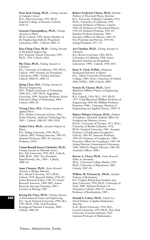**Yoon Seok Chang, Ph.D.,** *Visiting Associate in Computer Science* M.S., Inha University, 1993; Ph.D., Imperial College of Sciences. Caltech, 2010–11.

**Goutam Chattopadhyay, Ph.D.,** *Visiting Associate in Physics* Ph.D., Caltech, 1999. Senior Member of the Engineering Staff, Jet Propulsion Laboratory, 2005–. Caltech, 2006–11.

**Kuo-Ching Chen, Ph.D.,** *Visiting Associate in Mechanical Engineering* B.S., National Taiwan University, 1987; Ph.D., 1993. Caltech, 2010.

**Pin Chen, Ph.D.,** *Visiting Associate in Chemistry* B.S., University of California, 1991; Ph.D.,

Caltech, 1999. Scientist, Jet Propulsion Laboratory, 2000–. Visiting Associate, Caltech, 2006–07; 2008–11.

**Qiang Chen, M.S.,** *Visiting Associate in Electrical Engineering* M.S., Wuhan University of Technology, 1984; M.S., 1987; Ph.D., Kagoshima University, 1999. Associate Professor, Kochi National College of Technology, 2004–. Caltech, 2009–10.

**Tirong Chen, M.S.,** *Visiting Associate in Applied Physics* M.S., Wuhan University (China), 1962. Senior Scientist, Archcom Technology Inc., 2001–. Caltech, 1980–82; 1985–2010.

**Yanbei Chen, Ph.D.,** *Associate Professor of Physics*

B.S., Peking University, 1999; Ph.D., Caltech, 2003. Visiting Associate, 2005–07; Assistant Professor, 2007–10; Associate Professor, 2010–.

**Calum Ronald Inneas Chisholm, Ph.D.,**

*Visiting Associate in Materials Science* B.S., Yale University, 1995; M.S., Caltech, 2000; Ph.D., 2003. Vice President, SuperProtonic, Inc., 2005–. Caltech, 2008–10.

**Anne Chomyn, Ph.D.,** *Senior Research Associate in Biology, Emeritus* B.S., Drexel University, 1972; Ph.D., Caltech, 1978. Research Fellow, 1978–82; Senior Research Fellow, 1982–87; Senior Research Associate, 1989–2007; Senior Research Associate Emeritus, 2007–; Lecturer in Biology, 2007.

**Kwang Ho Choo, Ph.D.,** *Visiting Associate in Environmental Science and Engineering* B.S., Seoul National University, 1990; M.S., 1992; Ph.D., 1996. Noh President, Kyungpook National University, 2004–. Caltech, 2008–09.

**Robert Frederick Christy, Ph.D.,** *Institute Professor of Theoretical Physics, Emeritus* B.A., University of British Columbia, 1935; Ph.D., University of California, 1941. Associate Professor of Physics, Caltech, 1946–50; Professor of Theoretical Physics, 1950–83; Institute Professor, 1983–85; Institute Professor Emeritus, 1986–. Executive Officer for Physics, 1968–70; Vice President and Provost, 1970–80; Acting President, 1977–78.

**Ara Chutjian, Ph.D.,** *Visiting Associate in Chemistry* B.S., Brown University, 1962; Ph.D., University of California, 1966. Senior

Research Scientist, Jet Propulsion Laboratory, 1990–. Caltech, 1998–2011.

**Katie E. Clark, D.Phil.,** *Ahmanson Postdoctoral Instructor in History* B.A., Tulane University (Newcomb College), 2005; M.St., University of Oxford, 2006; D.Phil., 2009. Caltech, 2009–.

**Francis H. Clauser, Ph.D.,** *Clark Blanchard Millikan Professor of Engineering, Emeritus* B.S., Caltech, 1934; M.S., 1935; Ph.D., 1937. Clark Blanchard Millikan Professor of Engineering, 1969–80; Millikan Professor Emeritus, 1980–. Chairman, Division of Engineering and Applied Science, 1969–74.

**Robert Webster Clayton, Ph.D.,** *Professor of Geophysics; Divisional Academic Officer for Geological and Planetary Sciences* B.A.Sc., University of Toronto, 1973; M.Sc., University of British Columbia, 1976; Ph.D., Stanford University, 1981. Assistant Professor of Exploration Geophysics, Caltech, 1981–85; Associate Professor, 1985–89; Professor of Geophysics, 1989–. Executive Officer for Geophysics, 1987–94; Acting Director, Seismological Laboratory, 1989; 2008–09; Deputy Director, 1989–90; Academic Officer, 2008–.

**Kieran A. Cleary, Ph.D.,** *Senior Research Fellow in Astronomy* M.Sc., University College Dublin, 1993; Ph.D., University of Manchester, 2003. Caltech, 2007–10.

**William M. Clemons Jr., Ph.D.,** *Assistant Professor of Biochemistry* B.S., Virginia Polytechnic Institute and State University, 1995; Ph.D., University of Utah, 2000. Assistant Professor of Chemistry, Caltech, 2005–07; Assistant Professor of Biochemistry, 2007–.

**Donald S. Cohen, Ph.D.,** *Charles Lee Powell Professor of Applied Mathematics, Emeritus* Sc.B., Brown University, 1956; M.S., Cornell University, 1959; Ph.D., New York University (Courant Institute), 1962. Assistant Professor of Mathematics,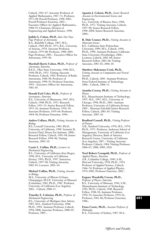Caltech, 1965–67; Associate Professor of Applied Mathematics, 1967–71; Professor, 1971–98; Powell Professor, 1998–2003; Powell Professor Emeritus, 2003–. Executive Officer for Applied Mathematics, 1988–93; Chairman, Division of Engineering and Applied Science, 1990.

## **Judith G. Cohen, Ph.D.,** *Kate Van Nuys*

*Page Professor of Astronomy* B.A., Radcliffe College, 1967; M.S., Caltech, 1969; Ph.D., 1971; B.S., University of Arizona, 1978. Associate Professor, Caltech, 1979–88; Professor, 1988–2005; Page Professor, 2005–. Executive Officer for Astronomy, 1995–96.

#### **Marshall Harris Cohen, Ph.D.,** *Professor of Astronomy, Emeritus*

B.E.E., Ohio State University, 1948; M.S., 1949; Ph.D., 1952. Visiting Associate Professor, Caltech, 1965; Professor of Radio Astronomy, 1968–90; Professor of Astronomy, 1990–95; Professor Emeritus, 1995–. Executive Officer for Astronomy, 1981–85.

#### **Donald Earl Coles, Ph.D.,** *Professor of Aeronautics, Emeritus*

B.S., University of Minnesota, 1947; M.S., Caltech, 1948; Ph.D., 1953. Research Fellow, 1953–55; Senior Research Fellow, 1955–56; Assistant Professor, 1956–59; Associate Professor, 1959–64; Professor, 1964–96; Professor Emeritus, 1996–.

## **Andres Collazo, Ph.D.,** *Visiting Associate in Biology*

B.S., Cornell University, 1985; Ph.D., University of California, 1990. Scientist II, Section Chief, House Ear Institute, 2000–. Research Fellow, Caltech, 1991–94; Senior Research Fellow, 1994–96; Visiting Associate, 2005–10.

## **Curtis L. Collins, Ph.D.,** *Lecturer in*

*Mechanical Engineering* B.S., University of California (San Diego), 1990; M.S., University of California (Irvine), 1993; Ph.D., 1997. Instructor, Caltech, 1997–98; Visiting Associate, 2002–03; Lecturer, 2003–10.

## **Michael Collins, Ph.D.,** *Visiting Associate in Biology*

M.S., University of Illinois (Urbana-Champaign); M.S.P., University of Missouri (Columbia), 1981; Ph.D., 1982. Professor, University of California (Los Angeles), 2002–. Caltech, 2008–11.

#### **Timothy E. Colonius, Ph.D.,** *Professor of Mechanical Engineering*

B.S., University of Michigan (Ann Arbor), 1987; M.S., Stanford University, 1988; Ph.D., 1994. Assistant Professor, Caltech, 1994–2000; Associate Professor, 2000–05; Professor, 2005–.

#### **Agustin J. Colussi, Ph.D.,** *Senior Research Associate in Environmental Science and Engineering*

Lic., University of Buenos Aires, 1968; Ph.D., 1972. Visiting Associate, Caltech, 1997–98; Senior Research Fellow, 1998–2004; Senior Research Associate, 2004–.

## **R. Dale Conner, Ph.D.,** *Visiting Associate in Materials Science*

B.S., California State Polytechnic University, 1989; M.S., Caltech, 1994; Ph.D., 1998. Assistant Professor, California State University (Northridge), 2006–. Lecturer, Caltech, 2002–04; Senior Research Fellow, 2003–06; Visiting Associate, 2001–02; 2006–10.

## **Matthew Makonnen Cook, Ph.D.,**

*Visiting Associate in Computation and Neural Systems* Ph.D., Caltech, 2005. Assistant Professor,

Swiss Federal Institute of Technology, 2006–. Caltech, 2006–11.

## **Asantha Cooray, Ph.D.,** *Visiting Associate in Physics*

B.S., Massachusetts Institute of Technology, 1997; M.S., 1997; M.S., University of Chicago, 1998; Ph.D., 2001. Assistant Professor, University of California (Irvine), 2005–. Sherman Fairchild Senior Research Fellow, Caltech, 2001–05; Visiting Associate, 2005–10.

## **Bradford Cornell, Ph.D.,** *Visiting Professor of Finance*

A.B., Stanford University, 1970; M.S., 1974; Ph.D., 1975. Professor, Anderson School of Management, University of California (Los Angeles); Director, Bank of America Research Center, University of California (Los Angeles), 1987–. Visiting Associate Professor, Caltech, 1984; Visiting Professor, 2006–07; 2008; 2009; 2010.

#### **Noel Robert Corngold, Ph.D.,** *Professor of*

*Applied Physics, Emeritus* A.B., Columbia College, 1949; A.M., Harvard University, 1950; Ph.D., 1954. Professor of Applied Science, Caltech, 1966–74; Professor of Applied Physics, 1974–2002; Professor Emeritus, 2002–.

## **Eugene Woodville Cowan, Ph.D.,**

*Professor of Physics, Emeritus* B.S., University of Missouri, 1941; S.M., Massachusetts Institute of Technology, 1943; Ph.D., Caltech, 1948. Research Fellow, 1948–50; Assistant Professor, 1950–54; Associate Professor, 1954–61; Professor, 1961–86; Professor Emeritus, 1986–.

## **Fiona Cowie, Ph.D.,** *Associate Professor of Philosophy*

B.A., University of Sydney, 1987; M.A.,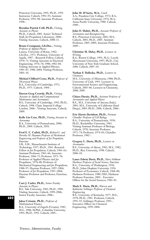Princeton University, 1991; Ph.D., 1993. Instructor, Caltech, 1992–93; Assistant Professor, 1993–98; Associate Professor, 1998–.

**Brendan Patrick Crill, Ph.D.,** *Visiting Associate in Physics* Ph.D., Caltech, 2001. Senior Technical Staff, Jet Propulsion Laboratory, 2008–. Visiting Associate, Caltech, 2008–11.

**Bruno Crosignani, Lib.Doc.,** *Visiting Professor of Applied Physics* Laurea, University of Rome, 1962; Lib.Doc., 1971. Professor, University of Aquila, 1987–. Research Fellow, Caltech, 1970–71; Visiting Associate in Electrical Engineering, 1976–78; 1980; 1982–84; Visiting Associate in Applied Physics, 1985–87; 1988–2004; Visiting Professor, 2001–10.

**Michael Clifford Cross, Ph.D.,** *Professor of Theoretical Physics* B.A., University of Cambridge, 1972; Ph.D., 1975. Caltech, 1984–.

**Darren Greg Crowdy, Ph.D.,** *Visiting Associate in Applied and Computational Mathematics and Aeronautics* B.S., University of Cambridge, 1992; Ph.D., Caltech, 1998. Chair, Imperial College London, 2006–. Visiting Associate, Caltech, 2009.

**Kelle Lin Cruz, Ph.D.,** *Visiting Associate in Astronomy* B.A., University of Pennsylvania, 2000;

Ph.D., 2004. Caltech, 2010.

**Fred E. C. Culick, Ph.D.,** *Richard L. and Dorothy M. Hayman Professor of Mechanical Engineering and Professor of Jet Propulsion, Emeritus*

S.B., S.M., Massachusetts Institute of Technology, 1957; Ph.D., 1961. Research Fellow in Jet Propulsion, Caltech, 1961–63; Assistant Professor, 1963–66; Associate Professor, 1966–71; Professor, 1971–78; Professor of Applied Physics and Jet Propulsion, 1978–88; Professor of Mechanical Engineering and Jet Propulsion, 1988–97; Hayman Professor, 1997–2004; Professor of Jet Propulsion, 1997–2004; Hayman Professor and Professor, Emeritus, 2004–.

**Curt J. Cutler, Ph.D.,** *Senior Faculty Associate in Physics* B.S., Yale University, 1983; Ph.D., 1989. Visiting Associate, Caltech, 1999–2006; Senior Faculty Associate, 2006–.

**Jaksa Cvitanic, Ph.D.,** *Professor of Mathematical Finance* B.A., University of Zagreb (Croatia), 1985; M.S., 1988; M.Phil., Columbia University,

1991; Ph.D., 1992. Caltech, 2005–.

**John M. D'Auria, M.A.,** *Coach*

A.A., Pasadena City College, 1972; B.A., California State University, 1974; M.A., Azusa Pacific University, 1988. Caltech, 1989–.

**John O. Dabiri, Ph.D.,** *Associate Professor of Aeronautics and Bioengineering* B.S., Princeton University, 2001; M.S., Caltech, 2003; Ph.D., 2005. Assistant Professor, 2005–2009; Associate Professor, 2009–.

**Christine M. Daley, Ph.D.,** *Lecturer in Writing*

B.A., Boston College, 1991; M.A., Loyola Marymount University, 1997; Ph.D., City University of New York Graduate School, 2006. Caltech, 2007–10.

**Nathan F. Dalleska, Ph.D.,** *Lecturer in Chemistry*

M.S., University of Minnesota, 1988; Ph.D., University of Utah, 1993. Lecturer in Environmental Science and Engineering, Caltech, 2003–06; Lecturer in Chemistry, 2008; 2009.

**Chiara Daraio, Ph.D.,** *Assistant Professor of Aeronautics and Applied Physics* B.S., M.S., University of Ancona (Italy), 2001; M.S., University of California (Sand Diego), 2003; Ph.D., 2006. Caltech, 2006–.

**Eric Harris Davidson, Ph.D.,** *Norman Chandler Professor of Cell Biology* B.A., University of Pennsylvania, 1958; Ph.D., Rockefeller University, 1963. Visiting Assistant Professor of Biology, Caltech, 1970; Associate Professor, 1971–74; Professor, 1974–81; Chandler Professor, 1982–.

**Gregory L. Davis, Ph.D.,** *Lecturer in Aeronautics* B.S., University of Akron, 1982; M.S., 1982; Ph.D., Rice University, 1998. Caltech, 2006–10.

**Lance Edwin Davis, Ph.D.,** *Mary Stillman Harkness Professor of Social Science, Emeritus* B.A., University of Washington, 1950; Ph.D., Johns Hopkins University, 1956. Professor of Economics, Caltech, 1968–80; Harkness Professor, 1980–2005; Harkness Professor Emeritus, 2005–. Executive Officer for the Social Sciences, 1982–85.

**Mark E. Davis, Ph.D.,** *Warren and Katharine Schlinger Professor of Chemical Engineering* B.S., University of Kentucky, 1977; M.S., 1978; Ph.D., 1981. Professor, Caltech, 1991–93; Schlinger Professor, 1993–. Executive Officer for Chemical Engineering, 1999–2004.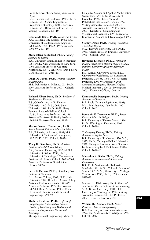**Peter K. Day, Ph.D.,** *Visiting Associate in Physics*

B.S., University of California, 1988; Ph.D., Caltech, 1993. Senior Engineer, Jet Propulsion Laboratory, 2003–. Lecturer, Caltech, 1993; Research Fellow, 1993–94; Visiting Associate, 2005–10.

**Charles de Bedts, Ph.D.,** *Lecturer in French* A.A., Pasadena City College, 1980; B.A., University of California (Los Angeles), 1982; M.A., 1985; Ph.D., 1994. Caltech, 1996–99; 2001–10.

#### **Maria Elena de Bellard, Ph.D.,** *Visiting Associate in Biology*

B.S., University Simon Bolivar (Venezuela), 1985; Ph.D., City University of New York, 1998. Assistant Professor, Cal State Northridge, 2005–. Senior Research Fellow, Caltech, 2004–05; 2010–11.

**Luigi De Nardo, Ph.D.,** *Visiting Associate in Aeronautics*

M.S., Politecnico di Milano, 2003; Ph.D., 2007. Assistant Professor, 2007–. Caltech, 2008–11.

#### **Richard Albert Dean, Ph.D.,** *Professor of Mathematics, Emeritus*

B.S., Caltech, 1945; A.B., Denison University, 1947; M.S., Ohio State University, 1948; Ph.D., 1953. Harry Bateman Research Fellow, Caltech, 1954–55; Assistant Professor, 1955–59; Associate Professor, 1959–66; Professor, 1966–86; Professor Emeritus, 1987–.

## **Marios Demetri Demetriou, Ph.D.,**

*Senior Research Fellow in Materials Science* B.S.,University of Arizona, 1995; M.S., University of California (Los Angeles), 1997; Ph.D., 2001. Caltech, 2007–.

## **Tracy K. Dennison, Ph.D.,** *Associate*

*Professor of Social Science History* B.A., Bucknell University, 1992; M.Phil., University of Oxford, 1999; Ph.D., University of Cambridge, 2004. Assistant Professor of History, Caltech, 2006–2009; Associate Professor of Social Science History, 2009–.

### **Peter B. Dervan, Ph.D., D.Sc.h.c.,** *Bren Professor of Chemistry*

B.S., Boston College, 1967; Ph.D., Yale University, 1972; D.Sc.h.c., Boston College. Assistant Professor, Caltech, 1973–79; Associate Professor, 1979–82; Professor, 1982–88; Bren Professor, 1988–. Chair, Division of Chemistry and Chemical Engineering, 1994–99.

**Mathieu Desbrun, Ph.D.,** *Professor of Computing and Mathematical Sciences; Director of Computing and Mathematical Sciences, and Information Science and Technology*

M.Eng., National Engineering School of

Computer Science and Applied Mathematics (Grenoble), 1994; M.S., University of Grenoble, 1994; Ph.D., National Polytechnic Institute of Grenoble, 1997. Visiting Associate, Caltech, 2000–04; Associate Professor, 2004–09; Professor, 2009–. Director of Computing and Mathematical Sciences, 2009–; Director of Information Science and Technology, 2009–.

## **Stanley Deser, Ph.D.,** *Visiting Associate in Theoretical Physics*

M.A., Harvard University, 1950; Ph.D., 1953. Ancell Professor, Brandeis University, 1980–. Caltech, 2005–10.

**Raymond Deshaies, Ph.D.,** *Professor of Biology; Investigator, Howard Hughes Medical Institute; Executive Officer for Molecular Biology* B.S., Cornell University, 1983; Ph.D.,

University of California, 1988. Assistant Professor, Caltech, 1994–1999; Associate Professor, 2000–05; Professor, 2005–. Assistant Investigator, Howard Hughes Medical Institute, 2000–05; Investigator, 2005–; Executive Officer, 2006–10.

## **Emmanuelle Despagnet, Ph.D.,** *Visiting Associate in Chemistry* B.S., École Normale Supérieure, 1998;

M.S., Paul Sabatier, 1999; Ph.D., 2002. Caltech, 2010.

**Benjamin E. Deverman, Ph.D.,** *Senior Research Fellow in Biology* B.S., University of Detroit Mercy, 1996; Ph.D., Washington University, 2002. Caltech, 2009–.

## **T. Gregory Dewey, Ph.D.,** *Visiting*

*Associate in Applied Physics* B.S., University of Rochester, 1974; M.S., 1977; Ph.D., Carnegie-Mellon University, 1979. Finnegan Professor, Keck Graduate Institute of Applied Life Sciences, 1999–. Caltech, 2009–10.

**Mamadou S. Diallo, Ph.D.,** *Visiting Associate in Environmental Science and Engineering*

B.S., École Nationale de l'Industrie Minérale, 1981; M.Sc., Colorado School of Mines, 1987; M.Sc., University of Michigan (Ann Arbor), 1993; Ph.D., 1995. Caltech, 2010–11.

**Michael H. Dickinson, Ph.D.,** *Esther M. and Abe M. Zarem Professor of Bioengineering* Sc.B., Brown University, 1984; Ph.D., University of Washington, 1989. Visiting Associate, Caltech, 2001–02; Professor, 2002–03; Zarem Professor, 2003–.

**William B. Dickson, Ph.D.,** *Senior Research Fellow in Bioengineering* B.A., University of Wisconsin (Madison), 1992; Ph.D., University of Glasgow, 1999.

Caltech, 2007–.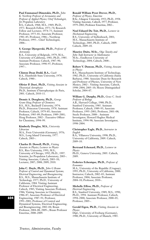## **Paul Emmanuel Dimotakis, Ph.D.,** *John*

*K. Northrop Professor of Aeronautics and Professor of Applied Physics; Chief Technologist, Jet Propulsion Laboratory*

B.S., Caltech, 1968; M.S., 1969; Ph.D., 1973. Research Fellow, 1973–74; Research Fellow and Lecturer, 1974–75; Assistant Professor, 1975–81; Associate Professor, 1981–85; Professor, 1986–; Northrop Professor, 1995–. Chief Technologist, 2006–.

#### **S. George Djorgovski, Ph.D.,** *Professor of Astronomy*

B.A., University of Belgrade, 1979; M.A., University of California, 1981; Ph.D., 1985. Assistant Professor, Caltech, 1987–90; Associate Professor, 1990–97; Professor, 1997–.

**Clinton Dean Dodd, B.A.,** *Coach* B.A., Humboldt State University, 1978. Caltech, 1980–.

**Olivier P. Doré, Ph.D.,** *Visiting Associate in Theoretical Astrophysics* Ph.D., Institute d'Astrophysique de Paris, 2001. Caltech, 2010–11.

**Dennis A. Dougherty, Ph.D.,** *George Grant Hoag Professor of Chemistry* B.S., M.S., Bucknell University, 1974; Ph.D., Princeton University, 1978. Assistant Professor, Caltech, 1979–85; Associate Professor, 1985–89; Professor, 1989–2001; Hoag Professor, 2002–. Executive Officer for Chemistry, 1994–99.

## **Kimberly Douglas, M.S.,** *University Librarian*

M.A., Freie Universität (Germany), 1976; M.S., Long Island University, 1977. Caltech, 2003–.

**Charles D. Dowell, Ph.D.,** *Visiting Associate in Physics; Lecturer in Physics* B.S., Rice University, 1991; M.S., University of Chicago, 1992; Ph.D., 1997. Scientist, Jet Propulsion Laboratory, 2003–. Visiting Associate, Caltech, 2003–10; Lecturer, 2007; 2008; 2009; 2010.

**John C. Doyle, Ph.D.,** *John G Braun Professor of Control and Dynamical Systems, Electrical Engineering, and Bioengineering* B.S., M.S., Massachusetts Institute of Technology, 1977; Ph.D., University of California, 1984. Visiting Assistant Professor of Electrical Engineering, Caltech, 1985; Visiting Associate Professor, 1986; Visiting Associate in Chemistry, 1986–87; Associate Professor of Electrical Engineering, 1987–91; Professor, 1991–2001; Professor of Control and Dynamical Systems, Electrical Engineering, and Bioengineering, 2002–04; Braun Professor, 2004–08; 2009–; Braun Professor Emeritus, 2008–2009.

#### **Ronald William Prest Drever, Ph.D.,**

*Professor of Physics, Emeritus* B.Sc., Glasgow University, 1953; Ph.D., 1958. Visiting Associate, Caltech, 1977; Professor, 1979–2002; Professor Emeritus, 2002–.

#### **Noel Eduard Du Toit, Ph.D.,** *Lecturer in*

*Mechanical Engineering* B.S., University of Stellenbosch, 2001; M.S., Massachusetts Institute of Technology, 2005; Ph.D., Caltech, 2009. Caltech, 2009–10.

**Maurice Duits, M.Sc.,** *Olga Taussky and John Todd Instructor in Mathematics* M.Sc., Eindhoven University of Technology, 2004; Caltech, 2008–.

### **Robert V. Duncan, Ph.D.,** *Visiting Associate in Physics*

B.S., Massachusetts Institute of Technology, 1982; Ph.D., University of California (Santa Barbara), 1988. Associate Dean for Research and Professor of Physics, University of New Mexico, 2002–. Visiting Associate, Caltech, 1998–2004; 2005–10; Moore Distinguished Scholar, 2004–07.

**William G. Dunphy, Ph.D.,** *Grace C. Steele Professor of Biology* A.B., Harvard College, 1980; Ph.D., Stanford University, 1985. Assistant Professor, Caltech, 1989–95; Associate Professor, 1995–2001; Professor, 2001–08; Steele Professor, 2008–. Assistant Investigator, Howard Hughes Medical Institute, 1994–98; Associate Investigator, 1998–2004.

#### **Christopher Eagle, Ph.D.,** *Instructor in English*

B.A., Villanova University, 1998; Ph.D., University of California, 2009. Caltech, 2009–10.

## **Bertrand Echenard, Ph.D.,** *Lecturer in Physics*

Ph.D., Geneva University, 2005. Caltech, 2009.

## **Federico Echenique, Ph.D.,** *Professor of Economics*

M.A., University of the Republic (Uruguay), 1995; Ph.D., University of California, 2000. Instructor, Caltech, 2002–03; Assistant Professor, 2004; Associate Professor, 2004–10; Professor, 2010–.

### **Michelle Effros, Ph.D.,** *Professor of*

*Electrical Engineering* B.S., Stanford University, 1989; M.S., 1990; Ph.D., 1994. Assistant Professor, Caltech, 1994–2000; Associate Professor, 2000–05; Professor, 2005–.

#### **Gerald Eigen, Ph.D.,** *Visiting Associate in Physics*

Dipl., University of Freiburg (Germany), 1980; Ph.D., University of Munich, 1985.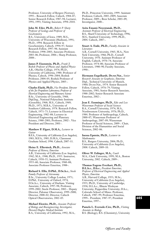Professor, University of Bergen (Norway), 1995–. Research Fellow, Caltech, 1984–87; Senior Research Fellow, 1987–94; Lecturer, 1991; 1993; Visiting Associate, 1994–2010.

**John M. Eiler, Ph.D.,** *Robert P. Sharp Professor of Geology and Professor of*

*Geochemistry* B.S., University of Iowa, 1989; M.S., University of Wisconsin (Madison), 1991; Ph.D., 1994. Research Fellow in Geochemistry, Caltech, 1994–97; Senior Research Fellow, 1997–98; Assistant Professor, 1998–2003; Associate Professor, 2003–06; Professor, 2006–; Sharp Professor, 2008–.

**James P. Eisenstein, Ph.D.,** *Frank J. Roshek Professor of Physics and Applied Physics* A.B., Oberlin College, 1974; Ph.D., University of California, 1980. Professor of Physics, Caltech, 1996–2004; Roshek Professor, 2004–05; Roshek Professor of Physics and Applied Physics, 2005–.

**Charles Elachi, Ph.D.,** *Vice President, Director of the Jet Propulsion Laboratory; Professor of Electrical Engineering and Planetary Science* B.Sc., University of Grenoble, 1968; Dipl.Ing., National Polytechnic Institute (Grenoble), 1968; M.S., Caltech, 1969; Ph.D., 1971; M.B.A., University of Southern California, 1978. Research Fellow, Caltech, 1971–73; Lecturer in Electrical Engineering, 1982–88; Lecturer in Electrical Engineering and Planetary Science, 1988–2001; Professor, 2002–. Vice President and Director, 2001–.

## **Matthew P. Elgart, D.M.A.,** *Lecturer in Guitar*

B.F.A., University of California (Los Angeles), 1983; M.F.A., 1985; D.M.A., Claremont Graduate School, 1996. Caltech, 2007–11.

**Heinz E. Ellersieck, Ph.D.,** *Associate Professor of History, Emeritus* A.B., University of California (Los Angeles), 1942; M.A., 1948; Ph.D., 1955. Instructor, Caltech, 1950–55; Assistant Professor, 1955–60; Associate Professor, 1960–88; Associate Professor Emeritus, 1988–.

## **Richard S. Ellis, D.Phil., D.Sc.h.c.,** *Steele*

*Family Professor of Astronomy* B.Sc., University College London, 1971; D.Phil., University of Oxford, 1974; D.Sc.h.c., University of Durham. Visiting Associate, Caltech, 1997–98; Professor, 1999–2002; Steele Professor, 2002–. Deputy Director, Palomar Observatory, 1999–2000; Director, 2000–02; Director, Caltech Optical Observatories, 2002–05.

**Michael Elowitz, Ph.D.,** *Associate Professor of Biology and Bioengineering; Investigator, Howard Hughes Medical Institute* B.A., University of California, 1992; M.A.,

Ph.D., Princeton University, 1999. Assistant Professor, Caltech, 2003–2009; Associate Professor, 2009–; Bren Scholar, 2003–09; Investigator, 2008–.

## **Azita Emami-Neyestanak, Ph.D.,**

*Assistant Professor of Electrical Engineering* B.S., Sharif University of Technology, 1996; M.S., Stanford University, 1999; Ph.D., 2004. Caltech, 2007–.

### **Stuart A. Ende, Ph.D.,** *Faculty Associate in Literature*

A.B., Cornell University, 1965; M.A., New York University, 1966; Ph.D., Cornell University, 1970. Assistant Professor of English, Caltech, 1970–74; Associate Professor, 1974–80; Associate Professor of Literature, 1980–90; Faculty Associate, 1990–.

**Hermann Engelhardt, Dr.rer.Nat.,** *Senior Research Associate in Geophysics, Emeritus* Dipl., Technical University of Munich, 1960; Dr.rer.Nat., 1974. Senior Research Fellow, Caltech, 1976–79; Visiting Associate, 1981; Senior Research Associate, 1988–2002; Senior Research Associate Emeritus, 2002–.

**Jean E. Ensminger, Ph.D.,** *Edie and Lew Wasserman Professor of Social Sciences* B.A., Cornell University, 1974; M.A., Northwestern University, 1976; Ph.D., 1984. Professor of Anthropology, Caltech, 2000–07; Wasserman Professor of Anthropology, 2007–09; Wasserman Professor of Social Sciences, 2009–. Chair, Division of the Humanities and Social Sciences, 2002–06.

#### **Inessa Epstein, Ph.D.,** *Lecturer in Mathematics*

B.S., Rutgers University, 2004; Ph.D., University of California (Los Angeles), 2008. Caltech, 2009–10.

**Oliver W. Eslinger, M.A.,** *Coach* M.A., Clark University, 1999; M.A., Boston University, 2002. Caltech, 2009–.

## **Thomas Eugene Everhart, Ph.D.,**

**D.L.h.c., D.h.c.,** *President Emeritus; Professor of Electrical Engineering and Applied Physics, Emeritus* A.B., Harvard College, 1953; M.Sc., University of California (Los Angeles), 1955; Ph.D., University of Cambridge, 1958; D.L.h.c., Illinois Wesleyan University; Pepperdine University; D.h.c., Colorado School of Mines. Professor, Caltech, 1987–99; Professor Emeritus, 1999–. President, 1987–97; President Emeritus, 1997–.

**Pamela L. Eversole-Cire, Ph.D.,** *Visiting Associate in Biology* B.S. (Biology), B.S. (Chemistry), University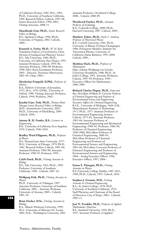of California (Irvine), 1982; M.S., 1985; Ph.D., University of Southern California, 1994. Research Fellow, Caltech, 1995–98; Senior Research Fellow, 1998–2001; Visiting Associate, 2008–11.

**Maxellende Ezin, Ph.D.,** *Senior Research Fellow in Biology* B.S., Spelman College, 1996; Ph.D.,

University of Virginia, 2002. Caltech, 2009–.

**Kenneth A. Farley, Ph.D.,** *W. M. Keck Foundation Professor of Geochemistry; Chair, Division of Geological and Planetary Sciences* B.S., Yale University, 1986; Ph.D., University of California (San Diego), 1991. Assistant Professor, Caltech, 1993–96; Associate Professor, 1996–98; Professor, 1998–2003; Keck Foundation Professor, 2003–. Director, Tectonics Observatory, 2003–04. Chair, 2004–.

**Mordechai Feingold, D.Phil.,** *Professor of History*

B.A., Hebrew University of Jerusalem, 1972; M.A., 1976; D.Phil., University of Oxford, 1980. Visiting Associate Professor, Caltech, 1994; Professor, 2002–.

**Katalin Fejes Toth, Ph.D.,** *Thomas Hunt Morgan Senior Research Fellow in Biology* M.D., Semmelweiss University, 2001; Ph.D., University of Heidelberg, 2004. Caltech, 2010–.

#### **Antony R. H. Fender, B.S.,** *Lecturer in Engineering*

B.S., University of California (Los Angeles), 1970. Caltech, 1996–2010.

#### **Bradley Ward Filippone, Ph.D.,** *Professor of Physics*

B.S., Pennsylvania State University, 1977; M.S., University of Chicago, 1979; Ph.D., 1982. Research Fellow, Caltech, 1983–84; Assistant Professor, 1984–90; Associate Professor, 1990–95; Professor, 1995–.

## **Caleb Finch, Ph.D.,** *Visiting Associate in Biology*

B.S., Yale University, 1961; Ph.D., 1969. Professor, University of Southern California, 1989–. Caltech, 2007–10.

### **Wolfgang Fink, Ph.D.,** *Visiting Associate in Physics*

Ph.D., University of Tübingen, 1997. Associate Professor, University of Southern California, 2005–. Associate Professor, University of Arizona, 2009–. Caltech, 2001–10.

## **Brian Fischer, D.Sc.,** *Visiting Associate in Biology*

B.A., Illinois Wesleyan University, 1999; M.A., University of Missouri (St. Louis), 2001; D.Sc., Washington University, 2005. Assistant Professor, Occidental College, 2008–. Caltech, 2008–09.

## **Woodward Fischer, Ph.D.,** *Assistant*

*Professor of Geobiology* B.A., Colorado College, 2000; Ph.D., Harvard University, 2007. Caltech, 2009–.

**Matthew Fisher, Ph.D.,** *Earle C. Anthony Professor of Theoretical Physics* B.S., Cornell University, 1981; Ph.D., University of Illinois (Urbana-Champaign), 1986; Permanent Member, Institute for Theoretical Physics, University of California (Santa Barbara), 1993–2009; Caltech, 2009–.

#### **Matthias Flach, Ph.D.,** *Professor of Mathematics*

Dipl., Johann-Wolfgang von Goethe University (Frankfurt), 1986; Ph.D., St. John's College, 1991. Associate Professor, Caltech, 1995–99; Professor, 1999–. Executive Officer for Mathematics, 2006–2009.

**Richard Charles Flagan, Ph.D.,** *Irma and Ross McCollum–William H. Corcoran Professor of Chemical Engineering and Professor of Environmental Science and Engineering; Executive Officer for Chemical Engineering* B.S.E., University of Michigan, 1969; S.M., Massachusetts Institute of Technology, 1971; Ph.D., 1973. Assistant Professor of Environmental Engineering Science, Caltech, 1975–81; Associate Professor, 1981–84; Associate Professor of Environmental Engineering and Mechanical Engineering, 1984–85; Professor, 1986–90; Professor of Chemical Engineering, 1990–2000; McCollum Professor of Chemical Engineering, 2000–03; McCollum Professor of Chemical Engineering and Professor of Environmental Science and Engineering, 2003–04; McCollum–Corcoran Professor of Chemical Engineering and Professor of Environmental Science and Engineering, 2004–. Acting Executive Officer, 1996; Executive Officer, 1997; 2004–.

## **Eanna E. Flanagan, Ph.D.,** *Visiting*

*Associate in Physics* B.S.,University College Dublin, 1987; M.S., 1998; Ph.D., Caltech, 1993. Caltech, 2010.

**Stephen J. Forman, M.D.,** *Visiting Associate in Chemical Engineering* B.A., St. John's College, 1970; M.D., University of Southern California, 1974. Staff Physician and Chairman of the Board of Directors, City of Hope, 2001–. Caltech, 2005–11.

**Joel N. Franklin, Ph.D.,** *Professor of Applied Mathematics, Emeritus* B.S., Stanford University, 1950; Ph.D., 1953. Associate Professor of Applied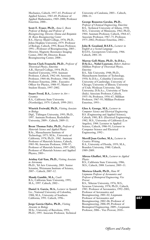Mechanics, Caltech, 1957–65; Professor of Applied Science, 1965–69; Professor of Applied Mathematics, 1969–2000; Professor Emeritus, 2000–.

**Scott E. Fraser, Ph.D.,** *Anna L. Rosen Professor of Biology and Professor of Bioengineering; Director, Donna and Benjamin M. Rosen Bioengineering Center* B.S., Harvey Mudd College, 1976; Ph.D., Johns Hopkins University, 1979. Professor of Biology, Caltech, 1991; Rosen Professor, 1991–; Professor of Bioengineering, 2005–. Director, Magnetic Resonance Imaging Center, 2002–08; Director, Rosen Bioengineering Center, 2008–.

## **Steven Clark Frautschi, Ph.D.,** *Professor of*

*Theoretical Physics, Emeritus* A.B., Harvard College, 1954; Ph.D., Stanford University, 1958. Assistant Professor, Caltech, 1962–64; Associate Professor, 1964–66; Professor, 1966–2006; Professor Emeritus, 2006–. Executive Officer for Physics, 1988–97; Master of Student Houses, 1997–2002.

#### **Stuart Freed, B.A.,** *Lecturer in Art— Ceramics* B.A., California State University

(Northridge), 1979. Caltech, 1999–2011.

**Winrich Freiwald, Ph.D.,** *Visiting Associate in Biology*

Dipl., Tübingen University, 1993; Ph.D., 1997. Assistant Professor, Rockefeller University, 2009–. Caltech, 2009–11.

### **Brent Thomas Fultz, Ph.D.,** *Professor of Materials Science and Applied Physics* B.Sc., Massachusetts Institute of Technology, 1975; M.Sc., University of California, 1978; Ph.D., 1982. Assistant Professor of Materials Science, Caltech, 1985–90; Associate Professor, 1990–97; Professor of Materials Science, 1997–2002; Professor of Materials Science and Applied Physics, 2003–.

## **Avishay Gal-Yam, Ph.D.,** *Visiting Associate in Astronomy*

Ph.D., Tel Aviv University, 2003. Senior Scientist, Weizmann Institute of Science, 2007–. Caltech, 2007–12.

## **Mandy Gamble, M.A.,** *Coach*

B.A., California State University, 1995; M.A., 1997. Caltech, 2002–.

**Daniel A. Garcia, M.A.,** *Lecturer in Spanish* Lic., National University of Colombia, 1988; M.A., University of Southern California, 1991. Caltech, 1996–.

#### **Jorge García-Ojalvo, Ph.D.,** *Visiting Associate in Biology*

M.Sc., University of Barcelona, 1991; Ph.D., 1995. Associate Professor, Technical University of Catalonia, 2003–. Caltech, 2006–11.

## **George Rousetos Gavalas, Ph.D.,**

*Professor of Chemical Engineering, Emeritus* B.S., Technical University of Athens, 1958; M.S., University of Minnesota, 1962; Ph.D., 1964. Assistant Professor, Caltech, 1964–67; Associate Professor, 1967–75; Professor, 1975–2002; Professor Emeritus, 2002–.

## **John B. Geasland, B.S.F.S.,** *Lecturer in*

*English as a Second Language* B.S.F.S., Georgetown University, 1966. Caltech, 2001–10.

## **Murray Gell-Mann, Ph.D., Sc.D.h.c.,**

**D.Sc.h.c., Nobel Laureate,** *Robert Andrews Millikan Professor of Theoretical Physics, Emeritus* B.S., Yale University, 1948; Ph.D., Massachusetts Institute of Technology, 1950; Sc.D.h.c., Columbia University; University of Cambridge; University of Chicago; University of Illinois; University of Utah; Wesleyan University; Yale University; D.Sc.h.c., University of Turin (Italy). Associate Professor, Caltech, 1955–56; Professor, 1956–67; Millikan Professor, 1967–93; Millikan Professor Emeritus, 1993–.

### **Glen A. George, M.S.,** *Lecturer in Computer Science and Electrical Engineering* B.S. (Engineering and Applied Science), Caltech, 1981; B.S. (Electrical Engineering), 1982; M.S., University of California (Los Angeles), 1984. Lecturer in Applied Science, Caltech, 1986–91; Lecturer in Computer Science and Electrical Engineering, 1992–.

#### **Merrill Joan Gerber, M.A.,** *Lecturer in Creative Writing*

B.A., University of Florida, 1959; M.A., Brandeis University, 1980. Caltech, 1989–2009.

## **Alireza Ghaffari, M.S.,** *Lecturer in Applied Physics*

B.S., California State University, 1986; M.S., Caltech, 2008. Lecturer, 2005–11.

## **Morteza Gharib, Ph.D.,** *Hans W. Liepmann Professor of Aeronautics and Professor of Bioinspired Engineering; Vice Provost*

B.S., Teheran University, 1976; M.S., Syracuse University, 1978; Ph.D., Caltech, 1983. Professor of Aeronautics, 1992–2001; Professor of Aeronautics and Bioengineering, 2001–02; Liepmann Professor of Aeronautics and Bioengineering, 2002–06; Professor of Bioengineering, 2006–09; Professor of Bioinspired Engineering, 2009–; Liepmann Professor, 2006–. Vice Provost, 2010–.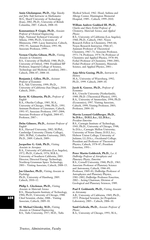**Amin Gholampour, Ph.D.,** *Olga Taussky and John Todd Instructor in Mathematics* M.S., Sharif University of Technology (Iran), 2002; Ph.D., University of British Columbia, 2007. Caltech, 2008–10.

**Konstantinos P. Giapis, Ph.D.,** *Associate Professor of Chemical Engineering* Dipl., National Technical University of Athens, 1984; Ph.D., University of Minnesota, 1989. Lacey Instructor, Caltech, 1992–93; Assistant Professor, 1993–98; Associate Professor, 1999–.

#### **Vernon Charles Gibson, Ph.D.,** *Visiting Associate in Chemistry*

B.S., University of Sheffield, 1980; Ph.D., University of Oxford, 1984. Frankland BP Professor, Imperial College of Science, Technology and Medicine (London), 2001–. Caltech, 2006–07; 2008–10.

**Benjamin J. Gillen, Ph.D.,** *Assistant*

*Professor of Economics* B.A., Yale University, 1999; Ph.D., University of California (San Diego), 2010. Caltech, 2010–.

#### **Kevin M. Gilmartin, Ph.D.,** *Professor of English*

B.A., Oberlin College, 1985; M.A., University of Chicago, 1986; Ph.D., 1991. Assistant Professor of Literature, Caltech, 1991–97; Associate Professor, 1997–2004; Associate Professor of English, 2004–07; Professor, 2007–.

**Dehn Gilmore, Ph.D.,** *Assistant Professor of English*

B.A., Harvard University, 2002; M.Phil., Cambridge University (Trinity College), 2003; M.Phil., Columbia University, 2005; Ph.D., 2009. Caltech, 2009–.

#### **Jacqueline G. Gish, Ph.D.,** *Visiting Associate in Aerospace*

B.A., University of California (Los Angeles), 1972; Ph.D., Caltech, 1976; M.B.A., University of Southern California, 2003. Director, Directed Energy Technology, Northrop Grumman Space Technology, 2001–. Visiting Associate, Caltech, 2008–13.

**Jan Glascher, Ph.D.,** *Visiting Associate in Psychology* Ph.D., University of Hamburg, 2005. Caltech, 2010–12.

**Philip L. Gleckman, Ph.D.,** *Visiting Associate in Materials Science* B.S., Massachusetts Institute of Technology, 1984; Ph.D., University of Chicago, 1988. Chief Scientist, eSolar, 2008–. Visiting Associate, Caltech, 2009–10.

**M. Michael Glovsky, M.D.,** *Visiting Associate in Chemical Engineering* B.S., Tufts University, 1957; M.D., Tufts Medical School, 1962. Head, Asthma and Allergy Center, Huntington Memorial Hospital, 1989–. Caltech, 1999–2010.

## **William Andrew Goddard III, Ph.D.,**

*Charles and Mary Ferkel Professor of Chemistry, Materials Science, and Applied Physics*

B.S., University of California (Los Angeles), 1960; Ph.D., Caltech, 1965. Noyes Research Fellow in Chemistry, 1964–66; Noyes Research Instructor, 1966–67; Assistant Professor of Theoretical Chemistry, 1967–71; Associate Professor, 1971–74; Professor, 1974–78; Professor of Chemistry and Applied Physics, 1978–84; Ferkel Professor of Chemistry, 1984–2001; Ferkel Professor of Chemistry, Materials Science, and Applied Physics, 2001–.

## **Anja-Silvia Goeing, Ph.D.,** *Instructor in History*

M.A., University of Wuerzburg, 1992; Ph.D., 1999. Caltech, 2009–10.

## **Jacob K. Goeree, Ph.D.,** *Professor of Economics*

B.S., Utrecht University (Netherlands), 1989; Ph.D. (Theoretical Physics), 1993; B.A., University of Amsterdam, 1994; Ph.D. (Economics), 1997. Visiting Associate, Caltech, 1999; Visiting Professor, 2003; Professor, 2004–10.

## **Marvin Leonard Goldberger, Ph.D., Sc.D.h.c., D.H.L.h.c., LL.D.h.c.,** *President Emeritus*

B.S., Carnegie Institute of Technology, 1943; Ph.D., University of Chicago, 1948; Sc.D.h.c., Carnegie Mellon University; University of Notre Dame; D.H.L.h.c., Hebrew Union College; University of Judaism; LL.D.h.c., Occidental College. President and Professor of Theoretical Physics, Caltech, 1978–87; President Emeritus, 1991–.

## **Peter Martin Goldreich, Ph.D.,** *Lee A.*

*DuBridge Professor of Astrophysics and Planetary Physics, Emeritus* B.S., Cornell University, 1960; Ph.D., 1963. Associate Professor of Planetary Science and Astronomy, Caltech, 1966–69; Professor, 1969–81; DuBridge Professor of Astrophysics and Planetary Physics, 1981–2002; DuBridge Professor Emeritus, 2002–. Acting Chairman, Division of Geological and Planetary Sciences, 1989.

### **Paul F. Goldsmith, Ph.D.,** *Visiting Associate in Astronomy*

A.B., University of California, 1969; Ph.D., 1975. Principal Scientist, Jet Propulsion Laboratory, 2005–. Caltech, 2006–10.

## **Sunil Golwala, Ph.D.,** *Associate Professor of Physics*

B.A., University of Chicago, 1993; M.A.,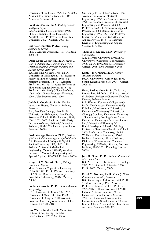University of California, 1995; Ph.D., 2000. Assistant Professor, Caltech, 2003–10; Associate Professor, 2010–.

#### **Frank A. Gomez, Ph.D.,** *Visiting Associate in Applied Physics*

B.S., California State University, 1986; Ph.D., University of California (Los Angeles), 1991. Professor, California State University, 2002–. Caltech, 2003–11.

#### **Gabriela Gonzalez, Ph.D.,** *Visiting Associate in Physics*

Ph.D., Syracuse University, 1995–. Caltech, 2008–10.

**David Louis Goodstein, Ph.D.,** *Frank J. Gilloon Distinguished Teaching and Service Professor, Emeritus; Professor of Physics and Applied Physics, Emeritus* B.S., Brooklyn College, 1960; Ph.D., University of Washington, 1965. Research Fellow in Physics, Caltech, 1966–67; Assistant Professor, 1967–71; Associate Professor, 1971–75; Associate Professor of Physics and Applied Physics, 1975–76; Professor, 1976–2009; Gilloon Professor, 1995–2009; Gilloon Professor Emeritus, 2009–. Vice Provost, 1987–2007.

## **Judith R. Goodstein, Ph.D.,** *Faculty Associate in History; University Archivist, Emeritus*

B.A., Brooklyn College, 1960; Ph.D., University of Washington, 1969. Faculty Associate, Caltech, 1982–; Lecturer, 1989; 2001; 2002; 2007. Registrar, 1989–2003; Institute Archivist, 1968–95; University Archivist, 1995–2009; University Archivist Emeritus, 2009–.

## **David George Goodwin, Ph.D.,** *Professor of Mechanical Engineering and Applied Physics* B.S., Harvey Mudd College, 1979; M.S., Stanford University, 1980; Ph.D., 1986. Assistant Professor of Mechanical Engineering, Caltech, 1988–93; Associate Professor of Mechanical Engineering and Applied Physics, 1993–2000; Professor, 2000–.

## **Krzysztof M. Gorski, Ph.D.,** *Visiting Associate in Physics*

M.Sc., Nicolaus Copernicus University (Poland), 1975; Ph.D., Warsaw University, 1987. Senior Research Scientist, Jet Propulsion Laboratory, 2003–. Caltech, 2003–11.

## **Frederic Gosselin, Ph.D.,** *Visiting Associate in Psychology*

B.A., University of Ottawa, 1993; M.Sc., University of Montreal, 1996; Ph.D., University of Glasgow, 2000. Associate Professor, University of Montreal, 2002–. Caltech, 2007–08; 2010.

## **Roy Walter Gould, Ph.D.,** *Simon Ramo Professor of Engineering, Emeritus* B.S., Caltech, 1949; M.S., Stanford

University, 1950; Ph.D., Caltech, 1956. Assistant Professor of Electrical Engineering, 1955–58; Associate Professor, 1958–60; Associate Professor of Electrical Engineering and Physics, 1960–62; Professor, 1962–74; Professor of Applied Physics, 1974–80; Ramo Professor of Engineering, 1980–96; Ramo Professor Emeritus, 1996–. Executive Officer for Applied Physics, 1973–79; Chairman, Division of Engineering and Applied Science, 1979–85.

## **Thomas B. Graber, Ph.D.,** *Professor of Mathematics*

A.B., Harvard University, 1994; M.A., University of California (Los Angeles), 1995; Ph.D., 1998. Associate Professor, Caltech, 2005–2008; Professor, 2008–.

## **Keith J. B. Grainge, Ph.D.,** *Visiting*

*Associate in Physics* Ph.D., University of Cambridge, 1996. Senior Research Associate, 2004–. Caltech, 2008–11.

## **Harry Barkus Gray, Ph.D., D.Sc.h.c.,**

**Laurea h.c., Fil.Dr.h.c., D.L.h.c.,** *Arnold O. Beckman Professor of Chemistry; Founding Director, Beckman Institute* B.S., Western Kentucky College, 1957; Ph.D., Northwestern University, 1960; D.Sc.h.c., Northwestern University; University of Rochester; University of Chicago; Göteborg University; University of Pennsylvania; Bowling Green State University; University of Arizona; Laurea h.c., University of Florence; D.L.h.c., Illinois Wesleyan University. Visiting Professor of Inorganic Chemistry, Caltech, 1965; Professor of Chemistry, 1966–81; William R. Kenan Professor, 1976–81; Beckman Professor, 1981–. Chairman, Division of Chemistry and Chemical Engineering, 1978–84; Director, Beckman Institute, 1986–2001; Founding Director, 2001–.

#### **Julia R. Greer, Ph.D.,** *Assistant Professor of Materials Science*

B.S., Massachusetts Institute of Technology, 1997; M.S., Stanford University, 2000; Ph.D., 2005. Caltech, 2007–.

## **David M. Grether, Ph.D.,** *Frank J. Gilloon*

*Professor of Economics, Emeritus* B.S., University of California, 1960; Ph.D., Stanford University, 1969. Associate Professor, Caltech, 1970–75; Professor, 1975–2009; Gilloon Professor, 2009–10; Gilloon Professor Emeritus, 2010–. Executive Officer for Social Sciences, 1978–82; Chairman, Division of the Humanities and Social Sciences, 1982–92; Interim Chair, Division of the Humanities and Social Sciences, 2006–07.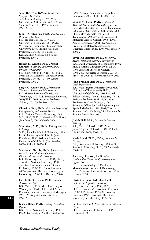**Allen R. Gross, D.M.A.,** *Lecturer in Symphony Orchestra* A.B., Queens College, 1965; M.A., University of California, 1967; D.M.A., Stanford University, 1978. Caltech, 1999–2011.

**John P. Grotzinger, Ph.D.,** *Fletcher Jones Professor of Geology* B.S., Hobart College, 1979; M.S., University of Montana, 1981; Ph.D., Virginia Polytechnic Institute and State University, 1985. Visiting Associate Professor, Caltech, 1996; Moore Distinguished Scholar, 2004; Jones Professor, 2005–.

**Robert H. Grubbs, Ph.D., Nobel Laureate,** *Victor and Elizabeth Atkins Professor of Chemistry* B.S., University of Florida, 1963; M.S., 1965; Ph.D., Columbia University, 1968. Professor, Caltech, 1978–90; Atkins Professor, 1990–.

**Sergei G. Gukov, Ph.D.,** *Professor of Theoretical Physics and Mathematics* B.S., Moscow Institute of Physics and Technology, 1997; M.S., Princeton University, 2001; Ph.D., 2001. Associate Professor, Caltech, 2005–07; Professor, 2007–.

**Chin-Lin Guo, Ph.D.,** *Assistant Professor of Bioengineering and Applied Physics* B.S., National Taiwan University, 1994; M.S., 1996; Ph.D., University of California (San Diego), 2001. Caltech, 2006–.

**Ming Guo, M.D., Ph.D.,** *Visiting Associate in Biology*

M.D., Shanghai Medical University, 1989; Ph.D., University of California (San Francisco), 1996. Assistant Professor, University of California (Los Angeles), 2002–. Caltech, 2005–11.

**Michael C. Gurnis, Ph.D.,** *John E. and Hazel S. Smits Professor of Geophysics; Director, Siesmological Laboratory* B.S., University of Arizona, 1982; Ph.D., Australian National University, 1987. Associate Professor, Caltech, 1994–96; Professor, 1996–2005; Smits Professor, 2005–. Associate Director, Seismological Laboratory, 1995–2003; Director, 2009–.

#### **Herold R. Gustafson, Ph.D.,** *Visiting Associate in Physics*

B.S., Caltech, 1959; M.S., University of Washington, 1961; Ph.D., 1968. Senior Research Scientist, University of Michigan, 1968–. Visiting Associate, Caltech, 1997–2010.

#### **Inseob Hahn, Ph.D.,** *Visiting Associate in Physics*

B.Sc., Seoul National University, 1985; Ph.D., University of Southern California, 1993. Principal Scientist, Jet Propulsion Laboratory, 2007–. Caltech, 2008–10.

**Sossina M. Haile, Ph.D.,** *Professor of Materials Science and Chemical Engineering* B.S., Massachusetts Institute of Technology, 1986; M.S., University of California, 1988; Ph.D., Massachusetts Institute of Technology, 1992. Assistant Professor of Materials Science, Caltech, 1996–2001; Associate Professor, 2001–02; Associate Professor of Materials Science and Chemical Engineering, 2003–06; Professor, 2006–.

**Seyed-Ali Hajimiri, Ph.D.,** *Thomas G. Myers Professor of Electrical Engineering* B.S., Sharif University of Technology, 1994; M.S., Stanford University, 1996; Ph.D., 1998. Assistant Professor, Caltech, 1998–2003; Associate Professor, 2003–06; Professor, 2006–10; Myers Professor, 2010–.

#### **John Franklin Hall, Ph.D.,** *Professor of Civil Engineering*

B.S., West Virginia University, 1972; M.S., University of Illinois, 1973; Ph.D., University of California, 1980. Research Fellow, Caltech, 1980–83; Lecturer, 1981–83; Assistant Professor, 1983–89; Associate Professor, 1989–97; Professor, 1997–. Executive Officer for Civil Engineering and Applied Mechanics, 1998–2005; Dean of Students, 2005–10; Acting Vice President for Student Affairs, 2006–07.

#### **Judith Hall, M.A.,** *Lecturer in Creative Writing*

A.B., Clark University, 1973; M.A., Johns Hopkins University, 1979. Caltech, 1999–2006; 2008; 2009–11.

**Kevin Hand, Ph.D.,** *Visiting Associate in Geology*  B.A., Dartmouth University, 1998; M.S.,

Stanford University; Ph.D., 2007. Caltech, 2009–10.

**Andrew J. Hanson, Ph.D.,** *Moore Distinguished Scholar in Engineering and Applied Science* B.S., Harvard College, 1966; Ph.D., Massachusetts Institute of Technology, 1971. Professor, Indiana University, 1995–. Caltech, 2010.

## **David Garrison Harkrider, Ph.D.,**

*Professor of Geophysics, Emeritus* B.A., Rice University, 1953; M.A., 1957; Ph.D., Caltech, 1963. Associate Professor, 1970–79; Professor, 1979–95; Professor Emeritus, 1995–. Associate Director, Seismological Laboratory, 1977–79.

**Jan Harms, Ph.D.,** *Senior Research Fellow in Physics* Ph.D., University of Hannover, 2006. Caltech, 2010–13.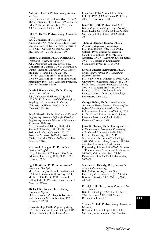**Andrew I. Harris, Ph.D.,** *Visiting Associate in Physics*

B.S., University of California (Davis), 1979; M.A., University of California, 1982; Ph.D., 1986. Professor, University of Maryland, 2007–. Caltech, 2004–05; 2009.

## **John M. Harris, Ph.D.,** *Visiting Associate in Geology*

B.Sc., University of Leicester (United Kingdom), 1964; M.A., University of Texas (Austin), 1967; Ph.D., University of Bristol, 1970. Chief Curator, George C. Page Museum, 1993–. Caltech, 2001–10.

## **Fiona A. Harrison, Ph.D., D.techn.h.c.,**

*Professor of Physics and Astronomy* A.B., Dartmouth College, 1985; Ph.D., University of California, 1993; D.techn.h.c., Danish Technical University, 2010. Robert Millikan Research Fellow, Caltech, 1993–95; Assistant Professor of Physics, 1996–99; Assistant Professor of Physics and Astronomy, 1999–2001; Associate Professor, 2001–05; Professor, 2005–.

## **Jamshid Hassanzadeh, Ph.D.,** *Visiting Associate in Geology*

B.S., University of Tehran, 1974; M.S., 1978; Ph.D., University of California (Los Angeles), 1993. Associate Professor, University of Tehran, 2000–. Caltech, 2003–04; 2008–10.

**Babak Hassibi, Ph.D.,** *Professor of Electrical Engineering; Executive Officer for Electrical Engineering; Associate Director of Information Science and Technology*

B.S., University of Tehran, 1989; M.S., Stanford University, 1993; Ph.D., 1996. Assistant Professor, Caltech, 2001–03; Associate Professor, 2003–08; Professor, 2008–. Executive Officer, 2008–; Associate Director, 2010–.

#### **Kristine L. Haugen, Ph.D.,** *Assistant Professor of English*

B.A., University of Chicago, 1996; M.A., Princeton University, 1998; Ph.D., 2001. Caltech, 2005–.

## **Egill Hauksson, Ph.D.,** *Senior Research Associate in Geophysics*

M.S., University of Trondheim (Norway), 1974; M.A., Columbia University, 1978; M.Phil., 1980; Ph.D., 1981. Research Fellow, Caltech, 1989–92; Senior Research Associate, 1992–.

## **Michael G. Hauser, Ph.D.,** *Visiting*

*Associate in Physics* Ph.D., Caltech, 1967. Deputy Director, State Telescope Science Institute, 1995–. Caltech, 2009–10.

**Bruce A. Hay, Ph.D.,** *Professor of Biology* B.A., Claremont McKenna College, 1982; Ph.D., University of California (San

Francisco), 1989. Assistant Professor, Caltech, 1996–2002; Associate Professor, 2002–08; Professor, 2008–.

## **James R. Heath, Ph.D.,** *Elizabeth W. Gilloon Professor and Professor of Chemistry* B.Sc., Baylor University, 1984; M.A., Rice University, 1988; Ph.D., 1988. Caltech, 2003–.

## **Thomas Harrison Heaton, Ph.D.,**

*Professor of Engineering Seismology* B.S., Indiana University, 1972; Ph.D., Caltech, 1978. Visiting Associate in Geophysics, Caltech, 1980–91; Faculty Associate, 1991–95; Lecturer in Geophysics, 1993–94; Lecturer in Engineering Seismology, 1995; Professor, 1995–.

## **Donald Vincent Helmberger, Ph.D.,**

*Smits Family Professor of Geological and Planetary Sciences* B.S., University of Minnesota, 1961; M.S., University of California (San Diego), 1965; Ph.D., 1967. Assistant Professor, Caltech, 1970–74; Associate Professor, 1974–79; Professor, 1979–2000; Smits Family Professor, 2000–. Director, Seismological Laboratory, 1998–2003.

**George Helou, Ph.D.,** *Senior Research Associate in Physics; Executive Director of the Infrared Processing and Analysis Center* B.S., American University of Beirut, 1975; Ph.D., Cornell University, 1980. Senior Research Associate, Caltech, 1998–. Executive Director, 1999–.

**Janet G. Hering, Ph.D.,** *Visiting Associate in Environmental Science and Engineering* A.B., Cornell University, 1979; A.M., Harvard University, 1981; Ph.D., Massachusetts Institute of Technology, 1988. Visiting Associate, Caltech, 1995–96; Associate Professor of Environmental Engineering Science, 1996–2002; Professor of Environmental Science and Engineering, 2002–08; Visiting Associate, 2009–11. Executive Officer for Keck Laboratories, 2002–08.

## **Matthew C. Heverly, M.S.,** *Lecturer in Mechanical Engineering*

B.S., California Polytechnic State University (San Luis Obispo), 1999; M.S., Boston University, 2005. Caltech, 2008; 2009–10.

#### **David J. Hill, Ph.D.,** *Senior Research Fellow in Aeronautics*

B.S., Reed College, 1991; Ph.D., Caltech, 1998. Lecturer, 2007; 2008; Senior Research Fellow, 2007–.

## **Michael G. Hill, Ph.D.,** *Visiting Associate in Chemistry*

B.A., Macalester College, 1987; Ph.D., University of Minnesota, 1992. Assistant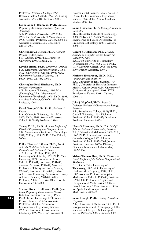Professor, Occidental College, 1994–. Research Fellow, Caltech, 1992–94; Visiting Associate, 1995–2010; Lecturer, 2008.

**Lynne Anne Hillenbrand, Ph.D.,** *Associate Professor of Astronomy; Executive Officer for Astronomy* A.B., Princeton University, 1989; M.S., 1989; Ph.D., University of Massachusetts, 1995. Assistant Professor, Caltech, 2000–06; Associate Professor, 2006–. Executive Officer, 2007–.

**Christopher M. Hirata, Ph.D.,** *Assistant Professor of Astrophysics* B.S., Caltech, 2001; Ph.D., Princeton University, 2005. Caltech, 2007–.

**Kayoko Hirata, Ph.D.,** *Lecturer in Japanese* B.A., Kitakyushu University (Japan), 1966; M.A., University of Oregon, 1978; M.A., University of Arizona (Tucson), 1987; Ph.D., 1989. Caltech, 1990–.

## **Christopher Read Hitchcock, Ph.D.,**

*Professor of Philosophy* A.B., Princeton University, 1986; M.A. (Philosophy), M.A. (Mathematics), University of Pittsburgh, 1990; Ph.D., 1993. Associate Professor, Caltech, 1998–2002; Professor, 2002–.

**David George Hitlin, Ph.D.,** *Professor of Physics*

B.A., Columbia University, 1963; M.A., 1965; Ph.D., 1968. Associate Professor, Caltech, 1979–85; Professor, 1986–.

**Tracey C. Ho, Ph.D.,** *Assistant Professor of Electrical Engineering and Computer Science* S.B., Massachusetts Institute of Technology, 1999; M.Eng., 1999; Ph.D., 2004. Caltech, 2004–.

**Philip Thomas Hoffman, Ph.D.,** *Rea A. and Lela G. Axline Professor of Business Economics and Professor of History* A.B., Harvard College, 1969; M.A., University of California, 1971; Ph.D., Yale University, 1979. Lecturer in History, Caltech, 1980–81; Instructor, 1981–82; Assistant Professor, 1982–84; Associate Professor of History and Social Science, 1984–95; Professor, 1995–2003; Richard and Barbara Rosenberg Professor of History and Social Science, 2003–08; Axline Professor, 2008–. Executive Officer for the Humanities, 1995–2000.

**Michael Robert Hoffmann, Ph.D.,** *James Irvine Professor of Environmental Science* B.A., Northwestern University, 1968; Ph.D., Brown University, 1974. Research Fellow, Caltech, 1973–76; Associate Professor, 1980–85; Professor of Environmental Engineering Science, 1986–90; Professor of Environmental Chemistry, 1990–96; Irvine Professor of

Environmental Science, 1996–. Executive Officer for Environmental Engineering Science, 1996–2002; Dean of Graduate Studies, 2002–09.

## **Susan Hojnacki, Ph.D.,** *Visiting Associate in Chemistry*

M.S., Rochester Institute of Technology, 2000; Ph.D., 2005. Senior Member, Engineering and Space Directorate, Jet Propulsion Laboratory, 2007–. Caltech, 2008–11.

**Gerard J. Holzmann, Ph.D.,** *Faculty*

*Associate in Computer Science; Lecturer in Computer Science* B.S., Delft University of Technology (Netherlands), 1973; M.S., 1976; Ph.D., 1979. Lecturer, Caltech, 2003–06; 2008; 2009; Faculty Associate, 2007–.

## **Narimon Honarpour, Ph.D., M.D.,**

*Visiting Associate in Biology* B.S., University of Texas (Austin), 1996; Ph.D., University of Texas Southwestern Medical Center, 2001; M.D., University of California (Los Angeles), 2003. STAR Postdoctoral Fellow, 2005–. Caltech, 2006–11.

**John J. Hopfield, Ph.D.,** *Roscoe G. Dickinson Professor of Chemistry and Biology, Emeritus* A.B., Swarthmore College, 1954; Ph.D., Cornell University, 1958. Dickinson Professor, Caltech, 1980–97; Dickinson Professor Emeritus, 1997–.

**Hans G. Hornung, Ph.D.,** *C. L. "Kelly" Johnson Professor of Aeronautics, Emeritus* B.S., University of Melbourne, 1960; M.S., 1962; Ph.D., University of London (Imperial College), 1965. Johnson Professor, Caltech, 1987–2005; Johnson Professor Emeritus, 2005–. Director, Graduate Aeronautical Laboratories, 1987–2004.

**Yizhao Thomas Hou, Ph.D.,** *Charles Lee Powell Professor of Applied and Computational Mathematics* B.S., South China University of Technology, 1982; M.S., University of California (Los Angeles), 1985; Ph.D., 1987. Associate Professor of Applied Mathematics, Caltech, 1993–98; Professor, 1998–2000; Professor of Applied and Computational Mathematics, 2000–04; Powell Professor, 2004–. Executive Officer for Applied and Computational Mathematics, 2000–06.

**Susan Hough, Ph.D.,** *Visiting Associate in Geophysics*

A.B., University of California, 1982; Ph.D., Scripps Institution of Oceanography, 1987. Scientist-in-Charge, U.S. Geological Survey, Pasadena, 2006–. Caltech, 2009–11.

**612**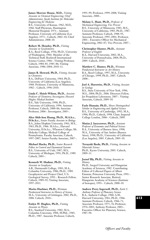**James Morrow House, M.D.,** *Visiting Associate in Chemical Engineering; Chief Administrator, Jacobs Institute for Molecular Engineering for Medicine* B.S., University of Kansas, 1962; M.D., 1966. Staff Physician, Huntington Memorial Hospital, 1971–. Assistant Professor, University of California (Los Angeles), 1973–. Caltech, 2002–10; Chief Administrator, 2008–10.

## **Robert M. Housley, Ph.D.,** *Visiting*

*Associate in Geochemistry* B.A., Reed College, 1956; Ph.D., University of Washington, 1964. Member of the Technical Staff, Rockwell International Science Center, 1966–. Visiting Professor, Caltech, 1984–85; 1985–86; Visiting Associate, 1986–2004; 2010–11.

## **James B. Howard, Ph.D.,** *Visiting Associate in Chemistry*

B.A., DePauw University, 1964; Ph.D., University of California (Los Angeles), 1968. Professor, University of Minnesota, 1982–. Caltech, 1996–2010.

## **Linda C. Hsieh-Wilson, Ph.D.,** *Associate Professor of Chemistry; Investigator, Howard Hughes Medical Institute* B.S., Yale University, 1990; Ph.D., University of California, 1996. Assistant Professor, Caltech, 2000–06; Associate Professor, 2006–. Investigator, 2005–.

## **Alice Shih-hou Huang, Ph.D., M.A.h.c., D.Sc.h.c.,** *Senior Faculty Associate in Biology* B.A., Johns Hopkins University, 1961; M.S.,

1963; Ph.D., 1966. M.A.h.c., Harvard University; D.Sc.h.c., Wheaton College; Mt. Holyoke College; Medical College of Pennsylvania. Faculty Associate, Caltech, 1997–2007; Senior Faculty Associate, 2007–.

**Michael Hucka, Ph.D.,** *Senior Research Fellow in Control and Dynamical Systems* B.S., University of Utah, 1987; M.S., University of Michigan, 1991; Ph.D., 1989. Caltech, 2005–.

#### **Kenneth W. Hudnut, Ph.D.,** *Visiting Associate in Geophysics*

A.B., Dartmouth College, 1983; M.A., Columbia University, 1986; Ph.D., 1989. Geophysicist and Project Chief, U.S. Geological Survey, 1992–. Research Fellow, Caltech, 1989–92; Visiting Associate, 1997–2011.

## **Marita Huebner, Ph.D.,** *Weisman*

*Postdoctoral Instructor in History of Science* M.A., University of Göttingen, 2002; Ph.D., 2006. Caltech, 2010–.

#### **Emlyn W. Hughes, Ph.D.,** *Visiting Associate in Physics*

B.S., Stanford University, 1982; M.A., Columbia University, 1984; M.Phil., 1985; Ph.D., 1987. Associate Professor, Caltech,

1995–99; Professor, 1999–2008; Visiting Associate, 2008–.

**Melany L. Hunt, Ph.D.,** *Professor of Mechanical Engineering; Vice Provost* B.S., University of Minnesota, 1983; M.S., University of California, 1985; Ph.D., 1987. Assistant Professor, Caltech, 1988–95; Associate Professor, 1995–2001; Professor, 2001–. Executive Officer for Mechanical Engineering, 2002–07; Vice Provost, 2007–.

## **Christopher Hunter, Ph.D.,** *Assistant Professor of English*

B.A., Harvard University, 2002; M.A., University of Pennsylvania, 2004; Ph.D., 2009. Caltech, 2010–.

**Matthew C. Hunter, Ph.D.,** *Weisman Postdoctoral Instructor in Art History* B.A., Reed College, 1997; M.A., University of Chicago, 1999; Ph.D., 2007. Caltech, 2008–.

## **Joel A. Hurowitz, Ph.D.,** *Visiting Associate in Geology*

B.S., State University of New York, 1996; M.S., 2004; Ph.D., 2006. Directors Fellow, Jet Propulsion Laboratory, 2007–. Visiting Associate, Caltech, 2009–10.

**Fazle Hussain, Ph.D.,** *Moore Distinguished Scholar in Engineering and Applied Science* B.S., University of Cambridge, 1992; M.A. 1996; Ph.D., Caltech, 1998. Chair, Imperial College London, 2006–. Caltech, 2009.

**Matias J. Iaryczower, Ph.D.,** *Assistant Professor of Economics and Political Science* B.A., University of Buenos Aires, 1998; M.A., University of San Andres (Buenos Aires), 1998; Ph.D., University of California (Los Angeles), 2005. Caltech, 2005–10.

**Teruyuki Ikeda, Ph.D.,** *Visiting Associate in Materials Science* Ph.D., Kyoto University, 2003. Caltech, 2009–11.

## **Jozsef Illy, Ph.D.,** *Visiting Associate in History*

Ph.D., Szeged University and Hungarian Academy of Sciences, 1982. Contributing Editor of Collected Papers of Albert Einstein, Princeton University Press, 1991–. Senior Research Associate, Retired, Hungarian Academy of Sciences (Institute of Isotopes), 1993–. Caltech, 2000–10.

**Andrew Perry Ingersoll, Ph.D.,** *Earle C. Anthony Professor of Planetary Science* B.A., Amherst College, 1960; A.M., Harvard University, 1961; Ph.D., 1966. Assistant Professor, Caltech, 1966–71; Associate Professor, 1971–76; Professor, 1976–2003; Anthony Professor, 2003–. Executive Officer for Planetary Science, 1987–94.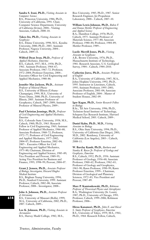**Sandra S. Irani, Ph.D.,** *Visiting Associate in Computer Science*

B.S., Princeton University, 1986; Ph.D., University of California, 1991. Chair, Computer Science Department, University of California (Irvine), 2004–. Visiting Associate, Caltech, 2008–10.

## **Takeo Ito, Ph.D.,** *Visiting Associate in Geophysics*

B.S., Ehime University, 1998; M.S., Kyushu University, 2000; Ph.D., 2003. Assistant Professor, Nagoya University, 2004–. Caltech, 2009–11.

## **Wilfred Dean Iwan, Ph.D.,** *Professor of*

*Applied Mechanics, Emeritus* B.S., Caltech, 1957; M.S., 1958; Ph.D., 1961. Assistant Professor, 1964–67; Associate Professor, 1967–72; Professor, 1972–2004; Professor Emeritus, 2004–. Executive Officer for Civil Engineering and Applied Mechanics, 1980–86.

# **Jennifer Mae Jackson, Ph.D.,** *Assistant*

*Professor of Mineral Physics* B.S., University of Illinois (Urbana-Champaign), 1999; M.S., University of Notre Dame, 2000; Ph.D., University of Illinois, 2005. Assistant Professor of Geophysics, Caltech, 2007–2009; Assistant Professor of Mineral Physics, 2009–.

## **Paul Christian Jennings, Ph.D.,** *Professor of Civil Engineering and Applied Mechanics, Emeritus*

B.S., Colorado State University, 1958; M.S., Caltech, 1960; Ph.D., 1963. Research Fellow in Civil Engineering, 1965; Assistant Professor of Applied Mechanics, 1966–68; Associate Professor, 1968–72; Professor, 1972–77; Professor of Civil Engineering and Applied Mechanics, 1977–2002; 2004–07; Professor Emeritus, 2002–04; 2007–. Executive Officer for Civil Engineering and Applied Mechanics, 1975–80; Chairman, Division of Engineering and Applied Science, 1985–89; Vice President and Provost, 1989–95; Acting Vice President for Business and Finance, 1995; 1998–99; Provost, 2004–07.

## **Grant J. Jensen, Ph.D.,** *Associate Professor of Biology; Investigator, Howard Hughes Medical Institute* B.S., Brigham Young University, 1994;

Ph.D., Stanford University, 1999. Assistant Professor, Caltech, 2002–08; Associate Professor, 2008–. Investigator, 2008–.

## **John A. Johnson, Ph.D.,** *Assistant Professor of Astronomy*

B.S., University of Missouri (Rolla), 1999; M.A., University of California, 2002; Ph.D., 2007. Caltech, 2009–.

**Lee K. Johnson, Ph.D.,** *Visiting Associate in Aeronautics* B.S., Harvey Mudd College, 1982; M.S.,

Rice University, 1985; Ph.D., 1987. Senior Research Engineer, Jet Propulsion Laboratory, 2000–. Caltech, 2007–10.

## **William Lewis Johnson, Ph.D.,** *Ruben F. and Donna Mettler Professor of Engineering*

*and Applied Science* B.A., Hamilton College, 1970; Ph.D., Caltech, 1975. Assistant Professor of Materials Science, 1977–80; Associate Professor, 1980–84; Professor, 1984–89; Mettler Professor, 1989–.

## **Lucile Merrill Jones, Ph.D.,** *Visiting*

*Associate in Geophysics* A.B., Brown University, 1976; Ph.D., Massachusetts Institute of Technology, 1981. Research Associate, U.S. Geological Survey, 1984–. Caltech, 1984–2010.

## **Catherine Jurca, Ph.D.,** *Associate Professor of English*

B.A., University of California, 1987; M.A., Johns Hopkins University, 1992; Ph.D., 1995. Instructor in Literature, Caltech, 1995; Assistant Professor, 1995–2001; Associate Professor, 2001–04; Associate Professor of English, 2004–. Master of Student Houses, 2002–09.

#### **Igor Kagan, Ph.D.,** *Senior Research Fellow in Biology*

B.Sc., Tel Aviv University, 1996; Ph.D., Technion-Israel Institute of Technology, Schepens Eye Research Institute, Harvard Medical School, 2003. Caltech, 2009–.

# **Daniel Kahn, Ph.D., M.D.,** *Visiting*

*Associate in Biology* B.S., Ohio State University, 1994; Ph.D., University of California (San Diego), 2001; M.D., 2002. Residency, University of California (Los Angeles), 2003–. Caltech, 2008–11.

## **W. Barclay Kamb, Ph.D.,** *Barbara and Stanley R. Rawn Jr. Professor of Geology and Geophysics, Emeritus* B.S., Caltech, 1952; Ph.D., 1956. Assistant

Professor of Geology, 1956–60; Associate Professor, 1960–62; Professor, 1962–63; Professor of Geology and Geophysics, 1963–90; Rawn Professor, 1990–99; Rawn Professor Emeritus, 1999–. Chairman, Division of Geological and Planetary Sciences, 1972–83; Vice President and Provost, 1987–89.

**Marc P. Kamionkowski, Ph.D.,** *Robinson Professor of Theoretical Physics and Astrophysics* B.A., Washington University (St. Louis), 1987; Ph.D., University of Chicago, 1991. Professor, Caltech, 1999–2006; Robinson Professor, 2006–.

**Hiroo Kanamori, Ph.D.,** *John E. and Hazel S. Smits Professor of Geophysics, Emeritus* B.S., University of Tokyo, 1959; M.S., 1961; Ph.D., 1964. Research Fellow, Caltech,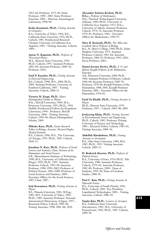1965–66; Professor, 1972–89; Smits Professor, 1989– 2005; Smits Professor Emeritus, 2005–. Director, Seismological Laboratory, 1990–98.

## **Keiko Kanamori, Ph.D.,** *Visiting Associate in Chemistry*

B.A., University of Tokyo, 1962; B.S., California State University, 1976; Ph.D., Caltech, 1981. Postdoctoral Research Chemist, University of California (Los Angeles), 1982–. Visiting Associate, Caltech, 1984–.

#### **Anton N. Kapustin, Ph.D.,** *Professor of Theoretical Physics*

M.S., Moscow State University, 1993; Ph.D., Caltech, 1997. Assistant Professor, 2001–04; Associate Professor, 2004–10; Professor, 2010–.

**Emil P. Kartalov, Ph.D.,** *Visiting Associate*

*in Electrical Engineering* B.S., Caltech, 1998; M.S., 2004; Ph.D., 2004. Assistant Professor, University of Southern California, 2007–. Visiting Associate, Caltech, 2008–11.

## **Victoria M. Kaspi, Ph.D.,** *Moore*

*Distinguished Scholar in Physics* B.Sc., McGill University, 1989; M.A., Princeton University, 1991; Ph.D., 1994. Hubble Postdoctoral Fellow, Jet Propulsion Laboratory, 1994–. Professor, McGill University, 2006–. Visiting Associate, Caltech, 1994–96; Moore Distinguished Scholar, 2009.

**Mihoko Kato, Ph.D.,** *Senior Research Fellow in Biology; Associate, Howard Hughes Medical Institute* B.S., Caltech, 1996; M.S., The University of Chicago, 1997; Ph.D., 2002. Caltech, 2010–11.

**Jonathan N. Katz, Ph.D.,** *Professor of Social Sciences and Statistics; Chair, Division of the Humanities and Social Sciences* S.B., Massachusetts Institute of Technology, 1990; M.A., University of California (San Diego), 1992; Ph.D., 1995. Assistant Professor, Caltech, 1995–98; Associate Professor, 1998; 1999–2003; Professor of Political Science, 2003–2009; Professor of Social Sciences and Statistics, 2009–. Executive Officer for the Social Sciences*,* 2007; Chair, 2007–.

## **Seiji Kawamura, Ph.D.,** *Visiting Associate in Physics*

B.S., Waseda University, 1981; M.Eng., 1983; M.S., University of Tokyo, 1985; Ph.D., 1989. Associate Professor, National Astronomical Observatory of Japan, 1997–. Researach Fellow, Caltech, 1989–90; Visiting Associate, 1998; 2001–06; 2010.

#### **Alexander Sotirios Kechris, Ph.D.,**

**D.h.c.,** *Professor of Mathematics* M.S., National Technological University (Athens), 1969; Ph.D., University of California (Los Angeles), 1972; D.h.c., University of Athens. Assistant Professor, Caltech, 1974–76; Associate Professor, 1976–81; Professor, 1981–. Executive Officer for Mathematics, 1994–97.

### **Mary B. Kennedy, Ph.D.,** *The Allen and Lenabelle Davis Professor of Biology* B.S., St. Mary's College, 1969; Ph.D., Johns Hopkins University, 1975. Assistant Professor, Caltech, 1981–84; Associate Professor, 1984–92; Professor, 1992–2002; Davis Professor, 2002–.

**Daniel Jerome Kevles, Ph.D.,** *J. O. and Juliette Koepfli Professor of the Humanities, Emeritus*

A.B., Princeton University, 1960; Ph.D., 1964. Assistant Professor of History, Caltech, 1964–68; Associate Professor, 1968–78; Professor, 1978–86; Koepfli Professor of the Humanities, 1986–2001; Koepfli Professor Emeritus, 2001–. Executive Officer for the Humanities, 1978–81.

## **Farid Ya Khalili, Ph.D.,** *Visiting Associate in Physics*

Ph.D., Moscow State University, 1979. Professor, 1997–. Caltech, 2001–08; 2009.

**Jeehyeong Khim, Ph.D.,** *Visiting Associate in Environmental Science and Engineering* Ph.D., Caltech, 1982. Professor, Pohang University of Science and Technology, 2001–. Research Fellow, Caltech, 1982–83; Visiting Associate, 2009–10.

#### **Abdollah Khodadoust, Ph.D.,** *Visiting Associate in Aeronautics*

B.S., Ohio State University, 1984; M.S., 1987; Ph.D., 1993. Visiting Associate, Caltech, 2009–12.

## **D. Roderick Kiewiet, Ph.D.,** *Professor of Political Science*

B.A., University of Iowa, 1974; Ph.D., Yale University, 1980. Assistant Professor, Caltech, 1979–82; Associate Professor, 1982–89; Professor, 1989–. Dean of Students, 1992–96; Dean of Graduate Studies, 2000–02.

**Paul C. Kim, Ph.D.,** *Visiting Associate in Materials Science* B.S., University of South Florida, 1992; Ph.D., Caltech, 2001. Vice President, Liquidmetal Technologies, 2002–. Visiting Associate, Caltech, 2006–10.

**Yunjin Kim, Ph.D.,** *Lecturer in Aerospace* B.S., California State University (Sacramento), 1983; M.S., University of Pennsylvania, 1985; Ph.D., 1987. Caltech, 2009–10.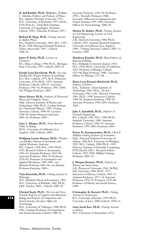**H. Jeff Kimble, Ph.D., D.Sc.h.c.,** *William L. Valentine Professor and Professor of Physics* B.S., Abilene Christian University, 1971; M.S., University of Rochester, 1973; Ph.D., 1978; D.Sc.h.c., Niels Bohr Institute, University of Copenhagen. Professor, Caltech, 1989–; Valentine Professor, 1997–.

**Richard R. King, Ph.D.,** *Visiting Associate in Applied Physics* B.S., Stanford University, 1985; M.S., 1987; Ph.D., 1990. Principal Scientist/Technical

Fellow, Spectrolab, 1997–. Caltech, 2008–10.

**James P. Kirby, Ph.D.,** *Lecturer in Chemistry* B.S., Ithaca College, 1990; Ph.D., Michigan State University, 1997. Caltech, 2009–10.

**Joseph Lynn Kirschvink, Ph.D.,** *Nico and Marilyn Van Wingen Professor of Geobiology* B.S., M.S., Caltech, 1975; M.A., Princeton University, 1978; Ph.D., 1979. Assistant Professor, Caltech, 1981–87; Associate Professor, 1987–92; Professor, 1992–2004; Van Wingen Professor, 2004–.

**Alexei Kitaev, Ph.D.,** *Professor of Theoretical Physics and Computer Science* Dipl., Moscow Institute of Physics and Technology, 1986; Ph.D., Landau Institute for Theoretical Physics, 1989. Visiting Associate, Caltech, 1998–99; Lecturer, 1998–99; Senior Research Associate, 2001–02; Professor, 2002–.

**Gary L. Kleiger, Ph.D.,** *Senior Research Fellow in Biology* Ph.D., University of California (Los Angeles), 2002. Caltech, 2009–.

**Wolfgang Gustav Knauss, Ph.D.,** *Theodore von Kármán Professor of Aeronautics and Applied Mechanics, Emeritus* B.S., Caltech, 1958; M.S., 1959; Ph.D., 1963. Research Fellow in Aeronautics, 1963–65; Assistant Professor, 1965–69; Associate Professor, 1969–78; Professor, 1978–82; Professor of Aeronautics and Applied Mechanics, 1982–2001; von Kármán Professor, 2001–04; von Kármán Professor Emeritus, 2004–.

**Tarja Knuuttila, Ph.D.,** *Visiting Associate in Philosophy*

M.S., Helsinki School of Economics, 1991; M.S., University of Helsinki, 2002; Ph.D., 2005. Teacher, 2003–. Caltech, 2009–10.

**Christof Koch, Ph.D.,** *The Lois and Victor Troendle Professor of Cognitive and Behavioral Biology and Professor of Computation and Neural Systems; Executive Officer for Neurobiology*

M.S., University of Tübingen, 1980; Ph.D., 1982. Assistant Professor of Computation and Neural Systems, Caltech, 1986–91;

Associate Professor, 1991–94; Professor, 1994–; Troendle Professor, 2000–. Executive Officer for Computation and Neural Systems, 1997–2005; Executive Officer for Neurobiology, 2006–10.

**Monica D. Kohler, Ph.D.,** *Visiting Associate in Civil Engineering; Lecturer in Civil Engineering*

A.B., Harvard University, 1988; Ph.D., Caltech, 1995. Assistant Research Engineer, University of California (Los Angeles), 1998–. Visiting Associate, Caltech, 2007–11; Lecturer, 2009.

**Masakazu Konishi, Ph.D.,** *Bing Professor of Behavioral Biology* B.S., Hokkaido University (Japan), 1956; M.S., 1958; Ph.D., University of California, 1963. Professor of Biology, Caltech, 1975–80; Bing Professor, 1980–. Executive Officer for Biology, 1977–80.

## **Diana Lena Kormos-Buchwald, Ph.D.,** *Professor of History*

B.Sc., Technion—Israel Institute of Technology, 1981; M.Sc., Tel Aviv University, 1983; A.M., Harvard University, 1985; Ph.D., 1990. Instructor, Caltech, 1989–90; Assistant Professor, 1990–96; Associate Professor, 1996–2005; Professor, 2005–.

**Julia A. Kornfield, Ph.D.,** *Professor of Chemical Engineering* B.S., Caltech, 1983; M.S., 1984; Ph.D., Stanford University, 1988. Assistant Professor, Caltech, 1990–95; Associate Professor, 1995–2001; Professor, 2001–.

**Petros D. Koumoutsakos, Ph.D.,** *Clark B. Millikan Visiting Professor of Aeronautics* Dipl., National Technical University of Athens, 1986; B.S., Unversity of Michigan, 1987; M.S., Caltech, 1988; Ph.D., 1992. Director, Institute of Scientific Computing, ETH Zurich, 2003–. Research Fellow, Caltech, 1992–1994; Millikan Visiting Professor, 2009–10.

**J. Morgan Kousser, Ph.D.,** *Professor of History and Social Science* A.B., Princeton University, 1965; M.Phil., Yale University, 1968; Ph.D., 1971. Instructor in History, Caltech, 1969–71; Assistant Professor, 1971–74; Associate Professor, 1974–79; Professor, 1979–80; Professor of History and Social Science, 1980–.

**Christopher K. Kovach, Ph.D.,** *Visiting Associate in Neuroscience* B.A., University of Kansas, 1999; Ph.D., University of Iowa, 2008. Caltech, 2010–12.

**Anne Jacob Kox, Ph.D.,** *Visiting Associate in History* M.S., University of Amsterdam, 1972;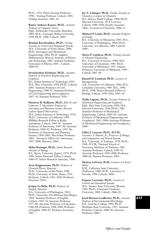Ph.D., 1976. Pieter Zeeman Professor, 1998–. Visiting Professor, Caltech, 2003; Visiting Associate, 2005–10.

**Rainer Andreas Krause, Ph.D.,** *Assistant*

*Professor of Computer Science* Dipl., Technische Universität Munchen, 2004; M.Sc., Carnegie Mellon University, 2998; Ph.D., 2008. Caltech, 2009–.

**Rouslan Krechetnikov, Ph.D.,** *Visiting Associate in Control and Dynamical Systems* M.S., University of Notre Dame, 2000; Ph.D. (Aerospace and Mechanical Engineering), 2002; Ph.D. (Applied Mathematics), Moscow Institute of Physics and Technology, 2004. Assistant Professor, University of Alberta, 2007–. Caltech, 2008–09.

## **Swaminathan Krishnan, Ph.D.,** *Assistant*

*Professor of Structural Engineering and Geophysics* B.S., Indian Institute of Technology, 1992; M.S., Rice University, 1994; Ph.D., Caltech, 2003. Assistant Professor of Civil Engineering, 2006–07; Assistant Professor of Civil Engineering and Geophysics, 2007–10; Assistant Professor, 2010–.

## **Shrinivas R. Kulkarni, Ph.D.,** *John D. and*

*Catherine T. MacArthur Professor of Astronomy and Planetary Science; Director, Caltech Optical Observatories* M.S., Indian Institute of Technology, 1978; Ph.D., University of California, 1983. Millikan Research Fellow in Radio Astronomy, Caltech, 1985–87; Assistant Professor of Astronomy, 1987–90; Associate Professor, 1990–92; Professor, 1992–96; Professor of Astronomy and Planetary Science, 1996–2001; MacArthur Professor, 2001–. Executive Officer for Astronomy, 1997–2000; Director, 2006–.

## **Akiko Kumagai, Ph.D.,** *Senior Research Associate in Biology*

B.S., Kyoto University (Japan), 1979; Ph.D., 1986. Senior Research Fellow, Caltech, 1989–95; Senior Research Associate, 1996–.

## **Aron Kuppermann, Ph.D.,** *Professor of*

*Chemical Physics, Emeritus* M.Sc., University of São Paulo, 1948; Ph.D., University of Notre Dame, 1956. Professor, Caltech, 1963–2010; Professor Emeritus, 2010–.

## **Jenijoy La Belle, Ph.D.,** *Professor of English, Emeritus*

B.A., University of Washington, 1965; Ph.D., University of California (San Diego), 1969. Assistant Professor of English, Caltech, 1969–76; Associate Professor, 1977–80; Associate Professor of Literature, 1980–88; Professor, 1988–2004; Professor of English, 2004–07; Professor Emeritus, 2007–.

**Jay A. Labinger, Ph.D.,** *Faculty Associate in Chemistry; Lecturer in Chemistry* B.S., Harvey Mudd College, 1968; Ph.D., Harvard University, 1974. Lecturer, Caltech, 1988–1996; Faculty Associate, 2006–; Lecturer in Chemistry, 2008–11.

## **Michael P. Lamb, Ph.D.,** *Assistant Professor of Geology*

B.S., University of Minnesota, 2001; M.S., University of Washington, 2004; Ph.D., University of California, 2008. Caltech, 2009–.

## **Maria P. Lambros, Ph.D.,** *Visiting Associate in Chemical Engineering*

B.S., University of Greece, 1980; M.S., University of Cincinnati, 1983; Ph.D., University of Minnesota, 1991. Adjunct Professor, University of Oklahoma, 1999–. Caltech, 2007–08.

## **Russell D. Lansford, Ph.D.,** *Lecturer in Bioengineering*

A.B., University of California, 1986; M.A., Columbia University, 1989; M.S., 1990; Ph.D., 1996. Senior Research Fellow in Biology, Caltech, 1999–2002; 2003–10.

**Nadia Lapusta, Ph.D.,** *Associate Professor of Mechanical Engineering and Geophysics* Dipl., Kiev State University, 1994; M.S., Harvard University, 1996; Ph.D., 2001. Assistant Professor of Mechanical Engineering, Caltech, 2002–03; Assistant Professor of Mechanical Engineering and Geophysics, 2003–2008; Associate Professor of Mechanical Engineering and Geophysics, 2008–.

## **Gilles J. Laurent, Ph.D., D.V.M.,**

*Lawrence A. Hanson, Jr., Professor of Biology and Computation and Neural Systems* B.A., University of Toulouse, 1978; Ph.D., 1985; D.V.M., National School of Veterinary Medicine of Toulouse, 1985. Assistant Professor, Caltech, 1990–95; Associate Professor, 1996–2000; Professor, 2000–02; Hanson Professor, 2002–.

## **Desiree LaVertu, M.M.,** *Lecturer in Choral Music*

B.M., California State University (Fullerton), 1988; M.M., University of Nevada, 1998. Caltech, 2000–.

## **Eugene Lavretsky, Ph.D.,** *Lecturer in Control and Dynamical Systems* M.S., Saratov State University (Russia), 1983; Ph.D., Claremont Graduate University, 2000. Caltech, 2006–10.

## **Jared Renton Leadbetter, Ph.D.,** *Associate*

*Professor of Environmental Microbiology* B.S., Goucher College, 1991; Ph.D., Michigan State University, 1997. Assistant Professor, Caltech, 2000–06; Associate Professor, 2006–.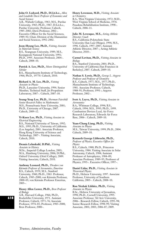**John O. Ledyard, Ph.D., D.Lit.h.c.,** *Allen and Lenabelle Davis Professor of Economics and Social Sciences*

A.B., Wabash College, 1963; M.S., Purdue University, 1965; Ph.D., 1967; D.Lit.h.c., Purdue University. Professor, Caltech, 1985–2002; Davis Professor, 2002–. Executive Officer for the Social Sciences, 1989–92; Chair, Division of the Humanities and Social Sciences, 1992–2002.

### **Joon-Hyung Lee, Ph.D.,** *Visiting Associate in Materials Science*

B.S., Yeungnam University, 1989; M.S., Kyungpook National University, 1991; Ph.D., 1995. Associate Professor, 2004–. Caltech, 2008–10.

**Patrick A. Lee, Ph.D.,** *Moore Distinguished Scholar*

B.S., Massachusetts Institute of Technology, 1966; Ph.D., 19770. Caltech, 2010.

**Richard A. M. Lee, Ph.D.,** *Visiting Associate in Physics* Ph.D., Lancaster University, 1994. Senior Member, Technical Staff, Jet Propulsion Laboratory, 2007–. Caltech, 2007–10.

**Seung-Yeop Lee, Ph.D.,** *Sherman Fairchild Senior Research Fellow in Mathematics* M.S., Pennsylvania State University, 2001; Ph.D., University of Chicago, 2007. Caltech, 2009–12.

**Yi-Kuen Lee, Ph.D.,** *Visiting Associate in Electrical Engineering* B.S., National University of Taiwan, 1992; M.S., 1995; Ph.D., University of California (Los Angeles), 2001. Associate Professor, Hong Kong University of Science and Technology, 2007–. Visiting Associate, Caltech, 2010.

**Dennis Lehmkuhl, D.Phil.,** *Visiting Associate in History* M.Sc., Imperial College London, 2003; M.A., Hamburg University, 2006; D.Phil., Oxford University (Oriel College), 2009. Visiting Associate, Caltech, 2010.

**Anthony Leonard, Ph.D.,** *Theodore von Kármán Professor of Aeronautics, Emeritus* B.S., Caltech, 1959; M.S., Stanford University, 1960; Ph.D., 1963. Professor, Caltech, 1985–2000; von Kármán Professor, 2000–05; von Kármán Professor Emeritus, 2005–.

**Henry Allen Lester, Ph.D.,** *Bren Professor of Biology*

A.B., Harvard College, 1966; Ph.D., Rockefeller University, 1971. Assistant Professor, Caltech, 1973–76; Associate Professor, 1976–83; Professor, 1983–2000; Bren Professor, 2000–.

**Henry Levenson, M.D.,** *Visiting Associate in Chemistry*

B.A., West Virginia University, 1972; M.D., West Virginia School of Medicine, 1976. Pasadena Rehabilitation Institute, 1998–. Caltech, 2006–11.

**Julie M. Levesque, M.S.,** *Acting Athletic Director; Coach*

B.S., California Polytechnic State University (San Luis Obispo), 1994; M.S., 1996. Caltech, 1997–2007; Assistant Athletic Director, 2007–; Acting Athletic Director, 2010–.

**Carmel Levitan, Ph.D.,** *Visiting Associate in Biology*

B.S., Stanford University, 2001; Ph.D., University of California (San Francisco & Berkeley), 2007. Caltech, 2009–10.

**Nathan S. Lewis, Ph.D.,** *George L. Argyros Professor and Professor of Chemistry* B.S., Caltech, 1977; M.S., 1977; Ph.D.,

Massachusetts Institute of Technology, 1981. Associate Professor, Caltech, 1988–91; Professor, 1991–; Argyros Professor, 2002–.

## **Ivett A. Leyva, Ph.D.,** *Visiting Associate in Aeronautics*

B.A., Whitman College, 1994; B.S., Caltech, 1994; M.S., 1995; Ph.D., 1999. Combustion Devices Lead, Air Force Research Laboratory, Edwards Air Force Base, 2006–. Caltech, 2009–10.

### **Yuan-Chang Liang, Ph.D.,** *Visiting*

*Associate in Physics* M.S., Taiwan University, 1999; Ph.D., 2004. Caltech, 2009–10.

## **Kenneth George Libbrecht, Ph.D.,**

*Professor of Physics; Executive Officer for Physics* B.S., Caltech, 1980; Ph.D., Princeton University, 1984. Visiting Associate in Solar Astronomy, Caltech, 1984; Assistant Professor of Astrophysics, 1984–89; Associate Professor, 1989–95; Professor of Physics, 1995–. Executive Officer, 1997–.

**Daniel Lidar, Ph.D.,** *Visiting Associate in Theoretical Physics* Ph.D., Hebrew University, 1997. Associate Professor, University of Southern California, 2005–. Caltech, 2008–10.

#### **Ron Yitzhak Lifshitz, Ph.D.,** *Visiting Associate in Physics*

B.Sc., Hebrew University of Jerusalem, 1990; Ph.D., Cornell University, 1995. Associate Professor, Tel Aviv University, 2006–. Research Fellow, Caltech, 1995–98; Senior Research Fellow, 1998–99; Visiting Associate, 2001; 2003; 2006–07; 2009.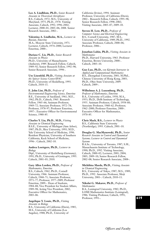**Lee A. Lindblom, Ph.D.,** *Senior Research Associate in Theoretical Astrophysics* B.S., Caltech, 1972; M.S., University of Maryland, 1975; Ph.D., 1978. Visiting Associate, Caltech, 1992; 1996–2002; Lecturer, 2000–01; 2003–06; 2008. Senior Research Associate, 2002–.

**Valentina A. Lindholm, M.A.,** *Lecturer in Russian, Emeritus* M.A., Moscow State University, 1971. Lecturer, Caltech, 1974–2000; Lecturer Emeritus, 2000–.

**Dariusz C. Lis, Ph.D.,** *Senior Research Associate in Physics* Ph.D., University of Massachusetts (Amherst), 1989. Research Fellow, Caltech, 1989–92; Senior Research Fellow, 1992–98; Senior Research Associate, 1998–.

**Ute Lisenfeld, Ph.D.,** *Visiting Associate at the Spitzer Science Center/IPAC* Ph.D., University of Heidelberg, 1993. Caltech, 2010–11.

**E. John List, Ph.D.,** *Professor of Environmental Engineering Science, Emeritus* B.E., University of Auckland, 1961; M.E., 1962; Ph.D., Caltech, 1965. Research Fellow, 1965–66; Assistant Professor, 1969–72; Associate Professor, 1972–78; Professor, 1978–97; Professor Emeritus, 1997–. Executive Officer for Environmental Science, 1980–85.

**Charles Y. Liu, Ph.D., M.D.,** *Visiting Associate in Chemical Engineering* B.S.E., University of Michigan (Ann Arbor), 1987; Ph.D., Rice University, 1993; M.D., Yale University School of Medicine, 1996. Resident Physician, University of Southern California, Keck School of Medicine, 1996–. Caltech, 2002–10.

#### **Andrea Loettgers, Ph.D.,** *Lecturer in Biology* Dipl., University of Heidelberg (Germany),

1991; Ph.D., University of Gottingen, 1995. Caltech, 2001–03; 2010.

**Gary Allen Lorden, Ph.D.,** *Professor of Mathematics, Emeritus*

B.S., Caltech, 1962; Ph.D., Cornell University, 1966. Assistant Professor, Caltech, 1968–71; Associate Professor, 1971–77; Professor, 1977–2009; Professor Emeritus, 2009–. Dean of Students, 1984–88; Vice President for Student Affairs, 1989–98; Acting Vice President, 2002; Executive Officer for Mathematics, 2003–06.

**Angelique Y. Louie, Ph.D.,** *Visiting Associate in Biology* B.S., University of California (Davis), 1985;

M.S., University of California (Los Angeles), 1988; Ph.D., University of California (Irvine), 1994. Assistant Professor, University of California (Davis), 2002–. Research Fellow, Caltech, 1995–98; Senior Research Fellow, 1998–2002; Visiting Associate, 2003–07; 2009–10.

**Steven H. Low, Ph.D.,** *Professor of Computer Science and Electrical Engineering* B.S., Cornell University, 1987; M.S., University of California, 1989; Ph.D., 1992. Associate Professor, Caltech, 2000–06; Professor, 2006–.

**Jonathan Lubin, Ph.D.,** *Visiting Associate in Mathematics* Ph.D., Harvard University, 1963. Professor Emeritus, Brown University, 2000–.

Caltech, 2003–10. **Guo Luo, Ph.D.,** *von Kármán Instructor in*

*Applied and Computational Mathematics* B.S., Zhongshan University, 2001; M.Phil., Chinese University of Hong Kong, 2003; Ph.D., Ohio State University, 2009. Caltech, 2009–.

### **Wilhelmus A. J. Luxemburg, Ph.D.,**

*Professor of Mathematics, Emeritus* B.A., University of Leiden, 1950; M.A., 1953; Ph.D., Delft Institute of Technology, 1955. Assistant Professor, Caltech, 1958–60; Associate Professor, 1960–62; Professor, 1962–2000; Professor Emeritus, 2000–. Executive Officer for Mathematics, 1970–85.

**Chris Mach, B.S.,** *Lecturer in Physics* B.S., California State University (Northridge), 1993. Caltech, 2001–10.

**Douglas G. MacMynowski, Ph.D.,** *Senior Research Associate in Control and Dynamical Systems; Lecturer in Control and Dynamical Systems*

B.A.Sc., University of Toronto, 1987; S.M., Massachusetts Institute of Technology, 1990; Ph.D., 1992. Visiting Associate, Caltech, 2000–02; Lecturer, 2001; 2004; 2005; 2009–10; Senior Research Fellow, 2002–08; Senior Research Associate, 2008–.

**Michihisa Maeda, Ph.D.,** *Visiting Associate in Chemical Engineering* B.S., University of Tokyo, 1987; M.S., 1989; Ph.D., 1992. Associate Professor, Meiji University, 2001–. Caltech, 2010–11.

#### **Nikolai G. Makarov, Ph.D.,** *Professor of Mathematics*

B.A., Leningrad University, 1982; Ph.D., LOMI Mathematics Institute (Leningrad), 1986. Visiting Professor, Caltech, 1991; Professor, 1991–. **619**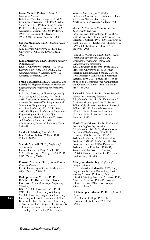**Oscar Mandel, Ph.D.,** *Professor of Literature, Emeritus*

B.A., New York University, 1947; M.A., Columbia University, 1948; Ph.D., Ohio State University, 1951. Visiting Associate Professor of English, Caltech, 1961–62; Associate Professor, 1962–68; Professor, 1968–80; Professor of Literature, 1980–2003; Professor Emeritus, 2003–.

#### **Gideon Manning, Ph.D.,** *Assistant Professor of Philosophy*

A.B., Harvard University, 1974; Ph.D., University of Chicago, 2006. Caltech, 2007–.

**Elena Mantovan, Ph.D.,** *Assistant Professor of Mathematics*

Laurea, University of Padua, 1995; M.A., Harvard University, 1998; Ph.D., 2002. Assistant Professor, Caltech, 2005–10; Associate Professor, 2010–.

**Frank Earl Marble, Ph.D.,** *Richard L. and Dorothy M. Hayman Professor of Mechanical Engineering and Professor of Jet Propulsion, Emeritus*

B.S., Case Institute of Technology, 1940; M.S., 1942; A.E., Caltech, 1947; Ph.D., 1948. Instructor in Aeronautics, 1948–49; Assistant Professor of Jet Propulsion and Mechanical Engineering, 1949–53; Associate Professor, 1953–57; Professor, 1957–80; Hayman Professor of Mechanical Engineering and Professor of Jet Propulsion, 1980–89; Hayman Professor and Professor Emeritus, 1989–. Administrator, Industrial Relations Center, 1986–89.

**Sandra E. Marbut, B.A.,** *Coach* B.A., Sheldon Jackson College, 1991. Caltech, 2003–.

#### **Matilde Marcolli, Ph.D.,** *Professor of Mathematics*

Laurea, University Degli Studi, 1993; M.Sc., University of Chicago, 1994; Ph.D., 1997. Caltech, 2008–.

**Edoardo Marcora, Ph.D.,** *Senior Research Fellow in Physics* Ph.D., University of Colorado (Boulder), 2002. Caltech, 2008–10.

#### **Rudolph Arthur Marcus, Ph.D., D.Sc.h.c., Fil.Dr.h.c., D.h.c., Nobel**

**Laureate,** *Arthur Amos Noyes Professor of Chemistry* B.Sc., McGill University, 1943; Ph.D., 1946; D.Sc.h.c., University of Chicago; McGill University; Polytechnic University; University of Oxford; University of New Brunswick; Queen's University; University of North Carolina (Chapel Hill); University of Illinois; Technion–Israel Institute of Technology; Universidad Politecnica de

Valencia; University of Waterloo; Fil.Dr.h.c., Gothenburg University; D.h.c., Yokohama National University; Northwestern University. Caltech, 1978–.

**Shirley A. Marneus, M.A.,** *Lecturer in*

*Theater Arts, Emeritus* B.A., San José State College, 1959; M.A., State University of Iowa, 1962. Lecturer in Literature, Caltech, 1999–2005; Lecturer in English, 2005–07; Lecturer in Theater Arts, 1999–2008; Lecturer in Theater Arts Emeritus, 2008–.

J**errold E. Marsden, Ph.D.,** *Carl F Braun Professor of Engineering, Control and Dynamical Systems, and Applied and*

*Computational Mathematics* B.S., University of Toronto, 1965; Ph.D., Princeton University, 1968. Sherman Fairchild Distinguished Scholar, Caltech, 1992; Professor, Control and Dynamical Systems, 1995–2003; Braun Professor of Applied and Computational Mathematics and Computer Science, 2003–09; Braun Professor, 2009–.

**Richard E. Marsh, Ph.D.,** *Senior Research Associate in Chemistry, Emeritus* B.S., Caltech, 1943; Ph.D., University of California (Los Angeles), 1950. Research Fellow, Caltech, 1950–55; Senior Research Fellow, 1955–73; Research Associate, 1973–81; Senior Research Associate, 1981–90; Senior Research Associate Emeritus, 1990–.

**Hardy Cross Martel, Ph.D.,** *Professor of Electrical Engineering, Emeritus* B.S., Caltech, 1949; M.S., Massachusetts Institute of Technology, 1950; Ph.D., Caltech, 1956. Instructor, 1953–55; Assistant Professor, 1955–58; Associate Professor, 1958–82; Professor, 1982–90; Professor Emeritus, 1990–. Executive Assistant to the President, 1969–83; Secretary of the Board of Trustees, 1973–83; Executive Officer for Electrical Engineering, 1981–86.

#### **Alain Jean Martin, Ing.,** *Professor of Computer Science*

B.S., University of Marseille, 1965; Ing., Polytechnic Institute (Grenoble), 1969. Visiting Assistant Professor, Caltech, 1981–83; Visiting Associate Professor, 1983; Associate Professor, 1983–86; Professor, 1986–. Executive Officer for Computer Science, 1994–97.

### **D. Christopher Martin, Ph.D.,** *Professor of Physics*

B.A., Oberlin College, 1978; Ph.D., University of California, 1986. Caltech, 1993–.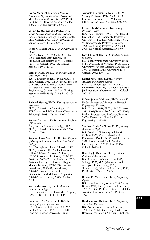**Jay N. Marx, Ph.D.,** *Senior Research Associate in Physics; Executive Director, LIGO* M.S., Columbia University, 1969; Ph.D., 1970. Senior Research Associate, Caltech, 2006–; Executive Director, 2006–.

**Sotiris K. Masmanidis, Ph.D.,** *Broad Senior Research Fellow in Brain Circuitry* B.Sc., University College (London), 2001; M.S., Caltech, 2003; Ph.D., 2006. Broad Senior Research Fellow, 2006–.

**Peter V. Mason, Ph.D.,** *Visiting Associate in Physics*

B.S., Caltech, 1951; M.S., 1952; Ph.D., 1962. Technical Staff, Retired, Jet Propulsion Laboratory, 1997–. Assistant Professor, Caltech, 1962–66; Visiting Associate, 1997–2010.

**Sami F. Masri, Ph.D.,** *Visiting Associate in Civil Engineering*

B.S., University of Texas, 1960; M.S., 1961; M.S., Caltech, 1962; Ph.D., 1965. Professor, University of Southern California, 1981–. Research Fellow in Mechanical Engineering, Caltech, 1965–66; Visiting Associate, 1973; 1981; 1989–96; 2002–04; 2010–11.

**Richard Massey, Ph.D.,** *Visiting Associate in Astronomy*

Ph.D., University of Cambridge, 2003; STFC Advanced Fellow, Royal Observatory Edinburgh, 2008–. Caltech, 2009–10.

## **Andrea Mattozzi, Ph.D.,** *Assistant Professor of Economics*

B.A., Bocconi University (Italy), 1997; Ph.D., University of Pennsylvania, 2004. Caltech, 2004–.

#### **Stephen Leon Mayo, Ph.D.,** *Bren Professor of Biology and Chemistry; Chair, Division of Biology*

B.S., Pennsylvania State University, 1983; Ph.D., Caltech, 1987. Senior Research Fellow, 1991–92; Assistant Professor, 1992–98; Associate Professor, 1998–2003; Professor, 2003–07; Bren Professor, 2007–. Assistant Investigator, Howard Hughes Medical Institute, 1994–2000; Associate Investigator, 2000–05; Investigator, 2005–07. Executive Officer for Biochemistry and Molecular Biophysics, 2004–07; Vice Provost, 2007–10; Chair, 2010–.

## **Sarkis Mazmanian, Ph.D.,** *Assistant*

*Professor of Biology* B.S., University of California (Los Angeles), 1995; Ph.D., 2002. Caltech, 2006–.

## **Preston R. McAfee, Ph.D., D.Sc.h.c.,**

*Visiting Professor of Economics* B.A., University of Florida, 1976; M.S., Purdue University, 1978; Ph.D., 1980; D.Sc.h.c., Purdue University. Visiting

Associate Professor, Caltech, 1988–89; Visiting Professor, 1989–90; 2010–12; Johnson Professor, 2004–09. Executive Officer for the Social Sciences, 2005–07.

## **Edward J. McCaffery, J.D.,** *Visiting*

*Professor of Law*  B.A., Yale University, 1980; J.D., Harvard Law School, 1985. Associate Professor, University of Southern California, 1991–. Visiting Associate Professor, Caltech, 1996–97; Visiting Professor, 1997–2008; 2009–10; Visiting Associate, 2008–09.

#### **David R. McClay, Ph.D.,** *Visiting Associate in Biology*

B.S., Pennsylvania State University, 1963; M.S., University of Vermont, 1965; Ph.D., University of North Carolina (Chapel Hill), 1971. Professor, Duke University, 1973–. Caltech, 2002; 2009–10.

**Daniel McCleese, D.Phil.,** *Visiting Associate in Planetary Science* B.S., Antioch College, 1972; D.Phil., University of Oxford, 1976. Chief Scientist, Jet Propulsion Laboratory, 1994–. Caltech, 2002–10.

**Robert James McEliece, Ph.D.,** *Allen E. Puckett Professor and Professor of Electrical Engineering, Emeritus* B.S., Caltech, 1964; Ph.D., 1967. Professor, 1982–2007; Puckett Professor, 1997–2007; Puckett Professor and Professor, Emeritus, 2007–. Executive Officer for Electrical Engineering, 1990–99.

## **Stephen Craig McGuire, Ph.D.,** *Visiting Associate in Physics*

B.S., Southern University and A&M College, 1970; M.S., University of Rochester, 1974; Ph.D., Cornell University, 1979. Professor and Chair, Southern University and A&M College, 1999–. Caltech, 2000–11.

#### **Beverley J. McKeon, Ph.D.,** *Assistant*

*Professor of Aeronautics* B.A., University of Cambridge, 1995; M.Eng., 1996; M.A. (Mechanical and Aerospace Engineering), M.A., (Engineering), Princeton University, 1999; Ph.D., 2003. Caltech, 2006–.

#### **Robert D. McKeown, Ph.D.,** *Professor of Physics*

B.S., State University of New York (Stony Brook), 1974; Ph.D., Princeton University, 1979. Assistant Professor, Caltech, 1980–86; Associate Professor, 1986–92; Professor, 1992–.

### **Basil Vincent McKoy, Ph.D.,** *Professor of Theoretical Chemistry*

B.S., Nova Scotia Technical University, 1960; Ph.D., Yale University, 1964. Noyes Research Instructor in Chemistry, Caltech,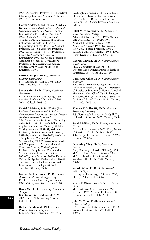1964–66; Assistant Professor of Theoretical Chemistry, 1967–69; Associate Professor, 1969–75; Professor, 1975–.

**Carver Andress Mead, Ph.D., D.Sc.h.c.,**

**D.h.c.,** *Gordon and Betty Moore Professor of Engineering and Applied Science, Emeritus* B.S., Caltech, 1956; M.S., 1957; Ph.D., 1960; D.Sc.h.c., University of Lund (Sweden); D.h.c., University of Southern California. Instructor in Electrical Engineering, Caltech, 1958–59; Assistant Professor, 1959–62; Associate Professor, 1962–67; Professor, 1967–77; Professor of Computer Science and Electrical Engineering, 1977–80; Moore Professor of Computer Science, 1980–92; Moore Professor of Engineering and Applied Science, 1992–99; Moore Professor Emeritus, 1999–.

**Barry B. Megdal, Ph.D.,** *Lecturer in Electrical Engineering* B.S., Caltech, 1977; M.S., 1978; Ph.D., 1983. Lecturer, 1992–2009.

**Simona Mei, Ph.D.,** *Visiting Associate in Astronomy*

Ph.D., University of Strasbourg, 1999. Associate Professor, University of Paris, 2006–. Caltech, 2008–10.

**Daniel I. Meiron, Sc.D.,** *Fletcher Jones Professor of Aeronautics and Applied and Computational Mathematics; Associate Director, Graduate Aerospace Laboratories* S.B., Massachusetts Institute of Technology, 1976; Sc.D., 1981. Research Fellow in Applied Mathematics, Caltech, 1981–83; Visiting Associate, 1984–85; Assistant Professor, 1985–89; Associate Professor, 1989–94; Professor, 1994–2000; Professor of Applied and Computational Mathematics, 2000; Professor of Applied and Computational Mathematics and Computer Science, 2001–06; Jones Professor of Applied and Computational Mathematics and Computer Science, 2006–09; Jones Professor, 2009–. Executive Officer for Applied Mathematics, 1994–98; Associate Provost for Information and Information Technology, 2000–04. Associate Director, 2009–.

**Joao M. Melo de Sousa, Ph.D.,** *Visiting Associate in Mechanical Engineering* Ph.D., Technical University of Lisbon, 1996; Visiting Associate, Caltech, 2010.

**Remy Mevel, Ph.D.,** *Visiting Associate in Aerospace*

B.S., University of Orleans, 2004; M.S., 2006; Ph.D., 2009. Visiting Associate, Caltech, 2010.

**622**

**Richard A. Mewaldt, Ph.D.,** *Senior Research Associate in Physics* B.A., Lawrence University, 1965; M.A., Washington University (St. Louis), 1967; Ph.D., 1971. Research Fellow, Caltech, 1971–75; Senior Research Fellow, 1975–81; Lecturer, 1987; Senior Research Associate, 1981–.

#### **Elliot M. Meyerowitz, Ph.D.,** *George W. Beadle Professor of Biology*

A.B., Columbia University, 1973; M.Phil., Yale University, 1975; Ph.D., 1977. Assistant Professor, Caltech, 1980–85; Associate Professor, 1985–89; Professor, 1989–2002; Beadle Professor, 2002–. Executive Officer for Biology, 1995–2000. Chair, Division of Biology, 2000–10.

#### **Georges Meylan, Ph.D.,** *Visiting Associate in Astronomy*

Ph.D., University of Geneva, 1985. Director, École Polytechnique Fédérale de Lausanne, 2004–. Caltech, 2001–10.

#### **Carol Ann Miller, M.D.,** *Visiting Associate in Biology*

A.B., Mount Holyoke College, 1961; M.D., Jefferson Medical College, 1965. Professor, University of Southern California School of Medicine, 1990–; Chief, Cajal Laboratory of Neuropathology, University of Southern California Medical Center, 1982–. Caltech, 1982–2003; 2005–11.

## **Thomas F. Miller III, Ph.D.,** *Assistant*

*Professor of Chemistry* B.S., Texas A&M University, 2000; Ph.D., University of Oxford, 2005. Caltech, 2008–.

### **Ralph Milliken, Ph.D.,** *Visiting Associate in Geology*

B.S., Indiana University, 2001; M.S., Brown University, 2003; Ph.D., 2006. Staff Scientist, Jet Propulsion Laboratory, 2007–. Caltech, 2009–10.

#### **Feng-Ying Ming, Ph.D.,** *Lecturer in Chinese*

B.A., Tamkang University (Taiwan), 1978; M.A., California State University, 1984; M.A., University of California (Los Angeles), 1991; Ph.D., 1999. Caltech, 2000–11.

#### **Yasushi Mino, Ph.D.,** *Senior Research Fellow in Physics* B.S., Kyoto University, 1993; M.S., 1995; Ph.D., 1998. Caltech, 2008–.

**Valery P. Mitrofanov,** *Visiting Associate in Physics* M.Sc., Moscow State University, 1971; Kandidat, 1975. Assistant Professor, 1981–. Caltech, 1995–2008; 2009; 2010.

### **Julie M. Miwa, Ph.D.,** *Senior Research Fellow in Biology* B.A., University of California, 1987; Ph.D., Rockefeller University, 1997. Caltech,

2009–.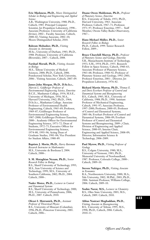**Eric Mjolsness, Ph.D.,** *Moore Distinguished Scholar in Biology and Engineering and Applied Science*

A.B., Washington University, 1980; Ph.D., Caltech, 1985. Principal Computer Scientist, Jet Propulsion Laboratory, 1998–. Associate Professor, University of California (Irvine), 2002–. Faculty Associate, Caltech, 2000–02; Visiting Associate, 2002–10; Moore Distinguished Scholar, 2010.

## **Bahram Mobasher, Ph.D.,** *Visiting*

*Associate in Astronomy* M.Sc., University of Durham, 1983; Ph.D., 1988. Professor, University of California (Riverside), 2007–. Caltech, 2008.

#### **Farshad Moradi, Ph.D.,** *Visiting Associate in Biology*

M.S., Tehran University of Medical Sciences, 2000; Ph.D., Caltech, 2006. Postdoctoral Scholar, New York University, 2006–. Visiting Associate, Caltech, 2007–09.

## **James John Morgan, Ph.D., D.Sc.h.c.,**

*Marvin L. Goldberger Professor of Environmental Engineering Science, Emeritus* B.C.E., Manhattan College, 1954; M.S.E., University of Michigan, 1956; M.A., Harvard University, 1962; Ph.D., 1964; D.Sc.h.c., Manhattan College. Associate Professor of Environmental Health Engineering, Caltech, 1965–69; Professor, 1969–87; Goldberger Professor of Environmental Engineering Science, 1987–2000; Goldberger Professor Emeritus, 2000–. Academic Officer for Environmental Engineering Science, 1971–72; Dean of Students, 1972–75; Executive Officer for Environmental Engineering Science, 1974–80, 1993–96; Acting Dean of Graduate Studies, 1981–84; Vice President for Student Affairs, 1980–89.

#### **Baptiste J. Morin, Ph.D.,** *Harry Bateman Research Instructor in Mathematics* M.S., Universite de Bordeaux I, 2004. Caltech, 2008–.

### **S. M. Motaghian Nezam, Ph.D.,** *Senior Research Fellow in Biology*

B.S., Sharif University of Technology, 1995; M.S., Iran University of Science and Technology, 1999; M.S., University of Southern California, 2002; Ph.D., 2004. Caltech, 2008–.

#### **Nader Motee, Ph.D.,** *Lecturer in Control and Dynamical Systems*

B.S., Sharif University of Technology, 2000; M.S., University of Pennsylvania, 2006; Ph.D., 2007. Caltech, 2010.

## **Olexei I. Motrunich, Ph.D.,** *Assistant*

*Professor of Theoretical Physics* B.S., University of Missouri (Columbia), 1996; Ph.D., Princeton University, 2001. Caltech, 2006–.

#### **Duane Owen Muhleman, Ph.D.,** *Professor of Planetary Science, Emeritus*

B.S., University of Toledo, 1953; Ph.D., Harvard University, 1963. Associate Professor, Caltech, 1967–71; Professor, 1971–97; Professor Emeritus, 1997–. Staff Member, Owens Valley Radio Observatory, 1967–.

## **Hans-Michael Müller, Ph.D.,** *Senior*

*Research Fellow in Biology* Ph.D., Caltech, 1999. Senior Research Fellow, 2009–.

## **Bruce Churchill Murray, Ph.D.,** *Professor*

*of Planetary Science and Geology, Emeritus* S.B., Massachusetts Institute of Technology, 1953; S.M., 1954; Ph.D., 1955. Research Fellow in Space Science, Caltech, 1960–63; Associate Professor of Planetary Science, 1963–68; Professor, 1968–92; Professor of Planetary Science and Geology, 1992–2001; Professor Emeritus, 2001–. Director, Jet Propulsion Laboratory, 1976–82.

**Richard Martin Murray, Ph.D.,** *Thomas E. and Doris Everhart Professor of Control and Dynamical Systems and Bioengineering* B.S., Caltech, 1985; M.S., University of California, 1988; Ph.D., 1990. Assistant Professor of Mechanical Engineering, Caltech, 1991–97; Associate Professor, 1997–2000; Professor, 2000–05; Professor of Control and Dynamical Systems, 2005–06; Everhart Professor of Control and Dynamical Systems, 2006–09; Everhart Professor of Control and Dynamical Systems and Bioengineering, 2009–; Chair, Division of Engineering and Applied Science, 2000–05; Interim Chair, Engineering and Applied Science, 2008–09; Director, Information Science & Technology, 2006–2009.

#### **Paul Myrow, Ph.D.,** *Visiting Professor of Geology*

B.S., Colgate University, 1980; M.S., University of Vermont, 1983; Ph.D., Memorial University of Newfoundland, 1987. Professor, Colorado College, 2000–. Caltech, 2009–10.

#### **Steven Nafziger, Ph.D.,** *Visiting Associate in Economics*

B.A., Northwestern University, 2000; M.A., Yale University, 2002; M.Phil., 2003; Ph.D., 2006. Assistant Professor, Williams College, 2006. Caltech, 2009–10.

**Yoshie Narui, M.S.,** *Lecturer in Chemistry* B.S., Ohio State University, 2003; M.S., Caltech, 2009. Caltech, 2010.

#### **Abbas Nasiraei Moghaddam, Ph.D.,**

*Visiting Associate in Bioengineering* B.S., University of Tehran, 1995; M.S., 1998; Ph.D., Caltech, 2006. Caltech, 2010–11.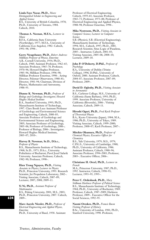#### **Linda Faye Nazar, Ph.D.,** *Moore*

*Distinguished Scholar in Engineering and Applied Science* B.S., University of British Columbia, 1978; Ph.D., University of Toronto, 1984. Caltech, 2010.

#### **Thomas A. Neenan, M.F.A.,** *Lecturer in Music*

B.F.A., California State University (Northridge), 1977; M.F.A., University of California (Los Angeles), 1982. Caltech, 1991–98; 1998–.

**Gerry Neugebauer, Ph.D.,** *Robert Andrews Millikan Professor of Physics, Emeritus* A.B., Cornell University, 1954; Ph.D., Caltech, 1960. Assistant Professor, 1962–65; Associate Professor, 1965–70; Professor, 1970–96; Howard Hughes Professor, 1985–96; Millikan Professor, 1996–98; Millikan Professor Emeritus, 1998–. Acting Director, Palomar Observatory, 1980–81; Director, 1981–94; Chairman, Division of Physics, Mathematics and Astronomy, 1988–93.

#### **Dianne K. Newman, Ph.D.,** *Professor of Biology and Geobiology; Investigator, Howard Hughes Medical Institute*

B.A., Stanford University, 1993; Ph.D., Massachusetts Institute of Technology, 1997. Clare Booth Luce Assistant Professor of Geobiology and Environmental Science and Engineering, Caltech, 2000–05; Associate Professor of Geobiology and Environmental Science and Engineering, 2005; Associate Professor of Geobiology, 2005–06; Professor of Geobiology, 2006–; Professor of Biology, 2006–. Investigator, Howard Hughes Medical Institute, 2005–07; 2010–.

#### **Harvey B. Newman, Sc.D., D.h.c.,** *Professor of Physics*

B.S., Massachusetts Institute of Technology, 1968; Sc.D., 1973; D.h.c., University Politehnica of Bucharest; Pavol Jozef Safarik University. Associate Professor, Caltech, 1982–90; Professor, 1990–.

**Hien Trong Nguyen, Ph.D.,** *Visiting Associate in Physics; Lecturer in Physics* Ph.D., Princeton University, 1993. Research Scientist, Jet Propulsion Laboratory, 2002–. Visiting Associate, Caltech, 2007–09; Lecturer, 2007; 2008; 2009–11.

#### **Yi Ni, Ph.D.,** *Assistant Professor of Mathematics*

B.S., Peking University, 2001; M.S., 2003; Ph.D., Princeton University, 2007. Caltech, 2009–.

**Marc-Aurele Nicolet, Ph.D.,** *Professor of Electrical Engineering and Applied Physics, Emeritus*

Ph.D., University of Basel, 1958. Assistant

Professor of Electrical Engineering, Caltech, 1959–65; Associate Professor, 1965–73; Professor, 1973–88; Professor of Electrical Engineering and Applied Physics, 1988–98; Professor Emeritus, 1998–.

**Mika Nystroem, Ph.D.,** *Visiting Associate in Computer Science; Lecturer in Computer Science*

S.B. (Physics), S.B. (Electrical Engineering), Massachusetts Institute of Technology, 1994; M.S., Caltech, 1997; Ph.D., 2001. Research Scientist, Situs Logic of Pasadena, 2005–. Instructor, Caltech, 2001–03; Visiting Associate, 2005–06; 2008–10; Lecturer, 2009–10.

#### **John P. O'Doherty, D.Phil.,** *Professor of Psychology*

B.A., University of Dublin (Trinity College), 1996; D.Phil., University of Oxford, 2000. Assistant Professor, Caltech, 2004–07; Associate Professor, 2007–09; Professor, 2009–.

#### **David D. Oglesby, Ph.D.,** *Visiting Associate in Aeronautics*

B.S., Carleton College; M.S., University of California (Santa Barbara), 1993; Ph.D., 1999. Associate Professor, University of California (Riverside), 2006–. Visiting Associate, Caltech, 2009–11.

## **Hiroshi Oguri, Ph.D.,** *Fred Kavli Professor of Theoretical Physics*

B.A., Kyoto University (Japan), 1984; M.A., 1986; Ph.D., University of Tokyo, 1989. Visiting Associate, Caltech, 1999–2000; Professor, 2000–07; Kavli Professor, 2007–.

#### **Mitchio Okumura, Ph.D.,** *Professor of Chemical Physics; Executive Officer for Chemistry* B.S., Yale University, 1979; M.S., 1979; C.P.G.S., University of Cambridge, 1980; Ph.D., University of California, 1986. Assistant Professor, Caltech, 1988–94; Associate Professor, 1994–2003; Professor, 2003–. Executive Officer, 2006–.

#### **Christiane H. Orcel, Ph.D.,** *Lecturer in French*

M.A., Princeton University, 1987; Ph.D., 1992. Instructor, Caltech, 1990–93; Lecturer, 1993–95; 1995–.

### **Peter C. Ordeshook, Ph.D.,** *Mary*

*Stillman Harkness Professor of Political Science* B.S., Massachusetts Institute of Technology, 1964; Ph.D., University of Rochester, 1969. Professor, Caltech, 1987–2009; Harkness Professor, 2009–. Executive Officer for the Social Sciences, 1992–95.

#### **Naomi Oreskes, Ph.D.,** *Francis Bacon*

*Visiting Professor of History* B.Sc., University of London, 1981; Ph.D., Stanford University, 1990. Professor,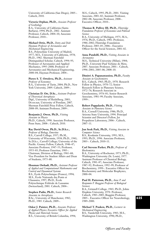University of California (San Diego), 2005–. Caltech, 2010.

**Victoria Orphan, Ph.D.,** *Associate Professor of Geobiology* B.A., University of California (Santa Barbara), 1994; Ph.D., 2002. Assistant

Professor, Caltech, 2004–10; Associate Professor, 2010–.

**Michael Ortiz, Ph.D.,** *Dotty and Dick Hayman Professor of Aeronautics and Mechanical Engineering* B.S., Polytechnic University of Madrid, 1977; M.S., University of California, 1978; Ph.D., 1982. Sherman Fairchild Distinguished Scholar, Caltech, 1994–95; Professor of Aeronautics and Applied Mechanics, 1995–2000; Professor of Aeronautics and Mechanical Engineering, 2000–04; Hayman Professor, 2004–.

**Pietro S. T. Ortoleva, Ph.D.,** *Assistant*

*Professor of Economics* B.A., University of Turin, 2004; Ph.D., New York University, 2009. Caltech, 2009–.

**Christian D. Ott, D.Sc.,** *Assistant Professor of Theoretical Astrophysics* Dipl., University of Heidelberg, 2003; Dr.rer.nat, University of Potsdam, 2007. Sherman Fairchild Prize Fellow, Caltech, 2008–09; Assistant Professor, 2009–.

**Benjamin J. Owen, Ph.D.,** *Visiting Associate in Physics* Ph.D., Caltech, 1998. Associate Professor, Penn State, 2008–. Caltech, 2010.

#### **Ray David Owen, Ph.D., Sc.D.h.c.,**

*Professor of Biology, Emeritus* B.S., Carroll College, 1937; Ph.M., University of Wisconsin, 1938; Ph.D., 1941; Sc.D.h.c., Carroll College; University of the Pacific. Gosney Fellow, Caltech, 1946–47; Associate Professor, 1947–53; Professor, 1953–83; Professor Emeritus, 1983–. Chairman, Division of Biology, 1961–68; Vice President for Student Affairs and Dean of Students, 1975–80.

**Houman Owhadi, Ph.D.,** *Assistant Professor of Applied and Computational Mathematics and Control and Dynamical Systems* B.S., École Polytechnique (France), 1994; M.S., École Nationale des Ponts et Chaussées, 1997; Ph.D., École Polytechnique Fédérale de Lausanne (Switzerland), 2001. Caltech, 2004–.

**Stephen Padin, Ph.D.,** *Senior Research Associate in Astrophysics* B.Sc., University of Manchester, 1982; Ph.D., 1985. Caltech, 2009–.

**Oskar J. Painter, Ph.D.,** *Associate Professor of Applied Physics; Executive Officer for Applied Physics and Materials Science* B.S., University of British Columbia, 1994;

M.S., Caltech, 1995; Ph.D., 2001. Visiting Associate, 2001–02; Assistant Professor, 2002–08; Associate Professor, 2008–. Executive Officer, 2010–.

**Thomas R. Palfrey III, Ph.D.,** *Flintridge Foundation Professor of Economics and Political Science*

B.A., University of Michigan, 1975; M.A., 1976; Ph.D., Caltech, 1981. Professor, 1986–2002; Flintridge Foundation Professor, 2003–05; 2006–. Executive Officer for the Social Sciences, 2001–02.

#### **Anna Pandolfi, Ph.D.,** *Visiting Associate in Aeronautics*

M.S., Technical University (Milan), 1984; Ph.D., Université Paul Verlaine de Metz, 2007. Associate Professor, 2001–. Caltech, 1996–2001; 2005–06; 2008–10.

#### **Dimitri A. Papanastassiou, Ph.D.,** *Faculty Associate in Geochemistry*

B.S., Caltech, 1965; Ph.D., 1970. Research Fellow in Physics, 1970–72; Senior Research Fellow in Planetary Science, 1972–76; Research Associate in Geochemistry, 1976–81; Senior Research Associate, 1981–99; Faculty Associate, 1999–.

**Robert Pappalardo, Ph.D.,** *Visiting*

*Associate in Planetary Science* B.A., Cornell University, 1986; Ph.D., Arizona State University, 1994. Principal Scientist and Director's Fellow, Jet Propulsion Laboratory, 2006–. Caltech, 2007–11.

**Jun Seok Park, Ph.D.,** *Visiting Associate in Computer Science*

B.S., Kookmin University, 1991; M.S., 1993; Ph.D., 1996. Associate Professor, 2003–. Caltech, 2010–11.

#### **Carl Stevens Parker, Ph.D.,** *Professor of Biochemistry*

B.A., University of Rochester, 1973; Ph.D., Washington University (St. Louis), 1977. Assistant Professor of Chemical Biology, Caltech, 1981–87; Associate Professor, 1987–92; Professor, 1992–99; Professor of Biochemistry, 1999–. Executive Officer for Biochemistry and Molecular Biophysics, 2000–04.

**Paul H. Patterson, Ph.D.,** *Anne P. and Benjamin F. Biaggini Professor of Biological Sciences*

B.A., Grinnell College, 1965; Ph.D., Johns Hopkins University, 1970. Professor, Caltech, 1983–2005; Biaggini Professor, 2005–. Executive Officer for Neurobiology, 1989–2000.

**Michael T. Pauken, Ph.D.,** *Lecturer in Mechanical Engineering* B.S., Vanderbilt University, 1983; M.S., Washington University, 1990; Ph.D.,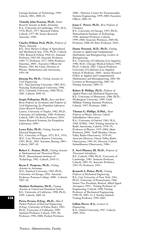Georgia Institute of Technology, 1994. Caltech, 2001; 2008–10.

**Timothy John Pearson, Ph.D.,** *Senior Research Associate in Radio Astronomy* B.A., University of Cambridge, 1972; M.A., 1976; Ph.D., 1977. Research Fellow, Caltech, 1977–80; Senior Research Associate, 1988–.

#### **Charles William Peck, Ph.D.,** *Professor of Physics, Emeritus*

B.S., New Mexico College of Agricultural and Mechanical Arts, 1956; Ph.D., Caltech, 1964. Research Fellow, 1964–65; Assistant Professor, 1965–69; Associate Professor, 1969–77; Professor, 1977–2004; Professor Emeritus, 2004–. Executive Officer for Physics, 1983–86; Chair, Division of Physics, Mathematics and Astronomy, 1993–98.

**Jinsong Pei, Ph.D.,** *Visiting Associate in Civil Engineering*

B.S., Xian Jiaotong University, 1989; M.E., Nanyang Technological University, 1996; M.S., Columbia University, 2000; Ph.D., 2001. Caltech, 2009–10.

**Sergio Pellegrino, Ph.D.,** *Joyce and Kent Kresa Professor of Aeronautics and Professor of Civil Engineering; Jet Propulsion Laboratory Senior Research Scientist*

Laurea, University of Naples, 1982; Ph.D., University of Cambridge, 1986. Professor, Caltech, 2007–10; Kresa Professor, 2010–. Senior Research Scientist, Jet Propulsion Laboratory, 2009–.

**Leora Peltz, Ph.D.,** *Visiting Associate in Electrical Engineering* B.S., University of Negev, 1975; B.S., 1976;

M.S., Case Western Reserve University, 1995; Ph.D., 2005. Scientist, Boeing, 2003–. Caltech, 2007–10.

**Robert C. Penner, Ph.D.,** *Visiting Associate in Mathematical and Theoretical Physics* Ph.D., Massachusetts Institute of Technology, 1982. Caltech, 2010–11.

**Bryan E. Penprase, Ph.D.,** *Visiting Associate in Astronomy* M.S., Stanford University, 1985; Ph.D.,

University of Chicago, 1992. Associate Professor, Pomona College, 2000–. Caltech, 2007–10.

**Matthew Perlmutter, Ph.D.,** *Visiting Associate in Control and Dynamical Systems* B.S., University of California, 1990; Ph.D., 1999. Caltech, 2009–10.

**Pietro Perona, D.Eng., Ph.D.,** *Allen E. Puckett Professor of Electrical Engineering* D.Eng., University of Padua (Italy), 1985; Ph.D., University of California, 1990. Assistant Professor, Caltech, 1991–96; Professor, 1996–2008; Puckett Professor,

2008–. Director, Center for Neuromorphic Systems Engineering, 1999–2004. Executive Officer, 2006–10.

#### **Jonas C. Peters, Ph.D.,** *Bren Professor of Chemistry*

B.S., University of Chicago, 1993; Ph.D., Massachusetts Institute of Technology, 1998. Assistant Professor, Caltech, 1999–2004; Associate Professor, 2004–06; Professor, 2006–09; Bren Professor, 2010–.

**Danny Petrasek, M.D., Ph.D.,** *Visiting Associate in Applied and Computational Mathematics and Bioengineering; Lecturer in Bioengineering*

B.S., University of California (Los Angeles), 1980; M.D., Chicago Medical School, 1985; Ph.D., Caltech, 2002. Clinical Professor, University of California (Los Angeles) School of Medicine, 2004–. Senior Research Fellow in Applied and Computational Mathematics and Bioengineering, 2002–08; Lecturer in Bioengineering, 2005–10; Visiting Associate, 2008–12.

**Robert B. Phillips, Ph.D.,** *Professor of Applied Physics and Mechanical Engineering* B.S., University of Minnesota, 1986; Ph.D., Washington University, 1989. Clark Millikan Visiting Assistant Professor, Caltech, 1997; Professor, 2000–.

**Thomas G. Phillips, D.Phil.,** *Altair Professor of Physics; Director, Caltech Submillimeter Observatory* B.A., University of Oxford, 1961; M.A., 1964; D.Phil., 1964. Visiting Associate in Radio Astronomy, Caltech, 1978–79; Professor of Physics, 1979–2004; Altair Professor, 2004–. Staff Member, Owens Valley Radio Observatory, 1978–85;

Associate Director, Owens Valley Radio Observatory, 1981–85; Director, Caltech Submillimeter Observatory, 1986–.

**E. Sterl Phinney III, Ph.D.,** *Professor of Theoretical Astrophysics* B.S., Caltech, 1980; Ph.D., University of Cambridge, 1983. Assistant Professor, Caltech, 1985–91; Associate Professor, 1991–95; Professor, 1995–.

**Kenneth A. Pickar, Ph.D.,** *Visiting Professor of Mechanical Engineering* B.S., City University of New York, 1961; Ph.D., University of Pennsylvania, 1966. Senior Vice President, Retired, Allied Signal Aerospace, 1993–. Visiting Professor of Engineering, Caltech, 1998; Visiting Professor of Mechanical Engineering, 1998–99; 2003–11; J. Stanley Johnson Visiting Professor, 1999–2003.

**Gillian Pierce, B.A.,** *Lecturer in Engineering* B.A., Oxford University, 1997. Caltech, 2009; 2010.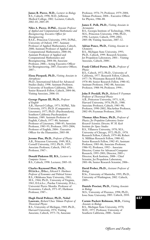**James R. Pierce, M.D.,** *Lecturer in Biology* B.S., Caltech, 1998; M.D., Jefferson Medical College, 2002. Lecturer, Caltech, 2002–03; 2005–09.

**Niles A. Pierce, D.Phil.,** *Associate Professor of Applied and Computational Mathematics and Bioengineering; Executive Officer for Bioengineering* B.S.E., Princeton University, 1993; D.Phil., University of Oxford, 1997. Assistant Professor of Applied Mathematics, Caltech, 2000; Assistant Professor of Applied and Computational Mathematics, 2000–04; Assistant Professor of Applied and Computational Mathematics and Bioengineering, 2004–06; Associate Professor, 2006–; Acting Executive Officer for Bioengineering, 2007; Executive Officer, 2007–.

**Elena Pierpaoli, Ph.D.,** *Visiting Associate in Astrophysics*

Ph.D., International School for Advanced Studies (Italy), 1998. Assistant Professor, University of Southern California, 2006–. Senior Research Fellow, Caltech, 2004–06; Visiting Associate, 2006–10.

#### **George Pigman III, Ph.D.,** *Professor of English*

A.B., Harvard College, 1973; M.Phil., Yale University, 1975; Ph.D. (Comparative Literature), 1977; Ph.D. (Psychoanalysis), Southern California Psychoanalytic Institute, 1989. Assistant Professor of English, Caltech, 1977–80; Assistant Professor of Literature, 1980–83; Associate Professor, 1983–93; Professor, 1993–2004; Professor of English, 2004–. Executive Officer for the Humanities, 2003–08.

**Jerome Pine, Ph.D.,** *Professor of Physics* A.B., Princeton University, 1949; M.S., Cornell University, 1952; Ph.D., 1959. Associate Professor, Caltech, 1963–67; Professor, 1967–.

**Donald Pinkston III, B.S.,** *Lecturer in Computer Science* B.S., Caltech, 1998. Lecturer, 2005–10.

#### **Charles Raymond Plott, Ph.D.,**

**D.Lit.h.c., D.h.c.,** *Edward S. Harkness Professor of Economics and Political Science* B.S., Oklahoma State University, 1961; M.S., 1964; Ph.D., University of Virginia, 1965; D.Lit.h.c., Purdue University; D.h.c., Université Pierre Mendès. Professor of Economics, Caltech, 1971–87; Harkness Professor, 1987–.

#### **Hugh David Politzer, Ph.D., Nobel**

**Laureate,** *Richard Chace Tolman Professor of Theoretical Physics* B.S., University of Michigan, 1969; Ph.D., Harvard University, 1974. Visiting Associate, Caltech, 1975–76; Associate

Professor, 1976–79; Professor, 1979–2004; Tolman Professor, 2004–. Executive Officer for Physics, 1986–88.

#### **James E. Polk, Ph.D.,** *Visiting Associate in Aeronautics*

B.S., Georgia Institute of Technology, 1984; M.S., Princeton University, 1986; Ph.D., 1996. Lecturer, Caltech, 1999–2002; 2005–08; Visiting Associate, 2007–12.

#### **Adrian Ponce, Ph.D.,** *Visiting Associate in Chemistry*

B.S., Michigan State University, 1993; Ph.D., Caltech, 1999. Research Scientist, Jet Propulsion Laboratory, 2001–. Visiting Associate, Caltech, 2000–.

#### **Frank Clifford Porter, Ph.D.,** *Professor of Physics*

B.S., Caltech, 1972; Ph.D., University of California, 1977. Research Fellow, Caltech, 1977–78; Weizmann Research Fellow, 1978–80; Senior Research Fellow, 1980–82; Assistant Professor, 1982–88; Associate Professor, 1988–94; Professor, 1994–.

**John P. Preskill, Ph.D.,** *Richard P. Feynman Professor of Theoretical Physics* A.B., Princeton University, 1975; A.M., Harvard University, 1976; Ph.D., 1980. Associate Professor, Caltech, 1983–90; Professor, 1990–2002; MacArthur Professor, 2002–09; Feynman Professor, 2010–.

**Thomas Allen Prince, Ph.D.,** *Professor of Physics; Jet Propulsion Laboratory Senior Research Scientist; Director, W. M. Keck Institute for Space Studies* B.S., Villanova University, 1970; M.S., University of Chicago, 1972; Ph.D., 1978. Research Fellow, Caltech, 1979–80; Robert A. Millikan Research Fellow, 1980–82; Senior Research Fellow, 1982–83; Assistant Professor, 1983–86; Associate Professor, 1986–92; Professor, 1992–. Associate Director, Center for Advanced Computer Research, 1995–2001; Director, 2005–; Director, Keck Institute, 2008–. Chief Scientist, Jet Propulsion Laboratory, 2001–06; Senior Research Scientist, 2006–.

### **David Prober, Ph.D.,** *Assistant Professor of Biology*

B.Sc., University of Manitoba, 1995; Ph.D., University of Washington, 2002. Caltech, 2009–.

#### **Daniele Procissi, Ph.D.,** *Visiting Associate in Biology*

M.S., University of Florence, 1998; Ph.D., Iowa State University, 2003. Caltech, 2010.

## **Carmie Puckett Robinson, M.D.,** *Visiting*

*Associate in Biology* B.S., Michigan State University, 1970; M.D., 1975. Professor, University of Southern California, 2000–. Senior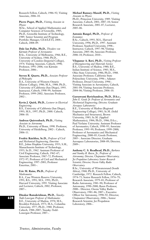Research Fellow, Caltech, 1986–92; Visiting Associate, 2006–10.

**Pierre Puget, Ph.D.,** *Visiting Associate in Physics*

M.Sc., School of Applied Mathematics and Computer Sciences of Grenoble, 1985; Ph.D., Grenoble Institute of Technology, 1989. Senior Scientist and Program Portfolio Manager, CEA/LETI, 2004–. Caltech, 2008–09.

**Dale Ian Pullin, Ph.D.,** *Theodore von Kármán Professor of Aeronautics* B.Sc., University of Melbourne, 1966; B.E., University of Sydney, 1968; Ph.D., University of London (Imperial College), 1974. Visiting Associate, Caltech, 1990; Professor, 1991–2006; von Kármán Professor, 2006–.

#### **Steven R. Quartz, Ph.D.,** *Associate Professor of Philosophy*

B.A., University of Western Ontario (Huron College), 1986; M.A., 1988; Ph.D., University of California (San Diego), 1993. Instructor, Caltech, 1998–99; Assistant Professor, 1999–2002; Associate Professor,  $2002 -$ 

**Kevin J. Quirk, Ph.D.,** *Lecturer in Electrical Engineering*

B.S., University of California (San Diego), 1993; M.S., 1997; Ph.D., 2000. Caltech, 2006–10.

#### **Andreas Quirrenbach, Ph.D.,** *Visiting Associate in Astronomy*

Ph.D., University of Bonn, 1990. Professor, University of Heidelberg, 2002–. Caltech, 2006–11.

**Fredric Raichlen, Sc.D.,** *Professor of Civil and Mechanical Engineering, Emeritus* B.E., Johns Hopkins University, 1953; S.M., Massachusetts Institute of Technology, 1955; Sc.D., 1962. Assistant Professor of Civil Engineering, Caltech, 1962–67; Associate Professor, 1967–72; Professor, 1972–97; Professor of Civil and Mechanical Engineering, 1997–2001; Professor Emeritus, 2001–.

### **Eric M. Rains, Ph.D.,** *Professor of Mathematics*

B.A., Case Western Reserve University, 1991; B.S., 1991; M.S., 1991; Ph.D., Harvard University, 1995. Visiting Associate and Lecturer, Caltech, 2002; Professor, 2007–.

**Dinakar Ramakrishnan, Ph.D.,** *Taussky-Todd-Lonergan Professor of Mathematics* B.E., University of Madras, 1970; M.S., Brooklyn Polytech, 1973; M.A., Columbia University, 1977; Ph.D., 1980. Professor, Caltech, 1988–2007; Taussky-Todd-Lonergan Professor, 2007–.

#### **Michael Ramsey-Musolf, Ph.D.,** *Visiting Associate in Physics*

Ph.D., Princeton University, 1989. Visiting Associate, Caltech, 2001; 2007–10; Senior Research Associate, 2001–07; Lecturer, 2005–06.

#### **Antonio Rangel, Ph.D.,** *Professor of Economics*

B.Sc., Caltech, 1993; M.S., Harvard University, 1996; Ph.D., 1997. Assistant Professor, Stanford University, 1998–. Instructor, Caltech, 1997–98; Visiting Associate, 2005–06; Associate Professor, 2006–10; Professor, 2010–.

**Vilupanur A. Ravi, Ph.D.,** *Visiting Professor of Bioengineering and Materials Science* B.S., University of Madras, 1980; B.E. Indian Institute of Science, 1983; M.S., Ohio State University, 1986; Ph.D., 1988. Associate Professor, California State Polytechnic University, 1996–; Adjunct Professor, Drexel University, 1996–. Visiting Associate in Aeronautics, Caltech, 2001–04; Visiting Associate Professor, 2004–06; Visiting Professor, 2006–10.

**Guruswami Ravichandran, Ph.D., D.h.c.,** *John E. Goode Jr. Professor of Aeronautics and Mechanical Engineering; Director, Graduate*

*Aerospace Laboratories* B.E., University of Madras (Regional Engineering College), 1981; Sc.M. (Solid Mechanics and Structures), Brown University, 1983; Sc.M. (Applied Mathematics), 1984; Ph.D., 1986; D.h.c., Paul Verlaine University. Assistant Professor of Aeronautics, Caltech, 1990–95; Associate Professor, 1995–99; Professor, 1999–2000; Professor of Aeronautics and Mechanical Engineering, 2000–05; Goode Professor, 2005–. Associate Director, Graduate Aerospace Laboratories, 2008–09; Director, 2009–.

**Anthony C. S. Readhead, Ph.D.,** *Barbara and Stanley R. Rawn, Jr., Professor of Astronomy; Director, Chajnantor Observatory; Jet Propulsion Laboratory Senior Research Scientist; Director, Owens Valley Radio Observatory*

B.Sc., University of Witwatersrand (South Africa), 1968; Ph.D., University of Cambridge, 1972. Research Fellow, Caltech, 1974–75; Senior Research Fellow, 1976–79; Research Associate, 1979–81; Professor of Radio Astronomy, 1981–90; Professor of Astronomy, 1990–2000; Rawn Professor, 2000–. Director, Owens Valley Radio Observatory, 1981–86; 2007–; Executive Officer for Astronomy, 1990–92; Director, Chajnantor Observatory, 2006–; Senior Research Scientist, Jet Propulsion Laboratory, 2006–.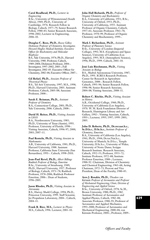#### **Carol Readhead, Ph.D.,** *Lecturer in Engineering*

B.Sc., University of Witwatersrand (South Africa), 1969; Ph.D., University of Cambridge, 1976. Research Fellow in Biology, Caltech, 1977–79; Senior Research Fellow, 1980–83; Senior Research Associate, 1998–2002; Lecturer in Engineering, 2006–10.

## **Douglas C. Rees, Ph.D.,** *Roscoe Gilkey*

*Dickinson Professor of Chemistry; Investigator, Howard Hughes Medical Institute; Executive Officer for Biochemistry and Molecular Biophysics*

B.S., Yale University, 1974; Ph.D., Harvard University, 1980. Professor, Caltech, 1989–2004; Dickinson Professor, 2004–. Investigator, 1997–2002; 2005–; Full Investigator, 2002–05. Executive Officer for Chemistry, 2002–06; Executive Officer, 2007–.

#### **Gil Refael, Ph.D.,** *Associate Professor of Theoretical Physics*

B.S., Tel Aviv University, 1997; M.S., 1998; Ph.D., Harvard University, 2003. Assistant Professor, Caltech, 2005–08; Associate Professor, 2008–.

## **Sarah E. Reisman, Ph.D.,** *Assistant Professor of Chemistry*

B.A., Connecticut College, 2001; Ph.D., Yale University, 2006. Caltech, 2008–.

#### **David H. Reitze, Ph.D.,** *Visiting Associate in LIGO*

B.A., Northwestern University, 1983; Ph.D., University of Texas (Austin), 1993. Professor, University of Florida, 1998–. Visiting Associate, Caltech, 1996–97; 2000; 2003; 2007–11.

#### **Paul Renteln, Ph.D.,** *Visiting Associate in Mathematics*

A.B., University of California, 1981; Ph.D., Harvard University, 1988. Assistant Professor, California State University (San Bernardino), 1991–. Caltech, 1998–2010.

#### **Jean-Paul Revel, Ph.D.,** *Albert Billings Ruddock Professor of Biology, Emeritus* B.Sc., University of Strasbourg, 1949; Ph.D., Harvard University, 1957. Professor of Biology, Caltech, 1971–78; Ruddock Professor, 1978–2006; Ruddock Professor Emeritus, 2006–. Dean of Students, 1996–2005.

#### **Jason Rhodes, Ph.D.,** *Visiting Associate in Astronomy*

B.S., Harvey Mudd College, 1994; Ph.D., Princeton University, 1999. Staff Scientist, Jet Propulsion Laboratory, 2004–. Caltech, 2004–11.

**Frank R. Rice, M.S.,** *Lecturer in Physics* M.S., Caltech, 1996. Lecturer, 2001–10.

### **John Hall Richards, Ph.D.,** *Professor of*

*Organic Chemistry and Biochemistry* B.A., University of California, 1951; B.Sc., University of Oxford, 1953; Ph.D., University of California, 1955. Assistant Professor of Organic Chemistry, Caltech, 1957–61; Associate Professor, 1961–70; Professor, 1970–99; Professor of Organic Chemistry and Biochemistry, 1999–.

#### **Mark I. Richardson, Ph.D.,** *Assistant*

*Professor of Planetary Science* B.Sc., University of London (Imperial College), 1992; M.S. (Geophysics and Space Science), University of California (Los Angeles), 1995; M.S. (Atmospheric Science), 1996; Ph.D., 1999. Caltech, 2001–10.

#### **José Luis Riechmann, Ph.D.,** *Visiting Associate in Biology*

B.S., Madrid Autonomous University, 1987; Ph.D., 1991. ICREA Research Professor, Center for Research in Agriculture Genomics, 2008–. Research Fellow, Caltech, 1993–96; Senior Research Fellow, 1996–98; Senior Research Associate, 2004–08; Visiting Associate, 2008–11.

#### **Robert C. Ritchie, Ph.D.,** *Visiting Associate in History*

A.B., Occidental College, 1960; Ph.D., University of California (Los Angeles), 1970. W. M. Keck Foundation Director of Research, Huntington Library and Art Gallery, 1992–. Visiting Associate, Caltech, 1993–; Lecturer, 1995; 1997; 1999: 2001; 2005.

### **John D. Roberts, Ph.D., Dr.rer.nat.h.c., Sc.D.h.c., D.Sc.h.c.,** *Institute Professor of Chemistry, Emeritus*

B.A., University of California (Los Angeles), 1941; Ph.D., 1944; Dr.rer.Nat.h.c., University of Munich; Sc.D.h.c., Temple University; D.Sc.h.c., University of Wales; University of Notre Dame; Scripps Research Institute. Research Associate, Caltech, 1952–53; Professor, 1953–72; Institute Professor, 1972–88; Institute Professor Emeritus, 1988–; Lecturer, 1988–92. Chairman, Division of Chemistry and Chemical Engineering, 1963–68; Acting Chairman, 1972–73; Provost and Vice President, Dean of the Faculty, 1980–83.

**Ares J. Rosakis, Ph.D.,** *Theodore von Kármán Professor of Aeronautics and Professor of Mechanical Engineering; Chair, Division of Engineering and Applied Science* B.Sc., University of Oxford, 1978; Sc.M., Brown University, 1980; Ph.D., 1982. Assistant Professor of Aeronautics and Applied Physics, Caltech, 1982–88; Associate Professor, 1988–93; Professor of Aeronautics and Applied Mechanics, 1993–2000; Professor of Aeronautics and Mechanical Engineering, 2000–04; von Kármán Professor, 2004–; Professor, 2009–.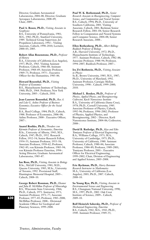Director, Graduate Aeronautical Laboratories, 2004–08; Director, Graduate Aerospace Laboratories, 2008–09; Chair, 2009–.

#### **Paul A. Rosen, Ph.D.,** *Visiting Associate in Geophysics*

B.S., University of Pennsylvania, 1981; M.S., 1982; Ph.D., Stanford University, 1989. Technical Group Supervisor, Jet Propulsion Laboratory, 1992–. Visiting Associate, Caltech, 1998–2010; Lecturer, 2000–03; 2005.

#### **Robert Allan Rosenstone, Ph.D.,** *Professor of History*

B.A., University of California (Los Angeles), 1957; Ph.D., 1965. Visiting Assistant Professor, Caltech, 1966–68; Assistant Professor, 1968–69; Associate Professor, 1969–75; Professor, 1975–. Executive Officer for the Humanities, 1983–86.

**Howard Rosenthal, Ph.D.,** *Visiting Professor of Economics* B.S., Massachusetts Institute of Technology, 1960; Ph.D., 1964. Professor, New York University, 2005–. Caltech, 2010.

**Jean-Laurent Rosenthal, Ph.D.,** *Rea A. and Lela G. Axline Professor of Business Economics; Executive Officer for the Social Sciences*

B.A., Reed College, 1984; Ph.D., Caltech, 1988. Professor of Economics, 2006–08; Axline Professor, 2008–. Executive Officer, 2007–.

**Anatol Roshko, Ph.D.,** *Theodore von Kármán Professor of Aeronautics, Emeritus* B.Sc., University of Alberta, 1945; M.S., Caltech, 1947; Ph.D., 1952. Research Fellow, 1952–54; Senior Research Fellow, 1954–55; Assistant Professor, 1955–58; Associate Professor, 1958–62; Professor, 1962–85; von Kármán Professor, 1985–94; von Kármán Professor Emeritus, 1994–. Acting Director, Graduate Aeronautical Laboratories, 1985–87.

**Ian Ross, Ph.D.,** *Visiting Associate in Biology* B.Sc., McGill University, 1981; M.D., Queens University, 1985; M.Sc., University of Toronto, 1992. Provisional Staff, Huntington Memorial Hospital, 2005–. Caltech, 2008–10.

**George Robert Rossman, Ph.D.,** *Eleanor and John R. McMillan Professor of Mineralogy* B.S., Wisconsin State University, 1966; Ph.D., Caltech, 1971. Instructor, 1971; Assistant Professor, 1971–77; Associate Professor, 1977–83; Professor, 1983–2008; McMillan Professor, 2008–. Divisional Academic Officer for Geological and Planetary Sciences, 1999–2008.

**Paul W. K. Rothemund, Ph.D.,** *Senior Research Associate in Bioengineering, Computer Science, and Computation and Neural Systems* B.S., Caltech, 1994; Ph.D., University of Southern California, 2001. Visiting Associate, Caltech, 2001; Beckman Senior Research Fellow, 2001–04; Senior Research Fellow in Computation and Neural Systems and Computer Science, 2004–08; Senior Research Associate, 2008–.

#### **Ellen Rothenberg, Ph.D.,** *Albert Billings*

*Ruddock Professor of Biology* A.B., Harvard University, 1972; Ph.D., Massachusetts Institute of Technology, 1977. Assistant Professor, Caltech, 1982–88; Associate Professor, 1988–94; Professor, 1994–2007; Ruddock Professor, 2007–.

#### **Ira Zvi Rothstein, Ph.D.,** *Visiting Associate in Physics*

Sc.B., Brown University, 1985; M.S., 1987; Ph.D., University of Maryland, 1992. Assistant Professor, Carnegie Mellon University, 1998–. Caltech, 1999–2000; 2010.

**Michael L. Roukes, Ph.D.,** *Professor of Physics, Applied Physics, and Bioengineering; Codirector, Kavli Nanoscience Institute* B.A., University of California (Santa Cruz), 1978; Ph.D., Cornell University, 1985. Associate Professor of Physics, Caltech, 1992–96; Professor, 1996–2002; Professor of Physics, Applied Physics, and Bioengineering, 2002–. Director, Kavli Nanosicence Institute, 2004–06; Codirector, 2008–.

**David B. Rutledge, Ph.D.,** *Kiyo and Eiko Tomiyasu Professor of Electrical Engineering;*  B.A., Williams College, 1973; M.A., University of Cambridge, 1975; Ph.D., University of California, 1980. Assistant Professor, Caltech, 1980–84; Associate Professor, 1984–89; Professor, 1989–2001; Tomiyasu Professor, 2001–. Executive Officer for Electrical Engineering, 1999–2002; Chair, Division of Engineering and Applied Science, 2005–2008.

**Eric Ryckman, Ph.D.,** *Harry Bateman Research Instructor in Mathematics* M.A., University of California (Los Angeles), 2003; Ph.D., 2007. Caltech, 2008–10.

**Su Young Ryu, Ph.D.,** *Visiting Associate in Environmental Science and Engineering* B.S., Chungnam National University, 1990; M.S., 1997; Ph.D., 2002. Oak Crest Institute of Science, 2009–. Caltech, 2009–10.

**Rolf Heinrich Sabersky, Ph.D.,** *Professor of Mechanical Engineering, Emeritus* B.S., Caltech, 1942; M.S., 1943; Ph.D., 1949. Assistant Professor, 1949–55;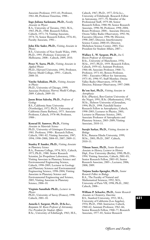Associate Professor, 1955–61; Professor, 1961–88; Professor Emeritus, 1988–.

#### **Inge-Juliana Sackmann, Ph.D.,** *Faculty Associate in Physics*

B.A., University of Toronto, 1963; M.A., 1965; Ph.D., 1968. Research Fellow, Caltech, 1971–74; Visiting Associate, 1974–76; Senior Research Fellow, 1976–81; Faculty Associate, 1981–.

#### **John Elie Sader, Ph.D.,** *Visiting Associate in Physics*

B.S., University of New South Wales, 1989; Ph.D., 1993. Professor, University of Melbourne, 2008–. Caltech, 2009; 2010.

**Peter N. Saeta, Ph.D.,** *Visiting Associate in Applied Physics*

Ph.D., Harvard University, 1991; Professor, Harvey Mudd College, 1995–. Caltech, 2008–10.

#### **Vatche Sahakian, Ph.D.,** *Visiting Associate in Physics*

Ph.D., University of Chicago, 1999; Associate Professor, Harvey Mudd College, 2009. Caltech, 2009–10.

#### **Jason Brian Saleeby, Ph.D.,** *Professor of Geology*

B.S., California State University (Northridge), 1972; Ph.D., University of California (Santa Barbara), 1975. Associate Professor, Caltech, 1978–88; Professor, 1988–.

#### **Konrad H. Samwer, Ph.D.,** *Visiting*

*Associate in Materials Science* Ph.D., University of Göttingen (Germany), 1981. Professor, 1990–. Research Fellow, Caltech, 1981–82; Visiting Associate, 1987; 1994; 1998–2000; 2004–05; 2007; 2009–11.

#### **Stanley P. Sander, Ph.D.,** *Visiting Associate in Planetary Science*

B.A., Pomona College, 1974; M.S., Caltech, 1975; Ph.D., 1980. Senior Research Scientist, Jet Propulsion Laboratory, 1996–. Visiting Associate in Planetary Science and Environmental Engineering Science, Caltech, 1998–2005; Lecturer in Geology and Planetary Sciences and Environmental Engineering Science, 1998–2004; Visiting Associate in Planetary Science and Environmental Engineering and Science, 2005; Visiting Associate in Planetary Science, 2006–10.

## **Virginio Sannibale Ph.D.,** *Lecturer in Physics*

Ph.D., University of Savoy (France), 1998. Caltech, 2001–10.

#### **Anneila I. Sargent, Ph.D., D.Sc.h.c.,**

*Benjamin M. Rosen Professor of Astronomy; Vice President for Student Affairs* B.Sc., University of Edinburgh, 1963; M.S., Caltech, 1967; Ph.D., 1977; D.Sc.h.c., University of Edinburgh. Research Fellow in Astronomy, 1977–79; Member of the Professional Staff, 1979–88; Senior Research Fellow, 1988–90; Senior Research Associate, 1990–98; Professor, 1998–2004; Rosen Professor, 2004–. Associate Director, Owens Valley Radio Observatory, 1992–96; Executive Director, 1996–98; Director, 1998–2007; Director, Interferometry Science Center, 2000–03; Director, Michelson Science Center, 2003; Vice President for Student Affairs, 2007–.

## **Wallace L. W. Sargent, Ph.D.,** *Ira S.*

*Bowen Professor of Astronomy* B.Sc., University of Manchester, 1956; M.Sc., 1957; Ph.D., 1959. Research Fellow, Caltech, 1959–62; Assistant Professor, 1966–68; Associate Professor, 1968–71; Professor, 1971–81; Bowen Professor, 1981–. Executive Officer for Astronomy, 1975–81; 1996–97; Staff Member, Owens Valley Radio Observatory, 1978–88; Director, Palomar Observatory, 1997–2000.

#### **Re'em Sari, Ph.D.,** *Visiting Associate in Astrophysics*

B.Sc. (Physics), Ben-Gurion University of the Negev, 1991; B.Sc. (Mathematics), 1992; M.Sc., Hebrew University of Jerusalem, 1994; Ph.D., 1998. Fairchild Senior Research Fellow in Astrophysics, Caltech, 1998–2003; Lecturer in Physics, 2001; Lecturer in Planetary Science, 2001; Associate Professor of Astrophysics and Planetary Science, 2003–2009; Visiting Associate, 2010–11.

#### **Surajit Sarkar, Ph.D.,** *Visiting Associate in Biology*

B.Sc., Banaras Hindu University, 1999; M.Sc., 2001; Ph.D., 2007. Caltech, 2010–11.

**Tilman Sauer, Ph.D.,** *Senior Research Associate in History; Lecturer in History* Dipl., Free University (Berlin), 1990; Ph.D., 1994. Visiting Associate, Caltech, 2001–03; Senior Research Fellow, 2003–05; Senior Research Associate, 2005–; Lecturer, 2006; 2008; 2009.

# **Tatjana Sauka-Spengler, Ph.D.,** *Senior Research Fellow in Biology* B.A., The Faculty of Natural and

Mathematical Sciences, 1992; M.S., University of Paris VII, 1998; Ph.D., 2002. Caltech, 2008–.

#### **William P. Schaefer, Ph.D.,** *Senior Research Associate in Chemistry, Emeritus*

B.S., Stanford University, 1952; M.S., University of California (Los Angeles), 1954; Ph.D., 1960. Instructor, Caltech, 1960–62; Assistant Professor, 1962–66; Senior Research Fellow, 1968–77; Research Associate, 1977–81; Senior Research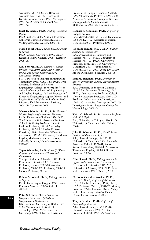Associate, 1981–94; Senior Research Associate Emeritus, 1994–. Assistant Director of Admissions, 1968–73; Registrar, 1971–77; Director of Financial Aid, 1973–77.

#### **Janet D. Scheel, Ph.D.,** *Visiting Associate in Physics*

Ph.D., Caltech, 2006. Assistant Professor, California Lutheran University, 2006–. Visiting Associate, Caltech, 2006–10.

**Mark Scheel, Ph.D.,** *Senior Research Fellow in Physics*

Ph.D., Cornell University, 1996. Senior Research Fellow, Caltech, 2005–; Lecturer, 2005–06.

**Axel Scherer, Ph.D.,** *Bernard A. Neches Professor of Electrical Engineering, Applied Physics, and Physics; Codirector, Kavli Nanoscience Institute*

B.S., New Mexico Institute of Mining and Technology, 1981; M.S., 1982; Ph.D., 1985. Associate Professor of Electrical Engineering, Caltech, 1993–95; Professor, 1995; Professor of Electrical Engineering and Applied Physics, 1995–96; Professor of Electrical Engineering, Applied Physics, and Physics, 1996–2000; Neches Professor, 2000–. Director, Kavli Nanoscience Institute, 2006–08; Codirector, 2008–.

**Maarten Schmidt, Ph.D., Sc.D.,** *Francis L. Moseley Professor of Astronomy, Emeritus* Ph.D., University of Leiden, 1956; Sc.D., Yale University, 1966. Associate Professor, Caltech, 1959–64; Professor, 1964–81; Institute Professor, 1981–87; Moseley Professor, 1987–96; Moseley Professor Emeritus, 1996–. Executive Officer for Astronomy, 1972–75; Chairman, Division of Physics, Mathematics and Astronomy, 1976–78; Director, Hale Observatories, 1978–80.

**Tapio Schneider, Ph.D.,** *Frank J. Gilloon Professor of Environmental Science and Engineering*

Vordipl., Freiburg University, 1993; Ph.D., Princeton University, 2001. Assistant Professor, Caltech, 2002–08; Associate Professor, 2008–2009; Professor, 2009–10; Gilloon Professor, 2010–.

**Robert Schofield, Ph.D.,** *Visiting Associate in Physics*

Ph.D., University of Oregon, 1990. Senior Research Associate, 1999–. Caltech, 2000–10.

**Peter Schröder, Ph.D.,** *Professor of Computer Science and Applied and Computational Mathematics* B.S., Technical University of Berlin, 1987; M.S., Massachusetts Institute of Technology, 1990; M.A., Princeton University, 1992; Ph.D., 1994. Assistant

Professor of Computer Science, Caltech, 1995–98; Associate Professor, 1998–2000; Associate Professor of Computer Science and Applied and Computational Mathematics, 2000–01; Professor, 2001–.

#### **Leonard J. Schulman, Ph.D.,** *Professor of Computer Science*

B.S., Massachusetts Institute of Technology, 1988; Ph.D., 1992. Associate Professor, Caltech, 2000–05; Professor, 2005–.

#### **Wolfram Schultz, M.D., Ph.D.,** *Visiting Associate in Neuroscience*

B.A., Universities of Hamburg and Heidelberg, 1971; M.D., University of Heidelberg, 1972; Ph.D., University of Fribourg, 1981. Professor, University of Cambridge, 2001–. Visiting Associate, Caltech, 2004–05; 2007; 2008; 2009; 2010. Moore Distinguished Scholar, 2005–06.

**Erin M. Schuman, Ph.D.,** *Professor of Biology; Investigator, Howard Hughes Medical Institute*

B.A., University of Southern California, 1985; M.A., Princeton University, 1987; Ph.D., 1990. Assistant Professor, Caltech, 1993–99; Associate Professor, 1999–2004; Professor, 2004–. Assistant Investigator, 1997–2002; Associate Investigator, 2002–05; Investigator, 2005–. Executive Officer for Neurobiology, 2000–06.

**Keith C. Schwab, Ph.D.,** *Associate Professor of Applied Physics*

B.A., University of Chicago, 1990; Ph.D., University of California, 1996. Caltech, 2009–.

**John H. Schwarz, Ph.D.,** *Harold Brown Professor of Theoretical Physics* A.B., Harvard College, 1962; Ph.D., University of California, 1966. Research Associate, Caltech, 1972–81; Senior Research Associate, 1981–85; Professor of Theoretical Physics, 1985–89; Brown Professor, 1989–.

**Clint Scovel, Ph.D.,** *Visiting Associate in Applied and Computational Mathematics* B.S., Cornell University, 1977; M.S., University of Arizona, 1979; Ph.D., New York University, 1983. Caltech, 2010.

**Nicholas Zabriskie Scoville, Ph.D.,**

*Francis L. Moseley Professor of Astronomy*  B.A., Columbia University, 1967; Ph.D., 1972. Professor, Caltech, 1984–96; Moseley Professor, 1996–. Director, Owens Valley Radio Observatory, 1986–96. Executive Officer for Astronomy, 2000–04.

# **Thayer Scudder, Ph.D.,** *Professor of*

*Anthropology, Emeritus* A.B., Harvard College, 1952; Ph.D., Harvard University, 1960. Assistant Professor, Caltech, 1964–66; Associate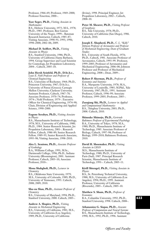Professor, 1966–69; Professor, 1969–2000; Professor Emeritus, 2000–.

#### **Yoav Segev, Ph.D.,** *Visiting Associate in Mathematics*

B.S., Hebrew University, 1975; M.S., 1978; Ph.D., 1985. Professor, Ben Gurion University of the Negev, 1999–. Bateman Research Instructor, Caltech, 1985–87; Visiting Associate, 1990–91; 1993; 1996; 1998–2000; 2002–06; 2009.

#### **Michael D. Seiffert, Ph.D.,** *Visiting Associate in Physics*

B.S., Stanford University, 1986; Ph.D., University of California (Santa Barbara), 1994. Group Supervisor and Lead Scientist for Cosmology, Jet Propulsion Laboratory, 2004–. Caltech, 2005–10.

## **John Hersh Seinfeld, Ph.D., D.Sc.h.c.,**

*Louis E. Nohl Professor and Professor of Chemical Engineering* B.S., University of Rochester, 1964; Ph.D., Princeton University, 1967; D.Sc.h.c, University of Patras (Greece); Carnegie Mellon University; Clarkson University. Assistant Professor, Caltech, 1967–70; Associate Professor, 1970–74; Professor, 1974–; Nohl Professor, 1979–. Executive Officer for Chemical Engineering, 1974–90; Chair, Division of Engineering and Applied Science, 1990–2000.

#### **Eugene Serabyn, Ph.D.,** *Visiting Associate in Physics*

B.S., Massachusetts Institute of Technology, 1978; M.S., University of California, 1980; Ph.D., 1984. Senior Research Scientist, Jet Propulsion Laboratory, 2001–. Research Fellow, Caltech, 1986–89; Senior Research Fellow, 1989–95; Senior Research Associate, 1995–98; Visiting Associate, 1998–2010.

#### **Alex L. Sessions, Ph.D.,** *Associate Professor of Geobiology*

B.A., Williams College, 1991; M.Sc., Dartmouth College, 1996; Ph.D., Indiana University (Bloomington), 2001. Assistant Professor, Caltech, 2003–10; Associate Professor, 2010–.

#### **Mona Shahgholi, Ph.D.,** *Lecturer in Chemistry*

B.S., Oklahoma State University, 1979; M.S., University of Colorado, 1989; Ph.D., University of Tennessee, 1993. Caltech, 2008; 2009; 2010.

#### **Shu-ou Shan, Ph.D.,** *Assistant Professor of Chemistry*

B.S., University of Maryland, 1994; Ph.D., Stanford University, 2000. Caltech, 2005–.

### **Andrew A. Shapiro, Ph.D.,** *Visiting*

*Associate in Mechanical Engineering* B.S., University of California, 1981; M.S., University of California (Los Angeles), 1989; Ph.D., University of California

(Irvine), 1998. Principal Engineer, Jet Propulsion Laboratory, 2002–. Caltech, 2008–10.

#### **Peter M. Shearer, Ph.D.,** *Visiting Professor of Geophysics* B.S., Yale University, 1978; Ph.D., University of California (San Diego), 1986.

Caltech, 2010. **Joseph E. Shepherd, Ph.D.,** *C. L. "Kelly"*

*Johnson Professor of Aeronautics and Professor of Mechanical Engineering; Dean of Graduate Studies*

B.S., University of South Florida, 1976; Ph.D., Caltech, 1981. Associate Professor of Aeronautics, Caltech, 1993–99. Professor, 1999–2005; Professor of Aeronautics and Mechanical Engineering, 2006–08; Johnson Professor and Professor of Mechanical Engineering, 2008–; Dean, 2009–.

#### **Robert P. Sherman, Ph.D.,** *Professor of Economics and Statistics*

B.A., Marquette University, 1978; M.A., University of Louisville, 1985; M.Phil., Yale University, 1987; Ph.D., 1991. Assistant Professor, Caltech, 1996–99; Associate Professor, 1999–2005; Professor, 2005–.

**Zuoqiang Shi, Ph.D.,** *Lecturer in Applied and Computational Mathematics* B.S., Tsinghua University, 2003; Ph.D., 2008. Caltech, 2010.

**Shinsuke Shimojo, Ph.D.,** *Gertrude Baltimore Professor of Experimental Psychology* B.A., University of Tokyo, 1978; M.A., 1980; Ph.D., Massachusetts Institute of Technology, 1985. Associate Professor of Biology, Caltech, 1997–98; Professor of Biology, 1999–2010; Baltimore Professor, 2010.

#### **David H. Shoemaker, Ph.D.,** *Visiting Associate in LIGO*

M.S., Massachusetts Institute of Technology, 1980; Ph.D., University of Paris (Sud), 1987. Principal Research Scientist, Massachusetts Institute of Technology, 1991–. Caltech, 2005–11.

#### **Kirill Shtengel, Ph.D.,** *Visiting Associate in Physics*

B.S., St. Petersburg Technical University, 1988; M.S., University of California (Los Angeles), 1994; Ph.D., 1999. Assistant Professor, University of California (Riverside), 2005–. Caltech, 2005–10.

#### **Matthew S. Shum, Ph.D.,** *Professor of Economics* B.A., Columbia University, 1992; Ph.D., Stanford University, 1998. Caltech, 2008–.

**Athanassios G. Siapas, Ph.D.,** *Associate Professor of Computation and Neural Systems* B.S., Massachusetts Institute of Technology, 1990; M.S., 1992; Ph.D., 1996. Assistant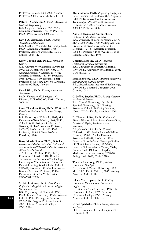Professor, Caltech, 2002–2008; Associate Professor, 2008–; Bren Scholar, 2003–08.

**Peter H. Siegel, Ph.D.,** *Faculty Associate in Electrical Engineering* B.A., Colgate University, 1975; M.S., Columbia University, 1983; M.Ph., 1983; Ph.D., 1983. Caltech, 2002; 2007–.

## **David O. Siegmund, Ph.D.,** *Visiting*

*Associate in Mathematics* B.A., Southern Methodist University, 1963; Ph.D., Columbia University, 1966. Professor, Stanford University, 1976–. Caltech, 2006–11.

#### **Kerry Edward Sieh, Ph.D.,** *Professor of Geology*

A.B., University of California (Riverside), 1972; Ph.D., Stanford University, 1977. Assistant Professor, Caltech, 1977–82; Associate Professor, 1982–86; Professor, 1986–2002; 2008–10; Robert P. Sharp Professor of Geology, 2003–08. Divisional Academic Officer, 1989–94.

#### **David Silva, Ph.D.,** *Visiting Associate in Astronomy*

Ph.D., Unversity of Michigan, 1991. Director, AURA/NOAO, 2008–. Caltech, 2008–11.

**Leon Theodore Silver, Ph.D.,** *W. M. Keck Foundation Professor for Resource Geology, Emeritus*

B.S., University of Colorado, 1945; M.S., University of New Mexico, 1948; Ph.D., Caltech, 1955. Assistant Professor of Geology, 1955–62; Associate Professor, 1962–65; Professor, 1965–83; Keck Professor, 1983–96; Keck Professor Emeritus, 1996–.

#### **Barry Martin Simon, Ph.D., D.Sc.h.c.,**

*International Business Machines Professor of Mathematics and Theoretical Physics; Executive Officer for Mathematics* A.B., Harvard College, 1966; Ph.D., Princeton University, 1970; D.Sc.h.c., Technion–Israel Institute of Technology; University of Wales Swansea. Sherman Fairchild Distinguished Scholar, Caltech, 1980–81; Professor, 1981–84; International Business Machines Professor, 1984–. Executive Officer for Mathematics, 1997–2003; 2009–.

**Melvin I. Simon, Ph.D.,** *Anne P. and Benjamin F. Biaggini Professor of Biological Sciences, Emeritus* B.S., City College of New York, 1959; Ph.D., Brandeis University, 1963. Professor, Caltech, 1982–86; Biaggini Professor, 1986–2005; Biaggini Professor Emeritus, 2005–. Chair, Division of Biology,

**Mark Simons, Ph.D.,** *Professor of Geophysics* B.S., University of California (Los Angeles), 1989; Ph.D., Massachusetts Institute of Technology, 1995. Assistant Professor, Caltech, 1997–2003; Associate Professor, 2003–07; Professor, 2007–.

### **Annette Jacqueline Smith, Ph.D.,**

*Professor of Literature, Emeritus* B.A., University of Paris (Sorbonne), 1947; M.A., 1950; Ph.D., 1970. Visiting Assistant Professor of French, Caltech, 1970–71; Lecturer, 1971–81; Associate Professor, 1982–85; Professor, 1985–92; Professor of Literature Emeritus, 1993–.

**Christina Smolke, Ph.D.,** *Assistant Professor of Chemical Engineering* B.S., University of Southern California, 1997; Ph.D., University of California, 2001. Caltech, 2003–.

**Erik Snowberg, Ph.D.,** *Assistant Professor of Economics and Political Science* S.B., Massachusetts Institute of Technology, 1999; Ph.D., Stanford University, 2008. Caltech, 2008–.

**G. Jeffrey Snyder, Ph.D.,** *Faculty Associate in Materials Science* B.A., Cornell University, 1991; Ph.D., Stanford University, 1997. Visiting Associate, Caltech, 2000–06; Lecturer, 2003; 2007–08; Faculty Associate, 2006–.

**B. Thomas Soifer, Ph.D.,** *Professor of Physics; Director, Spitzer Science Center; Chair, Division of Physics, Mathematics and Astronomy* B.S., Caltech, 1968; Ph.D., Cornell University, 1972. Senior Research Fellow, Caltech, 1978–81; Senior Research

Associate, 1981–89; Professor, 1989–. Director, Space Infrared Telescope Facility (SIRTF) Science Center, 1997–2004; Director, Spitzer Science Center, 2004–; Deputy Chair, Division of Physics, Mathematics and Astronomy, 2008–10; Acting Chair, 2010; Chair, 2010–.

#### **The-Ru Alex Song, Ph.D.,** *Visiting Associate in Geophysics*

B.S., National Central University, 1995; M.S., 1997; Ph.D., Caltech, 2006. Visiting Associate, Caltech, 2010.

**Eileen Marie Spain, Ph.D.,** *Visiting Associate in Environmental Science and Engineering* B.S., Sonoma State University, 1987; Ph.D., University of Utah, 1992. Professor, Occidental College, 1995–. Visiting Associate, Caltech, 2009–10.

**Ulrich Sperhake, Ph.D.,** *Visiting Associate in Physics* Ph.D., University of Southhampton, 2001. Caltech, 2010–11.

**634**

1995–2000.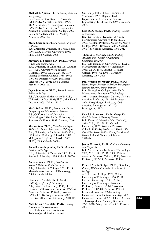**Michael L. Spezio, Ph.D.,** *Visiting Associate in Psychology*

B.S., Case Western Reserve University, 1988; Ph.D., Cornell University, 1994; M.Div., Pittsburgh Theological Seminary, 1996; Ph.D., University of Oregon, 2002. Assistant Professor, Scripps College, 2007–. Lecturer, Caltech, 2006–07; Visiting Associate, 2007–12.

**Maria Spiropulu, Ph.D.,** *Associate Professor of Physics*

B.Sc., Aristotle University of Thessaloniki, 1993; M.A., Harvard University, 1995; Ph.D., 2000. Caltech, 2008–.

**Matthew L. Spitzer, J.D., Ph.D.,** *Professor of Law and Social Science* B.A., University of California (Los Angeles), 1973; J.D., University of Southern California, 1977; Ph.D., Caltech, 1979. Visiting Professor, Caltech, 1988; 1990; 1991–92; Professor of Law and Social Sciences, 1992–2001; 2006–; Visiting Associate, 2001–06.

**Jagan Srinivasan, Ph.D.,** *Senior Research Fellow in Biology* B.S., University of Madras, 1993; M.S., University of Goa, 1995; Ph.D., Max Planck

Institute, 2003. Caltech, 2010.

**Mark Stalzer, Ph.D.,** *Faculty Associate in Computing and Mathematical Sciences* B.S., California State University (Northridge), 1984; Ph.D., University of Southern California, 1993. Caltech, 2010–.

**Marius Stan, Ph.D.,** *Caltech-Huntington Mellon Postdoctoral Instructor in Philosophy* B.A., University of Bucharest, 1997; M.A., 1999; M.A., Freiburg Universität, 1999; M.A., Johns Hopkins University, 2005; Ph.D., 2009. Caltech, 2009–.

**Angelike Stathopoulos, Ph.D.,** *Assistant Professor of Biology* B.A., University of California, 1992; Ph.D., Stanford University, 1998. Caltech, 2005–.

**Andrew Steele, Ph.D.,** *Broad Senior Research Fellow in Brain Circuitry* A.B., University of Chicago, 2001; Ph.D., Massachusetts Institute of Technology, 2008. Caltech, 2008–.

**Charles C. Steidel, Ph.D.,** *Lee A. DuBridge Professor of Astronomy* A.B., Princeton University, 1984; Ph.D., Caltech, 1990. Assistant Professor, 1995–97;

Associate Professor, 1997–98; Professor, 1998-2004; DuBridge Professor, 2004-Executive Officer for Astronomy, 2004–07.

**Aldo Ernesto Steinfeld, Ph.D.,** *Visiting Associate in Materials Science* B.S., Technion-Israel Institute of Technology, 1983; M.S., Tel Aviv

University, 1986; Ph.D., University of Minnesota, 1989. Deputy Head, Department of Mechanical Process Engineering, ETH Zurich, 2007–. Caltech, 2009.

**Eric D. A. Stemp, Ph.D.,** *Visiting Associate in Chemistry*

B.S., University of Denver, 1987; M.S., Northwestern University, 1988; Ph.D., 1993. Assistant Professor, Mount St. Mary's College, 1996–. Research Fellow, Caltech, 1993–96; Visiting Associate, 1996–2012.

**Thomas L. Sterling, Ph.D.,** *Visiting Associate in the Center for Advanced Computing Research* B.S., Old Dominion University, 1974; M.S., Massachusetts Institute of Technology, 1983; Ph.D., 1984. Visiting Associate, Caltech, 1996–99; 2008–10. Faculty Associate, 1999–2008.

**Paul Warren Sternberg, Ph.D.,** *Thomas Hunt Morgan Professor of Biology; Investigator, Howard Hughes Medical Institute* B.A., Hampshire College, 1978; Ph.D., Massachusetts Institute of Technology, 1984. Assistant Professor, Caltech, 1987–92; Associate Professor, 1992–96; Professor, 1996–2004; Morgan Professor, 2004–. Associate Investigator, 1992–97; Investigator, 1997–.

**David J. Stevenson, Ph.D.,** *George Van Osdol Professor of Planetary Science* B.S., Victoria University (New Zealand), 1971; M.S., 1972; Ph.D., Cornell University, 1976. Associate Professor, Caltech, 1980–84; Professor, 1984–95; Van Osdol Professor, 1995–. Chair, Division of Geological and Planetary Sciences, 1989–94.

#### **Joann M. Stock, Ph.D.,** *Professor of Geology and Geophysics*

B.S., Massachusetts Institute of Technology, 1981; M.S., 1981; Ph.D., 1988. Visiting Assistant Professor, Caltech, 1990; Associate Professor, 1992–98; Professor, 1998–.

**Edward Manin Stolper, Ph.D., D.Sc.h.c.,**

*Provost; William E. Leonhard Professor of Geology* A.B., Harvard College, 1974; M.Phil., University of Edinburgh, 1976; Ph.D., Harvard University, 1979; D.Sc.h.c., University of Edinburgh. Assistant Professor, Caltech, 1979–82; Associate Professor, 1982–83; Professor, 1983–90; Leonhard Professor, 1990–. Acting Executive Officer for Geochemistry, 1989; Executive Officer, 1989–94; Chair, Division of Geological and Planetary Sciences, 1994–2004; Acting Provost, 2004; Provost, 2007–.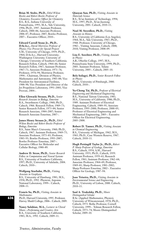**Brian M. Stoltz, Ph.D.,** *Ethel Wilson Bowles and Robert Bowles Professor of Chemistry; Executive Officer for Chemistry* B.S., B.A., Indiana University of Pennsylvania, 1993; M.A., Yale University, 1996; Ph.D., 1997. Assistant Professor, Caltech, 2000–06; Associate Professor, 2006–07; Professor, 2007; Bowles Professor, 2007–. Executive Officer, 2010–.

#### **Edward Carroll Stone Jr., Ph.D.,**

**D.Sc.h.c.,** *David Morrisroe Professor of Physics; Vice Provost for Special Projects* S.M., University of Chicago, 1959; Ph.D., 1964; D.Sc.h.c., Harvard University; Washington University; University of Chicago; University of Southern California. Research Fellow, Caltech, 1964–66; Senior Research Fellow, 1967; Assistant Professor, 1967–71; Associate Professor, 1971–76; Professor, 1976–94; Morrisroe Professor, 1994–. Chairman, Division of Physics, Mathematics and Astronomy, 1983–88; Vice President for Astronomical Facilities, 1988–90; Vice President and Director of the Jet Propulsion Laboratory, 1991–2001; Vice Provost, 2004–.

**Ellen Glowacki Strauss, Ph.D.,** *Senior Research Associate in Biology, Emeritus* B.A., Swarthmore College, 1960; Ph.D., Caltech, 1966. Research Fellow, 1969–73; Senior Research Fellow, 1973–84; Senior Research Associate, 1984–2007; Senior Research Associate Emeritus, 2007–.

**James Henry Strauss Jr., Ph.D.,** *Ethel Wilson Bowles and Robert Bowles Professor of Biology, Emeritus* B.S., Saint Mary's University, 1960; Ph.D., Caltech, 1967. Assistant Professor, 1969–75; Associate Professor, 1975–83; Professor, 1983–93; Bowles Professor, 1993–2007; Bowles Professor Emeritus, 2007–. Executive Officer for Molecular and Cellular Biology, 1980–89.

**Andrew D. Straw, Ph.D.,** *Senior Research Fellow in Computation and Neural Systems* B.S., University of Southern California, 1997; Ph.D., University of Adelaide, 2004. Caltech, 2010–.

**Wolfgang Sturhahn, Ph.D.,** *Visiting Associate in Geophysics* B.S., University of Hamburg, 1981; M.S., 1958; Ph.D., 1992. Physicist, Argonne National Laboratory, 1999–. Caltech, 2008–11.

**Francis Su, Ph.D.,** *Visiting Associate in Mathematics* Ph.D., Harvard University, 1995. Professor,

Harvey Mudd College, 2006–. Caltech, 2009.

**Nancy Sulahian, M.A.,** *Lecturer in Choral Music—Performing and Creative Arts* B.A., University of Southern California, 1983; M.A., 1992. Caltech, 2009–11.

**Qiaoyan Sun, Ph.D.,** *Visiting Associate in Materials Science* B.S., Xi'an Institute of Technology, 1994; M.S., 1997; Ph.D., Xi'an Jiaotong University, 2001. Caltech, 2010–11.

## **Noel M. Swerdlow, Ph.D.,** *Visiting*

*Associate in History* B.S., University of California (Los Angeles), 1964; M.A., Yale University, 1967; Ph.D., 1968. Professor, University of Chicago, 1982–. Visiting Associate, Caltech, 2008; 2010; Visiting Professor, 2008–09.

#### **Lisa E. Szechter, Ph.D.,** *Visiting Associate in Physics*

A.B., Oberlin College, 1997; M.S., Pennsylvania State University, 1999; Ph.D., 2003. Assistant Professor, Tulane University, 2005–. Caltech, 2005–10.

#### **Bela Szilagyi, Ph.D.,** *Senior Research Fellow in Physics*

Ph.D., University of Pittsburgh, 2000. Caltech, 2010–.

**Yu-Chong Tai, Ph.D.,** *Professor of Electrical Engineering and Mechanical Engineering* B.S., National Taiwan University, 1981; M.S., University of California, 1986; Ph.D., 1989. Assistant Professor of Electrical Engineering, Caltech, 1989–95; Associate Professor, 1995–2000; Professor, 2000–05; Professor of Electrical Engineering and Mechanical Engineering, 2005–. Executive Officer for Electrical Engineering, 2005–2008.

**Robert D. Tanner, Ph.D.,** *Visiting Associate in Chemical Engineering* B.S., University of Michigan, 1962; M.S., 1963; Ph.D., Case Western Reserve, 1967. Caltech, 2010–11.

**Hugh Pettingill Taylor Jr., Ph.D.,** *Robert P. Sharp Professor of Geology, Emeritus* B.S., Caltech, 1954; A.M., Harvard University, 1955; Ph.D., Caltech, 1959. Assistant Professor, 1959–61; Research Fellow, 1961; Assistant Professor, 1962–64; Associate Professor, 1964–69; Professor, 1969–81; Sharp Professor, 1981–2002; Sharp Professor Emeritus, 2002–. Executive Officer for Geology, 1987–94.

**Joao Teixeira, Ph.D.,** *Visiting Associate in Environmental Science and Engineering* Ph.D., University of Lisbon, 2000. Caltech, 2010–11.

#### **Saul A. Teukolsky, Ph.D.,** *Moore Distinguished Scholar*

B.Sc. (Applied Mathematics, Physics), University of Witwatersrand, 1970; Ph.D., Caltech, 1973. Bethe Professor, Cornell University, 1999–. Tolman Research Fellow, Caltech, 1973–74; Moore Distinguished Scholar, 2009–10.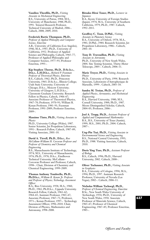**Vassilios Theofilis, Ph.D.,** *Visiting Associate in Mechanical Engineering* B.S., University of Patras, 1984; M.S., University of Manchester, 1988; Ph.D., 1991. Tenured Research Professor, Technical University of Madrid, 2006–. Caltech, 2008; 2009; 2010.

### **Frederick Burtis Thompson, Ph.D.,**

*Professor of Applied Philosophy and Computer Science, Emeritus*

A.B., University of California (Los Angeles), 1946; M.A., 1947; Ph.D., University of California, 1952. Professor of Applied Science and Philosophy, Caltech, 1965–77; Professor of Applied Philosophy and Computer Science, 1977–93; Professor Emeritus, 1993–.

## **Kip Stephen Thorne, Ph.D., D.Sc.h.c.,**

**D.h.c., L.H.D.h.c.,** *Richard P. Feynman Professor of Theoretical Physics, Emeritus* B.S., Caltech, 1962; Ph.D., Princeton University, 1965; D.Sc.h.c., Illinois College; Utah State University; University of Chicago; D.h.c., Moscow University; University of Glasgow; L.H.D.h.c., Claremont Graduate University. Research Fellow in Physics, Caltech, 1966–67; Associate Professor of Theoretical Physics, 1967–70; Professor, 1970–91; William R. Kenan Professor, 1981–91; Feynman Professor, 1991–2009; Professor Emeritus, 2009–.

#### **Massimo Tinto, Ph.D.,** *Visiting Associate in Physics*

Ph.D., University College (Wales), 1987. Senior Scientist, Jet Propulsion Laboratory, 1991–. Research Fellow, Caltech, 1987–89; Visiting Associate, 2001–10.

#### **David A. Tirrell, Ph.D., D.h.c.,** *Ross*

*McCollum–William H. Corcoran Professor and Professor of Chemistry and Chemical Engineering* B.S., Massachusetts Institute of Technology, 1974; M.S., University of Massachusetts, 1976; Ph.D., 1978; D.h.c., Eindhoven Technical University. McCollum– Corcoran Professor and Professor, Caltech,

1998–. Chair, Division of Chemistry and Chemical Engineering, 1999–2009.

### **Thomas Anthony Tombrello, Ph.D.,**

**Ph.D.h.c.,** *William R. Kenan Jr. Professor and Professor of Physics; Technology Assessment Officer*

B.A., Rice University, 1958; M.A., 1960; Ph.D., 1961; Ph.D.h.c., Uppsala University. Research Fellow, Caltech, 1961–62; 1964–65; Assistant Professor, 1965–67; Associate Professor, 1967–71; Professor, 1971–; Kenan Professor, 1997–. Technology Assessment Officer, 1996–2010. Chair, Division of Physics, Mathematics and Astronomy, 1998–2008.

#### **Ritsuko Hirai Toner, Ph.D.,** *Lecturer in Japanese*

B.A., Kyoto University of Foreign Studies (Japan), 1974; M.A., University of Southern California, 1979; Ph.D., 1987. Caltech, 1992–2011.

#### **Geoffrey C. Toon, D.Phil.,** *Visiting*

*Associate in Planetary Science* B.A., University of Oxford, 1978; M.A., 1981; D.Phil., 1984. Research Scientist, Jet Propulsion Laboratory, 1986–. Caltech, 2001–10.

#### **Tony D. Travouillon, Ph.D.,** *Visiting*

*Associate in Astronomy* Ph.D., University of New South Wales, 2004. Site Testing Scientist, Thirty-Meter Telescope, 2005–. Caltech, 2006–11.

## **Marie Treyer, Ph.D.,** *Visiting Associate in Physics*

Ph.D., University of Paris, 1994. Research Associate, Laboratoire d'Astrophysique de Marseille, 1999–. Caltech, 2003–10.

**Sandra M. Troian, Ph.D.,** *Professor of Applied Physics, Aeronautics, and Mechanical Engineering* B.A., Harvard University, 1980; M.S., Cornell University, 1984; Ph.D., 1987. Moore Distinguished Scholar, Caltech, 2004–05; Professor, 2006–.

**Joel A. Tropp, Ph.D.,** *Assistant Professor of Applied and Computational Mathematics* B.A., B.S., University of Texas (Austin), 1999; M.S., 2001; Ph.D., 2004. Caltech, 2007–.

**Ung-Pin Tsai, Ph.D.,** *Visiting Associate in Environmental Science and Engineering* B.S., National Central University, 1993; Ph.D., 1988. Visiting Associate, Caltech, 2010.

**Doris Ying Tsao, Ph.D.,** *Assistant Professor of Biology* B.S., Caltech, 1996; Ph.D., Harvard University, 2002. Caltech, 2008–.

### **Oliver Tschauner, Ph.D.,** *Visiting Associate in Geophysics*

B.A., University of Cologne, 1994; M.A., 1994; Ph.D., 1997. Assistant Research Professor, University of Nevada (Las Vegas), 2002–. Caltech, 2006–11.

#### **Nicholas William Tschoegl, Ph.D.,**

*Professor of Chemical Engineering, Emeritus* B.Sc., New South Wales University of Technology, 1954; Ph.D., University of New South Wales, 1958. Associate Professor of Materials Science, Caltech, 1965–67; Professor of Chemical Engineering, 1967–85; Professor Emeritus, 1985–.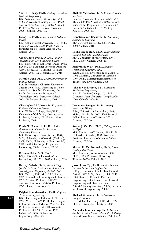**Snow H. Tseng, Ph.D.,** *Visiting Associate in Electrical Engineering*

B.S., National Taiwan University, 1994; M.S., University of Chicago, 1997; Ph.D., Northwestern University, 2005. Assistant Professor, National Taiwan University, 2006–. Caltech, 2009–10.

**Qiang Tu, Ph.D.,** *Senior Research Fellow in Biology*

B.S., Anhui Normal University, 1997; M.S., Fudan University, 2000; Ph.D., Shanghai Institutes for Biological Sciences, 2003. Caltech, 2010–.

**Carol Chace Tydell, D.V.M.,** *Visiting Associate in Biology; Lecturer in Biology* B.S., University of California (Davis), 1980; D.V.M., 1982. Adjunct Professor, Pasadena City College, 2007–. Visiting Associate, Caltech, 2007–10; Lecturer, 2008; 2010.

**Michiko Ueda, Ph.D.,** *Assistant Professor of Political Science*

B.A., International Christian University (Japan), 1996; M.A., University of Tokyo, 1999; M.A., Stanford University, 2001; Ph.D., Massachusetts Institute of Technology, 2006. Instructor, Caltech, 2006–08; Assistant Professor, 2008–10.

**Christopher M. Umans, Ph.D.,** *Associate Professor of Computer Science* B.A., Williams College, 1996; Ph.D., University of California, 2000. Assistant Professor, Caltech, 2002–08; Associate Professor, 2008–.

**Edwin T. Upchurch, Ph.D.,** *Visiting Associate in the Center for Advanced Computing Research* B.S., University of Texas (Austin), 1964; M.S., University of Wisconsin (Madison), 1969; Ph.D., University of Texas (Austin), 1982. Staff Scientist, Jet Propulsion Laboratory, 2000–. Caltech, 2002–11.

**Rolando Uribe, M.S.,** *Coach* B.S., California State University (San Bernardino), 1995; M.S., 2002. Caltech, 2001–.

**Kerry J. Vahala, Ph.D.,** *Ted and Ginger Jenkins Professor of Information Science and Technology and Professor of Applied Physics* B.S., Caltech, 1980; M.S., 1981; Ph.D., 1985. Research Fellow in Applied Physics, 1985; Assistant Professor, 1986–90; Associate Professor, 1990–96; Professor, 1996–; Jenkins Professor, 2002–.

**Palghat P. Vaidyanathan, Ph.D.,** *Professor of Electrical Engineering* B.Sc., University of Calcutta, 1974; B.Tech., 1977; M.Tech., 1979; Ph.D., University of California (Santa Barbara), 1982. Assistant Professor, Caltech, 1983–88; Associate Professor, 1988–93; Professor, 1993–. Executive Officer for Electrical Engineering, 2002–05.

**Michele Vallisneri, Ph.D.,** *Visiting Associate in Physics*

Laurea, University of Parma (Italy), 1997; M.S., 2000; Ph.D., Caltech, 2002. Research Scientist, Jet Propulsion Laboratory, 2005–. Lecturer, Caltech, 2003–05; Visiting Associate, 2005–10.

**Christiaan Van Bochove, Ph.D.,,** *Visiting Associate in Economics* M.A., Utrecht University, 2003; Ph.D., 2008. Caltech, 2010.

**Fokko van de Bult, Ph.D.,** *Harry Bateman Research Instructor in Mathematics* M.A., University of Amsterdam, 2003; Ph.D., 2007. Caltech, 2008–11.

**Axel van de Walle, Ph.D.,** *Assistant Professor of Materials Science* B.Eng., École Polytechnique de Montreal, 1994; M.Math., University of Waterloo, 1995; Ph.D., Massachusetts Institute of Technology, 2000. Caltech, 2006–.

**John P. Van Deusen, B.S.,** *Lecturer in Mechanical Engineering* A.A., El Camino College, 1978; B.S., California State University (Long Beach), 2003. Caltech, 2004–10.

## **Jeroen van Dongen, Ph.D.,** *Visiting*

*Associate in History* B.Sc., University of Amsterdam, 1994; M.Sc., 1998; Ph.D., 2002. Veni Research Fellow, University of Utrecht, 2005–. Caltech, 2007–10.

#### **Steven J. Van Enk, Ph.D.,** *Visiting Associate in Physics*

M.S., University of Utrecht, 1988; Ph.D., University of Leiden, 1992. Associate Professor, University of Oregon, 2006–. Caltech, 2005–10.

#### **Marten H. Van Kerkwijk, Ph.D.,** *Moore*

*Distinguished Scholar* M.S., University of Amsterdam, 1988; Ph.D., 1993. Professor, University of Toronto, 2003–. Caltech, 2010.

**Jakob J. van Zyl, Ph.D.,** *Faculty Associate;*

*Lecturer in Electrical Engineering* B.Eng., University of Stellenbosch (South Africa), 1979; M.S., Caltech, 1983; Ph.D., 1986. Research Fellow in Electrical Engineering, 1986; Lecturer in Electrical Engineering and Planetary Science, 2001–07; Faculty Associate, 2007–; Lecturer in Electrical Engineering, 2008–11.

#### **Michael C. Vanier, Ph.D.,** *Lecturer in Computer Science*

B.S., McGill University, 1986; M.S., 1993; Ph.D., Caltech, 2001. Lecturer, 2004–.

**Alexander J. Varshavsky, Ph.D.,** *Howard and Gwen Laurie Smits Professor of Cell Biology* B.S., Moscow State University, 1970; Ph.D.,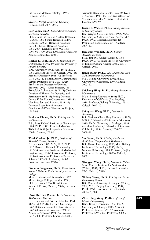Institute of Molecular Biology, 1973. Caltech, 1992–.

**Scott C. Virgil,** *Lccturer in Chemistry* Caltech, 2008; 2009; 2010.

**Petr Vogel, Ph.D.,** *Senior Research Associate in Physics, Emeritus* Ph.D., Joint Institute of Nuclear Research (USSR), 1966. Senior Research Fellow,

Caltech, 1970–75; Research Associate, 1975–81; Senior Research Associate, 1981–2004; Lecturer, 1983–90; 1992; 1995–96; 1999–2000; 2006. Senior Research Associate Emeritus, 2004–.

**Rochus E. Vogt, Ph.D.,** *R. Stanton Avery Distinguished Service Professor and Professor of Physics, Emeritus*

S.M., University of Chicago, 1957; Ph.D., 1961. Assistant Professor, Caltech, 1962–65; Associate Professor, 1965–70; Professor, 1970–2002; R. Stanton Avery Distinguished Service Professor, 1982–2002; Avery Professor and Professor of Physics, Emeritus, 2002–. Chief Scientist, Jet Propulsion Laboratory, 1977–78; Chairman, Division of Physics, Mathematics and Astronomy, 1978–83; Acting Director, Owens Valley Radio Observatory, 1980–81; Vice President and Provost, 1983–87; Director, Laser Interferometer Gravitational-Wave Observatory Project, 1987–94.

**Paul von Allmen, Ph.D.,** *Visiting Associate in Chemistry*

B.S., Swiss Federal Institute of Technology, 1984; Ph.D., 1991. Principal Member, Technical Staff, Jet Propulsion Laboratory, 2005–. Caltech, 2008–11.

**Thad Vreeland Jr., Ph.D.,** *Professor of*

*Materials Science, Emeritus* B.S., Caltech, 1949; M.S., 1950; Ph.D., 1952. Research Fellow in Engineering, 1952–54; Assistant Professor of Mechanical Engineering, 1954–58; Associate Professor, 1958–63; Associate Professor of Materials Science, 1963–68; Professor, 1968–91; Professor Emeritus, 1991–.

**Daniel A. Wagenaar, Ph.D.,** *Broad Senior Research Fellow in Brain Circuitry; Lecturer in Biology*

M.Sc., University of Amsterdam, 1977; M.Sc., King's College, London, 1998; Ph.D., Caltech, 2006. Broad Senior Research Fellow, Caltech, 2008–; Lecturer, 2010.

**David Bertram Wales, Ph.D.,** *Professor of Mathematics, Emeritus*

B.S., University of British Columbia, 1961; M.A., 1962; Ph.D., Harvard University, 1967. Bateman Research Fellow, Caltech, 1967–68; Assistant Professor, 1968–71; Associate Professor, 1971–77; Professor, 1977–2008; Professor Emeritus, 2008–.

Associate Dean of Students, 1976–80; Dean of Students, 1980–84; Executive Officer for Mathematics, 1985–91; Master of Student Houses, 1991–97.

**Duane E. Waliser, Ph.D.,** *Visiting Associate in Planetary Science* B.S., Oregon State University, 1985; M.S.,

University of California (San Diego), 1987; Ph.D., 1992. Research Scientist, Jet Propulsion Laboratory, 2004–. Caltech, 2004–12.

**Benjamin Wandelt, Ph.D.,** *Visiting*

*Associate in Physics* B.Sc., Imperial College London, 1994; Ph.D., 1997. Associate Professor, University of Illinois (Urbana-Champaign), 2006–. Caltech, 2009.

**Jiajun Wang, Ph.D.,** *Olga Taussky and John Todd Instructor in Mathematics* M.S., Peking University, 2001; Ph.D., University of California, 2007. Caltech, 2007–10.

**Shicheng Wang, Ph.D.,** *Visiting Associate in Mathematics*

M.Sc., Peking University, 1981; Ph.D., University of California (Los Angeles), 1988. Professor, Peking University, 1993–. Caltech, 2009–10.

#### **Shiing-wu Wang, Ph.D.,** *Lecturer in Accounting*

B.S., National Chiao Tung University, 1978; M.B.A., University of Wisconsin (Madison), 1980; Ph.D., University of Michigan, 1988. Associate Professor, University of Southern California, 1999–. Caltech, 2006–07; 2008–11.

**Shu Wang, Ph.D.,** *Visiting Associate in Applied and Computational Mathematics* B.S., Henan University, 1990; M.S., Beijing Institute of Technology, 1993; Ph.D., Nanjing University, 1998. Professor, Beijing Institute of Technology, 2003–. Caltech, 2009.

**Xiangyun Wang, Ph.D.,** *Lecturer in Chinese* M.A., Central Institute for Nationalities (China), 1985; Ph.D., Harvard University, 1995. Caltech, 2001–.

**Xinlong Wang, Ph.D.,** *Visiting Associate in Engineering Science* B.S., Ocean University of Tsingtao (China), 1982; M.S., Nanjing University, 1987; Ph.D., 1991. Professor, 1991–. Caltech, 2004–06, 2008.

**Zhen-Gang Wang, Ph.D.,** *Professor of Chemical Engineering* B.Sc., Beijing University, 1982; Ph.D., University of Chicago, 1987. Assistant Professor, Caltech, 1991–97; Associate Professor, 1997–2002; Professor, 2002–.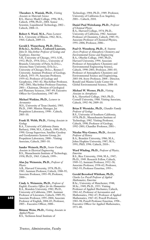**Theodore A. Waniuk, Ph.D.,** *Visiting Associate in Materials Science* B.S., Harvey Mudd College, 1996; M.S., Caltech, 1998; Ph.D., 2004. Senior Scientist, Liquidmetal Technology, 2002–. Caltech, 2008–11.

**Robert S. Ward, M.A.,** *Piano Lecturer* B.A., University of Illinois, 1962; M.A., 1964. Caltech, 2009–11.

### **Gerald J. Wasserburg, Ph.D., D.h.c.,**

**D.Sc.h.c., Sc.D.h.c., Crafoord Laureate,** *John D. MacArthur Professor of Geology and Geophysics, Emeritus* S.B., University of Chicago, 1951; S.M., 1952; Ph.D., 1954; D.h.c., University of Brussels; University of Paris; Sc.D.h.c., Arizona State University; D.Sc.h.c.,

University of Chicago; Dr.h.c., Rennes I University. Assistant Professor of Geology, Caltech, 1955–59; Associate Professor, 1959–62; Professor of Geology and Geophysics, 1963–82; MacArthur Professor, 1982–2001; MacArthur Professor Emeritus, 2001–. Chairman, Division of Geological and Planetary Sciences, 1987–89; Executive Officer for Geochemistry, 1987–89.

#### **Michael Watkins, Ph.D.,** *Lecturer in Aeronautics*

M.S., University of Texas (Austin), 1985; Ph.D., 1989. Mission Manager, Jet Propulsion Laboratory, 1998–. Caltech,  $2005 - 10$ .

#### **Frank H. Webb, Ph.D.,** *Visiting Associate in Geology*

B.A., University of California (Santa Barbara), 1984; M.S., Caltech, 1989; Ph.D., 1990. Group Supervisor, Satellite Geodesy and Geodynamics Systems Group, Jet Propulsion Laboratory, 2000–. Visiting Associate, Caltech, 2005–10.

**Sander Weinreb, Ph.D.,** *Senior Faculty Associate in Electrical Engineering* B.S., Massachusetts Institute of Technology, 1958; Ph.D., 1963. Caltech, 1999–.

#### **Alan Jay Weinstein, Ph.D.,** *Professor of Physics*

A.B., Harvard University, 1978; Ph.D., 1983. Assistant Professor, Caltech, 1988–95; Associate Professor, 1995–99; Professor, 2000–.

**Cindy A. Weinstein, Ph.D.,** *Professor of English; Executive Officer for the Humanities* B.A., Brandeis University, 1982; Ph.D., University of California, 1989. Assistant Professor of Literature, Caltech, 1989–95; Associate Professor, 1995–2004; Associate Professor of English, 2004–05; Professor, 2005–. Executive Officer, 2008–.

**Shimon Weiss, Ph.D.,** *Visiting Associate in Applied Physics* B.S., Technion-Israel Institute of

Technology, 1984; Ph.D., 1989. Professor, University of California (Los Angeles), 2001–. Caltech, 2010.

#### **Daniel Paul Weitekamp, Ph.D.,** *Professor of Chemical Physics*

B.A., Harvard College, 1974; Ph.D., University of California, 1982. Assistant Professor of Chemistry, Caltech, 1985–91; Associate Professor of Chemical Physics, 1991–2006; Professor, 2006–.

**Paul O. Wennberg, Ph.D.,** *R. Stanton Avery Professor of Atmospheric Chemistry and Environmental Science and Engineering* B.A., Oberlin College, 1985; Ph.D., Harvard University, 1994. Associate Professor of Atmospheric Chemistry and Environmental Engineering Science, Caltech, 1998–2001; Professor, 2001–03; Professor of Atmospheric Chemistry and Environmental Science and Engineering, 2003–04; Avery Professor, 2004–. Director, Ronald and Maxine Linde Center for Global Environmental Science, 2008–10.

#### **Michael W. Werner, Ph.D.,** *Visiting*

*Associate in Astrophysics* B.A., Haverford College, 1963; Ph.D., Cornell University, 1968. Visiting Associate, Caltech, 1992–96; 2009–10.

#### **Brian P. Wernicke, Ph.D.,** *Chandler Family Professor of Geology* B.S., University of Southern California,

1978; Ph.D., Massachusetts Institute of Technology, 1982. Visiting Professor, Caltech, 1990; Professor of Geology, 1992–2001; Chandler Professor, 2001–.

#### **Nicolas Wey-Gomez, Ph.D.,** *Associate Professor of History*

B.A., Brandeis University, 1986; M.A., Johns Hopkins University, 1987; M.A., 1991; PhD, 1996. Caltech, 2010–.

#### **Ward Whaling, Ph.D.,** *Professor of Physics, Emeritus*

B.S., Rice University, 1944; M.A., 1947; Ph.D., 1949. Research Fellow, Caltech, 1949–52; Assistant Professor, 1952–58; Associate Professor, 1958–62; Professor, 1962–93; Professor Emeritus, 1993–.

#### **Gerald Beresford Whitham, Ph.D.,**

*Charles Lee Powell Professor of Applied Mathematics, Emeritus* B.Sc., University of Manchester, 1948;

M.Sc., 1949; Ph.D., 1953. Visiting Professor of Applied Mechanics, Caltech, 1961–62; Professor of Aeronautics and Mathematics, 1962–67; Professor of Applied Mathematics, 1967–83; Powell Professor, 1983–98; Powell Professor Emeritus, 1998–. Executive Officer for Applied Mathematics, 1971–80.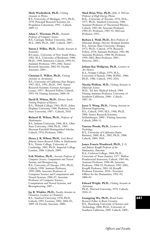#### **Mark Wiedenbeck, Ph.D.,** *Visiting*

*Associate in Physics* B.S., University of Michigan, 1971; Ph.D., 1978. Principal Research Scientist, Jet Propulsion Laboratory, 1992–. Caltech, 2009–12.

## **Adam C. Wierman, Ph.D.,** *Assistant*

*Professor of Computer Science* B.S., Carnegie Mellon University, 2001; M.S., 2004; Ph.D., 2007. Caltech, 2007–.

**Simon J. Wilkie, Ph.D.,** *Faculty Associate in Economics*

B.Comm., University of New South Wales, 1982; M.A., University of Rochester, 1988; Ph.D., 1990. Instructor, Caltech, 1994–95; Assistant Professor, 1995–2002; Senior Research Associate, 2002–05; Faculty Associate, 2005–.

### **Christian E. Willert, Ph.D.,** *Visiting*

*Associate in Aeronautics* B.S., University of California (San Diego), 1987; M.S., 1991; Ph.D., 1992. Senior Research Scientist, German Aerospace Center, 1997–. Research Fellow, Caltech, 1993–94; Visiting Associate, 2009–10.

**David B. Wilson, Ph.D.,** *Eleanor Searle Visiting Professor of History* B.A., Wabash College, 1963; Ph.D., Johns Hopkins University, 1968. Professor, Iowa

State University, 1987–. Caltech, 2010.

**Richard M. Wilson, Ph.D.,** *Professor of Mathematics*

B.S., Indiana University, 1966; M.S., Ohio State University, 1968; Ph.D., 1969. Sherman Fairchild Distinguished Scholar, Caltech, 1976; Professor, 1980–.

**Henry J. R. Wilton, Ph.D.,** *Scott Russel Johnson Senior Research Fellow in Mathematics* B.A., Trinity College, University of Cambridge, 2001; Ph.D., Imperial College London, 2006. Caltech, 2009–.

**Erik Winfree, Ph.D.,** *Associate Professor of Computer Science, Computation and Neural Systems, and Bioengineering* B.S., University of Chicago, 1991; Ph.D., Caltech, 1998. Assistant Professor, 1999–2006; Associate Professor of Computer Science and Computation and Neural Systems, 2006–07; Associate Professor of Computer Science, Computation and Neural Systems, and Bioengineering, 2007–.

**Jay R. Winkler, Ph.D.,** *Faculty Associate in Chemistry; Lecturer in Chemistry* B.S., Stanford University, 1978; Ph.D., Caltech, 1993. Lecturer, 2002; 2004–05; 2009–10; Faculty Associate, 2008–.

#### **Mark Brian Wise, Ph.D.,** *John A. McCone Professor of High Energy Physics*

B.Sc., University of Toronto, 1976; M.Sc., 1977; Ph.D., Stanford University, 1980. Assistant Professor of Theoretical Physics, Caltech, 1982–84; Associate Professor, 1984–85; Professor, 1985–92; McCone Professor, 1992–.

**Barbara J. Wold, Ph.D.,** *Bren Professor of Molecular Biology; Director, Beckman Institute* B.S., Arizona State University (Tempe), 1973; Ph.D., Caltech, 1978. Research Fellow, 1978; Assistant Professor, 1981–88; Associate Professor, 1988–96; Professor, 1996–2002; Bren Professor, 2003–. Director, 2001–.

**Juliann Kay Wolfgram, Ph.D.,** *Lecturer in Art History* B.A., Scripps College, 1979; M.A., University of Kansas, 1986; M.Phil., 1986; Ph.D., 1986. Caltech, 1992–2010.

**Nicolaj Wolfson, M.D.,** *Visiting Associate in Materials Science* M.D., Tel Aviv Medical School, 1984.

Visiting Assistant Professor, University of Southern California, 2006–. Caltech, 2007–10.

**Joyce Y. Wong, Ph.D.,** *Visiting Associate in Electrical Engineering* B.S., Caltech, 1995; M.S., 1996; Ph.D., 2000. Senior Research Scientist, Schlumberger, 2000–. Visiting Associate, Caltech, 2004–11.

#### **Vanessa Woods, Ph.D.,** *Lecturer in Psychology*

B.S., University of California (Santa Barbara), 2000; M.A., 2002; Ph.D., 2006. Caltech, 2009; 2010.

#### **James Francis Woodward, Ph.D.,** *J. O. and Juliette Koepfli Professor of the*

*Humanities, Emeritus* B.A., Carleton College, 1968; Ph.D., University of Texas (Austin), 1977. Mellon Postdoctoral Instructor, Caltech, 1983–86; Assistant Professor, 1986–88; Associate Professor, 1988–92; Professor, 1992–2001; Koepfli Professor, 2001–10; Koepfli Professor Emeritus, 2010–. Executive Officer for the Humanities, 1992–95; 2000–03.

**Edward Wright, Ph.D.,** *Visiting Associate in Astronomy* Ph.D., Harvard University, 1976. Caltech, 2010–11.

**Guangying Wu, Ph.D.,** *Broad Senior Research Fellow in Brain Circuitry* B.S., Huazhong University of Science and Technology, 2004; Ph.D., University of Southern California, 2009. Caltech, 2009–.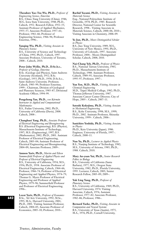**Theodore Yao-Tsu Wu, Ph.D.,** *Professor of Engineering Science, Emeritus*

B.S., Chiao-Tung University (China), 1946; M.S., Iowa State University, 1948; Ph.D., Caltech, 1952. Research Fellow, 1952–55; Assistant Professor of Applied Mechanics, 1955–57; Associate Professor, 1957–61; Professor, 1961–66; Professor of Engineering Science, 1966–96; Professor Emeritus, 1996–.

#### **Yanqing Wu, Ph.D.,** *Visiting Associate in Planetary Science*

B.S., University of Science and Technology of China, 1991; Ph.D., Caltech, 1997. Associate Professor, University of Toronto, 2008–. Caltech, 2010.

### **Peter John Wyllie, Ph.D., D.Sc.h.c.,**

*Professor of Geology, Emeritus* B.Sc. (Geology and Physics), Saint Andrews University (Scotland), 1952; B.Sc. (Geology), 1955; Ph.D., 1958; D.Sc.h.c., Saint Andrews University. Professor, Caltech, 1983–99; Professor Emeritus, 1999–. Chairman, Division of Geological and Planetary Sciences, 1983–87; Divisional Academic Officer, 1994–99.

**Pengchong Yan, Ph.D.,** *von Kármán Instructor in Applied and Computational Mathematics* B.S., Fudan University, 2002; Ph.D., University of California (Davis), 2008. Caltech, 2008–.

**Changhuei Yang, Ph.D.,** *Associate Professor of Electrical Engineering and Bioengineering* B.S. (Electrical Engineering), B.S. (Physics), Massachusetts Institute of Technology, 1997; M.S. (Engineering), 1997; B.S. (Mathematics), 2002; Ph.D., 2001. Assistant Professor of Electrical Engineering, Caltech, 2003–04; Assistant Professor of Electrical Engineering and Bioengineering, 2004–09; Associate Professor, 2009–.

**Amnon Yariv, Ph.D.,** *Martin and Eileen Summerfield Professor of Applied Physics and Professor of Electrical Engineering* B.S., University of California, 1954; M.S., 1956; Ph.D., 1958. Associate Professor of Electrical Engineering, Caltech, 1964–66; Professor, 1966–74; Professor of Electrical Engineering and Applied Physics, 1974–79; Thomas G. Myers Professor of Electrical Engineering and Professor of Applied Physics, 1979–96; Summerfield Professor and Professor of Electrical Engineering, 1996–.

**Leeat Yariv, Ph.D.,** *Professor of Economics* B.Sc., Tel Aviv University, 1992; M.Sc., 1995; M.A., Harvard University, 2001; Ph.D., 2001. Visiting Assistant Professor, Caltech, 2004–05; Associate Professor of Economics, 2005–10; Professor, 2010–.

**Rachid Yazami, Ph.D.,** *Visiting Associate in Materials Science*

Eng., National Polytechnic Institute of Grenoble, 1978; Ph.D., 1985. Research Director, National Center for Scientific Research, 1998–. Visiting Associate in Materials Science, Caltech, 2000–06; 2010–; Visiting Associate in Chemistry, 2006–09.

#### **Ye Jun, Ph.D.,** *Moore Distinguished Scholar in Physics*

B.S., Jiao Tong University, 1989; M.S., University of New Mexico, 1991; Ph.D., University of Colorado, 1997. Associate Professor, 2004–. Moore Distinguished Scholar, Caltech, 2008; 2010.

**Nai-Chang Yeh, Ph.D.,** *Professor of Physics* B.S., National Taiwan University, 1983; Ph.D., Massachusetts Institute of Technology, 1988. Assistant Professor, Caltech, 1989–95; Associate Professor, 1995–97; Professor, 1997–.

### **Yun Yen, M.D., Ph.D.,** *Visiting Associate in Chemical Engineering*

M.D., Taipei Medical College, 1982; Ph.D., Thomas Jefferson University, 1987. Associate Cancer Center Director, City of Hope, 2005–. Caltech, 2007–11.

#### **Satoshi Kokojima, Ph.D.,** *Visiting Associate in Mechanical Engineering*

B.S., Kobe University, 1998; M.S., 1999; Ph.D., 2002. Assistant Professor, Shizuoka University, 1999–. Caltech, 2006–.

#### **Sanichiro Yoshida, Ph.D.,** *Visiting Associate in Physics* Ph.D., Keio University (Japan), 1986.

Engineer, University of Florida, 1997–. Caltech, 2000–11.

**Nan Yu, Ph.D.,** *Lecturer in Applied Physics* B.S., Nanjing Institute of Technology, 1982; M.S., University of Arizona, 1985; Ph.D., 1988. Caltech, 2010.

#### **Mary An-yuan Yui, Ph.D.,** *Senior Research Fellow in Biology*

B.S., University of California (Santa Barbara), 1977; M.S., Oregon State University, 1982; Ph.D., Florida University, 1995. Lecturer, Caltech, 2005; Senior Research Fellow, 2005–09; 2009–.

#### **Yuk Ling Yung, Ph.D.,** *Professor of Planetary Science* B.S., University of California, 1969; Ph.D., Harvard University, 1974. Visiting Associate, Caltech, 1976; Assistant Professor, 1977–82; Associate Professor,

1982–86; Professor, 1986–.

**Bernard Yurke, Ph.D.,** *Visiting Associate in Computation and Neural Systems* B.S., University of Texas (Austin), 1975; M.A., 1976; Ph.D., Cornell University,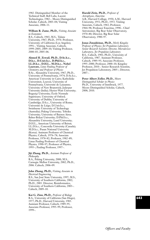1982. Distinguished Member of the Technical Staff, Bell Labs, Lucent Technologies, 1982–. Moore Distinguished Scholar, Caltech, 2003–04; Visiting Associate, 2006–11.

#### **William R. Zame, Ph.D.,** *Visiting Associate in Economics*

B.S., Caltech, 1965; M.S., Tulane University, 1967; Ph.D., 1970. Professor, University of California (Los Angeles), 1991–. Visiting Associate, Caltech, 1999–2005; 2009–10; Visiting Professor, 2000–03; 2005–06.

**Ahmed H. Zewail, Ph.D., D.Sc.h.c., D.h.c., D.Univ.h.c., D.Phil.h.c., LL.D.h.c., D.H.L., M.D.h.c., Nobel Laureate,** *Linus Pauling Professor of Chemistry and Professor of Physics* B.Sc., Alexandria University, 1967; Ph.D., University of Pennsylvania, 1974; D.Sc.h.c., American University in Cairo; Katholieke Universiteit, Leuven; University of Pennsylvania; Université de Lausanne; University of New Brunswick; Jadavpur University (India); Heriot-Watt University; Bogaziçi University; École Normale Supérieure; University of Oxford; University of Dublin; University of Cambridge; D.h.c., University of Rome; Université de Liége; D.Univ.h.c., Swinburne University of Technology (Australia); Peking University; Tohoku University; University of Buenos Aires; Babes-Bolyai University; D.Phil.h.c., Alexandria University, Lund University; D.H.L., American University of Beirut; LL.D.h.c., Concordia University (Canada); M.D.h.c., Pusan National University (Korea). Assistant Professor of Chemical Physics, Caltech, 1976–78; Associate Professor, 1978–82; Professor, 1982–89; Linus Pauling Professor of Chemical Physics, 1990–97; Professor of Physics, 1995–; Pauling Professor, 1997–.

#### **Jiji Zhang, Ph.D.,** *Assistant Professor of Philosophy*

B.A., Peking University, 2000; M.S., Carnegie Mellon University, 2002; Ph.D., 2006. Caltech, 2006–09.

#### **John Zhong, Ph.D.,** *Visiting Associate in Electrical Engineering*

B.S., San José State University, 1997; M.S., University of Southern California, 2002; Ph.D., 2003. Director, Bioinformatics, University of Southern California, 2003–. Caltech, 2009–10.

**Kai G. Zinn, Ph.D.,** *Professor of Biology* B.A., University of California (San Diego), 1977; Ph.D., Harvard University, 1983. Assistant Professor, Caltech, 1989–95; Associate Professor, 1995–99; Professor, 1999–.

## **Harold Zirin, Ph.D.,** *Professor of*

*Astrophysics, Emeritus* A.B., Harvard College, 1950; A.M., Harvard University, 1951; Ph.D., 1953. Visiting Associate, Caltech, 1963; Professor, 1964–98; Professor Emeritus, 1998–. Chief Astronomer, Big Bear Solar Observatory, 1970–80; Director, Big Bear Solar Observatory, 1980–97.

#### **Jonas Zmuidzinas, Ph.D.,** *Merle Kingsley Professor of Physics; Jet Propulsion Laboratory Senior Research Scientist; Director, Microdevices Laboratory, Jet Propulsion Laboratory* B.S., Caltech, 1981; Ph.D., University of California, 1987. Assistant Professor, Caltech, 1989–95; Associate Professor, 1995–2000; Professor, 2000–10; Kingsley Professor, 2010–. Senior Research Scientist, Jet Propulsion Laboratory, 2005–; Director, 2007–.

#### **Peter Albert Zoller, Ph.D.,** *Moore Distinguished Scholar in Physics*

Ph.D., University of Innsbruck, 1977. Moore Distinguished Scholar, Caltech, 2008; 2010.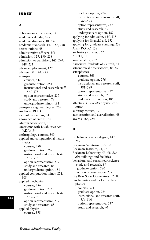## **INDEX**

## **A**

abbreviations of courses, 341 academic calendar, 4–5 academic divisions, 10, 237 academic standards, 142, 166, 258 accreditations, 48 administrative officers, 551 admission, 125, 130, 238 admission to candidacy, 145, 247, 248, 251 advanced placement, 127 advisers, 31, 143, 243 aerospace courses, 342 graduate option, 264 instructional and research staff, 565–573 option representative, 237 study and research, 79 undergraduate minor, 181 aerospace engineer degree, 267 Air Force ROTC, 138 alcohol on campus, 54 allowance of credit, 146 Alumni Association, 38 Americans with Disabilities Act (ADA), 54 anthropology courses, 349 applied and computational mathematics courses, 350 graduate option, 269 instructional and research staff, 565–573 option representative, 237 study and research, 83 undergraduate option, 181 applied computation minor, 271, 308 applied mechanics courses, 356 graduate option, 272 instructional and research staff, 565–573 option representative, 237 study and research, 85 applied physics courses, 358

graduate option, 274 instructional and research staff, 565–573 option representative, 237 study and research, 85 undergraduate option, 182 applying for admission, 125, 238 applying for financial aid, 152 applying for graduate standing, 238 Army ROTC, 138 art history courses, 362 ASCIT, 31 assistantships, 257 Associated Students of Caltech, 31 astronomical observatories, 88–89 astrophysics courses, 365 graduate option, 276 instructional and research staff, 581–589 option representative, 237 study and research, 87 undergraduate option, 185 athletics, 31. *See also* physical education auditing courses, 39 authorization and accreditation, 48 awards, 166, 259

## **B**

bachelor of science degree, 142, 247 Beckman Auditorium, 22, 34 Beckman Institute, 24, 26 Beckman Laboratory, 93, 98. *See also* buildings and facilities behavioral and social neuroscience study and research, 89 graduate option, 280 option representative, 237 Big Bear Solar Observatory, 26, 88 biochemistry and molecular biophysics courses, 371 graduate option, 284 instructional and research staff, 556–560 option representative, 237 study and research, 90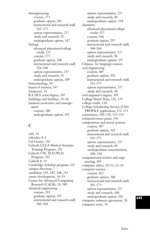bioengineering courses, 372 graduate option, 285 instructional and research staff, 565–573 option representative, 237 study and research, 91 undergraduate option, 187 biology advanced placement/college credit, 127 courses, 377 graduate option, 288 instructional and research staff, 556–560 option representative, 237 study and research, 92 undergraduate option, 189 biotechnology, 94 board of trustees, 547 bookstore, 34 B.S./M.S. joint degree, 247 buildings and facilities, 19–28 business economics and management courses, 388 undergraduate option, 193

## **C**

café, 34 calendar, 4–5 Cal Grants, 156 Caltech-UCLA Medical Scientist Training Program, 292 Caltech-USC M.D./Ph.D. Program, 293 Caltech Y, 34 Cambridge Scholars program, 132 campus directory, 7 candidacy, 145, 247, 248, 251 career development, 36–39 Center for Advanced Computing Research (CACR), 26, 589 chemical engineering courses, 391 graduate option, 293 instructional and research staff, 560–564

option representative, 237 study and research, 94 undergraduate option, 194 chemistry advanced placement/college credit, 127 courses, 396 graduate option, 297 instructional and research staff, 560–564 option representative, 237 study and research, 96 undergraduate option, 197 Chinese. *See* language courses civil engineering courses, 405 graduate option, 301 instructional and research staff, 565–573 option representative, 237 study and research, 98 civil engineer's degree, 301 College Board Tests, 126, 129 college credit, 130 College Scholarship Service (CSS) PROFILE application, 152–153 committees, 549–550, 552–555 competitiveness grant, 156 computation and neural systems courses, 407 graduate option, 303 instructional and research staff, 565–573 option representative, 237 study and research, 99 undergraduate concentration, 208, 210 computational science and engineering, 305 computer ethics, 50–51, 52–54 computer science courses, 412 graduate option, 306 instructional and research staff, 565–573 option representative, 237 study and research, 100 undergraduate option, 201 computer software agreement, 50 computer store, 34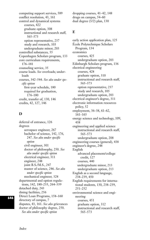computing support services, 589 conflict resolution, 43, 161 control and dynamical systems courses, 422 graduate option, 308 instructional and research staff, 565–573 option representative, 237 study and research, 103 undergraduate minor, 203 controlled substances, 55 Copenhagen Scholars program, 133 core curriculum requirements, 176–181 counseling service, 35 course loads. *See* overloads; underloads courses, 342–544. *See also under specific option* first-year schedule, 180 required for graduation, 176–180 credit, transfer of, 130, 146 credits, 42, 127, 146

# **D**

deferral of entrance, 126 degrees aerospace engineer, 267 bachelor of science, 142, 176, 247. *See also under specific option* civil engineer, 301 doctor of philosophy, 250. *See also under specific option* electrical engineer, 311 engineer, 248 joint B.S./M.S., 247 master of science, 246. *See also under specific option* mechanical engineer, 328 departmental and option regulations, 142, 180–235, 264–339 detached duty, 243 dining facilities, 256 Direct Loan Programs, 158–160 directory of campus, 7 disputes, 43, 161. *See also* grievances doctor of philosophy degree, 250. *See also under specific option*

dropping courses, 41–42, 148 drugs on campus, 54–60 dual degree (3/2) plan, 130

# **E**

early action application plan, 125 École Polytechnique Scholars Program, 134 economics courses, 425 undergraduate option, 203 Edinburgh Scholars program, 136 electrical engineering courses, 428 graduate option, 310 instructional and research staff, 565–573 option representative, 237 study and research, 105 undergraduate option, 203 electrical engineer's degree, 311 electronic information resources policy, 52 employment, 36–38, 61–62, 161–163 energy science and technology, 109, 438 engineering and applied science instructional and research staff, 565–573 undergraduate option, 208 engineering courses (general), 438 engineer's degree, 248 English advanced placement/college credit, 127 courses, 440 undergraduate minor, 213 undergraduate option, 213 English as a second language, 238–239, 450 English requirements for international students, 130, 238–239, 251–252 environmental science and engineering courses, 451 graduate option, 312 instructional and research staff, 565–573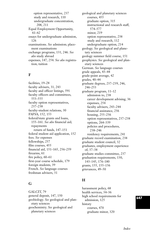option representative, 237 study and research, 110 undergraduate concentration, 208, 211 Equal Employment Opportunity, 61–62 essays for undergraduate admission, 126 examinations. *See* admission; placement examinations exchange programs, 131, 246. *See also* study abroad expenses, 147, 254. *See also* registration; tuition

# **F**

facilities, 19–28 faculty advisers, 31, 243 faculty and officer listings, 591 faculty officers and committees, 553–555 faculty option representatives, 237–238 faculty-student relations, 30 FAFSA, 152, 153 federal/state grants and loans, 155–161. *See also* financial aid; repayments return of funds, 147–151 federal student aid application, 152 fees. *See* expenses fellowships, 257 film courses, 455 financial aid, 151–165, 256–259 firearms, 61 fire policy,  $60-61$ first-year course schedule, 179 foreign students, 39 French. *See* language courses freshman advisers, 31

## **G**

GALCIT, 79 general deposit, 147, 150 geobiology. *See* geological and planetary sciences geochemistry. *See* geological and planetary sciences

geological and planetary sciences courses, 455 graduate option, 315 instructional and research staff, 574–577 minor, 219 option representative, 238 study and research, 112 undergraduate option, 214 geology. *See* geological and planetary sciences geology summer field course, 151 geophysics. *See* geological and planetary sciences German. *See* language courses grade appeals, 43–44 grade-point average, 42 grades, 40–44 graduate degrees, 237–239, 246, 246–253 graduate program, 11–12 admission to, 238 career development advising, 36 expenses, 254 faculty advisers, 243–244 financial assistance, 256 housing, 255–256 option representatives, 237–238 options, 264–339 policies and procedures, 238–246 residency requirements, 241 graduate record examination, 238 graduate student council, 32 graduates, employment experience of, 37–38 graduate studies committee, 237 graduation requirements, 130, 143–145, 176–180 grants, 155, 155–156 grievances, 49–50

# **H**

harassment policy, 68 health services, 34–36 high school requirements for admission, 125 history courses, 470 graduate minor, 320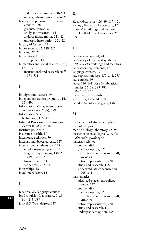undergraduate minor, 220–221 undergraduate option, 220–221 history and philosophy of science courses, 478 graduate minor, 320 study and research, 114 undergraduate minor, 221–224 undergraduate option, 221–224 history of Caltech, 12 honor system, 32, 149, 255 housing, 29, 255 humanities, 115, 486 drop policy, 140 humanities and social sciences, 146, 177–179 instructional and research staff, 578–581

# **I**

immigration matters, 39 independent studies program, 116, 224, 490 Information Management Systems and Services (IMSS), 589 Information Science and Technology, 116, 490 Infrared Processing and Analysis Center (IPAC), 24, 87 Institute policies, 52 insurance, health, 35 interhouse activities, 30 international baccalaureate, 127 international students, 39, 238 employment program, 161 English requirement, 130, 238, 249, 251–252 financial aid, 154 sabbaticals, 242–243 internships, 38 involuntary leave, 141

# **J**

Japanese. *See* language courses Jet Propulsion Laboratory, 9, 25, 114, 245, 589 joint B.S./M.S. degree, 247

## **K**

Keck Observatory, 26, 89, 117, 121 Kellogg Radiation Laboratory, 122. *See also* buildings and facilities Kerckhoff Marine Laboratory, 25, 93

## **L**

laboratories, special, 245 laboratory of chemical synthesis, 96. *See also* buildings and facilities laboratory requirements, 177 language courses, 491 late registration fees, 150, 242, 255 law courses, 494 leave, 140–141. *See also* sabbaticals libraries, 27–28, 589–590 LIGO, 26, 122 literature. *See* English loans, 155, 157–161, 258 London Scholars program, 136

## **M**

major fields of study. *See* options map of campus, 6 marine biology laboratory, 25, 93 master of science degree, 246. *See also under specific option* materials science courses, 495 graduate option, 321 instructional and research staff, 565–573 option representative, 238 study and research, 116 undergraduate concentration, 208, 211 mathematics advanced placement/college credit, 127 courses, 499 graduate option, 323 instructional and research staff, 581–589 option representative, 238 study and research, 117 undergraduate option, 225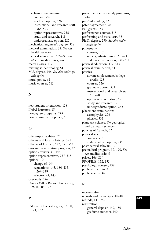mechanical engineering courses, 508 graduate option, 326 instructional and research staff, 565–573 option representative, 238 study and research, 118 undergraduate option, 227 mechanical engineer's degree, 328 medical examination, 34. *See also* health services medical school, 37, 292–293. *See also* premedical program menu classes, 177 missing student policy, 61 M.S. degree, 246. *See also under specific option* mural policy, 61 music courses, 513

## **N**

new student orientation, 128 Nobel laureates, 18 nondegree programs, 245 nondiscrimination policy, 61

# **O**

off-campus facilities, 25 officers and faculty listings, 591 officers of Caltech, 547, 551, 553 on-campus recruiting program, 37 option advisers, 31, 143 option representatives, 237–238 options, 10 change of, 144 regulations, 143, 180–235, 264–339 selection of, 143 overloads, 146 Owens Valley Radio Observatory, 26, 87–88, 122

## **P**

Palomar Observatory, 25, 87–88, 121, 122

part-time graduate study programs, 244 pass/fail grading, 42 patent agreement, 50 Pell grants, 155 performance courses, 515 performing and visual arts, 33 Ph.D. degree, 250. *See also under specific option* philosophy courses, 517 undergraduate minor, 230–231 undergraduate option, 230–231 physical education, 177, 515 physical examination, 34 physics advanced placement/college credit, 128 courses, 526 graduate option, 331 instructional and research staff, 581–589 option representative, 238 study and research, 120 undergraduate option, 232 placement examinations astrophysics, 276 physics, 331 planetary science. *See* geological and planetary sciences policies of Caltech, 52 political science courses, 535 undergraduate option, 234 postdoctoral scholars, 12 premedical program, 37, 190. *See also* medical school prizes, 166, 259 PROFILE, 152, 153 psychology courses, 538 publications, 32–33 public events, 34

## **R**

recesses, 4–5 records and transcripts, 44–48 refunds, 147, 259 registration general deposit, 147, 150 graduate students, 240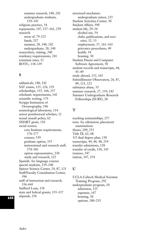summer research, 140, 242 undergraduate students, 139–141 religious practice, 34 repayments, 147, 157–161, 259 research areas of, 79–123 funds, 257 summer, 28, 140, 242 undergraduate, 28, 140 researchers, visiting, 240 residency requirements, 241 retention rates, 52 ROTC, 138–139

## **S**

sabbaticals, 140, 242 SAT exams, 125, 126, 129 scholarships, 155, 166, 257 scholastic requirements, 142 scientific writing, 179 Scripps Institution of Oceanography, 246 seismological laboratory, 114 senior postdoctoral scholars, 12 sexual assault policy, 62 SMART grant, 156 social science core Institute requirements, 176–177 courses, 539 graduate option, 335 instructional and research staff, 578–581 option representative, 238 study and research, 122 Spanish. *See* language courses special students, 239–240 Spitzer Science Center, 24, 87, 121 Staff/Faculty Consultation Center, 590 staff of instruction and research, 556–643 Stafford Loan, 158 state and federal grants, 155–157 stipends, 256

structural mechanics undergraduate minor, 235 Student Activities Center, 30 Student Affairs, 590 student life, 29–34 alcohol use, 54 clubs, publications, and societies, 32, 33 employment, 37, 161–163 grievance procedures, 49 health, 34 housing, 30 Student Patent and Computer Software Agreement, 50 student records and transcripts, 44, 45–49 study abroad, 132, 163 Submillimeter Observatory, 26, 87, 89, 121, 122 substance abuse, 55 summer research, 27, 139, 242 Summer Undergraduate Research Fellowships (SURF), 28

## **T**

teaching assistantships, 257 tests. *See* admission; placement examinations theses, 249, 253 Title IX, 62, 68 3/2 dual degree plan, 130 transcripts, 44, 46, 48, 254 transfer admissions, 128 transfer of credit, 130, 145 trustees, 547 tuition, 147, 254

## **U**

UCLA-Caltech Medical Scientist Training Program, 292 undergraduate program, 10 admission, 125 expenses, 147 housing, 30 options, 180–235